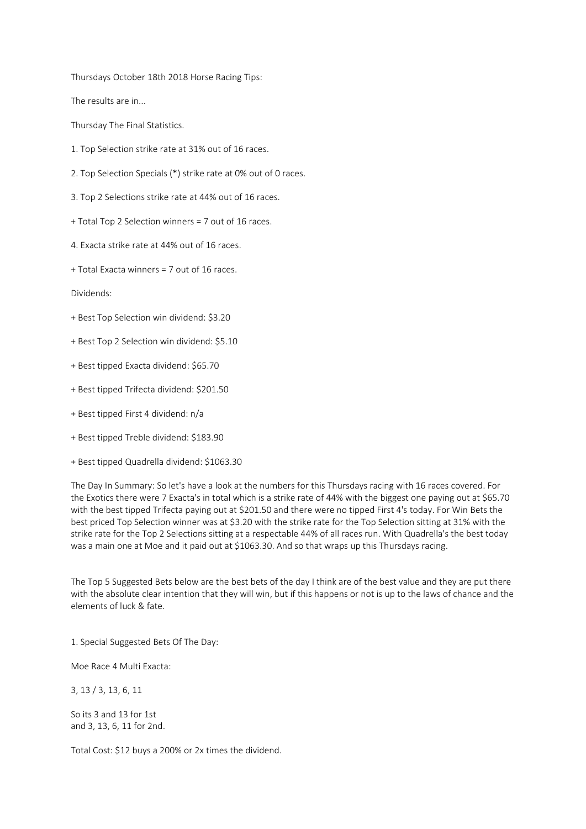Thursdays October 18th 2018 Horse Racing Tips:

The results are in...

Thursday The Final Statistics.

- 1. Top Selection strike rate at 31% out of 16 races.
- 2. Top Selection Specials (\*) strike rate at 0% out of 0 races.
- 3. Top 2 Selections strike rate at 44% out of 16 races.
- + Total Top 2 Selection winners = 7 out of 16 races.
- 4. Exacta strike rate at 44% out of 16 races.
- + Total Exacta winners = 7 out of 16 races.

Dividends:

- + Best Top Selection win dividend: \$3.20
- + Best Top 2 Selection win dividend: \$5.10
- + Best tipped Exacta dividend: \$65.70
- + Best tipped Trifecta dividend: \$201.50
- + Best tipped First 4 dividend: n/a
- + Best tipped Treble dividend: \$183.90
- + Best tipped Quadrella dividend: \$1063.30

The Day In Summary: So let's have a look at the numbers for this Thursdays racing with 16 races covered. For the Exotics there were 7 Exacta's in total which is a strike rate of 44% with the biggest one paying out at \$65.70 with the best tipped Trifecta paying out at \$201.50 and there were no tipped First 4's today. For Win Bets the best priced Top Selection winner was at \$3.20 with the strike rate for the Top Selection sitting at 31% with the strike rate for the Top 2 Selections sitting at a respectable 44% of all races run. With Quadrella's the best today was a main one at Moe and it paid out at \$1063.30. And so that wraps up this Thursdays racing.

The Top 5 Suggested Bets below are the best bets of the day I think are of the best value and they are put there with the absolute clear intention that they will win, but if this happens or not is up to the laws of chance and the elements of luck & fate.

1. Special Suggested Bets Of The Day:

Moe Race 4 Multi Exacta:

3, 13 / 3, 13, 6, 11

So its 3 and 13 for 1st and 3, 13, 6, 11 for 2nd.

Total Cost: \$12 buys a 200% or 2x times the dividend.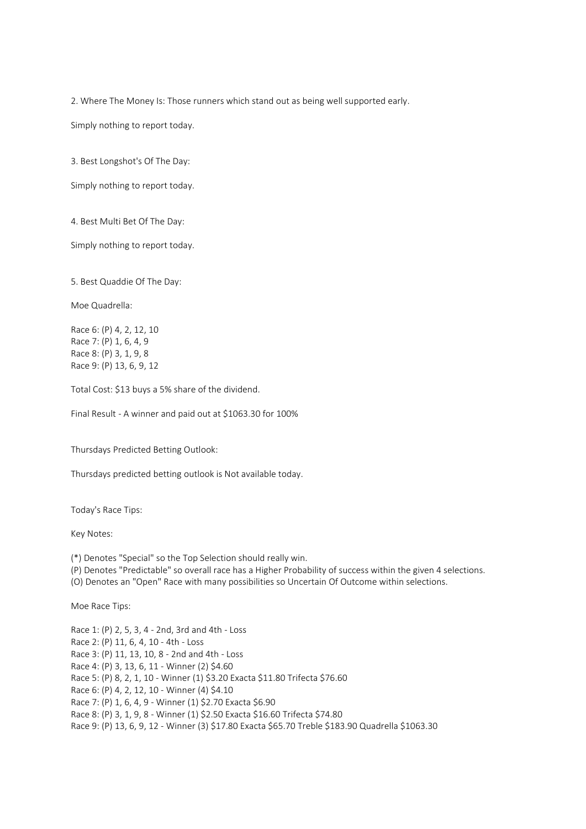2. Where The Money Is: Those runners which stand out as being well supported early.

Simply nothing to report today.

3. Best Longshot's Of The Day:

Simply nothing to report today.

4. Best Multi Bet Of The Day:

Simply nothing to report today.

5. Best Quaddie Of The Day:

Moe Quadrella:

Race 6: (P) 4, 2, 12, 10 Race 7: (P) 1, 6, 4, 9 Race 8: (P) 3, 1, 9, 8 Race 9: (P) 13, 6, 9, 12

Total Cost: \$13 buys a 5% share of the dividend.

Final Result - A winner and paid out at \$1063.30 for 100%

Thursdays Predicted Betting Outlook:

Thursdays predicted betting outlook is Not available today.

Today's Race Tips:

Key Notes:

(\*) Denotes "Special" so the Top Selection should really win.

(P) Denotes "Predictable" so overall race has a Higher Probability of success within the given 4 selections.

(O) Denotes an "Open" Race with many possibilities so Uncertain Of Outcome within selections.

Moe Race Tips:

Race 1: (P) 2, 5, 3, 4 - 2nd, 3rd and 4th - Loss Race 2: (P) 11, 6, 4, 10 - 4th - Loss Race 3: (P) 11, 13, 10, 8 - 2nd and 4th - Loss Race 4: (P) 3, 13, 6, 11 - Winner (2) \$4.60 Race 5: (P) 8, 2, 1, 10 - Winner (1) \$3.20 Exacta \$11.80 Trifecta \$76.60 Race 6: (P) 4, 2, 12, 10 - Winner (4) \$4.10 Race 7: (P) 1, 6, 4, 9 - Winner (1) \$2.70 Exacta \$6.90 Race 8: (P) 3, 1, 9, 8 - Winner (1) \$2.50 Exacta \$16.60 Trifecta \$74.80 Race 9: (P) 13, 6, 9, 12 - Winner (3) \$17.80 Exacta \$65.70 Treble \$183.90 Quadrella \$1063.30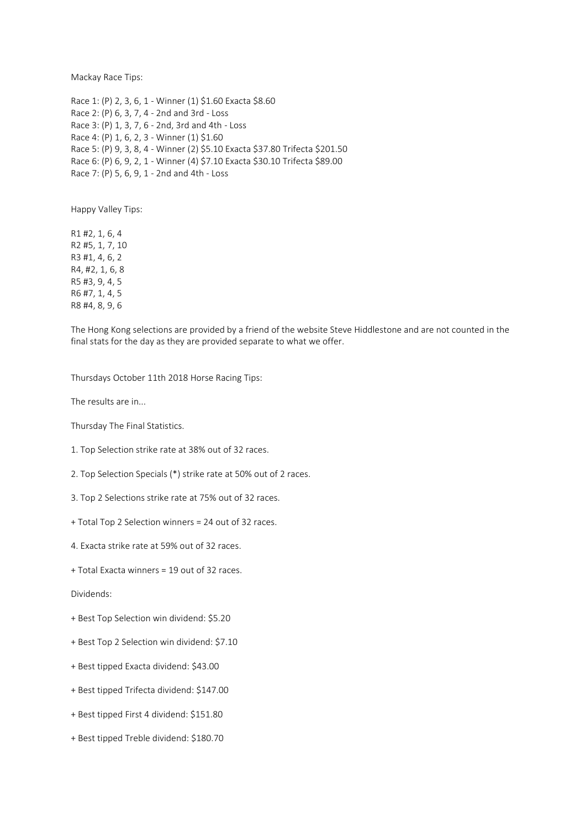Mackay Race Tips:

Race 1: (P) 2, 3, 6, 1 - Winner (1) \$1.60 Exacta \$8.60 Race 2: (P) 6, 3, 7, 4 - 2nd and 3rd - Loss Race 3: (P) 1, 3, 7, 6 - 2nd, 3rd and 4th - Loss Race 4: (P) 1, 6, 2, 3 - Winner (1) \$1.60 Race 5: (P) 9, 3, 8, 4 - Winner (2) \$5.10 Exacta \$37.80 Trifecta \$201.50 Race 6: (P) 6, 9, 2, 1 - Winner (4) \$7.10 Exacta \$30.10 Trifecta \$89.00 Race 7: (P) 5, 6, 9, 1 - 2nd and 4th - Loss

Happy Valley Tips:

R1 #2, 1, 6, 4 R2 #5, 1, 7, 10 R3 #1, 4, 6, 2 R4, #2, 1, 6, 8 R5 #3, 9, 4, 5 R6 #7, 1, 4, 5 R8 #4, 8, 9, 6

The Hong Kong selections are provided by a friend of the website Steve Hiddlestone and are not counted in the final stats for the day as they are provided separate to what we offer.

Thursdays October 11th 2018 Horse Racing Tips:

The results are in...

Thursday The Final Statistics.

1. Top Selection strike rate at 38% out of 32 races.

2. Top Selection Specials (\*) strike rate at 50% out of 2 races.

3. Top 2 Selections strike rate at 75% out of 32 races.

+ Total Top 2 Selection winners = 24 out of 32 races.

4. Exacta strike rate at 59% out of 32 races.

+ Total Exacta winners = 19 out of 32 races.

Dividends:

+ Best Top Selection win dividend: \$5.20

+ Best Top 2 Selection win dividend: \$7.10

+ Best tipped Exacta dividend: \$43.00

+ Best tipped Trifecta dividend: \$147.00

+ Best tipped First 4 dividend: \$151.80

+ Best tipped Treble dividend: \$180.70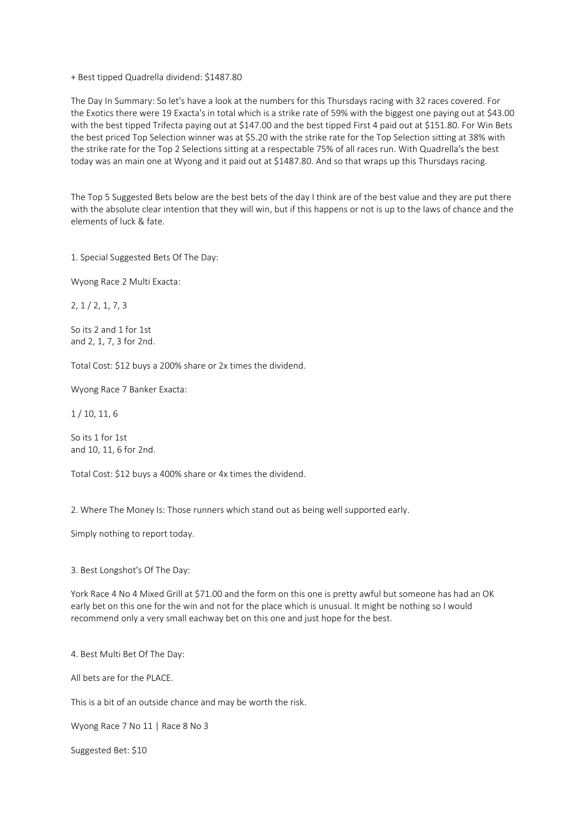+ Best tipped Quadrella dividend: \$1487.80

The Day In Summary: So let's have a look at the numbers for this Thursdays racing with 32 races covered. For the Exotics there were 19 Exacta's in total which is a strike rate of 59% with the biggest one paying out at \$43.00 with the best tipped Trifecta paying out at \$147.00 and the best tipped First 4 paid out at \$151.80. For Win Bets the best priced Top Selection winner was at \$5.20 with the strike rate for the Top Selection sitting at 38% with the strike rate for the Top 2 Selections sitting at a respectable 75% of all races run. With Quadrella's the best today was an main one at Wyong and it paid out at \$1487.80. And so that wraps up this Thursdays racing.

The Top 5 Suggested Bets below are the best bets of the day I think are of the best value and they are put there with the absolute clear intention that they will win, but if this happens or not is up to the laws of chance and the elements of luck & fate.

1. Special Suggested Bets Of The Day:

Wyong Race 2 Multi Exacta:

2, 1 / 2, 1, 7, 3

So its 2 and 1 for 1st and 2, 1, 7, 3 for 2nd.

Total Cost: \$12 buys a 200% share or 2x times the dividend.

Wyong Race 7 Banker Exacta:

1 / 10, 11, 6

So its 1 for 1st and 10, 11, 6 for 2nd.

Total Cost: \$12 buys a 400% share or 4x times the dividend.

2. Where The Money Is: Those runners which stand out as being well supported early.

Simply nothing to report today.

3. Best Longshot's Of The Day:

York Race 4 No 4 Mixed Grill at \$71.00 and the form on this one is pretty awful but someone has had an OK early bet on this one for the win and not for the place which is unusual. It might be nothing so I would recommend only a very small eachway bet on this one and just hope for the best.

4. Best Multi Bet Of The Day:

All bets are for the PLACE.

This is a bit of an outside chance and may be worth the risk.

Wyong Race 7 No 11 | Race 8 No 3

Suggested Bet: \$10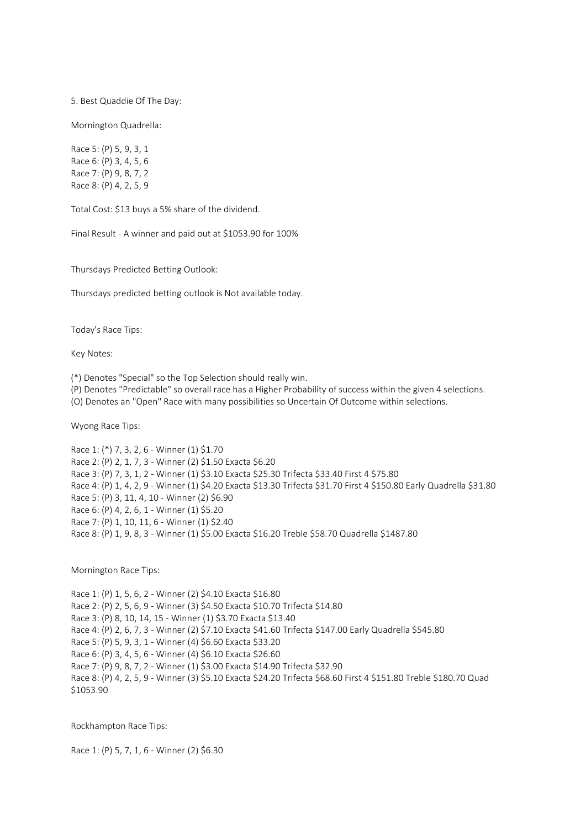5. Best Quaddie Of The Day:

Mornington Quadrella:

Race 5: (P) 5, 9, 3, 1 Race 6: (P) 3, 4, 5, 6 Race 7: (P) 9, 8, 7, 2 Race 8: (P) 4, 2, 5, 9

Total Cost: \$13 buys a 5% share of the dividend.

Final Result - A winner and paid out at \$1053.90 for 100%

Thursdays Predicted Betting Outlook:

Thursdays predicted betting outlook is Not available today.

Today's Race Tips:

Key Notes:

(\*) Denotes "Special" so the Top Selection should really win.

(P) Denotes "Predictable" so overall race has a Higher Probability of success within the given 4 selections.

(O) Denotes an "Open" Race with many possibilities so Uncertain Of Outcome within selections.

Wyong Race Tips:

Race 1: (\*) 7, 3, 2, 6 - Winner (1) \$1.70 Race 2: (P) 2, 1, 7, 3 - Winner (2) \$1.50 Exacta \$6.20 Race 3: (P) 7, 3, 1, 2 - Winner (1) \$3.10 Exacta \$25.30 Trifecta \$33.40 First 4 \$75.80 Race 4: (P) 1, 4, 2, 9 - Winner (1) \$4.20 Exacta \$13.30 Trifecta \$31.70 First 4 \$150.80 Early Quadrella \$31.80 Race 5: (P) 3, 11, 4, 10 - Winner (2) \$6.90 Race 6: (P) 4, 2, 6, 1 - Winner (1) \$5.20 Race 7: (P) 1, 10, 11, 6 - Winner (1) \$2.40 Race 8: (P) 1, 9, 8, 3 - Winner (1) \$5.00 Exacta \$16.20 Treble \$58.70 Quadrella \$1487.80

Mornington Race Tips:

Race 1: (P) 1, 5, 6, 2 - Winner (2) \$4.10 Exacta \$16.80 Race 2: (P) 2, 5, 6, 9 - Winner (3) \$4.50 Exacta \$10.70 Trifecta \$14.80 Race 3: (P) 8, 10, 14, 15 - Winner (1) \$3.70 Exacta \$13.40 Race 4: (P) 2, 6, 7, 3 - Winner (2) \$7.10 Exacta \$41.60 Trifecta \$147.00 Early Quadrella \$545.80 Race 5: (P) 5, 9, 3, 1 - Winner (4) \$6.60 Exacta \$33.20 Race 6: (P) 3, 4, 5, 6 - Winner (4) \$6.10 Exacta \$26.60 Race 7: (P) 9, 8, 7, 2 - Winner (1) \$3.00 Exacta \$14.90 Trifecta \$32.90 Race 8: (P) 4, 2, 5, 9 - Winner (3) \$5.10 Exacta \$24.20 Trifecta \$68.60 First 4 \$151.80 Treble \$180.70 Quad \$1053.90

Rockhampton Race Tips:

Race 1: (P) 5, 7, 1, 6 - Winner (2) \$6.30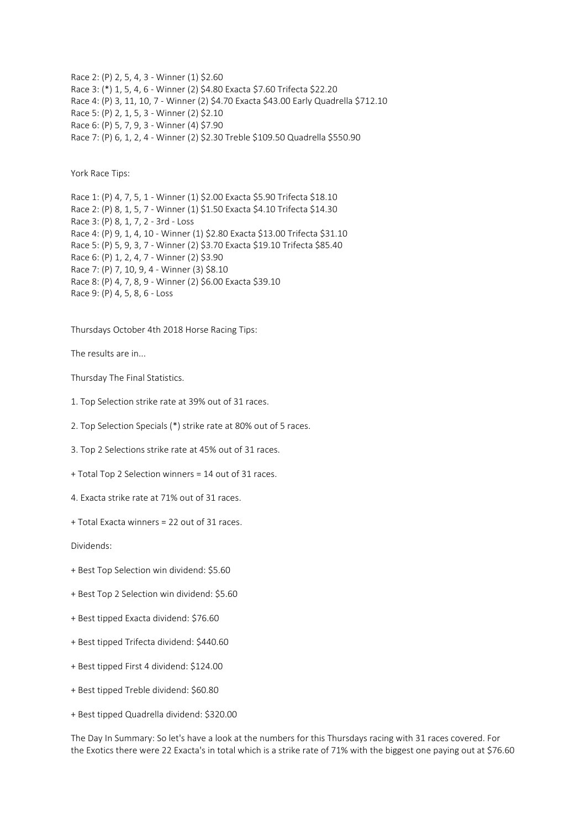Race 2: (P) 2, 5, 4, 3 - Winner (1) \$2.60 Race 3: (\*) 1, 5, 4, 6 - Winner (2) \$4.80 Exacta \$7.60 Trifecta \$22.20 Race 4: (P) 3, 11, 10, 7 - Winner (2) \$4.70 Exacta \$43.00 Early Quadrella \$712.10 Race 5: (P) 2, 1, 5, 3 - Winner (2) \$2.10 Race 6: (P) 5, 7, 9, 3 - Winner (4) \$7.90 Race 7: (P) 6, 1, 2, 4 - Winner (2) \$2.30 Treble \$109.50 Quadrella \$550.90

York Race Tips:

Race 1: (P) 4, 7, 5, 1 - Winner (1) \$2.00 Exacta \$5.90 Trifecta \$18.10 Race 2: (P) 8, 1, 5, 7 - Winner (1) \$1.50 Exacta \$4.10 Trifecta \$14.30 Race 3: (P) 8, 1, 7, 2 - 3rd - Loss Race 4: (P) 9, 1, 4, 10 - Winner (1) \$2.80 Exacta \$13.00 Trifecta \$31.10 Race 5: (P) 5, 9, 3, 7 - Winner (2) \$3.70 Exacta \$19.10 Trifecta \$85.40 Race 6: (P) 1, 2, 4, 7 - Winner (2) \$3.90 Race 7: (P) 7, 10, 9, 4 - Winner (3) \$8.10 Race 8: (P) 4, 7, 8, 9 - Winner (2) \$6.00 Exacta \$39.10 Race 9: (P) 4, 5, 8, 6 - Loss

Thursdays October 4th 2018 Horse Racing Tips:

The results are in...

Thursday The Final Statistics.

- 1. Top Selection strike rate at 39% out of 31 races.
- 2. Top Selection Specials (\*) strike rate at 80% out of 5 races.
- 3. Top 2 Selections strike rate at 45% out of 31 races.
- + Total Top 2 Selection winners = 14 out of 31 races.
- 4. Exacta strike rate at 71% out of 31 races.
- + Total Exacta winners = 22 out of 31 races.

Dividends:

- + Best Top Selection win dividend: \$5.60
- + Best Top 2 Selection win dividend: \$5.60
- + Best tipped Exacta dividend: \$76.60
- + Best tipped Trifecta dividend: \$440.60
- + Best tipped First 4 dividend: \$124.00
- + Best tipped Treble dividend: \$60.80
- + Best tipped Quadrella dividend: \$320.00

The Day In Summary: So let's have a look at the numbers for this Thursdays racing with 31 races covered. For the Exotics there were 22 Exacta's in total which is a strike rate of 71% with the biggest one paying out at \$76.60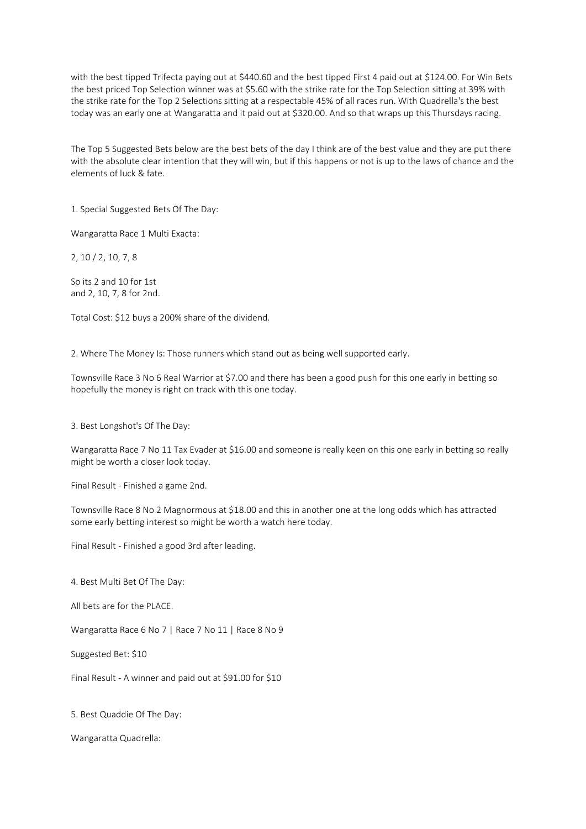with the best tipped Trifecta paying out at \$440.60 and the best tipped First 4 paid out at \$124.00. For Win Bets the best priced Top Selection winner was at \$5.60 with the strike rate for the Top Selection sitting at 39% with the strike rate for the Top 2 Selections sitting at a respectable 45% of all races run. With Quadrella's the best today was an early one at Wangaratta and it paid out at \$320.00. And so that wraps up this Thursdays racing.

The Top 5 Suggested Bets below are the best bets of the day I think are of the best value and they are put there with the absolute clear intention that they will win, but if this happens or not is up to the laws of chance and the elements of luck & fate.

1. Special Suggested Bets Of The Day:

Wangaratta Race 1 Multi Exacta:

2, 10 / 2, 10, 7, 8

So its 2 and 10 for 1st and 2, 10, 7, 8 for 2nd.

Total Cost: \$12 buys a 200% share of the dividend.

2. Where The Money Is: Those runners which stand out as being well supported early.

Townsville Race 3 No 6 Real Warrior at \$7.00 and there has been a good push for this one early in betting so hopefully the money is right on track with this one today.

3. Best Longshot's Of The Day:

Wangaratta Race 7 No 11 Tax Evader at \$16.00 and someone is really keen on this one early in betting so really might be worth a closer look today.

Final Result - Finished a game 2nd.

Townsville Race 8 No 2 Magnormous at \$18.00 and this in another one at the long odds which has attracted some early betting interest so might be worth a watch here today.

Final Result - Finished a good 3rd after leading.

4. Best Multi Bet Of The Day:

All bets are for the PLACE.

Wangaratta Race 6 No 7 | Race 7 No 11 | Race 8 No 9

Suggested Bet: \$10

Final Result - A winner and paid out at \$91.00 for \$10

5. Best Quaddie Of The Day:

Wangaratta Quadrella: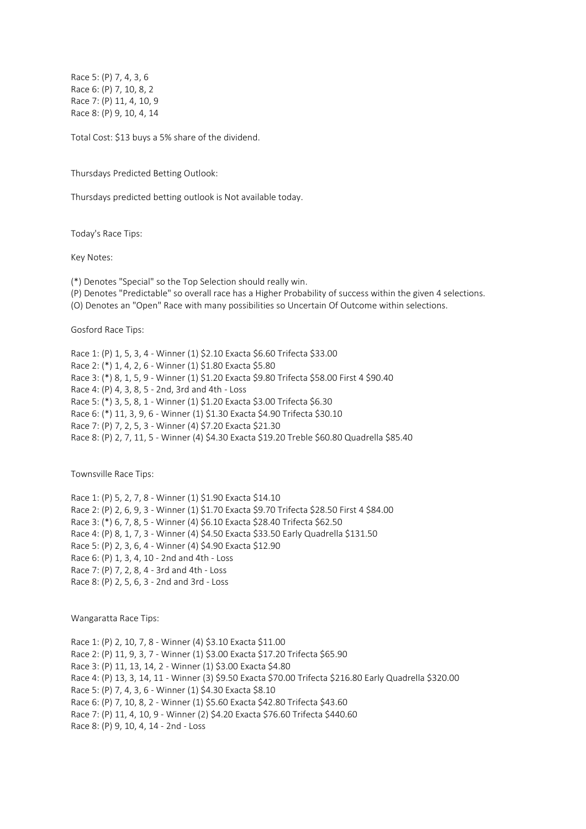Race 5: (P) 7, 4, 3, 6 Race 6: (P) 7, 10, 8, 2 Race 7: (P) 11, 4, 10, 9 Race 8: (P) 9, 10, 4, 14

Total Cost: \$13 buys a 5% share of the dividend.

Thursdays Predicted Betting Outlook:

Thursdays predicted betting outlook is Not available today.

Today's Race Tips:

Key Notes:

(\*) Denotes "Special" so the Top Selection should really win.

(P) Denotes "Predictable" so overall race has a Higher Probability of success within the given 4 selections.

(O) Denotes an "Open" Race with many possibilities so Uncertain Of Outcome within selections.

Gosford Race Tips:

Race 1: (P) 1, 5, 3, 4 - Winner (1) \$2.10 Exacta \$6.60 Trifecta \$33.00 Race 2: (\*) 1, 4, 2, 6 - Winner (1) \$1.80 Exacta \$5.80 Race 3: (\*) 8, 1, 5, 9 - Winner (1) \$1.20 Exacta \$9.80 Trifecta \$58.00 First 4 \$90.40 Race 4: (P) 4, 3, 8, 5 - 2nd, 3rd and 4th - Loss Race 5: (\*) 3, 5, 8, 1 - Winner (1) \$1.20 Exacta \$3.00 Trifecta \$6.30 Race 6: (\*) 11, 3, 9, 6 - Winner (1) \$1.30 Exacta \$4.90 Trifecta \$30.10 Race 7: (P) 7, 2, 5, 3 - Winner (4) \$7.20 Exacta \$21.30 Race 8: (P) 2, 7, 11, 5 - Winner (4) \$4.30 Exacta \$19.20 Treble \$60.80 Quadrella \$85.40

Townsville Race Tips:

Race 1: (P) 5, 2, 7, 8 - Winner (1) \$1.90 Exacta \$14.10 Race 2: (P) 2, 6, 9, 3 - Winner (1) \$1.70 Exacta \$9.70 Trifecta \$28.50 First 4 \$84.00 Race 3: (\*) 6, 7, 8, 5 - Winner (4) \$6.10 Exacta \$28.40 Trifecta \$62.50 Race 4: (P) 8, 1, 7, 3 - Winner (4) \$4.50 Exacta \$33.50 Early Quadrella \$131.50 Race 5: (P) 2, 3, 6, 4 - Winner (4) \$4.90 Exacta \$12.90 Race 6: (P) 1, 3, 4, 10 - 2nd and 4th - Loss Race 7: (P) 7, 2, 8, 4 - 3rd and 4th - Loss Race 8: (P) 2, 5, 6, 3 - 2nd and 3rd - Loss

Wangaratta Race Tips:

Race 1: (P) 2, 10, 7, 8 - Winner (4) \$3.10 Exacta \$11.00 Race 2: (P) 11, 9, 3, 7 - Winner (1) \$3.00 Exacta \$17.20 Trifecta \$65.90 Race 3: (P) 11, 13, 14, 2 - Winner (1) \$3.00 Exacta \$4.80 Race 4: (P) 13, 3, 14, 11 - Winner (3) \$9.50 Exacta \$70.00 Trifecta \$216.80 Early Quadrella \$320.00 Race 5: (P) 7, 4, 3, 6 - Winner (1) \$4.30 Exacta \$8.10 Race 6: (P) 7, 10, 8, 2 - Winner (1) \$5.60 Exacta \$42.80 Trifecta \$43.60 Race 7: (P) 11, 4, 10, 9 - Winner (2) \$4.20 Exacta \$76.60 Trifecta \$440.60 Race 8: (P) 9, 10, 4, 14 - 2nd - Loss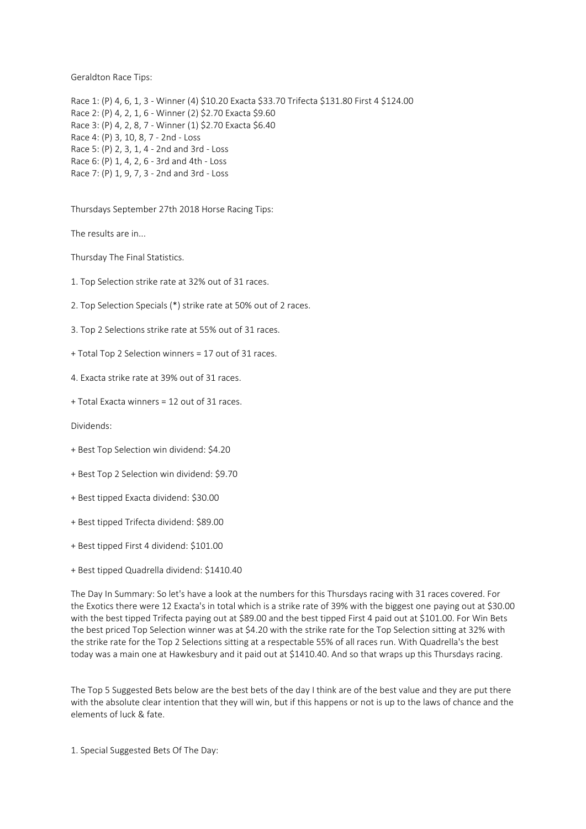Geraldton Race Tips:

Race 1: (P) 4, 6, 1, 3 - Winner (4) \$10.20 Exacta \$33.70 Trifecta \$131.80 First 4 \$124.00 Race 2: (P) 4, 2, 1, 6 - Winner (2) \$2.70 Exacta \$9.60 Race 3: (P) 4, 2, 8, 7 - Winner (1) \$2.70 Exacta \$6.40 Race 4: (P) 3, 10, 8, 7 - 2nd - Loss Race 5: (P) 2, 3, 1, 4 - 2nd and 3rd - Loss Race 6: (P) 1, 4, 2, 6 - 3rd and 4th - Loss Race 7: (P) 1, 9, 7, 3 - 2nd and 3rd - Loss

Thursdays September 27th 2018 Horse Racing Tips:

The results are in...

Thursday The Final Statistics.

- 1. Top Selection strike rate at 32% out of 31 races.
- 2. Top Selection Specials (\*) strike rate at 50% out of 2 races.
- 3. Top 2 Selections strike rate at 55% out of 31 races.
- + Total Top 2 Selection winners = 17 out of 31 races.
- 4. Exacta strike rate at 39% out of 31 races.
- + Total Exacta winners = 12 out of 31 races.

Dividends:

- + Best Top Selection win dividend: \$4.20
- + Best Top 2 Selection win dividend: \$9.70
- + Best tipped Exacta dividend: \$30.00
- + Best tipped Trifecta dividend: \$89.00
- + Best tipped First 4 dividend: \$101.00
- + Best tipped Quadrella dividend: \$1410.40

The Day In Summary: So let's have a look at the numbers for this Thursdays racing with 31 races covered. For the Exotics there were 12 Exacta's in total which is a strike rate of 39% with the biggest one paying out at \$30.00 with the best tipped Trifecta paying out at \$89.00 and the best tipped First 4 paid out at \$101.00. For Win Bets the best priced Top Selection winner was at \$4.20 with the strike rate for the Top Selection sitting at 32% with the strike rate for the Top 2 Selections sitting at a respectable 55% of all races run. With Quadrella's the best today was a main one at Hawkesbury and it paid out at \$1410.40. And so that wraps up this Thursdays racing.

The Top 5 Suggested Bets below are the best bets of the day I think are of the best value and they are put there with the absolute clear intention that they will win, but if this happens or not is up to the laws of chance and the elements of luck & fate.

1. Special Suggested Bets Of The Day: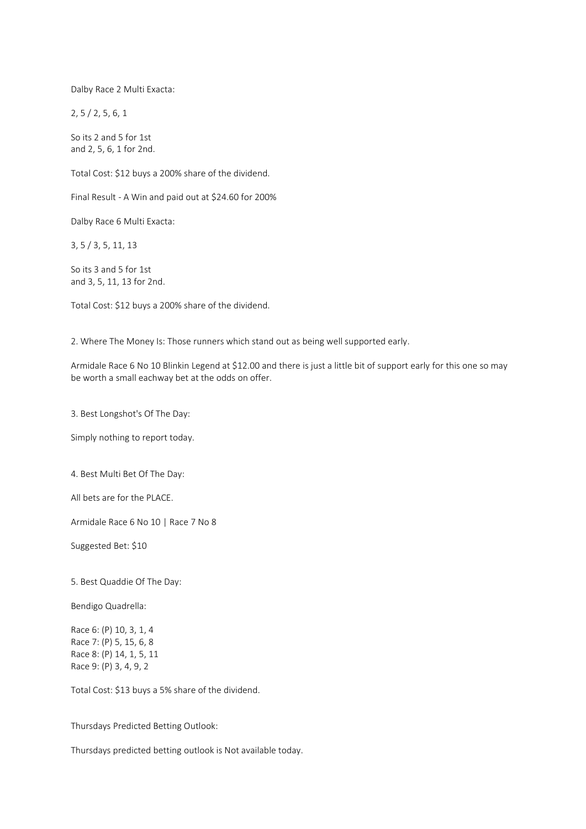Dalby Race 2 Multi Exacta:

2, 5 / 2, 5, 6, 1

So its 2 and 5 for 1st and 2, 5, 6, 1 for 2nd.

Total Cost: \$12 buys a 200% share of the dividend.

Final Result - A Win and paid out at \$24.60 for 200%

Dalby Race 6 Multi Exacta:

3, 5 / 3, 5, 11, 13

So its 3 and 5 for 1st and 3, 5, 11, 13 for 2nd.

Total Cost: \$12 buys a 200% share of the dividend.

2. Where The Money Is: Those runners which stand out as being well supported early.

Armidale Race 6 No 10 Blinkin Legend at \$12.00 and there is just a little bit of support early for this one so may be worth a small eachway bet at the odds on offer.

3. Best Longshot's Of The Day:

Simply nothing to report today.

4. Best Multi Bet Of The Day:

All bets are for the PLACE.

Armidale Race 6 No 10 | Race 7 No 8

Suggested Bet: \$10

5. Best Quaddie Of The Day:

Bendigo Quadrella:

Race 6: (P) 10, 3, 1, 4 Race 7: (P) 5, 15, 6, 8 Race 8: (P) 14, 1, 5, 11 Race 9: (P) 3, 4, 9, 2

Total Cost: \$13 buys a 5% share of the dividend.

Thursdays Predicted Betting Outlook:

Thursdays predicted betting outlook is Not available today.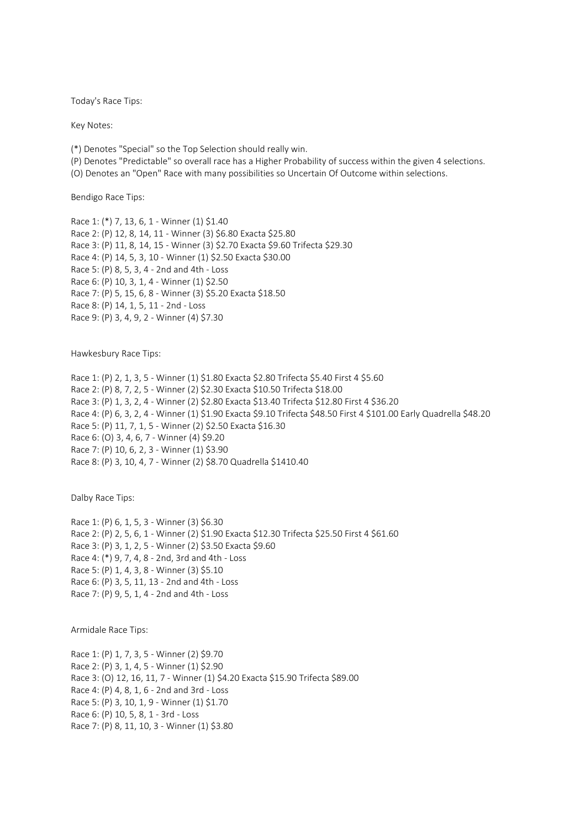Today's Race Tips:

Key Notes:

(\*) Denotes "Special" so the Top Selection should really win.

(P) Denotes "Predictable" so overall race has a Higher Probability of success within the given 4 selections.

(O) Denotes an "Open" Race with many possibilities so Uncertain Of Outcome within selections.

Bendigo Race Tips:

Race 1: (\*) 7, 13, 6, 1 - Winner (1) \$1.40 Race 2: (P) 12, 8, 14, 11 - Winner (3) \$6.80 Exacta \$25.80 Race 3: (P) 11, 8, 14, 15 - Winner (3) \$2.70 Exacta \$9.60 Trifecta \$29.30 Race 4: (P) 14, 5, 3, 10 - Winner (1) \$2.50 Exacta \$30.00 Race 5: (P) 8, 5, 3, 4 - 2nd and 4th - Loss Race 6: (P) 10, 3, 1, 4 - Winner (1) \$2.50 Race 7: (P) 5, 15, 6, 8 - Winner (3) \$5.20 Exacta \$18.50 Race 8: (P) 14, 1, 5, 11 - 2nd - Loss Race 9: (P) 3, 4, 9, 2 - Winner (4) \$7.30

Hawkesbury Race Tips:

Race 1: (P) 2, 1, 3, 5 - Winner (1) \$1.80 Exacta \$2.80 Trifecta \$5.40 First 4 \$5.60 Race 2: (P) 8, 7, 2, 5 - Winner (2) \$2.30 Exacta \$10.50 Trifecta \$18.00 Race 3: (P) 1, 3, 2, 4 - Winner (2) \$2.80 Exacta \$13.40 Trifecta \$12.80 First 4 \$36.20 Race 4: (P) 6, 3, 2, 4 - Winner (1) \$1.90 Exacta \$9.10 Trifecta \$48.50 First 4 \$101.00 Early Quadrella \$48.20 Race 5: (P) 11, 7, 1, 5 - Winner (2) \$2.50 Exacta \$16.30 Race 6: (O) 3, 4, 6, 7 - Winner (4) \$9.20 Race 7: (P) 10, 6, 2, 3 - Winner (1) \$3.90 Race 8: (P) 3, 10, 4, 7 - Winner (2) \$8.70 Quadrella \$1410.40

Dalby Race Tips:

Race 1: (P) 6, 1, 5, 3 - Winner (3) \$6.30 Race 2: (P) 2, 5, 6, 1 - Winner (2) \$1.90 Exacta \$12.30 Trifecta \$25.50 First 4 \$61.60 Race 3: (P) 3, 1, 2, 5 - Winner (2) \$3.50 Exacta \$9.60 Race 4: (\*) 9, 7, 4, 8 - 2nd, 3rd and 4th - Loss Race 5: (P) 1, 4, 3, 8 - Winner (3) \$5.10 Race 6: (P) 3, 5, 11, 13 - 2nd and 4th - Loss Race 7: (P) 9, 5, 1, 4 - 2nd and 4th - Loss

Armidale Race Tips:

Race 1: (P) 1, 7, 3, 5 - Winner (2) \$9.70 Race 2: (P) 3, 1, 4, 5 - Winner (1) \$2.90 Race 3: (O) 12, 16, 11, 7 - Winner (1) \$4.20 Exacta \$15.90 Trifecta \$89.00 Race 4: (P) 4, 8, 1, 6 - 2nd and 3rd - Loss Race 5: (P) 3, 10, 1, 9 - Winner (1) \$1.70 Race 6: (P) 10, 5, 8, 1 - 3rd - Loss Race 7: (P) 8, 11, 10, 3 - Winner (1) \$3.80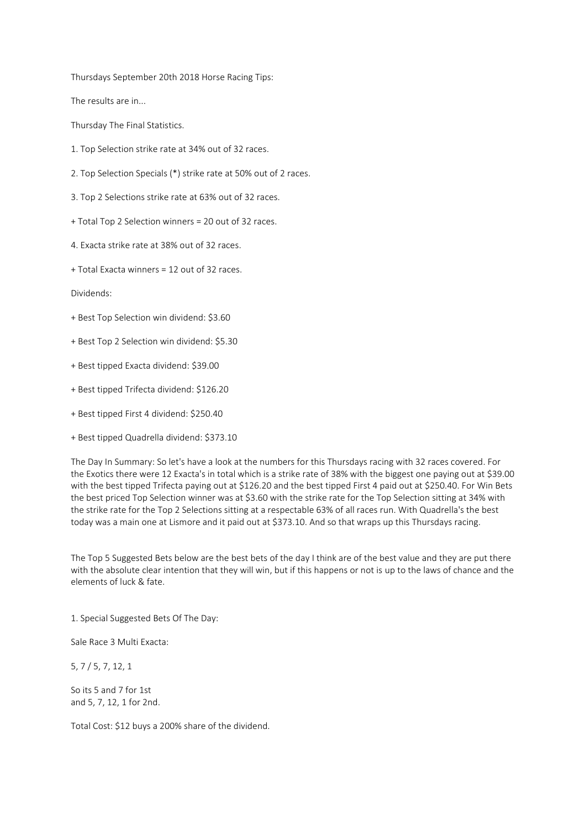Thursdays September 20th 2018 Horse Racing Tips:

The results are in...

Thursday The Final Statistics.

- 1. Top Selection strike rate at 34% out of 32 races.
- 2. Top Selection Specials (\*) strike rate at 50% out of 2 races.
- 3. Top 2 Selections strike rate at 63% out of 32 races.
- + Total Top 2 Selection winners = 20 out of 32 races.
- 4. Exacta strike rate at 38% out of 32 races.
- + Total Exacta winners = 12 out of 32 races.

Dividends:

- + Best Top Selection win dividend: \$3.60
- + Best Top 2 Selection win dividend: \$5.30
- + Best tipped Exacta dividend: \$39.00
- + Best tipped Trifecta dividend: \$126.20
- + Best tipped First 4 dividend: \$250.40
- + Best tipped Quadrella dividend: \$373.10

The Day In Summary: So let's have a look at the numbers for this Thursdays racing with 32 races covered. For the Exotics there were 12 Exacta's in total which is a strike rate of 38% with the biggest one paying out at \$39.00 with the best tipped Trifecta paying out at \$126.20 and the best tipped First 4 paid out at \$250.40. For Win Bets the best priced Top Selection winner was at \$3.60 with the strike rate for the Top Selection sitting at 34% with the strike rate for the Top 2 Selections sitting at a respectable 63% of all races run. With Quadrella's the best today was a main one at Lismore and it paid out at \$373.10. And so that wraps up this Thursdays racing.

The Top 5 Suggested Bets below are the best bets of the day I think are of the best value and they are put there with the absolute clear intention that they will win, but if this happens or not is up to the laws of chance and the elements of luck & fate.

1. Special Suggested Bets Of The Day:

Sale Race 3 Multi Exacta:

5, 7 / 5, 7, 12, 1

So its 5 and 7 for 1st and 5, 7, 12, 1 for 2nd.

Total Cost: \$12 buys a 200% share of the dividend.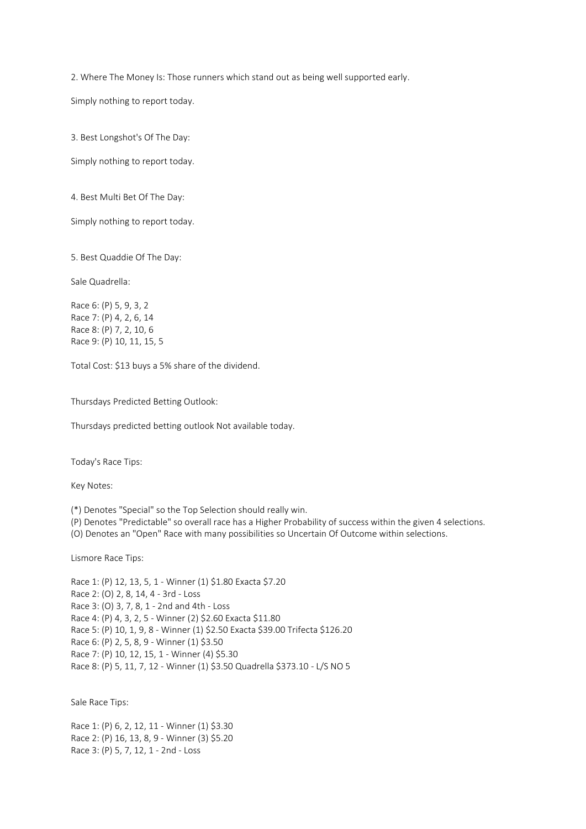2. Where The Money Is: Those runners which stand out as being well supported early.

Simply nothing to report today.

3. Best Longshot's Of The Day:

Simply nothing to report today.

4. Best Multi Bet Of The Day:

Simply nothing to report today.

5. Best Quaddie Of The Day:

Sale Quadrella:

Race 6: (P) 5, 9, 3, 2 Race 7: (P) 4, 2, 6, 14 Race 8: (P) 7, 2, 10, 6 Race 9: (P) 10, 11, 15, 5

Total Cost: \$13 buys a 5% share of the dividend.

Thursdays Predicted Betting Outlook:

Thursdays predicted betting outlook Not available today.

Today's Race Tips:

Key Notes:

(\*) Denotes "Special" so the Top Selection should really win.

(P) Denotes "Predictable" so overall race has a Higher Probability of success within the given 4 selections.

(O) Denotes an "Open" Race with many possibilities so Uncertain Of Outcome within selections.

Lismore Race Tips:

Race 1: (P) 12, 13, 5, 1 - Winner (1) \$1.80 Exacta \$7.20 Race 2: (O) 2, 8, 14, 4 - 3rd - Loss Race 3: (O) 3, 7, 8, 1 - 2nd and 4th - Loss Race 4: (P) 4, 3, 2, 5 - Winner (2) \$2.60 Exacta \$11.80 Race 5: (P) 10, 1, 9, 8 - Winner (1) \$2.50 Exacta \$39.00 Trifecta \$126.20 Race 6: (P) 2, 5, 8, 9 - Winner (1) \$3.50 Race 7: (P) 10, 12, 15, 1 - Winner (4) \$5.30 Race 8: (P) 5, 11, 7, 12 - Winner (1) \$3.50 Quadrella \$373.10 - L/S NO 5

Sale Race Tips:

Race 1: (P) 6, 2, 12, 11 - Winner (1) \$3.30 Race 2: (P) 16, 13, 8, 9 - Winner (3) \$5.20 Race 3: (P) 5, 7, 12, 1 - 2nd - Loss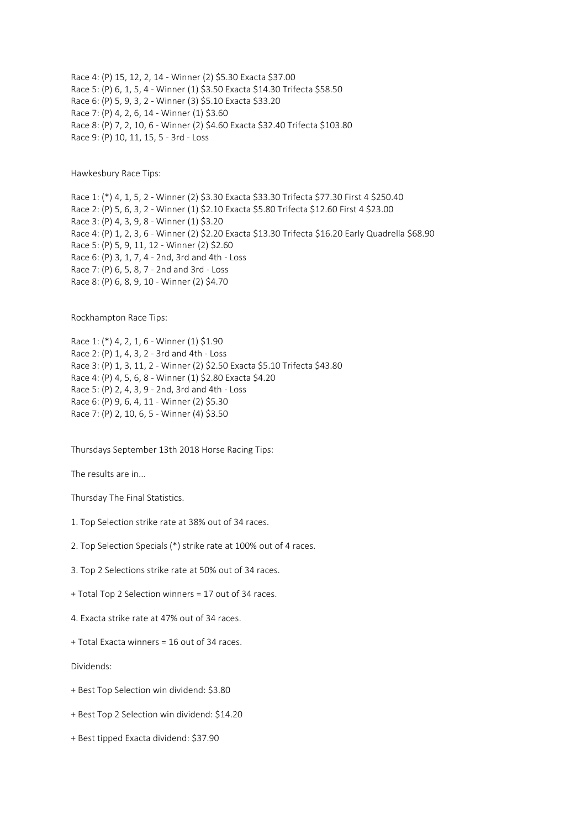Race 4: (P) 15, 12, 2, 14 - Winner (2) \$5.30 Exacta \$37.00 Race 5: (P) 6, 1, 5, 4 - Winner (1) \$3.50 Exacta \$14.30 Trifecta \$58.50 Race 6: (P) 5, 9, 3, 2 - Winner (3) \$5.10 Exacta \$33.20 Race 7: (P) 4, 2, 6, 14 - Winner (1) \$3.60 Race 8: (P) 7, 2, 10, 6 - Winner (2) \$4.60 Exacta \$32.40 Trifecta \$103.80 Race 9: (P) 10, 11, 15, 5 - 3rd - Loss

Hawkesbury Race Tips:

Race 1: (\*) 4, 1, 5, 2 - Winner (2) \$3.30 Exacta \$33.30 Trifecta \$77.30 First 4 \$250.40 Race 2: (P) 5, 6, 3, 2 - Winner (1) \$2.10 Exacta \$5.80 Trifecta \$12.60 First 4 \$23.00 Race 3: (P) 4, 3, 9, 8 - Winner (1) \$3.20 Race 4: (P) 1, 2, 3, 6 - Winner (2) \$2.20 Exacta \$13.30 Trifecta \$16.20 Early Quadrella \$68.90 Race 5: (P) 5, 9, 11, 12 - Winner (2) \$2.60 Race 6: (P) 3, 1, 7, 4 - 2nd, 3rd and 4th - Loss Race 7: (P) 6, 5, 8, 7 - 2nd and 3rd - Loss Race 8: (P) 6, 8, 9, 10 - Winner (2) \$4.70

Rockhampton Race Tips:

Race 1: (\*) 4, 2, 1, 6 - Winner (1) \$1.90 Race 2: (P) 1, 4, 3, 2 - 3rd and 4th - Loss Race 3: (P) 1, 3, 11, 2 - Winner (2) \$2.50 Exacta \$5.10 Trifecta \$43.80 Race 4: (P) 4, 5, 6, 8 - Winner (1) \$2.80 Exacta \$4.20 Race 5: (P) 2, 4, 3, 9 - 2nd, 3rd and 4th - Loss Race 6: (P) 9, 6, 4, 11 - Winner (2) \$5.30 Race 7: (P) 2, 10, 6, 5 - Winner (4) \$3.50

Thursdays September 13th 2018 Horse Racing Tips:

The results are in...

Thursday The Final Statistics.

- 1. Top Selection strike rate at 38% out of 34 races.
- 2. Top Selection Specials (\*) strike rate at 100% out of 4 races.
- 3. Top 2 Selections strike rate at 50% out of 34 races.
- + Total Top 2 Selection winners = 17 out of 34 races.
- 4. Exacta strike rate at 47% out of 34 races.
- + Total Exacta winners = 16 out of 34 races.

Dividends:

- + Best Top Selection win dividend: \$3.80
- + Best Top 2 Selection win dividend: \$14.20
- + Best tipped Exacta dividend: \$37.90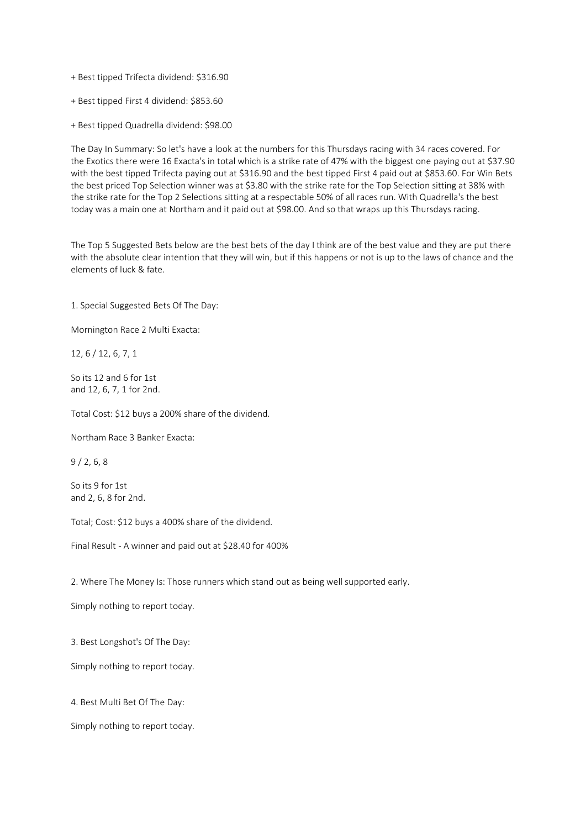- + Best tipped Trifecta dividend: \$316.90
- + Best tipped First 4 dividend: \$853.60
- + Best tipped Quadrella dividend: \$98.00

The Day In Summary: So let's have a look at the numbers for this Thursdays racing with 34 races covered. For the Exotics there were 16 Exacta's in total which is a strike rate of 47% with the biggest one paying out at \$37.90 with the best tipped Trifecta paying out at \$316.90 and the best tipped First 4 paid out at \$853.60. For Win Bets the best priced Top Selection winner was at \$3.80 with the strike rate for the Top Selection sitting at 38% with the strike rate for the Top 2 Selections sitting at a respectable 50% of all races run. With Quadrella's the best today was a main one at Northam and it paid out at \$98.00. And so that wraps up this Thursdays racing.

The Top 5 Suggested Bets below are the best bets of the day I think are of the best value and they are put there with the absolute clear intention that they will win, but if this happens or not is up to the laws of chance and the elements of luck & fate.

1. Special Suggested Bets Of The Day:

Mornington Race 2 Multi Exacta:

12, 6 / 12, 6, 7, 1

So its 12 and 6 for 1st and 12, 6, 7, 1 for 2nd.

Total Cost: \$12 buys a 200% share of the dividend.

Northam Race 3 Banker Exacta:

9 / 2, 6, 8

So its 9 for 1st and 2, 6, 8 for 2nd.

Total; Cost: \$12 buys a 400% share of the dividend.

Final Result - A winner and paid out at \$28.40 for 400%

2. Where The Money Is: Those runners which stand out as being well supported early.

Simply nothing to report today.

3. Best Longshot's Of The Day:

Simply nothing to report today.

4. Best Multi Bet Of The Day:

Simply nothing to report today.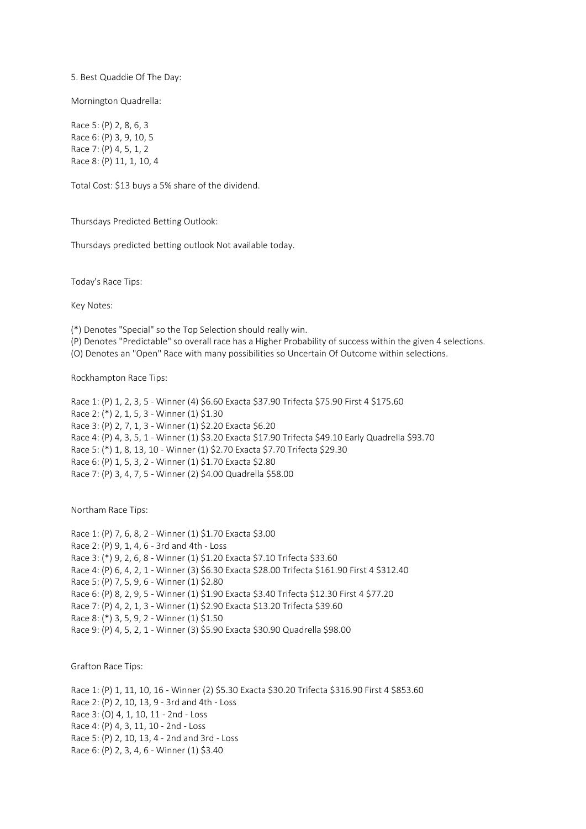5. Best Quaddie Of The Day:

Mornington Quadrella:

Race 5: (P) 2, 8, 6, 3 Race 6: (P) 3, 9, 10, 5 Race 7: (P) 4, 5, 1, 2 Race 8: (P) 11, 1, 10, 4

Total Cost: \$13 buys a 5% share of the dividend.

Thursdays Predicted Betting Outlook:

Thursdays predicted betting outlook Not available today.

Today's Race Tips:

Key Notes:

(\*) Denotes "Special" so the Top Selection should really win.

- (P) Denotes "Predictable" so overall race has a Higher Probability of success within the given 4 selections.
- (O) Denotes an "Open" Race with many possibilities so Uncertain Of Outcome within selections.

Rockhampton Race Tips:

```
Race 1: (P) 1, 2, 3, 5 - Winner (4) $6.60 Exacta $37.90 Trifecta $75.90 First 4 $175.60
Race 2: (*) 2, 1, 5, 3 - Winner (1) $1.30
Race 3: (P) 2, 7, 1, 3 - Winner (1) $2.20 Exacta $6.20
Race 4: (P) 4, 3, 5, 1 - Winner (1) $3.20 Exacta $17.90 Trifecta $49.10 Early Quadrella $93.70
Race 5: (*) 1, 8, 13, 10 - Winner (1) $2.70 Exacta $7.70 Trifecta $29.30
Race 6: (P) 1, 5, 3, 2 - Winner (1) $1.70 Exacta $2.80
Race 7: (P) 3, 4, 7, 5 - Winner (2) $4.00 Quadrella $58.00
```
Northam Race Tips:

```
Race 1: (P) 7, 6, 8, 2 - Winner (1) $1.70 Exacta $3.00
Race 2: (P) 9, 1, 4, 6 - 3rd and 4th - Loss
Race 3: (*) 9, 2, 6, 8 - Winner (1) $1.20 Exacta $7.10 Trifecta $33.60
Race 4: (P) 6, 4, 2, 1 - Winner (3) $6.30 Exacta $28.00 Trifecta $161.90 First 4 $312.40
Race 5: (P) 7, 5, 9, 6 - Winner (1) $2.80
Race 6: (P) 8, 2, 9, 5 - Winner (1) $1.90 Exacta $3.40 Trifecta $12.30 First 4 $77.20
Race 7: (P) 4, 2, 1, 3 - Winner (1) $2.90 Exacta $13.20 Trifecta $39.60
Race 8: (*) 3, 5, 9, 2 - Winner (1) $1.50
Race 9: (P) 4, 5, 2, 1 - Winner (3) $5.90 Exacta $30.90 Quadrella $98.00
```
Grafton Race Tips:

Race 1: (P) 1, 11, 10, 16 - Winner (2) \$5.30 Exacta \$30.20 Trifecta \$316.90 First 4 \$853.60 Race 2: (P) 2, 10, 13, 9 - 3rd and 4th - Loss Race 3: (O) 4, 1, 10, 11 - 2nd - Loss Race 4: (P) 4, 3, 11, 10 - 2nd - Loss Race 5: (P) 2, 10, 13, 4 - 2nd and 3rd - Loss Race 6: (P) 2, 3, 4, 6 - Winner (1) \$3.40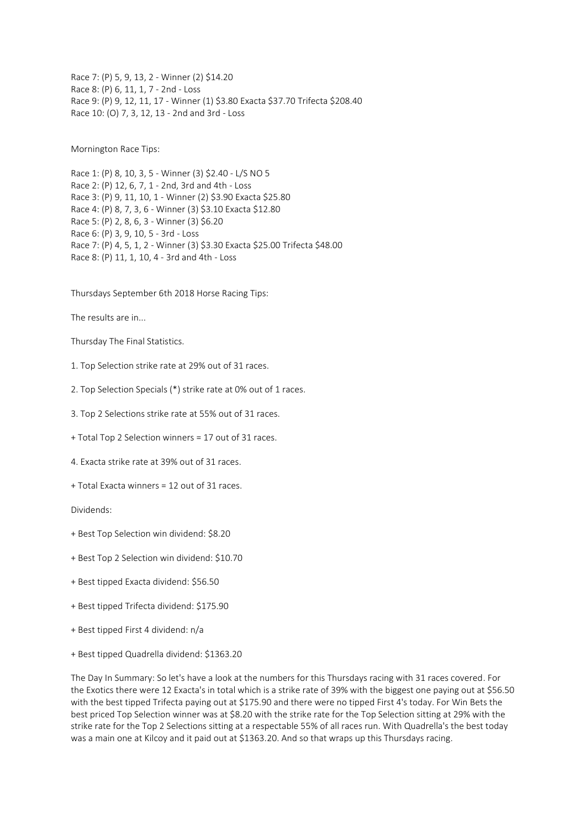Race 7: (P) 5, 9, 13, 2 - Winner (2) \$14.20 Race 8: (P) 6, 11, 1, 7 - 2nd - Loss Race 9: (P) 9, 12, 11, 17 - Winner (1) \$3.80 Exacta \$37.70 Trifecta \$208.40 Race 10: (O) 7, 3, 12, 13 - 2nd and 3rd - Loss

Mornington Race Tips:

Race 1: (P) 8, 10, 3, 5 - Winner (3) \$2.40 - L/S NO 5 Race 2: (P) 12, 6, 7, 1 - 2nd, 3rd and 4th - Loss Race 3: (P) 9, 11, 10, 1 - Winner (2) \$3.90 Exacta \$25.80 Race 4: (P) 8, 7, 3, 6 - Winner (3) \$3.10 Exacta \$12.80 Race 5: (P) 2, 8, 6, 3 - Winner (3) \$6.20 Race 6: (P) 3, 9, 10, 5 - 3rd - Loss Race 7: (P) 4, 5, 1, 2 - Winner (3) \$3.30 Exacta \$25.00 Trifecta \$48.00 Race 8: (P) 11, 1, 10, 4 - 3rd and 4th - Loss

Thursdays September 6th 2018 Horse Racing Tips:

The results are in...

Thursday The Final Statistics.

- 1. Top Selection strike rate at 29% out of 31 races.
- 2. Top Selection Specials (\*) strike rate at 0% out of 1 races.
- 3. Top 2 Selections strike rate at 55% out of 31 races.
- + Total Top 2 Selection winners = 17 out of 31 races.
- 4. Exacta strike rate at 39% out of 31 races.
- + Total Exacta winners = 12 out of 31 races.

Dividends:

- + Best Top Selection win dividend: \$8.20
- + Best Top 2 Selection win dividend: \$10.70
- + Best tipped Exacta dividend: \$56.50
- + Best tipped Trifecta dividend: \$175.90
- + Best tipped First 4 dividend: n/a
- + Best tipped Quadrella dividend: \$1363.20

The Day In Summary: So let's have a look at the numbers for this Thursdays racing with 31 races covered. For the Exotics there were 12 Exacta's in total which is a strike rate of 39% with the biggest one paying out at \$56.50 with the best tipped Trifecta paying out at \$175.90 and there were no tipped First 4's today. For Win Bets the best priced Top Selection winner was at \$8.20 with the strike rate for the Top Selection sitting at 29% with the strike rate for the Top 2 Selections sitting at a respectable 55% of all races run. With Quadrella's the best today was a main one at Kilcoy and it paid out at \$1363.20. And so that wraps up this Thursdays racing.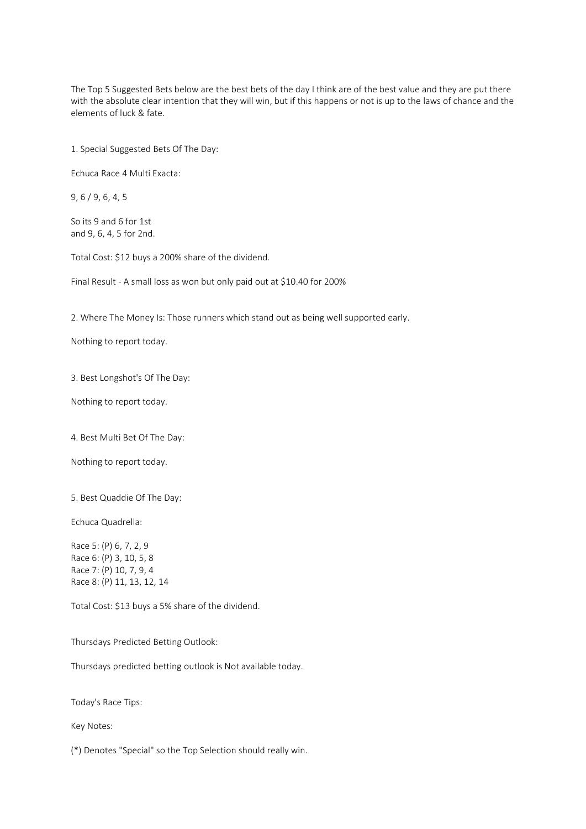The Top 5 Suggested Bets below are the best bets of the day I think are of the best value and they are put there with the absolute clear intention that they will win, but if this happens or not is up to the laws of chance and the elements of luck & fate.

1. Special Suggested Bets Of The Day:

Echuca Race 4 Multi Exacta:

9, 6 / 9, 6, 4, 5

So its 9 and 6 for 1st and 9, 6, 4, 5 for 2nd.

Total Cost: \$12 buys a 200% share of the dividend.

Final Result - A small loss as won but only paid out at \$10.40 for 200%

2. Where The Money Is: Those runners which stand out as being well supported early.

Nothing to report today.

3. Best Longshot's Of The Day:

Nothing to report today.

4. Best Multi Bet Of The Day:

Nothing to report today.

5. Best Quaddie Of The Day:

Echuca Quadrella:

Race 5: (P) 6, 7, 2, 9 Race 6: (P) 3, 10, 5, 8 Race 7: (P) 10, 7, 9, 4 Race 8: (P) 11, 13, 12, 14

Total Cost: \$13 buys a 5% share of the dividend.

Thursdays Predicted Betting Outlook:

Thursdays predicted betting outlook is Not available today.

Today's Race Tips:

Key Notes:

(\*) Denotes "Special" so the Top Selection should really win.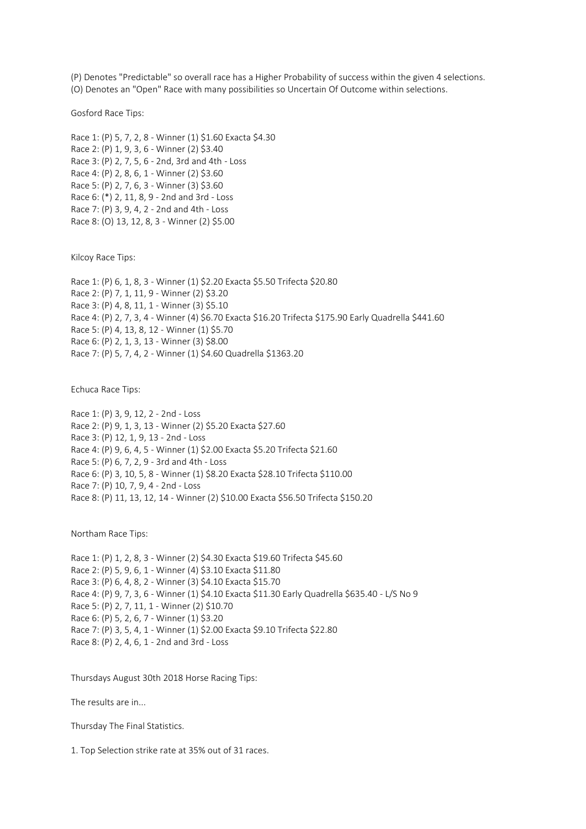(P) Denotes "Predictable" so overall race has a Higher Probability of success within the given 4 selections. (O) Denotes an "Open" Race with many possibilities so Uncertain Of Outcome within selections.

Gosford Race Tips:

Race 1: (P) 5, 7, 2, 8 - Winner (1) \$1.60 Exacta \$4.30 Race 2: (P) 1, 9, 3, 6 - Winner (2) \$3.40 Race 3: (P) 2, 7, 5, 6 - 2nd, 3rd and 4th - Loss Race 4: (P) 2, 8, 6, 1 - Winner (2) \$3.60 Race 5: (P) 2, 7, 6, 3 - Winner (3) \$3.60 Race 6: (\*) 2, 11, 8, 9 - 2nd and 3rd - Loss Race 7: (P) 3, 9, 4, 2 - 2nd and 4th - Loss Race 8: (O) 13, 12, 8, 3 - Winner (2) \$5.00

Kilcoy Race Tips:

Race 1: (P) 6, 1, 8, 3 - Winner (1) \$2.20 Exacta \$5.50 Trifecta \$20.80 Race 2: (P) 7, 1, 11, 9 - Winner (2) \$3.20 Race 3: (P) 4, 8, 11, 1 - Winner (3) \$5.10 Race 4: (P) 2, 7, 3, 4 - Winner (4) \$6.70 Exacta \$16.20 Trifecta \$175.90 Early Quadrella \$441.60 Race 5: (P) 4, 13, 8, 12 - Winner (1) \$5.70 Race 6: (P) 2, 1, 3, 13 - Winner (3) \$8.00 Race 7: (P) 5, 7, 4, 2 - Winner (1) \$4.60 Quadrella \$1363.20

Echuca Race Tips:

Race 1: (P) 3, 9, 12, 2 - 2nd - Loss Race 2: (P) 9, 1, 3, 13 - Winner (2) \$5.20 Exacta \$27.60 Race 3: (P) 12, 1, 9, 13 - 2nd - Loss Race 4: (P) 9, 6, 4, 5 - Winner (1) \$2.00 Exacta \$5.20 Trifecta \$21.60 Race 5: (P) 6, 7, 2, 9 - 3rd and 4th - Loss Race 6: (P) 3, 10, 5, 8 - Winner (1) \$8.20 Exacta \$28.10 Trifecta \$110.00 Race 7: (P) 10, 7, 9, 4 - 2nd - Loss Race 8: (P) 11, 13, 12, 14 - Winner (2) \$10.00 Exacta \$56.50 Trifecta \$150.20

Northam Race Tips:

Race 1: (P) 1, 2, 8, 3 - Winner (2) \$4.30 Exacta \$19.60 Trifecta \$45.60 Race 2: (P) 5, 9, 6, 1 - Winner (4) \$3.10 Exacta \$11.80 Race 3: (P) 6, 4, 8, 2 - Winner (3) \$4.10 Exacta \$15.70 Race 4: (P) 9, 7, 3, 6 - Winner (1) \$4.10 Exacta \$11.30 Early Quadrella \$635.40 - L/S No 9 Race 5: (P) 2, 7, 11, 1 - Winner (2) \$10.70 Race 6: (P) 5, 2, 6, 7 - Winner (1) \$3.20 Race 7: (P) 3, 5, 4, 1 - Winner (1) \$2.00 Exacta \$9.10 Trifecta \$22.80 Race 8: (P) 2, 4, 6, 1 - 2nd and 3rd - Loss

Thursdays August 30th 2018 Horse Racing Tips:

The results are in...

Thursday The Final Statistics.

1. Top Selection strike rate at 35% out of 31 races.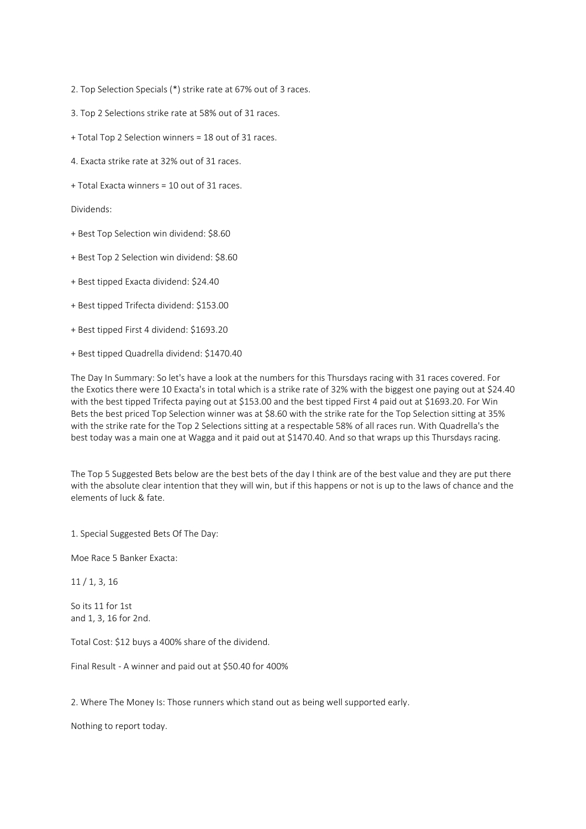2. Top Selection Specials (\*) strike rate at 67% out of 3 races.

- 3. Top 2 Selections strike rate at 58% out of 31 races.
- + Total Top 2 Selection winners = 18 out of 31 races.
- 4. Exacta strike rate at 32% out of 31 races.
- + Total Exacta winners = 10 out of 31 races.

Dividends:

- + Best Top Selection win dividend: \$8.60
- + Best Top 2 Selection win dividend: \$8.60
- + Best tipped Exacta dividend: \$24.40
- + Best tipped Trifecta dividend: \$153.00
- + Best tipped First 4 dividend: \$1693.20
- + Best tipped Quadrella dividend: \$1470.40

The Day In Summary: So let's have a look at the numbers for this Thursdays racing with 31 races covered. For the Exotics there were 10 Exacta's in total which is a strike rate of 32% with the biggest one paying out at \$24.40 with the best tipped Trifecta paying out at \$153.00 and the best tipped First 4 paid out at \$1693.20. For Win Bets the best priced Top Selection winner was at \$8.60 with the strike rate for the Top Selection sitting at 35% with the strike rate for the Top 2 Selections sitting at a respectable 58% of all races run. With Quadrella's the best today was a main one at Wagga and it paid out at \$1470.40. And so that wraps up this Thursdays racing.

The Top 5 Suggested Bets below are the best bets of the day I think are of the best value and they are put there with the absolute clear intention that they will win, but if this happens or not is up to the laws of chance and the elements of luck & fate.

1. Special Suggested Bets Of The Day:

Moe Race 5 Banker Exacta:

11 / 1, 3, 16

So its 11 for 1st and 1, 3, 16 for 2nd.

Total Cost: \$12 buys a 400% share of the dividend.

Final Result - A winner and paid out at \$50.40 for 400%

2. Where The Money Is: Those runners which stand out as being well supported early.

Nothing to report today.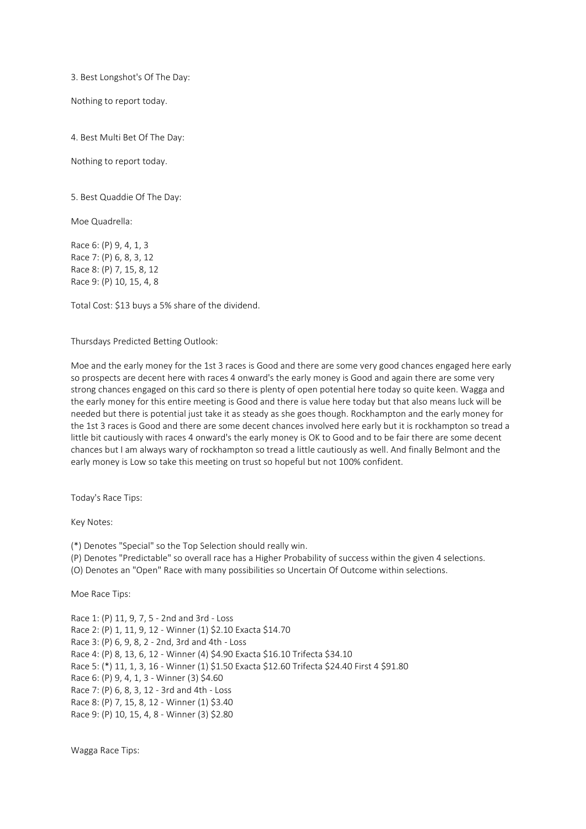3. Best Longshot's Of The Day:

Nothing to report today.

4. Best Multi Bet Of The Day:

Nothing to report today.

5. Best Quaddie Of The Day:

Moe Quadrella:

Race 6: (P) 9, 4, 1, 3 Race 7: (P) 6, 8, 3, 12 Race 8: (P) 7, 15, 8, 12 Race 9: (P) 10, 15, 4, 8

Total Cost: \$13 buys a 5% share of the dividend.

Thursdays Predicted Betting Outlook:

Moe and the early money for the 1st 3 races is Good and there are some very good chances engaged here early so prospects are decent here with races 4 onward's the early money is Good and again there are some very strong chances engaged on this card so there is plenty of open potential here today so quite keen. Wagga and the early money for this entire meeting is Good and there is value here today but that also means luck will be needed but there is potential just take it as steady as she goes though. Rockhampton and the early money for the 1st 3 races is Good and there are some decent chances involved here early but it is rockhampton so tread a little bit cautiously with races 4 onward's the early money is OK to Good and to be fair there are some decent chances but I am always wary of rockhampton so tread a little cautiously as well. And finally Belmont and the early money is Low so take this meeting on trust so hopeful but not 100% confident.

Today's Race Tips:

Key Notes:

(\*) Denotes "Special" so the Top Selection should really win.

(P) Denotes "Predictable" so overall race has a Higher Probability of success within the given 4 selections.

(O) Denotes an "Open" Race with many possibilities so Uncertain Of Outcome within selections.

Moe Race Tips:

Race 1: (P) 11, 9, 7, 5 - 2nd and 3rd - Loss Race 2: (P) 1, 11, 9, 12 - Winner (1) \$2.10 Exacta \$14.70 Race 3: (P) 6, 9, 8, 2 - 2nd, 3rd and 4th - Loss Race 4: (P) 8, 13, 6, 12 - Winner (4) \$4.90 Exacta \$16.10 Trifecta \$34.10 Race 5: (\*) 11, 1, 3, 16 - Winner (1) \$1.50 Exacta \$12.60 Trifecta \$24.40 First 4 \$91.80 Race 6: (P) 9, 4, 1, 3 - Winner (3) \$4.60 Race 7: (P) 6, 8, 3, 12 - 3rd and 4th - Loss Race 8: (P) 7, 15, 8, 12 - Winner (1) \$3.40 Race 9: (P) 10, 15, 4, 8 - Winner (3) \$2.80

Wagga Race Tips: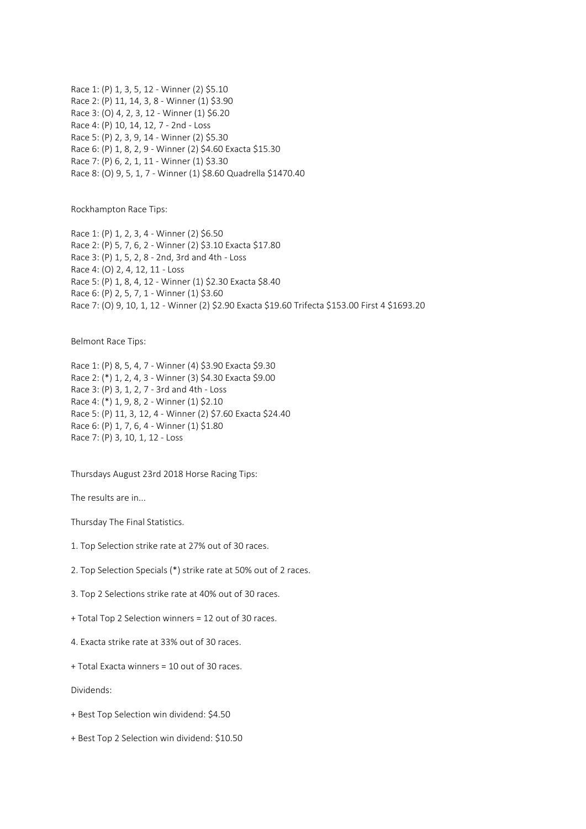Race 1: (P) 1, 3, 5, 12 - Winner (2) \$5.10 Race 2: (P) 11, 14, 3, 8 - Winner (1) \$3.90 Race 3: (O) 4, 2, 3, 12 - Winner (1) \$6.20 Race 4: (P) 10, 14, 12, 7 - 2nd - Loss Race 5: (P) 2, 3, 9, 14 - Winner (2) \$5.30 Race 6: (P) 1, 8, 2, 9 - Winner (2) \$4.60 Exacta \$15.30 Race 7: (P) 6, 2, 1, 11 - Winner (1) \$3.30 Race 8: (O) 9, 5, 1, 7 - Winner (1) \$8.60 Quadrella \$1470.40

Rockhampton Race Tips:

Race 1: (P) 1, 2, 3, 4 - Winner (2) \$6.50 Race 2: (P) 5, 7, 6, 2 - Winner (2) \$3.10 Exacta \$17.80 Race 3: (P) 1, 5, 2, 8 - 2nd, 3rd and 4th - Loss Race 4: (O) 2, 4, 12, 11 - Loss Race 5: (P) 1, 8, 4, 12 - Winner (1) \$2.30 Exacta \$8.40 Race 6: (P) 2, 5, 7, 1 - Winner (1) \$3.60 Race 7: (O) 9, 10, 1, 12 - Winner (2) \$2.90 Exacta \$19.60 Trifecta \$153.00 First 4 \$1693.20

Belmont Race Tips:

Race 1: (P) 8, 5, 4, 7 - Winner (4) \$3.90 Exacta \$9.30 Race 2: (\*) 1, 2, 4, 3 - Winner (3) \$4.30 Exacta \$9.00 Race 3: (P) 3, 1, 2, 7 - 3rd and 4th - Loss Race 4: (\*) 1, 9, 8, 2 - Winner (1) \$2.10 Race 5: (P) 11, 3, 12, 4 - Winner (2) \$7.60 Exacta \$24.40 Race 6: (P) 1, 7, 6, 4 - Winner (1) \$1.80 Race 7: (P) 3, 10, 1, 12 - Loss

Thursdays August 23rd 2018 Horse Racing Tips:

The results are in...

Thursday The Final Statistics.

- 1. Top Selection strike rate at 27% out of 30 races.
- 2. Top Selection Specials (\*) strike rate at 50% out of 2 races.
- 3. Top 2 Selections strike rate at 40% out of 30 races.
- + Total Top 2 Selection winners = 12 out of 30 races.
- 4. Exacta strike rate at 33% out of 30 races.
- + Total Exacta winners = 10 out of 30 races.

Dividends:

- + Best Top Selection win dividend: \$4.50
- + Best Top 2 Selection win dividend: \$10.50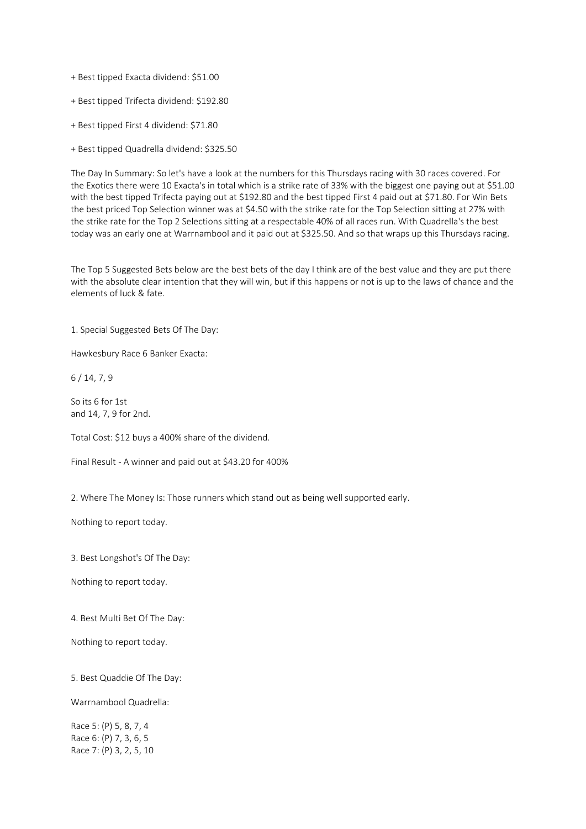+ Best tipped Exacta dividend: \$51.00

+ Best tipped Trifecta dividend: \$192.80

+ Best tipped First 4 dividend: \$71.80

+ Best tipped Quadrella dividend: \$325.50

The Day In Summary: So let's have a look at the numbers for this Thursdays racing with 30 races covered. For the Exotics there were 10 Exacta's in total which is a strike rate of 33% with the biggest one paying out at \$51.00 with the best tipped Trifecta paying out at \$192.80 and the best tipped First 4 paid out at \$71.80. For Win Bets the best priced Top Selection winner was at \$4.50 with the strike rate for the Top Selection sitting at 27% with the strike rate for the Top 2 Selections sitting at a respectable 40% of all races run. With Quadrella's the best today was an early one at Warrnambool and it paid out at \$325.50. And so that wraps up this Thursdays racing.

The Top 5 Suggested Bets below are the best bets of the day I think are of the best value and they are put there with the absolute clear intention that they will win, but if this happens or not is up to the laws of chance and the elements of luck & fate.

1. Special Suggested Bets Of The Day:

Hawkesbury Race 6 Banker Exacta:

6 / 14, 7, 9

So its 6 for 1st and 14, 7, 9 for 2nd.

Total Cost: \$12 buys a 400% share of the dividend.

Final Result - A winner and paid out at \$43.20 for 400%

2. Where The Money Is: Those runners which stand out as being well supported early.

Nothing to report today.

3. Best Longshot's Of The Day:

Nothing to report today.

4. Best Multi Bet Of The Day:

Nothing to report today.

5. Best Quaddie Of The Day:

Warrnambool Quadrella:

Race 5: (P) 5, 8, 7, 4 Race 6: (P) 7, 3, 6, 5 Race 7: (P) 3, 2, 5, 10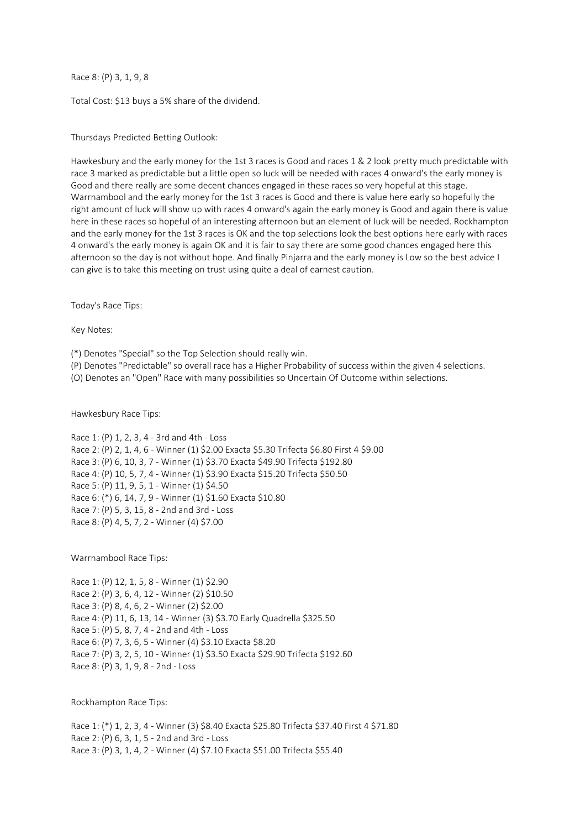Race 8: (P) 3, 1, 9, 8

Total Cost: \$13 buys a 5% share of the dividend.

Thursdays Predicted Betting Outlook:

Hawkesbury and the early money for the 1st 3 races is Good and races 1 & 2 look pretty much predictable with race 3 marked as predictable but a little open so luck will be needed with races 4 onward's the early money is Good and there really are some decent chances engaged in these races so very hopeful at this stage. Warrnambool and the early money for the 1st 3 races is Good and there is value here early so hopefully the right amount of luck will show up with races 4 onward's again the early money is Good and again there is value here in these races so hopeful of an interesting afternoon but an element of luck will be needed. Rockhampton and the early money for the 1st 3 races is OK and the top selections look the best options here early with races 4 onward's the early money is again OK and it is fair to say there are some good chances engaged here this afternoon so the day is not without hope. And finally Pinjarra and the early money is Low so the best advice I can give is to take this meeting on trust using quite a deal of earnest caution.

Today's Race Tips:

Key Notes:

(\*) Denotes "Special" so the Top Selection should really win.

(P) Denotes "Predictable" so overall race has a Higher Probability of success within the given 4 selections.

(O) Denotes an "Open" Race with many possibilities so Uncertain Of Outcome within selections.

Hawkesbury Race Tips:

Race 1: (P) 1, 2, 3, 4 - 3rd and 4th - Loss Race 2: (P) 2, 1, 4, 6 - Winner (1) \$2.00 Exacta \$5.30 Trifecta \$6.80 First 4 \$9.00 Race 3: (P) 6, 10, 3, 7 - Winner (1) \$3.70 Exacta \$49.90 Trifecta \$192.80 Race 4: (P) 10, 5, 7, 4 - Winner (1) \$3.90 Exacta \$15.20 Trifecta \$50.50 Race 5: (P) 11, 9, 5, 1 - Winner (1) \$4.50 Race 6: (\*) 6, 14, 7, 9 - Winner (1) \$1.60 Exacta \$10.80 Race 7: (P) 5, 3, 15, 8 - 2nd and 3rd - Loss Race 8: (P) 4, 5, 7, 2 - Winner (4) \$7.00

Warrnambool Race Tips:

Race 1: (P) 12, 1, 5, 8 - Winner (1) \$2.90 Race 2: (P) 3, 6, 4, 12 - Winner (2) \$10.50 Race 3: (P) 8, 4, 6, 2 - Winner (2) \$2.00 Race 4: (P) 11, 6, 13, 14 - Winner (3) \$3.70 Early Quadrella \$325.50 Race 5: (P) 5, 8, 7, 4 - 2nd and 4th - Loss Race 6: (P) 7, 3, 6, 5 - Winner (4) \$3.10 Exacta \$8.20 Race 7: (P) 3, 2, 5, 10 - Winner (1) \$3.50 Exacta \$29.90 Trifecta \$192.60 Race 8: (P) 3, 1, 9, 8 - 2nd - Loss

Rockhampton Race Tips:

Race 1: (\*) 1, 2, 3, 4 - Winner (3) \$8.40 Exacta \$25.80 Trifecta \$37.40 First 4 \$71.80 Race 2: (P) 6, 3, 1, 5 - 2nd and 3rd - Loss Race 3: (P) 3, 1, 4, 2 - Winner (4) \$7.10 Exacta \$51.00 Trifecta \$55.40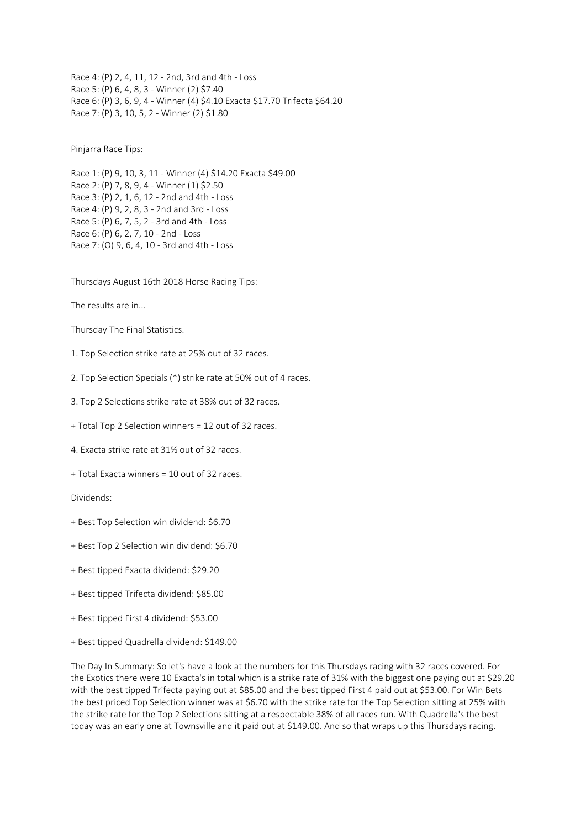Race 4: (P) 2, 4, 11, 12 - 2nd, 3rd and 4th - Loss Race 5: (P) 6, 4, 8, 3 - Winner (2) \$7.40 Race 6: (P) 3, 6, 9, 4 - Winner (4) \$4.10 Exacta \$17.70 Trifecta \$64.20 Race 7: (P) 3, 10, 5, 2 - Winner (2) \$1.80

Pinjarra Race Tips:

Race 1: (P) 9, 10, 3, 11 - Winner (4) \$14.20 Exacta \$49.00 Race 2: (P) 7, 8, 9, 4 - Winner (1) \$2.50 Race 3: (P) 2, 1, 6, 12 - 2nd and 4th - Loss Race 4: (P) 9, 2, 8, 3 - 2nd and 3rd - Loss Race 5: (P) 6, 7, 5, 2 - 3rd and 4th - Loss Race 6: (P) 6, 2, 7, 10 - 2nd - Loss Race 7: (O) 9, 6, 4, 10 - 3rd and 4th - Loss

Thursdays August 16th 2018 Horse Racing Tips:

The results are in...

Thursday The Final Statistics.

- 1. Top Selection strike rate at 25% out of 32 races.
- 2. Top Selection Specials (\*) strike rate at 50% out of 4 races.
- 3. Top 2 Selections strike rate at 38% out of 32 races.
- + Total Top 2 Selection winners = 12 out of 32 races.
- 4. Exacta strike rate at 31% out of 32 races.
- + Total Exacta winners = 10 out of 32 races.

Dividends:

- + Best Top Selection win dividend: \$6.70
- + Best Top 2 Selection win dividend: \$6.70
- + Best tipped Exacta dividend: \$29.20
- + Best tipped Trifecta dividend: \$85.00
- + Best tipped First 4 dividend: \$53.00
- + Best tipped Quadrella dividend: \$149.00

The Day In Summary: So let's have a look at the numbers for this Thursdays racing with 32 races covered. For the Exotics there were 10 Exacta's in total which is a strike rate of 31% with the biggest one paying out at \$29.20 with the best tipped Trifecta paying out at \$85.00 and the best tipped First 4 paid out at \$53.00. For Win Bets the best priced Top Selection winner was at \$6.70 with the strike rate for the Top Selection sitting at 25% with the strike rate for the Top 2 Selections sitting at a respectable 38% of all races run. With Quadrella's the best today was an early one at Townsville and it paid out at \$149.00. And so that wraps up this Thursdays racing.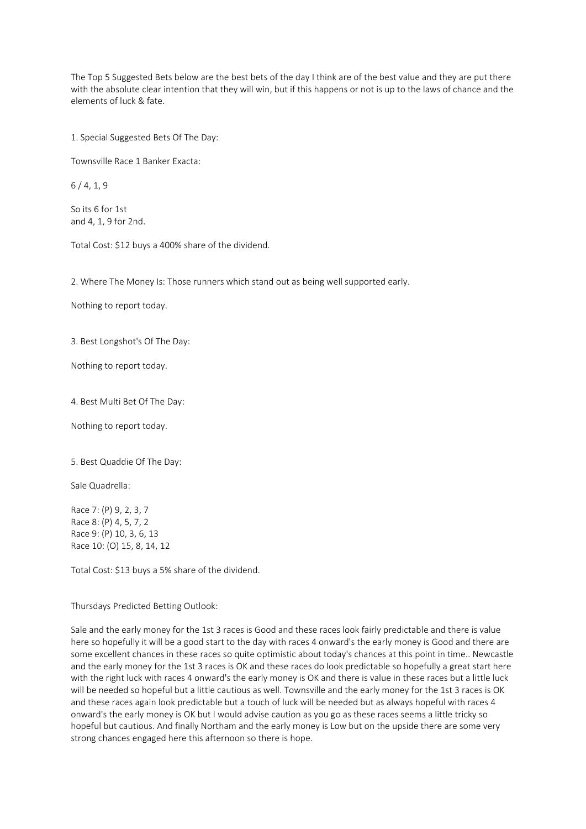The Top 5 Suggested Bets below are the best bets of the day I think are of the best value and they are put there with the absolute clear intention that they will win, but if this happens or not is up to the laws of chance and the elements of luck & fate.

1. Special Suggested Bets Of The Day:

Townsville Race 1 Banker Exacta:

 $6/4.1.9$ 

So its 6 for 1st and 4, 1, 9 for 2nd.

Total Cost: \$12 buys a 400% share of the dividend.

2. Where The Money Is: Those runners which stand out as being well supported early.

Nothing to report today.

3. Best Longshot's Of The Day:

Nothing to report today.

4. Best Multi Bet Of The Day:

Nothing to report today.

5. Best Quaddie Of The Day:

Sale Quadrella:

Race 7: (P) 9, 2, 3, 7 Race 8: (P) 4, 5, 7, 2 Race 9: (P) 10, 3, 6, 13 Race 10: (O) 15, 8, 14, 12

Total Cost: \$13 buys a 5% share of the dividend.

Thursdays Predicted Betting Outlook:

Sale and the early money for the 1st 3 races is Good and these races look fairly predictable and there is value here so hopefully it will be a good start to the day with races 4 onward's the early money is Good and there are some excellent chances in these races so quite optimistic about today's chances at this point in time.. Newcastle and the early money for the 1st 3 races is OK and these races do look predictable so hopefully a great start here with the right luck with races 4 onward's the early money is OK and there is value in these races but a little luck will be needed so hopeful but a little cautious as well. Townsville and the early money for the 1st 3 races is OK and these races again look predictable but a touch of luck will be needed but as always hopeful with races 4 onward's the early money is OK but I would advise caution as you go as these races seems a little tricky so hopeful but cautious. And finally Northam and the early money is Low but on the upside there are some very strong chances engaged here this afternoon so there is hope.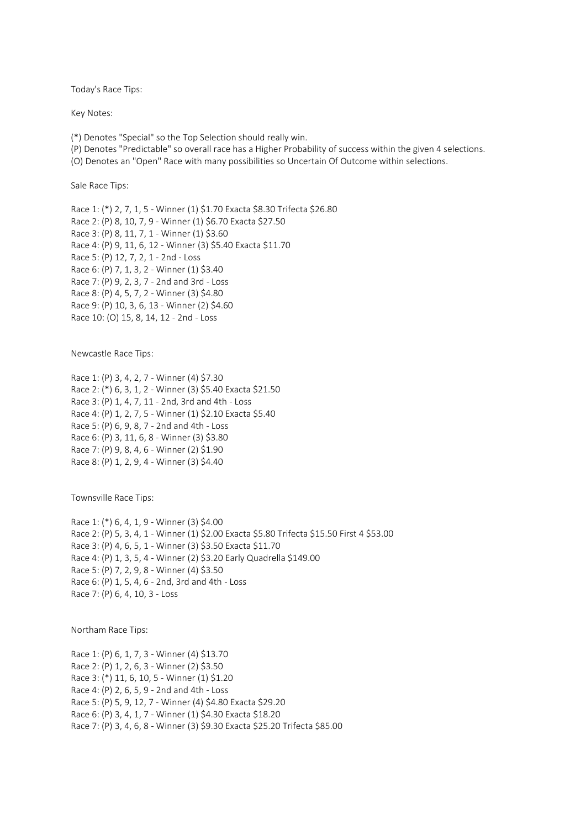Today's Race Tips:

Key Notes:

(\*) Denotes "Special" so the Top Selection should really win.

(P) Denotes "Predictable" so overall race has a Higher Probability of success within the given 4 selections.

(O) Denotes an "Open" Race with many possibilities so Uncertain Of Outcome within selections.

Sale Race Tips:

Race 1: (\*) 2, 7, 1, 5 - Winner (1) \$1.70 Exacta \$8.30 Trifecta \$26.80 Race 2: (P) 8, 10, 7, 9 - Winner (1) \$6.70 Exacta \$27.50 Race 3: (P) 8, 11, 7, 1 - Winner (1) \$3.60 Race 4: (P) 9, 11, 6, 12 - Winner (3) \$5.40 Exacta \$11.70 Race 5: (P) 12, 7, 2, 1 - 2nd - Loss Race 6: (P) 7, 1, 3, 2 - Winner (1) \$3.40 Race 7: (P) 9, 2, 3, 7 - 2nd and 3rd - Loss Race 8: (P) 4, 5, 7, 2 - Winner (3) \$4.80 Race 9: (P) 10, 3, 6, 13 - Winner (2) \$4.60 Race 10: (O) 15, 8, 14, 12 - 2nd - Loss

Newcastle Race Tips:

Race 1: (P) 3, 4, 2, 7 - Winner (4) \$7.30 Race 2: (\*) 6, 3, 1, 2 - Winner (3) \$5.40 Exacta \$21.50 Race 3: (P) 1, 4, 7, 11 - 2nd, 3rd and 4th - Loss Race 4: (P) 1, 2, 7, 5 - Winner (1) \$2.10 Exacta \$5.40 Race 5: (P) 6, 9, 8, 7 - 2nd and 4th - Loss Race 6: (P) 3, 11, 6, 8 - Winner (3) \$3.80 Race 7: (P) 9, 8, 4, 6 - Winner (2) \$1.90 Race 8: (P) 1, 2, 9, 4 - Winner (3) \$4.40

Townsville Race Tips:

Race 1: (\*) 6, 4, 1, 9 - Winner (3) \$4.00 Race 2: (P) 5, 3, 4, 1 - Winner (1) \$2.00 Exacta \$5.80 Trifecta \$15.50 First 4 \$53.00 Race 3: (P) 4, 6, 5, 1 - Winner (3) \$3.50 Exacta \$11.70 Race 4: (P) 1, 3, 5, 4 - Winner (2) \$3.20 Early Quadrella \$149.00 Race 5: (P) 7, 2, 9, 8 - Winner (4) \$3.50 Race 6: (P) 1, 5, 4, 6 - 2nd, 3rd and 4th - Loss Race 7: (P) 6, 4, 10, 3 - Loss

Northam Race Tips:

Race 1: (P) 6, 1, 7, 3 - Winner (4) \$13.70 Race 2: (P) 1, 2, 6, 3 - Winner (2) \$3.50 Race 3: (\*) 11, 6, 10, 5 - Winner (1) \$1.20 Race 4: (P) 2, 6, 5, 9 - 2nd and 4th - Loss Race 5: (P) 5, 9, 12, 7 - Winner (4) \$4.80 Exacta \$29.20 Race 6: (P) 3, 4, 1, 7 - Winner (1) \$4.30 Exacta \$18.20 Race 7: (P) 3, 4, 6, 8 - Winner (3) \$9.30 Exacta \$25.20 Trifecta \$85.00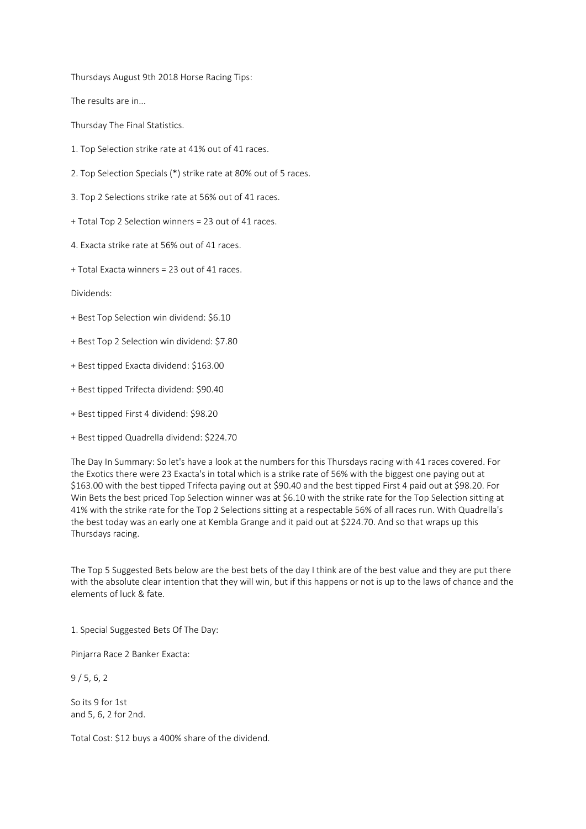Thursdays August 9th 2018 Horse Racing Tips:

The results are in...

Thursday The Final Statistics.

- 1. Top Selection strike rate at 41% out of 41 races.
- 2. Top Selection Specials (\*) strike rate at 80% out of 5 races.
- 3. Top 2 Selections strike rate at 56% out of 41 races.
- + Total Top 2 Selection winners = 23 out of 41 races.
- 4. Exacta strike rate at 56% out of 41 races.
- + Total Exacta winners = 23 out of 41 races.

Dividends:

- + Best Top Selection win dividend: \$6.10
- + Best Top 2 Selection win dividend: \$7.80
- + Best tipped Exacta dividend: \$163.00
- + Best tipped Trifecta dividend: \$90.40
- + Best tipped First 4 dividend: \$98.20
- + Best tipped Quadrella dividend: \$224.70

The Day In Summary: So let's have a look at the numbers for this Thursdays racing with 41 races covered. For the Exotics there were 23 Exacta's in total which is a strike rate of 56% with the biggest one paying out at \$163.00 with the best tipped Trifecta paying out at \$90.40 and the best tipped First 4 paid out at \$98.20. For Win Bets the best priced Top Selection winner was at \$6.10 with the strike rate for the Top Selection sitting at 41% with the strike rate for the Top 2 Selections sitting at a respectable 56% of all races run. With Quadrella's the best today was an early one at Kembla Grange and it paid out at \$224.70. And so that wraps up this Thursdays racing.

The Top 5 Suggested Bets below are the best bets of the day I think are of the best value and they are put there with the absolute clear intention that they will win, but if this happens or not is up to the laws of chance and the elements of luck & fate.

1. Special Suggested Bets Of The Day:

Pinjarra Race 2 Banker Exacta:

9 / 5, 6, 2

So its 9 for 1st and 5, 6, 2 for 2nd.

Total Cost: \$12 buys a 400% share of the dividend.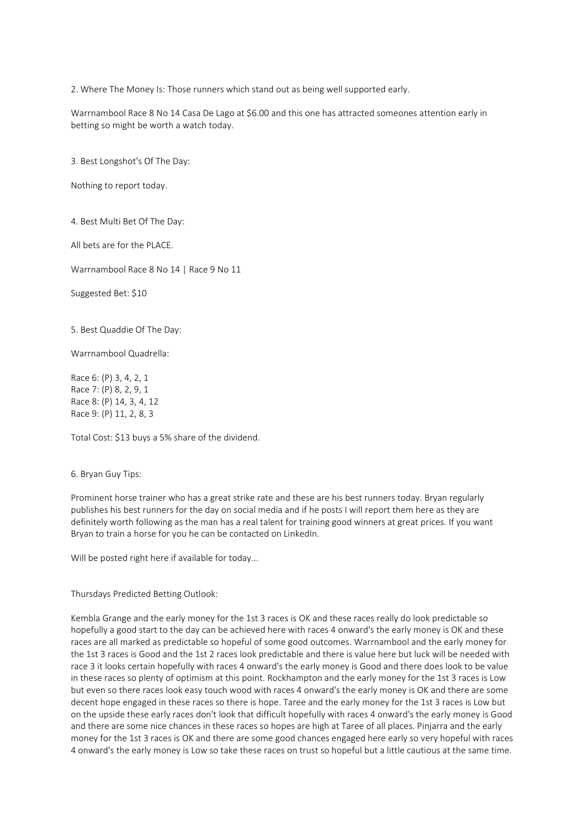2. Where The Money Is: Those runners which stand out as being well supported early.

Warrnambool Race 8 No 14 Casa De Lago at \$6.00 and this one has attracted someones attention early in betting so might be worth a watch today.

3. Best Longshot's Of The Day:

Nothing to report today.

4. Best Multi Bet Of The Day:

All bets are for the PLACE.

Warrnambool Race 8 No 14 | Race 9 No 11

Suggested Bet: \$10

5. Best Quaddie Of The Day:

Warrnambool Quadrella:

Race 6: (P) 3, 4, 2, 1 Race 7: (P) 8, 2, 9, 1 Race 8: (P) 14, 3, 4, 12 Race 9: (P) 11, 2, 8, 3

Total Cost: \$13 buys a 5% share of the dividend.

## 6. Bryan Guy Tips:

Prominent horse trainer who has a great strike rate and these are his best runners today. Bryan regularly publishes his best runners for the day on social media and if he posts I will report them here as they are definitely worth following as the man has a real talent for training good winners at great prices. If you want Bryan to train a horse for you he can be contacted on LinkedIn.

Will be posted right here if available for today...

## Thursdays Predicted Betting Outlook:

Kembla Grange and the early money for the 1st 3 races is OK and these races really do look predictable so hopefully a good start to the day can be achieved here with races 4 onward's the early money is OK and these races are all marked as predictable so hopeful of some good outcomes. Warrnambool and the early money for the 1st 3 races is Good and the 1st 2 races look predictable and there is value here but luck will be needed with race 3 it looks certain hopefully with races 4 onward's the early money is Good and there does look to be value in these races so plenty of optimism at this point. Rockhampton and the early money for the 1st 3 races is Low but even so there races look easy touch wood with races 4 onward's the early money is OK and there are some decent hope engaged in these races so there is hope. Taree and the early money for the 1st 3 races is Low but on the upside these early races don't look that difficult hopefully with races 4 onward's the early money is Good and there are some nice chances in these races so hopes are high at Taree of all places. Pinjarra and the early money for the 1st 3 races is OK and there are some good chances engaged here early so very hopeful with races 4 onward's the early money is Low so take these races on trust so hopeful but a little cautious at the same time.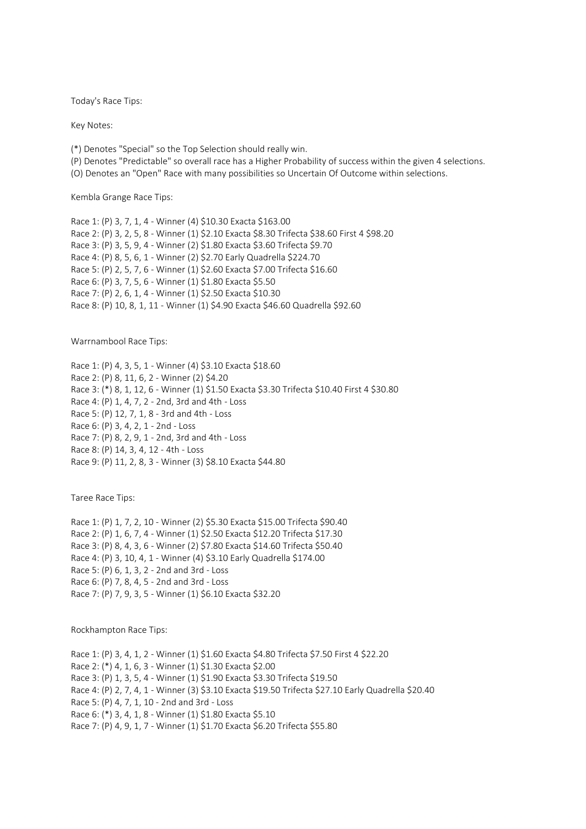Today's Race Tips:

Key Notes:

(\*) Denotes "Special" so the Top Selection should really win.

(P) Denotes "Predictable" so overall race has a Higher Probability of success within the given 4 selections.

(O) Denotes an "Open" Race with many possibilities so Uncertain Of Outcome within selections.

Kembla Grange Race Tips:

Race 1: (P) 3, 7, 1, 4 - Winner (4) \$10.30 Exacta \$163.00 Race 2: (P) 3, 2, 5, 8 - Winner (1) \$2.10 Exacta \$8.30 Trifecta \$38.60 First 4 \$98.20 Race 3: (P) 3, 5, 9, 4 - Winner (2) \$1.80 Exacta \$3.60 Trifecta \$9.70 Race 4: (P) 8, 5, 6, 1 - Winner (2) \$2.70 Early Quadrella \$224.70 Race 5: (P) 2, 5, 7, 6 - Winner (1) \$2.60 Exacta \$7.00 Trifecta \$16.60 Race 6: (P) 3, 7, 5, 6 - Winner (1) \$1.80 Exacta \$5.50 Race 7: (P) 2, 6, 1, 4 - Winner (1) \$2.50 Exacta \$10.30 Race 8: (P) 10, 8, 1, 11 - Winner (1) \$4.90 Exacta \$46.60 Quadrella \$92.60

Warrnambool Race Tips:

Race 1: (P) 4, 3, 5, 1 - Winner (4) \$3.10 Exacta \$18.60 Race 2: (P) 8, 11, 6, 2 - Winner (2) \$4.20 Race 3: (\*) 8, 1, 12, 6 - Winner (1) \$1.50 Exacta \$3.30 Trifecta \$10.40 First 4 \$30.80 Race 4: (P) 1, 4, 7, 2 - 2nd, 3rd and 4th - Loss Race 5: (P) 12, 7, 1, 8 - 3rd and 4th - Loss Race 6: (P) 3, 4, 2, 1 - 2nd - Loss Race 7: (P) 8, 2, 9, 1 - 2nd, 3rd and 4th - Loss Race 8: (P) 14, 3, 4, 12 - 4th - Loss Race 9: (P) 11, 2, 8, 3 - Winner (3) \$8.10 Exacta \$44.80

Taree Race Tips:

Race 1: (P) 1, 7, 2, 10 - Winner (2) \$5.30 Exacta \$15.00 Trifecta \$90.40 Race 2: (P) 1, 6, 7, 4 - Winner (1) \$2.50 Exacta \$12.20 Trifecta \$17.30 Race 3: (P) 8, 4, 3, 6 - Winner (2) \$7.80 Exacta \$14.60 Trifecta \$50.40 Race 4: (P) 3, 10, 4, 1 - Winner (4) \$3.10 Early Quadrella \$174.00 Race 5: (P) 6, 1, 3, 2 - 2nd and 3rd - Loss Race 6: (P) 7, 8, 4, 5 - 2nd and 3rd - Loss Race 7: (P) 7, 9, 3, 5 - Winner (1) \$6.10 Exacta \$32.20

Rockhampton Race Tips:

Race 1: (P) 3, 4, 1, 2 - Winner (1) \$1.60 Exacta \$4.80 Trifecta \$7.50 First 4 \$22.20 Race 2: (\*) 4, 1, 6, 3 - Winner (1) \$1.30 Exacta \$2.00 Race 3: (P) 1, 3, 5, 4 - Winner (1) \$1.90 Exacta \$3.30 Trifecta \$19.50 Race 4: (P) 2, 7, 4, 1 - Winner (3) \$3.10 Exacta \$19.50 Trifecta \$27.10 Early Quadrella \$20.40 Race 5: (P) 4, 7, 1, 10 - 2nd and 3rd - Loss Race 6: (\*) 3, 4, 1, 8 - Winner (1) \$1.80 Exacta \$5.10 Race 7: (P) 4, 9, 1, 7 - Winner (1) \$1.70 Exacta \$6.20 Trifecta \$55.80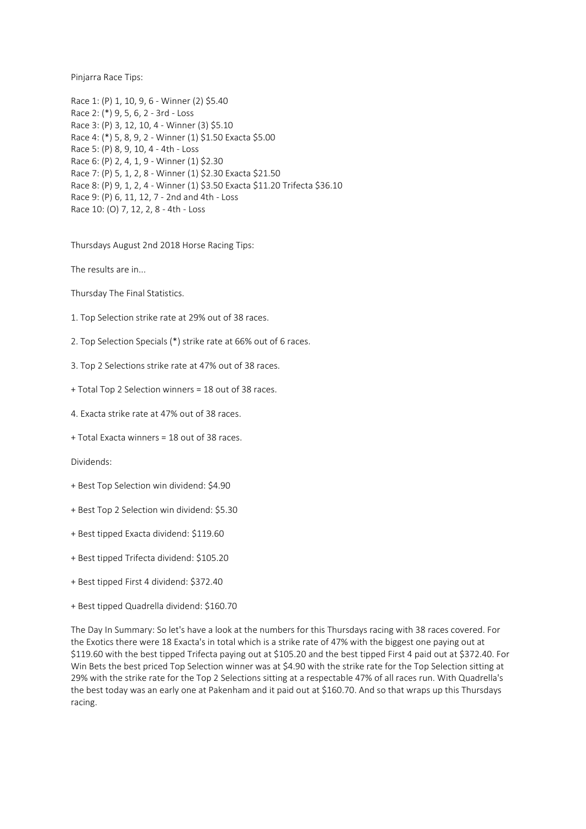Pinjarra Race Tips:

Race 1: (P) 1, 10, 9, 6 - Winner (2) \$5.40 Race 2: (\*) 9, 5, 6, 2 - 3rd - Loss Race 3: (P) 3, 12, 10, 4 - Winner (3) \$5.10 Race 4: (\*) 5, 8, 9, 2 - Winner (1) \$1.50 Exacta \$5.00 Race 5: (P) 8, 9, 10, 4 - 4th - Loss Race 6: (P) 2, 4, 1, 9 - Winner (1) \$2.30 Race 7: (P) 5, 1, 2, 8 - Winner (1) \$2.30 Exacta \$21.50 Race 8: (P) 9, 1, 2, 4 - Winner (1) \$3.50 Exacta \$11.20 Trifecta \$36.10 Race 9: (P) 6, 11, 12, 7 - 2nd and 4th - Loss Race 10: (O) 7, 12, 2, 8 - 4th - Loss

Thursdays August 2nd 2018 Horse Racing Tips:

The results are in...

Thursday The Final Statistics.

1. Top Selection strike rate at 29% out of 38 races.

2. Top Selection Specials (\*) strike rate at 66% out of 6 races.

3. Top 2 Selections strike rate at 47% out of 38 races.

- + Total Top 2 Selection winners = 18 out of 38 races.
- 4. Exacta strike rate at 47% out of 38 races.
- + Total Exacta winners = 18 out of 38 races.

Dividends:

- + Best Top Selection win dividend: \$4.90
- + Best Top 2 Selection win dividend: \$5.30
- + Best tipped Exacta dividend: \$119.60
- + Best tipped Trifecta dividend: \$105.20
- + Best tipped First 4 dividend: \$372.40
- + Best tipped Quadrella dividend: \$160.70

The Day In Summary: So let's have a look at the numbers for this Thursdays racing with 38 races covered. For the Exotics there were 18 Exacta's in total which is a strike rate of 47% with the biggest one paying out at \$119.60 with the best tipped Trifecta paying out at \$105.20 and the best tipped First 4 paid out at \$372.40. For Win Bets the best priced Top Selection winner was at \$4.90 with the strike rate for the Top Selection sitting at 29% with the strike rate for the Top 2 Selections sitting at a respectable 47% of all races run. With Quadrella's the best today was an early one at Pakenham and it paid out at \$160.70. And so that wraps up this Thursdays racing.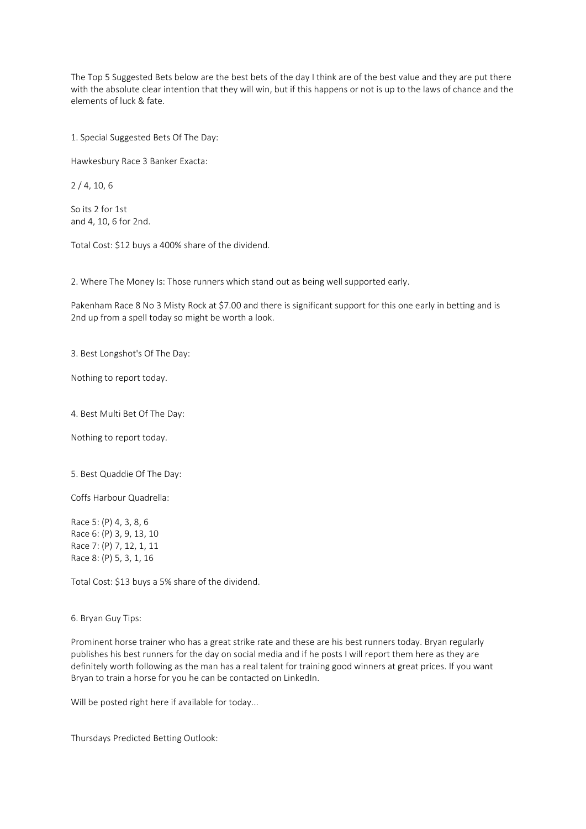The Top 5 Suggested Bets below are the best bets of the day I think are of the best value and they are put there with the absolute clear intention that they will win, but if this happens or not is up to the laws of chance and the elements of luck & fate.

1. Special Suggested Bets Of The Day:

Hawkesbury Race 3 Banker Exacta:

2 / 4, 10, 6

So its 2 for 1st and 4, 10, 6 for 2nd.

Total Cost: \$12 buys a 400% share of the dividend.

2. Where The Money Is: Those runners which stand out as being well supported early.

Pakenham Race 8 No 3 Misty Rock at \$7.00 and there is significant support for this one early in betting and is 2nd up from a spell today so might be worth a look.

3. Best Longshot's Of The Day:

Nothing to report today.

4. Best Multi Bet Of The Day:

Nothing to report today.

5. Best Quaddie Of The Day:

Coffs Harbour Quadrella:

Race 5: (P) 4, 3, 8, 6 Race 6: (P) 3, 9, 13, 10 Race 7: (P) 7, 12, 1, 11 Race 8: (P) 5, 3, 1, 16

Total Cost: \$13 buys a 5% share of the dividend.

6. Bryan Guy Tips:

Prominent horse trainer who has a great strike rate and these are his best runners today. Bryan regularly publishes his best runners for the day on social media and if he posts I will report them here as they are definitely worth following as the man has a real talent for training good winners at great prices. If you want Bryan to train a horse for you he can be contacted on LinkedIn.

Will be posted right here if available for today...

Thursdays Predicted Betting Outlook: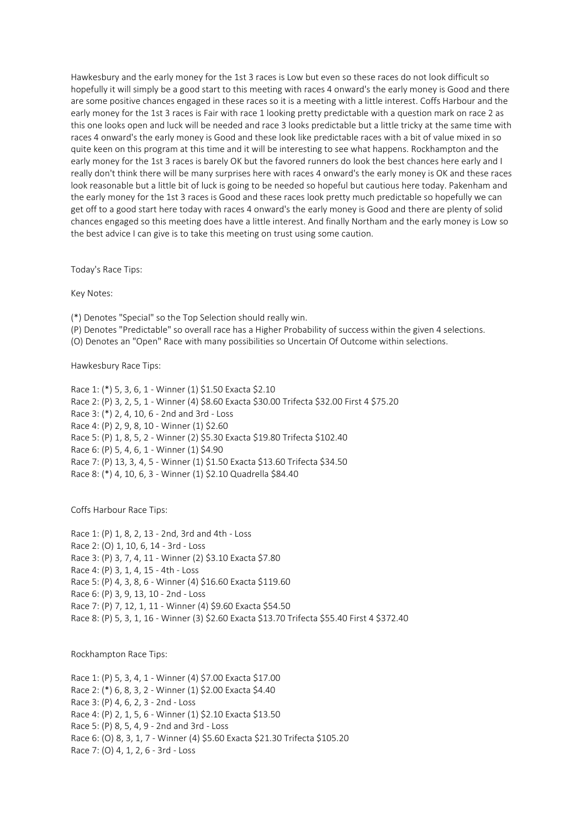Hawkesbury and the early money for the 1st 3 races is Low but even so these races do not look difficult so hopefully it will simply be a good start to this meeting with races 4 onward's the early money is Good and there are some positive chances engaged in these races so it is a meeting with a little interest. Coffs Harbour and the early money for the 1st 3 races is Fair with race 1 looking pretty predictable with a question mark on race 2 as this one looks open and luck will be needed and race 3 looks predictable but a little tricky at the same time with races 4 onward's the early money is Good and these look like predictable races with a bit of value mixed in so quite keen on this program at this time and it will be interesting to see what happens. Rockhampton and the early money for the 1st 3 races is barely OK but the favored runners do look the best chances here early and I really don't think there will be many surprises here with races 4 onward's the early money is OK and these races look reasonable but a little bit of luck is going to be needed so hopeful but cautious here today. Pakenham and the early money for the 1st 3 races is Good and these races look pretty much predictable so hopefully we can get off to a good start here today with races 4 onward's the early money is Good and there are plenty of solid chances engaged so this meeting does have a little interest. And finally Northam and the early money is Low so the best advice I can give is to take this meeting on trust using some caution.

Today's Race Tips:

Key Notes:

(\*) Denotes "Special" so the Top Selection should really win.

(P) Denotes "Predictable" so overall race has a Higher Probability of success within the given 4 selections.

(O) Denotes an "Open" Race with many possibilities so Uncertain Of Outcome within selections.

Hawkesbury Race Tips:

Race 1: (\*) 5, 3, 6, 1 - Winner (1) \$1.50 Exacta \$2.10 Race 2: (P) 3, 2, 5, 1 - Winner (4) \$8.60 Exacta \$30.00 Trifecta \$32.00 First 4 \$75.20 Race 3: (\*) 2, 4, 10, 6 - 2nd and 3rd - Loss Race 4: (P) 2, 9, 8, 10 - Winner (1) \$2.60 Race 5: (P) 1, 8, 5, 2 - Winner (2) \$5.30 Exacta \$19.80 Trifecta \$102.40 Race 6: (P) 5, 4, 6, 1 - Winner (1) \$4.90 Race 7: (P) 13, 3, 4, 5 - Winner (1) \$1.50 Exacta \$13.60 Trifecta \$34.50 Race 8: (\*) 4, 10, 6, 3 - Winner (1) \$2.10 Quadrella \$84.40

Coffs Harbour Race Tips:

Race 1: (P) 1, 8, 2, 13 - 2nd, 3rd and 4th - Loss Race 2: (O) 1, 10, 6, 14 - 3rd - Loss Race 3: (P) 3, 7, 4, 11 - Winner (2) \$3.10 Exacta \$7.80 Race 4: (P) 3, 1, 4, 15 - 4th - Loss Race 5: (P) 4, 3, 8, 6 - Winner (4) \$16.60 Exacta \$119.60 Race 6: (P) 3, 9, 13, 10 - 2nd - Loss Race 7: (P) 7, 12, 1, 11 - Winner (4) \$9.60 Exacta \$54.50 Race 8: (P) 5, 3, 1, 16 - Winner (3) \$2.60 Exacta \$13.70 Trifecta \$55.40 First 4 \$372.40

Rockhampton Race Tips:

Race 1: (P) 5, 3, 4, 1 - Winner (4) \$7.00 Exacta \$17.00 Race 2: (\*) 6, 8, 3, 2 - Winner (1) \$2.00 Exacta \$4.40 Race 3: (P) 4, 6, 2, 3 - 2nd - Loss Race 4: (P) 2, 1, 5, 6 - Winner (1) \$2.10 Exacta \$13.50 Race 5: (P) 8, 5, 4, 9 - 2nd and 3rd - Loss Race 6: (O) 8, 3, 1, 7 - Winner (4) \$5.60 Exacta \$21.30 Trifecta \$105.20 Race 7: (O) 4, 1, 2, 6 - 3rd - Loss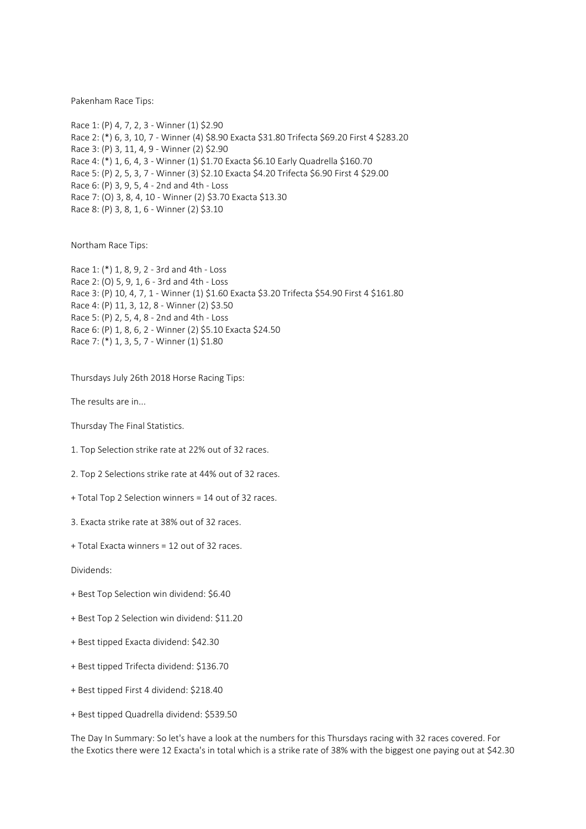Pakenham Race Tips:

Race 1: (P) 4, 7, 2, 3 - Winner (1) \$2.90 Race 2: (\*) 6, 3, 10, 7 - Winner (4) \$8.90 Exacta \$31.80 Trifecta \$69.20 First 4 \$283.20 Race 3: (P) 3, 11, 4, 9 - Winner (2) \$2.90 Race 4: (\*) 1, 6, 4, 3 - Winner (1) \$1.70 Exacta \$6.10 Early Quadrella \$160.70 Race 5: (P) 2, 5, 3, 7 - Winner (3) \$2.10 Exacta \$4.20 Trifecta \$6.90 First 4 \$29.00 Race 6: (P) 3, 9, 5, 4 - 2nd and 4th - Loss Race 7: (O) 3, 8, 4, 10 - Winner (2) \$3.70 Exacta \$13.30 Race 8: (P) 3, 8, 1, 6 - Winner (2) \$3.10

Northam Race Tips:

Race 1: (\*) 1, 8, 9, 2 - 3rd and 4th - Loss Race 2: (O) 5, 9, 1, 6 - 3rd and 4th - Loss Race 3: (P) 10, 4, 7, 1 - Winner (1) \$1.60 Exacta \$3.20 Trifecta \$54.90 First 4 \$161.80 Race 4: (P) 11, 3, 12, 8 - Winner (2) \$3.50 Race 5: (P) 2, 5, 4, 8 - 2nd and 4th - Loss Race 6: (P) 1, 8, 6, 2 - Winner (2) \$5.10 Exacta \$24.50 Race 7: (\*) 1, 3, 5, 7 - Winner (1) \$1.80

Thursdays July 26th 2018 Horse Racing Tips:

The results are in...

Thursday The Final Statistics.

1. Top Selection strike rate at 22% out of 32 races.

2. Top 2 Selections strike rate at 44% out of 32 races.

+ Total Top 2 Selection winners = 14 out of 32 races.

3. Exacta strike rate at 38% out of 32 races.

+ Total Exacta winners = 12 out of 32 races.

Dividends:

- + Best Top Selection win dividend: \$6.40
- + Best Top 2 Selection win dividend: \$11.20
- + Best tipped Exacta dividend: \$42.30
- + Best tipped Trifecta dividend: \$136.70
- + Best tipped First 4 dividend: \$218.40
- + Best tipped Quadrella dividend: \$539.50

The Day In Summary: So let's have a look at the numbers for this Thursdays racing with 32 races covered. For the Exotics there were 12 Exacta's in total which is a strike rate of 38% with the biggest one paying out at \$42.30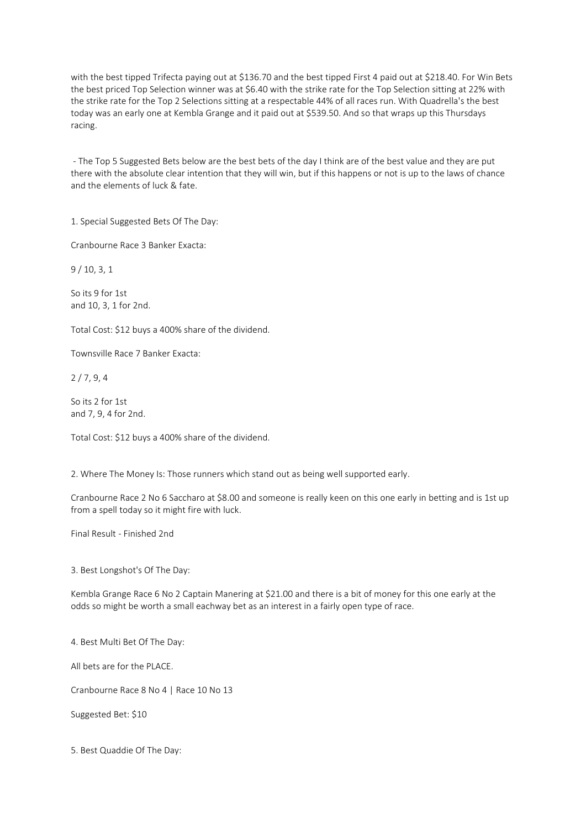with the best tipped Trifecta paying out at \$136.70 and the best tipped First 4 paid out at \$218.40. For Win Bets the best priced Top Selection winner was at \$6.40 with the strike rate for the Top Selection sitting at 22% with the strike rate for the Top 2 Selections sitting at a respectable 44% of all races run. With Quadrella's the best today was an early one at Kembla Grange and it paid out at \$539.50. And so that wraps up this Thursdays racing.

- The Top 5 Suggested Bets below are the best bets of the day I think are of the best value and they are put there with the absolute clear intention that they will win, but if this happens or not is up to the laws of chance and the elements of luck & fate.

1. Special Suggested Bets Of The Day:

Cranbourne Race 3 Banker Exacta:

9 / 10, 3, 1

So its 9 for 1st and 10, 3, 1 for 2nd.

Total Cost: \$12 buys a 400% share of the dividend.

Townsville Race 7 Banker Exacta:

2 / 7, 9, 4

So its 2 for 1st and 7, 9, 4 for 2nd.

Total Cost: \$12 buys a 400% share of the dividend.

2. Where The Money Is: Those runners which stand out as being well supported early.

Cranbourne Race 2 No 6 Saccharo at \$8.00 and someone is really keen on this one early in betting and is 1st up from a spell today so it might fire with luck.

Final Result - Finished 2nd

3. Best Longshot's Of The Day:

Kembla Grange Race 6 No 2 Captain Manering at \$21.00 and there is a bit of money for this one early at the odds so might be worth a small eachway bet as an interest in a fairly open type of race.

4. Best Multi Bet Of The Day:

All bets are for the PLACE.

Cranbourne Race 8 No 4 | Race 10 No 13

Suggested Bet: \$10

5. Best Quaddie Of The Day: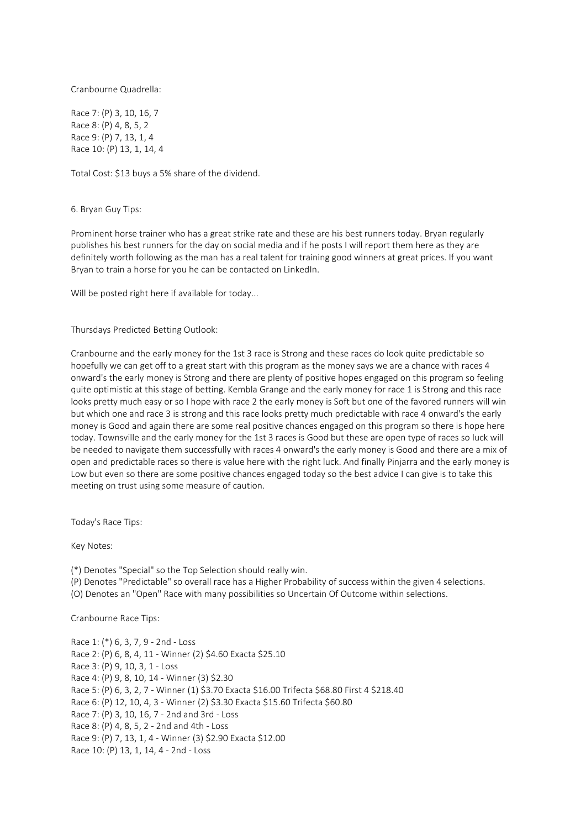Cranbourne Quadrella:

Race 7: (P) 3, 10, 16, 7 Race 8: (P) 4, 8, 5, 2 Race 9: (P) 7, 13, 1, 4 Race 10: (P) 13, 1, 14, 4

Total Cost: \$13 buys a 5% share of the dividend.

6. Bryan Guy Tips:

Prominent horse trainer who has a great strike rate and these are his best runners today. Bryan regularly publishes his best runners for the day on social media and if he posts I will report them here as they are definitely worth following as the man has a real talent for training good winners at great prices. If you want Bryan to train a horse for you he can be contacted on LinkedIn.

Will be posted right here if available for today...

Thursdays Predicted Betting Outlook:

Cranbourne and the early money for the 1st 3 race is Strong and these races do look quite predictable so hopefully we can get off to a great start with this program as the money says we are a chance with races 4 onward's the early money is Strong and there are plenty of positive hopes engaged on this program so feeling quite optimistic at this stage of betting. Kembla Grange and the early money for race 1 is Strong and this race looks pretty much easy or so I hope with race 2 the early money is Soft but one of the favored runners will win but which one and race 3 is strong and this race looks pretty much predictable with race 4 onward's the early money is Good and again there are some real positive chances engaged on this program so there is hope here today. Townsville and the early money for the 1st 3 races is Good but these are open type of races so luck will be needed to navigate them successfully with races 4 onward's the early money is Good and there are a mix of open and predictable races so there is value here with the right luck. And finally Pinjarra and the early money is Low but even so there are some positive chances engaged today so the best advice I can give is to take this meeting on trust using some measure of caution.

Today's Race Tips:

Key Notes:

(\*) Denotes "Special" so the Top Selection should really win.

(P) Denotes "Predictable" so overall race has a Higher Probability of success within the given 4 selections.

(O) Denotes an "Open" Race with many possibilities so Uncertain Of Outcome within selections.

Cranbourne Race Tips:

Race 1: (\*) 6, 3, 7, 9 - 2nd - Loss Race 2: (P) 6, 8, 4, 11 - Winner (2) \$4.60 Exacta \$25.10 Race 3: (P) 9, 10, 3, 1 - Loss Race 4: (P) 9, 8, 10, 14 - Winner (3) \$2.30 Race 5: (P) 6, 3, 2, 7 - Winner (1) \$3.70 Exacta \$16.00 Trifecta \$68.80 First 4 \$218.40 Race 6: (P) 12, 10, 4, 3 - Winner (2) \$3.30 Exacta \$15.60 Trifecta \$60.80 Race 7: (P) 3, 10, 16, 7 - 2nd and 3rd - Loss Race 8: (P) 4, 8, 5, 2 - 2nd and 4th - Loss Race 9: (P) 7, 13, 1, 4 - Winner (3) \$2.90 Exacta \$12.00 Race 10: (P) 13, 1, 14, 4 - 2nd - Loss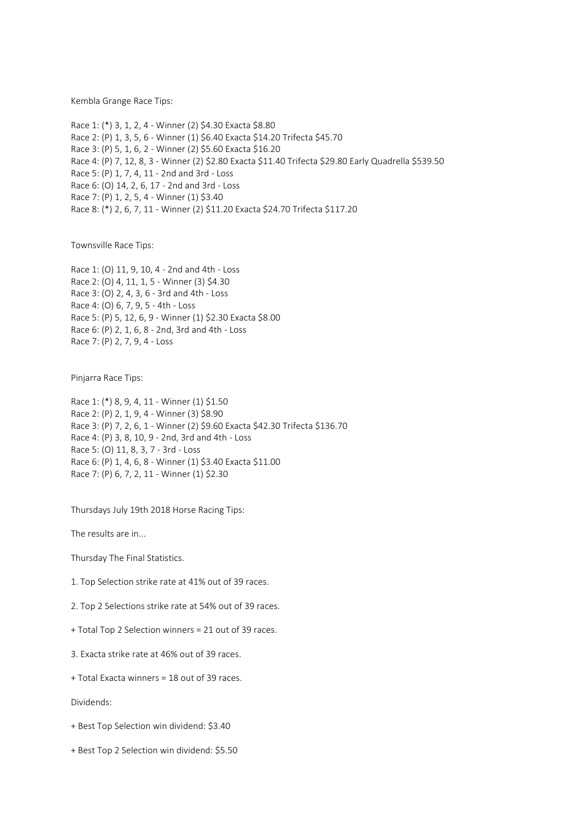Kembla Grange Race Tips:

Race 1: (\*) 3, 1, 2, 4 - Winner (2) \$4.30 Exacta \$8.80 Race 2: (P) 1, 3, 5, 6 - Winner (1) \$6.40 Exacta \$14.20 Trifecta \$45.70 Race 3: (P) 5, 1, 6, 2 - Winner (2) \$5.60 Exacta \$16.20 Race 4: (P) 7, 12, 8, 3 - Winner (2) \$2.80 Exacta \$11.40 Trifecta \$29.80 Early Quadrella \$539.50 Race 5: (P) 1, 7, 4, 11 - 2nd and 3rd - Loss Race 6: (O) 14, 2, 6, 17 - 2nd and 3rd - Loss Race 7: (P) 1, 2, 5, 4 - Winner (1) \$3.40 Race 8: (\*) 2, 6, 7, 11 - Winner (2) \$11.20 Exacta \$24.70 Trifecta \$117.20

Townsville Race Tips:

Race 1: (O) 11, 9, 10, 4 - 2nd and 4th - Loss Race 2: (O) 4, 11, 1, 5 - Winner (3) \$4.30 Race 3: (O) 2, 4, 3, 6 - 3rd and 4th - Loss Race 4: (O) 6, 7, 9, 5 - 4th - Loss Race 5: (P) 5, 12, 6, 9 - Winner (1) \$2.30 Exacta \$8.00 Race 6: (P) 2, 1, 6, 8 - 2nd, 3rd and 4th - Loss Race 7: (P) 2, 7, 9, 4 - Loss

Pinjarra Race Tips:

Race 1: (\*) 8, 9, 4, 11 - Winner (1) \$1.50 Race 2: (P) 2, 1, 9, 4 - Winner (3) \$8.90 Race 3: (P) 7, 2, 6, 1 - Winner (2) \$9.60 Exacta \$42.30 Trifecta \$136.70 Race 4: (P) 3, 8, 10, 9 - 2nd, 3rd and 4th - Loss Race 5: (O) 11, 8, 3, 7 - 3rd - Loss Race 6: (P) 1, 4, 6, 8 - Winner (1) \$3.40 Exacta \$11.00 Race 7: (P) 6, 7, 2, 11 - Winner (1) \$2.30

Thursdays July 19th 2018 Horse Racing Tips:

The results are in...

Thursday The Final Statistics.

1. Top Selection strike rate at 41% out of 39 races.

2. Top 2 Selections strike rate at 54% out of 39 races.

+ Total Top 2 Selection winners = 21 out of 39 races.

3. Exacta strike rate at 46% out of 39 races.

+ Total Exacta winners = 18 out of 39 races.

Dividends:

+ Best Top Selection win dividend: \$3.40

+ Best Top 2 Selection win dividend: \$5.50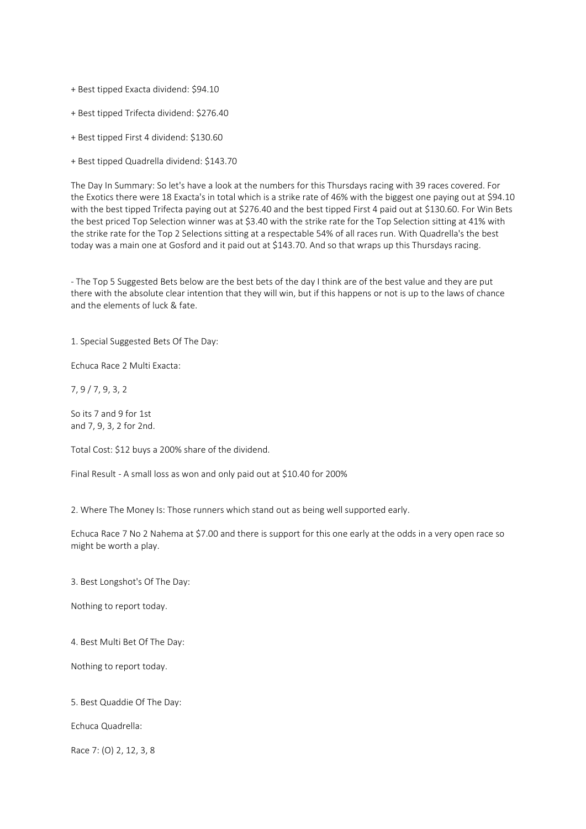+ Best tipped Exacta dividend: \$94.10

+ Best tipped Trifecta dividend: \$276.40

+ Best tipped First 4 dividend: \$130.60

+ Best tipped Quadrella dividend: \$143.70

The Day In Summary: So let's have a look at the numbers for this Thursdays racing with 39 races covered. For the Exotics there were 18 Exacta's in total which is a strike rate of 46% with the biggest one paying out at \$94.10 with the best tipped Trifecta paying out at \$276.40 and the best tipped First 4 paid out at \$130.60. For Win Bets the best priced Top Selection winner was at \$3.40 with the strike rate for the Top Selection sitting at 41% with the strike rate for the Top 2 Selections sitting at a respectable 54% of all races run. With Quadrella's the best today was a main one at Gosford and it paid out at \$143.70. And so that wraps up this Thursdays racing.

- The Top 5 Suggested Bets below are the best bets of the day I think are of the best value and they are put there with the absolute clear intention that they will win, but if this happens or not is up to the laws of chance and the elements of luck & fate.

1. Special Suggested Bets Of The Day:

Echuca Race 2 Multi Exacta:

7, 9 / 7, 9, 3, 2

So its 7 and 9 for 1st and 7, 9, 3, 2 for 2nd.

Total Cost: \$12 buys a 200% share of the dividend.

Final Result - A small loss as won and only paid out at \$10.40 for 200%

2. Where The Money Is: Those runners which stand out as being well supported early.

Echuca Race 7 No 2 Nahema at \$7.00 and there is support for this one early at the odds in a very open race so might be worth a play.

3. Best Longshot's Of The Day:

Nothing to report today.

4. Best Multi Bet Of The Day:

Nothing to report today.

5. Best Quaddie Of The Day:

Echuca Quadrella:

Race 7: (O) 2, 12, 3, 8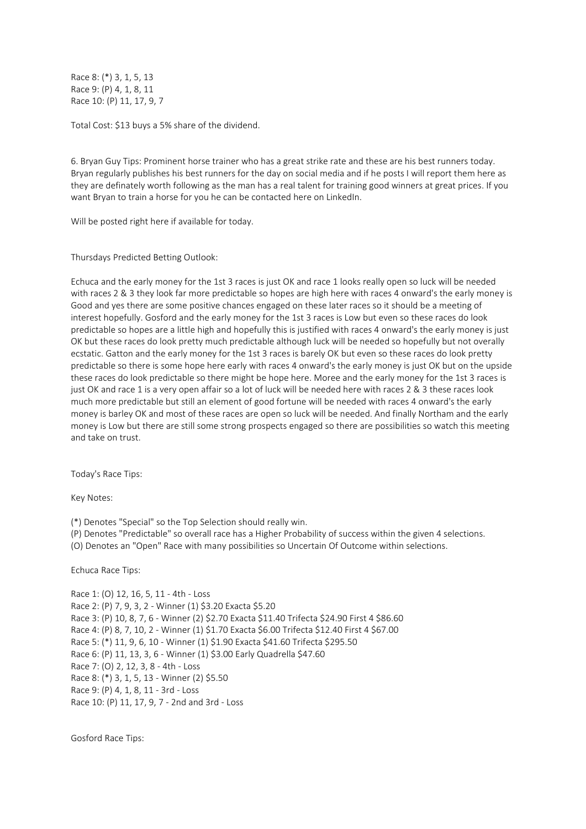Race 8: (\*) 3, 1, 5, 13 Race 9: (P) 4, 1, 8, 11 Race 10: (P) 11, 17, 9, 7

Total Cost: \$13 buys a 5% share of the dividend.

6. Bryan Guy Tips: Prominent horse trainer who has a great strike rate and these are his best runners today. Bryan regularly publishes his best runners for the day on social media and if he posts I will report them here as they are definately worth following as the man has a real talent for training good winners at great prices. If you want Bryan to train a horse for you he can be contacted here on LinkedIn.

Will be posted right here if available for today.

Thursdays Predicted Betting Outlook:

Echuca and the early money for the 1st 3 races is just OK and race 1 looks really open so luck will be needed with races 2 & 3 they look far more predictable so hopes are high here with races 4 onward's the early money is Good and yes there are some positive chances engaged on these later races so it should be a meeting of interest hopefully. Gosford and the early money for the 1st 3 races is Low but even so these races do look predictable so hopes are a little high and hopefully this is justified with races 4 onward's the early money is just OK but these races do look pretty much predictable although luck will be needed so hopefully but not overally ecstatic. Gatton and the early money for the 1st 3 races is barely OK but even so these races do look pretty predictable so there is some hope here early with races 4 onward's the early money is just OK but on the upside these races do look predictable so there might be hope here. Moree and the early money for the 1st 3 races is just OK and race 1 is a very open affair so a lot of luck will be needed here with races 2 & 3 these races look much more predictable but still an element of good fortune will be needed with races 4 onward's the early money is barley OK and most of these races are open so luck will be needed. And finally Northam and the early money is Low but there are still some strong prospects engaged so there are possibilities so watch this meeting and take on trust.

Today's Race Tips:

Key Notes:

(\*) Denotes "Special" so the Top Selection should really win.

(P) Denotes "Predictable" so overall race has a Higher Probability of success within the given 4 selections.

(O) Denotes an "Open" Race with many possibilities so Uncertain Of Outcome within selections.

Echuca Race Tips:

Race 1: (O) 12, 16, 5, 11 - 4th - Loss Race 2: (P) 7, 9, 3, 2 - Winner (1) \$3.20 Exacta \$5.20 Race 3: (P) 10, 8, 7, 6 - Winner (2) \$2.70 Exacta \$11.40 Trifecta \$24.90 First 4 \$86.60 Race 4: (P) 8, 7, 10, 2 - Winner (1) \$1.70 Exacta \$6.00 Trifecta \$12.40 First 4 \$67.00 Race 5: (\*) 11, 9, 6, 10 - Winner (1) \$1.90 Exacta \$41.60 Trifecta \$295.50 Race 6: (P) 11, 13, 3, 6 - Winner (1) \$3.00 Early Quadrella \$47.60 Race 7: (O) 2, 12, 3, 8 - 4th - Loss Race 8: (\*) 3, 1, 5, 13 - Winner (2) \$5.50 Race 9: (P) 4, 1, 8, 11 - 3rd - Loss Race 10: (P) 11, 17, 9, 7 - 2nd and 3rd - Loss

Gosford Race Tips: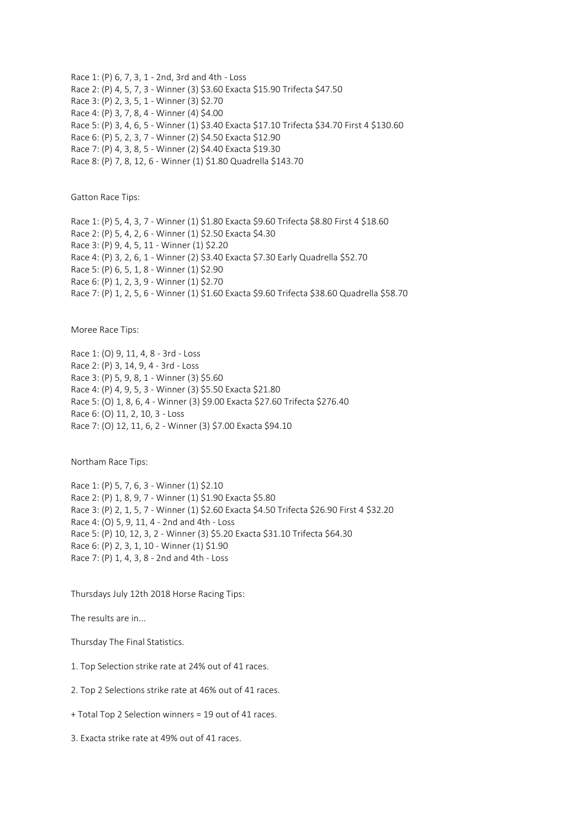Race 1: (P) 6, 7, 3, 1 - 2nd, 3rd and 4th - Loss Race 2: (P) 4, 5, 7, 3 - Winner (3) \$3.60 Exacta \$15.90 Trifecta \$47.50 Race 3: (P) 2, 3, 5, 1 - Winner (3) \$2.70 Race 4: (P) 3, 7, 8, 4 - Winner (4) \$4.00 Race 5: (P) 3, 4, 6, 5 - Winner (1) \$3.40 Exacta \$17.10 Trifecta \$34.70 First 4 \$130.60 Race 6: (P) 5, 2, 3, 7 - Winner (2) \$4.50 Exacta \$12.90 Race 7: (P) 4, 3, 8, 5 - Winner (2) \$4.40 Exacta \$19.30 Race 8: (P) 7, 8, 12, 6 - Winner (1) \$1.80 Quadrella \$143.70

Gatton Race Tips:

Race 1: (P) 5, 4, 3, 7 - Winner (1) \$1.80 Exacta \$9.60 Trifecta \$8.80 First 4 \$18.60 Race 2: (P) 5, 4, 2, 6 - Winner (1) \$2.50 Exacta \$4.30 Race 3: (P) 9, 4, 5, 11 - Winner (1) \$2.20 Race 4: (P) 3, 2, 6, 1 - Winner (2) \$3.40 Exacta \$7.30 Early Quadrella \$52.70 Race 5: (P) 6, 5, 1, 8 - Winner (1) \$2.90 Race 6: (P) 1, 2, 3, 9 - Winner (1) \$2.70 Race 7: (P) 1, 2, 5, 6 - Winner (1) \$1.60 Exacta \$9.60 Trifecta \$38.60 Quadrella \$58.70

Moree Race Tips:

Race 1: (O) 9, 11, 4, 8 - 3rd - Loss Race 2: (P) 3, 14, 9, 4 - 3rd - Loss Race 3: (P) 5, 9, 8, 1 - Winner (3) \$5.60 Race 4: (P) 4, 9, 5, 3 - Winner (3) \$5.50 Exacta \$21.80 Race 5: (O) 1, 8, 6, 4 - Winner (3) \$9.00 Exacta \$27.60 Trifecta \$276.40 Race 6: (O) 11, 2, 10, 3 - Loss Race 7: (O) 12, 11, 6, 2 - Winner (3) \$7.00 Exacta \$94.10

Northam Race Tips:

Race 1: (P) 5, 7, 6, 3 - Winner (1) \$2.10 Race 2: (P) 1, 8, 9, 7 - Winner (1) \$1.90 Exacta \$5.80 Race 3: (P) 2, 1, 5, 7 - Winner (1) \$2.60 Exacta \$4.50 Trifecta \$26.90 First 4 \$32.20 Race 4: (O) 5, 9, 11, 4 - 2nd and 4th - Loss Race 5: (P) 10, 12, 3, 2 - Winner (3) \$5.20 Exacta \$31.10 Trifecta \$64.30 Race 6: (P) 2, 3, 1, 10 - Winner (1) \$1.90 Race 7: (P) 1, 4, 3, 8 - 2nd and 4th - Loss

Thursdays July 12th 2018 Horse Racing Tips:

The results are in...

Thursday The Final Statistics.

1. Top Selection strike rate at 24% out of 41 races.

2. Top 2 Selections strike rate at 46% out of 41 races.

+ Total Top 2 Selection winners = 19 out of 41 races.

3. Exacta strike rate at 49% out of 41 races.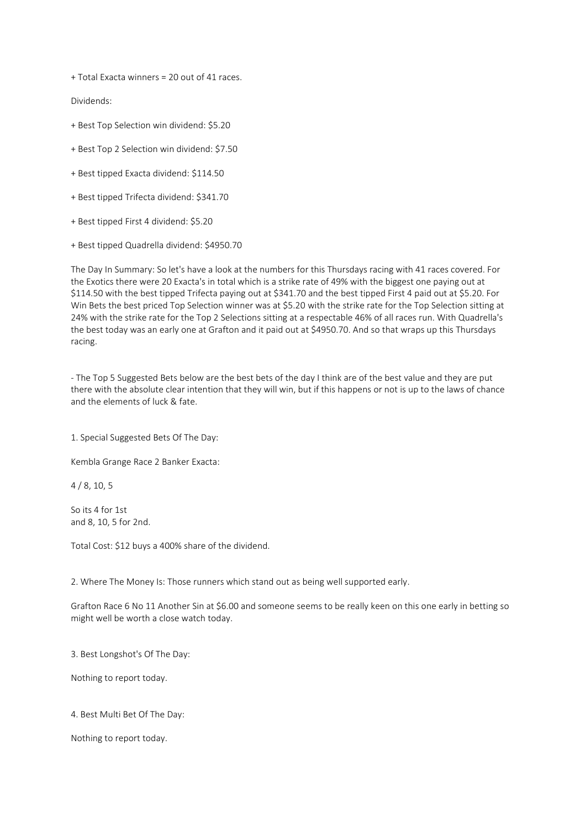+ Total Exacta winners = 20 out of 41 races.

Dividends:

- + Best Top Selection win dividend: \$5.20
- + Best Top 2 Selection win dividend: \$7.50
- + Best tipped Exacta dividend: \$114.50
- + Best tipped Trifecta dividend: \$341.70
- + Best tipped First 4 dividend: \$5.20
- + Best tipped Quadrella dividend: \$4950.70

The Day In Summary: So let's have a look at the numbers for this Thursdays racing with 41 races covered. For the Exotics there were 20 Exacta's in total which is a strike rate of 49% with the biggest one paying out at \$114.50 with the best tipped Trifecta paying out at \$341.70 and the best tipped First 4 paid out at \$5.20. For Win Bets the best priced Top Selection winner was at \$5.20 with the strike rate for the Top Selection sitting at 24% with the strike rate for the Top 2 Selections sitting at a respectable 46% of all races run. With Quadrella's the best today was an early one at Grafton and it paid out at \$4950.70. And so that wraps up this Thursdays racing.

- The Top 5 Suggested Bets below are the best bets of the day I think are of the best value and they are put there with the absolute clear intention that they will win, but if this happens or not is up to the laws of chance and the elements of luck & fate.

1. Special Suggested Bets Of The Day:

Kembla Grange Race 2 Banker Exacta:

4 / 8, 10, 5

So its 4 for 1st and 8, 10, 5 for 2nd.

Total Cost: \$12 buys a 400% share of the dividend.

2. Where The Money Is: Those runners which stand out as being well supported early.

Grafton Race 6 No 11 Another Sin at \$6.00 and someone seems to be really keen on this one early in betting so might well be worth a close watch today.

3. Best Longshot's Of The Day:

Nothing to report today.

4. Best Multi Bet Of The Day:

Nothing to report today.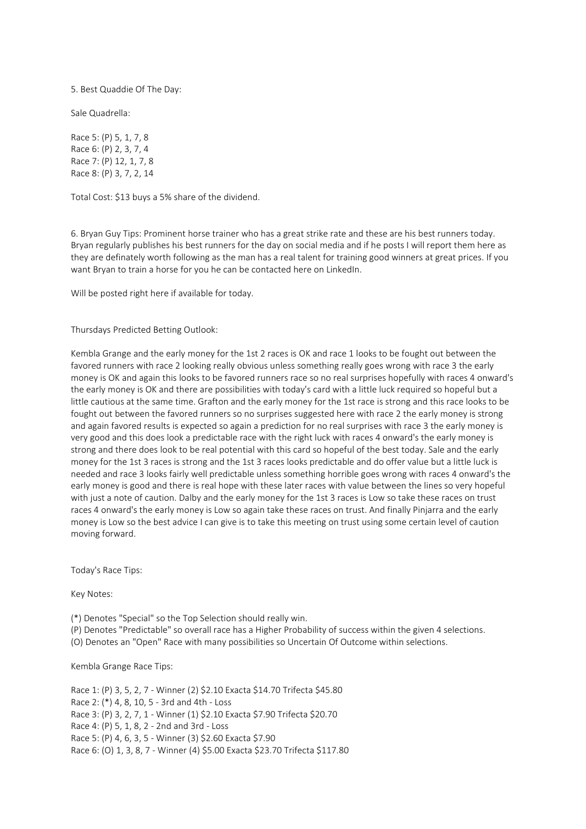5. Best Quaddie Of The Day:

Sale Quadrella:

Race 5: (P) 5, 1, 7, 8 Race 6: (P) 2, 3, 7, 4 Race 7: (P) 12, 1, 7, 8 Race 8: (P) 3, 7, 2, 14

Total Cost: \$13 buys a 5% share of the dividend.

6. Bryan Guy Tips: Prominent horse trainer who has a great strike rate and these are his best runners today. Bryan regularly publishes his best runners for the day on social media and if he posts I will report them here as they are definately worth following as the man has a real talent for training good winners at great prices. If you want Bryan to train a horse for you he can be contacted here on LinkedIn.

Will be posted right here if available for today.

Thursdays Predicted Betting Outlook:

Kembla Grange and the early money for the 1st 2 races is OK and race 1 looks to be fought out between the favored runners with race 2 looking really obvious unless something really goes wrong with race 3 the early money is OK and again this looks to be favored runners race so no real surprises hopefully with races 4 onward's the early money is OK and there are possibilities with today's card with a little luck required so hopeful but a little cautious at the same time. Grafton and the early money for the 1st race is strong and this race looks to be fought out between the favored runners so no surprises suggested here with race 2 the early money is strong and again favored results is expected so again a prediction for no real surprises with race 3 the early money is very good and this does look a predictable race with the right luck with races 4 onward's the early money is strong and there does look to be real potential with this card so hopeful of the best today. Sale and the early money for the 1st 3 races is strong and the 1st 3 races looks predictable and do offer value but a little luck is needed and race 3 looks fairly well predictable unless something horrible goes wrong with races 4 onward's the early money is good and there is real hope with these later races with value between the lines so very hopeful with just a note of caution. Dalby and the early money for the 1st 3 races is Low so take these races on trust races 4 onward's the early money is Low so again take these races on trust. And finally Pinjarra and the early money is Low so the best advice I can give is to take this meeting on trust using some certain level of caution moving forward.

Today's Race Tips:

Key Notes:

(\*) Denotes "Special" so the Top Selection should really win.

(P) Denotes "Predictable" so overall race has a Higher Probability of success within the given 4 selections.

(O) Denotes an "Open" Race with many possibilities so Uncertain Of Outcome within selections.

Kembla Grange Race Tips:

Race 1: (P) 3, 5, 2, 7 - Winner (2) \$2.10 Exacta \$14.70 Trifecta \$45.80 Race 2: (\*) 4, 8, 10, 5 - 3rd and 4th - Loss Race 3: (P) 3, 2, 7, 1 - Winner (1) \$2.10 Exacta \$7.90 Trifecta \$20.70 Race 4: (P) 5, 1, 8, 2 - 2nd and 3rd - Loss Race 5: (P) 4, 6, 3, 5 - Winner (3) \$2.60 Exacta \$7.90 Race 6: (O) 1, 3, 8, 7 - Winner (4) \$5.00 Exacta \$23.70 Trifecta \$117.80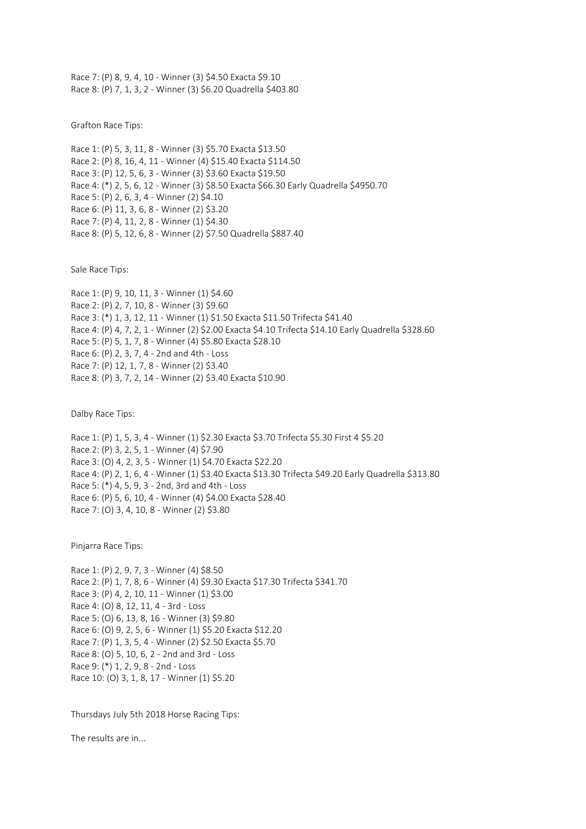Race 7: (P) 8, 9, 4, 10 - Winner (3) \$4.50 Exacta \$9.10 Race 8: (P) 7, 1, 3, 2 - Winner (3) \$6.20 Quadrella \$403.80

Grafton Race Tips:

Race 1: (P) 5, 3, 11, 8 - Winner (3) \$5.70 Exacta \$13.50 Race 2: (P) 8, 16, 4, 11 - Winner (4) \$15.40 Exacta \$114.50 Race 3: (P) 12, 5, 6, 3 - Winner (3) \$3.60 Exacta \$19.50 Race 4: (\*) 2, 5, 6, 12 - Winner (3) \$8.50 Exacta \$66.30 Early Quadrella \$4950.70 Race 5: (P) 2, 6, 3, 4 - Winner (2) \$4.10 Race 6: (P) 11, 3, 6, 8 - Winner (2) \$3.20 Race 7: (P) 4, 11, 2, 8 - Winner (1) \$4.30 Race 8: (P) 5, 12, 6, 8 - Winner (2) \$7.50 Quadrella \$887.40

Sale Race Tips:

Race 1: (P) 9, 10, 11, 3 - Winner (1) \$4.60 Race 2: (P) 2, 7, 10, 8 - Winner (3) \$9.60 Race 3: (\*) 1, 3, 12, 11 - Winner (1) \$1.50 Exacta \$11.50 Trifecta \$41.40 Race 4: (P) 4, 7, 2, 1 - Winner (2) \$2.00 Exacta \$4.10 Trifecta \$14.10 Early Quadrella \$328.60 Race 5: (P) 5, 1, 7, 8 - Winner (4) \$5.80 Exacta \$28.10 Race 6: (P) 2, 3, 7, 4 - 2nd and 4th - Loss Race 7: (P) 12, 1, 7, 8 - Winner (2) \$3.40 Race 8: (P) 3, 7, 2, 14 - Winner (2) \$3.40 Exacta \$10.90

Dalby Race Tips:

Race 1: (P) 1, 5, 3, 4 - Winner (1) \$2.30 Exacta \$3.70 Trifecta \$5.30 First 4 \$5.20 Race 2: (P) 3, 2, 5, 1 - Winner (4) \$7.90 Race 3: (O) 4, 2, 3, 5 - Winner (1) \$4.70 Exacta \$22.20 Race 4: (P) 2, 1, 6, 4 - Winner (1) \$3.40 Exacta \$13.30 Trifecta \$49.20 Early Quadrella \$313.80 Race 5: (\*) 4, 5, 9, 3 - 2nd, 3rd and 4th - Loss Race 6: (P) 5, 6, 10, 4 - Winner (4) \$4.00 Exacta \$28.40 Race 7: (O) 3, 4, 10, 8 - Winner (2) \$3.80

Pinjarra Race Tips:

Race 1: (P) 2, 9, 7, 3 - Winner (4) \$8.50 Race 2: (P) 1, 7, 8, 6 - Winner (4) \$9.30 Exacta \$17.30 Trifecta \$341.70 Race 3: (P) 4, 2, 10, 11 - Winner (1) \$3.00 Race 4: (O) 8, 12, 11, 4 - 3rd - Loss Race 5: (O) 6, 13, 8, 16 - Winner (3) \$9.80 Race 6: (O) 9, 2, 5, 6 - Winner (1) \$5.20 Exacta \$12.20 Race 7: (P) 1, 3, 5, 4 - Winner (2) \$2.50 Exacta \$5.70 Race 8: (O) 5, 10, 6, 2 - 2nd and 3rd - Loss Race 9: (\*) 1, 2, 9, 8 - 2nd - Loss Race 10: (O) 3, 1, 8, 17 - Winner (1) \$5.20

Thursdays July 5th 2018 Horse Racing Tips:

The results are in...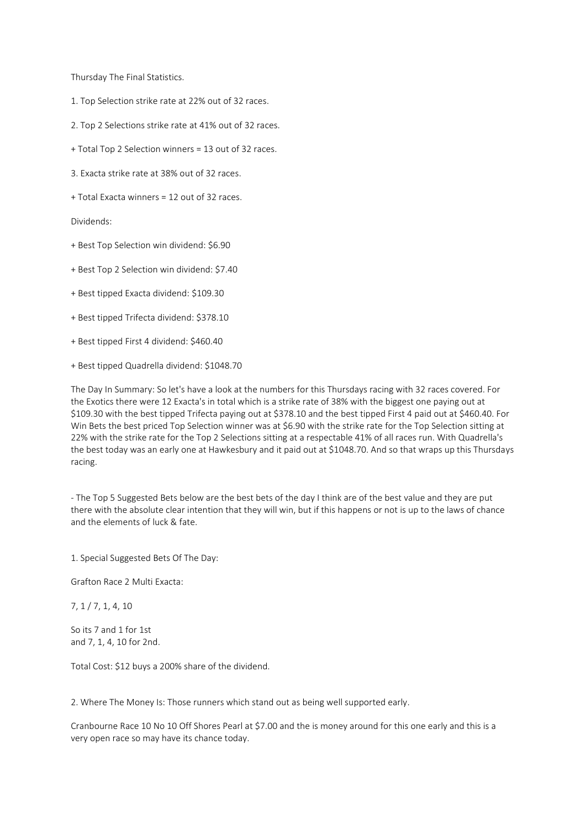Thursday The Final Statistics.

- 1. Top Selection strike rate at 22% out of 32 races.
- 2. Top 2 Selections strike rate at 41% out of 32 races.
- + Total Top 2 Selection winners = 13 out of 32 races.
- 3. Exacta strike rate at 38% out of 32 races.
- + Total Exacta winners = 12 out of 32 races.

Dividends:

- + Best Top Selection win dividend: \$6.90
- + Best Top 2 Selection win dividend: \$7.40
- + Best tipped Exacta dividend: \$109.30
- + Best tipped Trifecta dividend: \$378.10
- + Best tipped First 4 dividend: \$460.40
- + Best tipped Quadrella dividend: \$1048.70

The Day In Summary: So let's have a look at the numbers for this Thursdays racing with 32 races covered. For the Exotics there were 12 Exacta's in total which is a strike rate of 38% with the biggest one paying out at \$109.30 with the best tipped Trifecta paying out at \$378.10 and the best tipped First 4 paid out at \$460.40. For Win Bets the best priced Top Selection winner was at \$6.90 with the strike rate for the Top Selection sitting at 22% with the strike rate for the Top 2 Selections sitting at a respectable 41% of all races run. With Quadrella's the best today was an early one at Hawkesbury and it paid out at \$1048.70. And so that wraps up this Thursdays racing.

- The Top 5 Suggested Bets below are the best bets of the day I think are of the best value and they are put there with the absolute clear intention that they will win, but if this happens or not is up to the laws of chance and the elements of luck & fate.

1. Special Suggested Bets Of The Day:

Grafton Race 2 Multi Exacta:

7, 1 / 7, 1, 4, 10

So its 7 and 1 for 1st and 7, 1, 4, 10 for 2nd.

Total Cost: \$12 buys a 200% share of the dividend.

2. Where The Money Is: Those runners which stand out as being well supported early.

Cranbourne Race 10 No 10 Off Shores Pearl at \$7.00 and the is money around for this one early and this is a very open race so may have its chance today.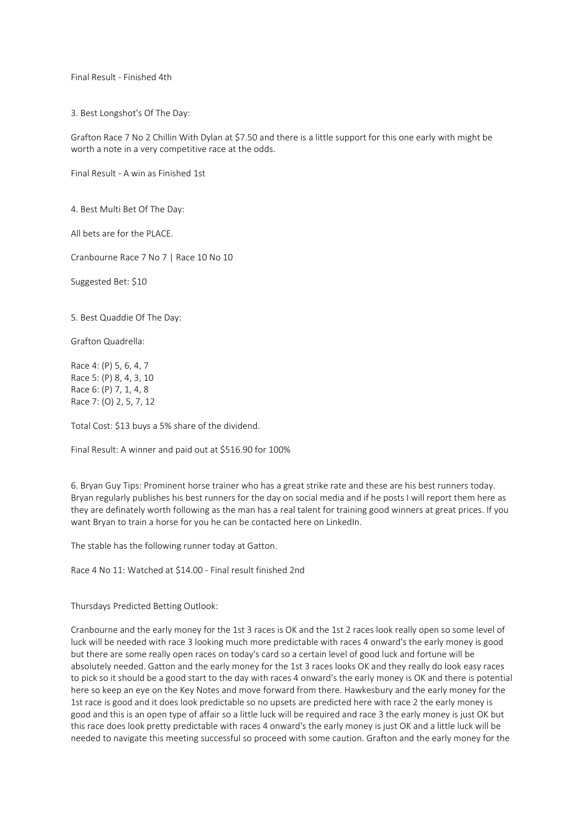Final Result - Finished 4th

3. Best Longshot's Of The Day:

Grafton Race 7 No 2 Chillin With Dylan at \$7.50 and there is a little support for this one early with might be worth a note in a very competitive race at the odds.

Final Result - A win as Finished 1st

4. Best Multi Bet Of The Day:

All bets are for the PLACE.

Cranbourne Race 7 No 7 | Race 10 No 10

Suggested Bet: \$10

5. Best Quaddie Of The Day:

Grafton Quadrella:

Race 4: (P) 5, 6, 4, 7 Race 5: (P) 8, 4, 3, 10 Race 6: (P) 7, 1, 4, 8 Race 7: (O) 2, 5, 7, 12

Total Cost: \$13 buys a 5% share of the dividend.

Final Result: A winner and paid out at \$516.90 for 100%

6. Bryan Guy Tips: Prominent horse trainer who has a great strike rate and these are his best runners today. Bryan regularly publishes his best runners for the day on social media and if he posts I will report them here as they are definately worth following as the man has a real talent for training good winners at great prices. If you want Bryan to train a horse for you he can be contacted here on LinkedIn.

The stable has the following runner today at Gatton.

Race 4 No 11: Watched at \$14.00 - Final result finished 2nd

Thursdays Predicted Betting Outlook:

Cranbourne and the early money for the 1st 3 races is OK and the 1st 2 races look really open so some level of luck will be needed with race 3 looking much more predictable with races 4 onward's the early money is good but there are some really open races on today's card so a certain level of good luck and fortune will be absolutely needed. Gatton and the early money for the 1st 3 races looks OK and they really do look easy races to pick so it should be a good start to the day with races 4 onward's the early money is OK and there is potential here so keep an eye on the Key Notes and move forward from there. Hawkesbury and the early money for the 1st race is good and it does look predictable so no upsets are predicted here with race 2 the early money is good and this is an open type of affair so a little luck will be required and race 3 the early money is just OK but this race does look pretty predictable with races 4 onward's the early money is just OK and a little luck will be needed to navigate this meeting successful so proceed with some caution. Grafton and the early money for the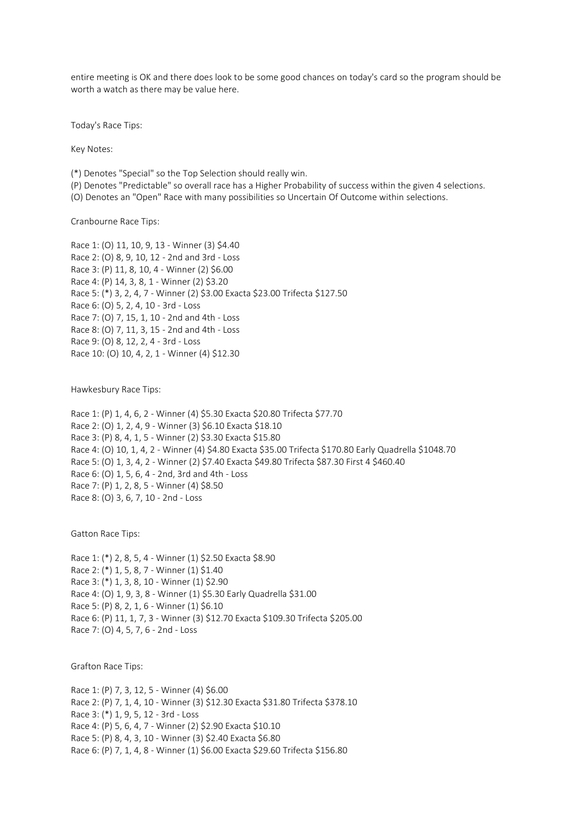entire meeting is OK and there does look to be some good chances on today's card so the program should be worth a watch as there may be value here.

Today's Race Tips:

Key Notes:

(\*) Denotes "Special" so the Top Selection should really win.

- (P) Denotes "Predictable" so overall race has a Higher Probability of success within the given 4 selections.
- (O) Denotes an "Open" Race with many possibilities so Uncertain Of Outcome within selections.

Cranbourne Race Tips:

Race 1: (O) 11, 10, 9, 13 - Winner (3) \$4.40 Race 2: (O) 8, 9, 10, 12 - 2nd and 3rd - Loss Race 3: (P) 11, 8, 10, 4 - Winner (2) \$6.00 Race 4: (P) 14, 3, 8, 1 - Winner (2) \$3.20 Race 5: (\*) 3, 2, 4, 7 - Winner (2) \$3.00 Exacta \$23.00 Trifecta \$127.50 Race 6: (O) 5, 2, 4, 10 - 3rd - Loss Race 7: (O) 7, 15, 1, 10 - 2nd and 4th - Loss Race 8: (O) 7, 11, 3, 15 - 2nd and 4th - Loss Race 9: (O) 8, 12, 2, 4 - 3rd - Loss Race 10: (O) 10, 4, 2, 1 - Winner (4) \$12.30

Hawkesbury Race Tips:

Race 1: (P) 1, 4, 6, 2 - Winner (4) \$5.30 Exacta \$20.80 Trifecta \$77.70 Race 2: (O) 1, 2, 4, 9 - Winner (3) \$6.10 Exacta \$18.10 Race 3: (P) 8, 4, 1, 5 - Winner (2) \$3.30 Exacta \$15.80 Race 4: (O) 10, 1, 4, 2 - Winner (4) \$4.80 Exacta \$35.00 Trifecta \$170.80 Early Quadrella \$1048.70 Race 5: (O) 1, 3, 4, 2 - Winner (2) \$7.40 Exacta \$49.80 Trifecta \$87.30 First 4 \$460.40 Race 6: (O) 1, 5, 6, 4 - 2nd, 3rd and 4th - Loss Race 7: (P) 1, 2, 8, 5 - Winner (4) \$8.50 Race 8: (O) 3, 6, 7, 10 - 2nd - Loss

Gatton Race Tips:

Race 1: (\*) 2, 8, 5, 4 - Winner (1) \$2.50 Exacta \$8.90 Race 2: (\*) 1, 5, 8, 7 - Winner (1) \$1.40 Race 3: (\*) 1, 3, 8, 10 - Winner (1) \$2.90 Race 4: (O) 1, 9, 3, 8 - Winner (1) \$5.30 Early Quadrella \$31.00 Race 5: (P) 8, 2, 1, 6 - Winner (1) \$6.10 Race 6: (P) 11, 1, 7, 3 - Winner (3) \$12.70 Exacta \$109.30 Trifecta \$205.00 Race 7: (O) 4, 5, 7, 6 - 2nd - Loss

Grafton Race Tips:

Race 1: (P) 7, 3, 12, 5 - Winner (4) \$6.00 Race 2: (P) 7, 1, 4, 10 - Winner (3) \$12.30 Exacta \$31.80 Trifecta \$378.10 Race 3: (\*) 1, 9, 5, 12 - 3rd - Loss Race 4: (P) 5, 6, 4, 7 - Winner (2) \$2.90 Exacta \$10.10 Race 5: (P) 8, 4, 3, 10 - Winner (3) \$2.40 Exacta \$6.80 Race 6: (P) 7, 1, 4, 8 - Winner (1) \$6.00 Exacta \$29.60 Trifecta \$156.80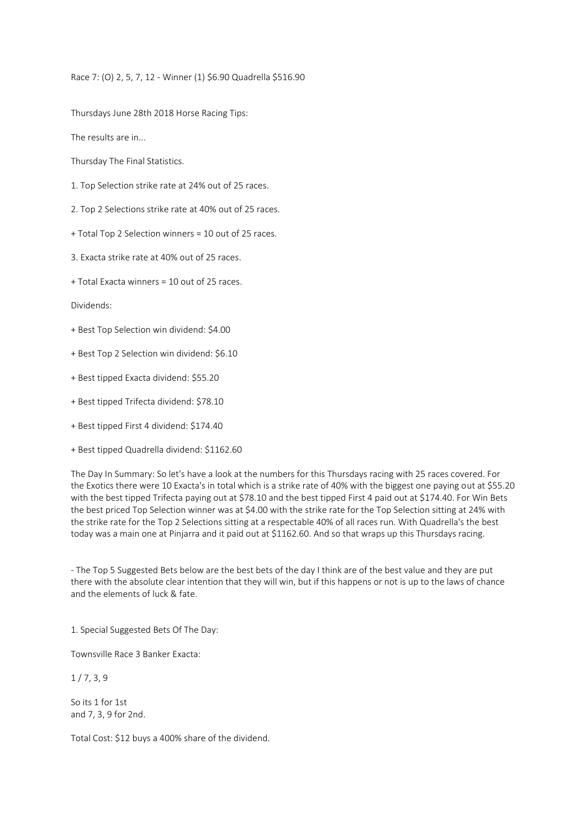Race 7: (O) 2, 5, 7, 12 - Winner (1) \$6.90 Quadrella \$516.90

Thursdays June 28th 2018 Horse Racing Tips:

The results are in...

Thursday The Final Statistics.

1. Top Selection strike rate at 24% out of 25 races.

2. Top 2 Selections strike rate at 40% out of 25 races.

+ Total Top 2 Selection winners = 10 out of 25 races.

3. Exacta strike rate at 40% out of 25 races.

+ Total Exacta winners = 10 out of 25 races.

Dividends:

+ Best Top Selection win dividend: \$4.00

+ Best Top 2 Selection win dividend: \$6.10

+ Best tipped Exacta dividend: \$55.20

+ Best tipped Trifecta dividend: \$78.10

+ Best tipped First 4 dividend: \$174.40

+ Best tipped Quadrella dividend: \$1162.60

The Day In Summary: So let's have a look at the numbers for this Thursdays racing with 25 races covered. For the Exotics there were 10 Exacta's in total which is a strike rate of 40% with the biggest one paying out at \$55.20 with the best tipped Trifecta paying out at \$78.10 and the best tipped First 4 paid out at \$174.40. For Win Bets the best priced Top Selection winner was at \$4.00 with the strike rate for the Top Selection sitting at 24% with the strike rate for the Top 2 Selections sitting at a respectable 40% of all races run. With Quadrella's the best today was a main one at Pinjarra and it paid out at \$1162.60. And so that wraps up this Thursdays racing.

- The Top 5 Suggested Bets below are the best bets of the day I think are of the best value and they are put there with the absolute clear intention that they will win, but if this happens or not is up to the laws of chance and the elements of luck & fate.

1. Special Suggested Bets Of The Day:

Townsville Race 3 Banker Exacta:

 $1/7, 3, 9$ 

So its 1 for 1st and 7, 3, 9 for 2nd.

Total Cost: \$12 buys a 400% share of the dividend.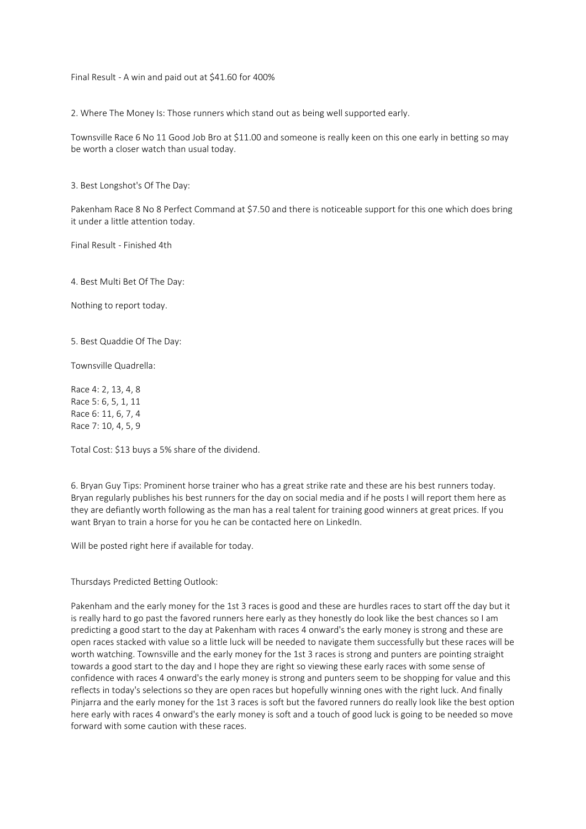Final Result - A win and paid out at \$41.60 for 400%

2. Where The Money Is: Those runners which stand out as being well supported early.

Townsville Race 6 No 11 Good Job Bro at \$11.00 and someone is really keen on this one early in betting so may be worth a closer watch than usual today.

3. Best Longshot's Of The Day:

Pakenham Race 8 No 8 Perfect Command at \$7.50 and there is noticeable support for this one which does bring it under a little attention today.

Final Result - Finished 4th

4. Best Multi Bet Of The Day:

Nothing to report today.

5. Best Quaddie Of The Day:

Townsville Quadrella:

Race 4: 2, 13, 4, 8 Race 5: 6, 5, 1, 11 Race 6: 11, 6, 7, 4 Race 7: 10, 4, 5, 9

Total Cost: \$13 buys a 5% share of the dividend.

6. Bryan Guy Tips: Prominent horse trainer who has a great strike rate and these are his best runners today. Bryan regularly publishes his best runners for the day on social media and if he posts I will report them here as they are defiantly worth following as the man has a real talent for training good winners at great prices. If you want Bryan to train a horse for you he can be contacted here on LinkedIn.

Will be posted right here if available for today.

## Thursdays Predicted Betting Outlook:

Pakenham and the early money for the 1st 3 races is good and these are hurdles races to start off the day but it is really hard to go past the favored runners here early as they honestly do look like the best chances so I am predicting a good start to the day at Pakenham with races 4 onward's the early money is strong and these are open races stacked with value so a little luck will be needed to navigate them successfully but these races will be worth watching. Townsville and the early money for the 1st 3 races is strong and punters are pointing straight towards a good start to the day and I hope they are right so viewing these early races with some sense of confidence with races 4 onward's the early money is strong and punters seem to be shopping for value and this reflects in today's selections so they are open races but hopefully winning ones with the right luck. And finally Pinjarra and the early money for the 1st 3 races is soft but the favored runners do really look like the best option here early with races 4 onward's the early money is soft and a touch of good luck is going to be needed so move forward with some caution with these races.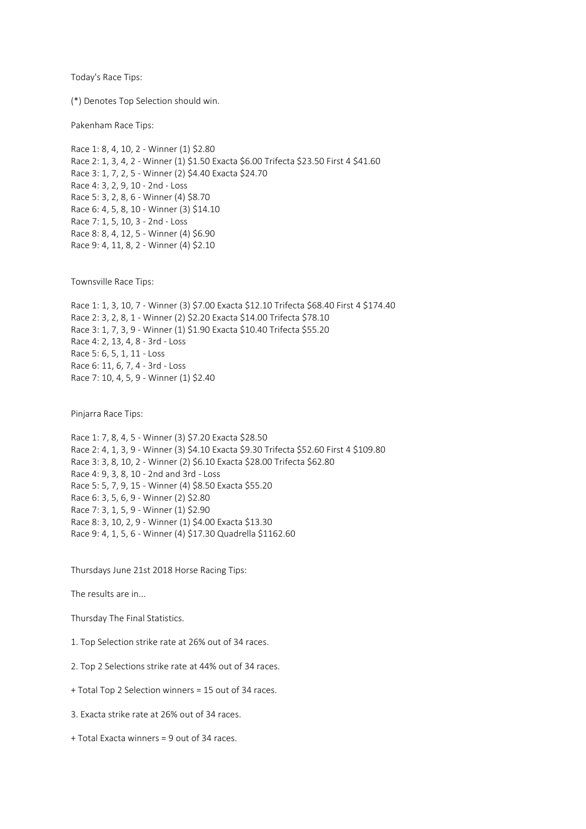Today's Race Tips:

(\*) Denotes Top Selection should win.

Pakenham Race Tips:

Race 1: 8, 4, 10, 2 - Winner (1) \$2.80 Race 2: 1, 3, 4, 2 - Winner (1) \$1.50 Exacta \$6.00 Trifecta \$23.50 First 4 \$41.60 Race 3: 1, 7, 2, 5 - Winner (2) \$4.40 Exacta \$24.70 Race 4: 3, 2, 9, 10 - 2nd - Loss Race 5: 3, 2, 8, 6 - Winner (4) \$8.70 Race 6: 4, 5, 8, 10 - Winner (3) \$14.10 Race 7: 1, 5, 10, 3 - 2nd - Loss Race 8: 8, 4, 12, 5 - Winner (4) \$6.90 Race 9: 4, 11, 8, 2 - Winner (4) \$2.10

Townsville Race Tips:

Race 1: 1, 3, 10, 7 - Winner (3) \$7.00 Exacta \$12.10 Trifecta \$68.40 First 4 \$174.40 Race 2: 3, 2, 8, 1 - Winner (2) \$2.20 Exacta \$14.00 Trifecta \$78.10 Race 3: 1, 7, 3, 9 - Winner (1) \$1.90 Exacta \$10.40 Trifecta \$55.20 Race 4: 2, 13, 4, 8 - 3rd - Loss Race 5: 6, 5, 1, 11 - Loss Race 6: 11, 6, 7, 4 - 3rd - Loss Race 7: 10, 4, 5, 9 - Winner (1) \$2.40

Pinjarra Race Tips:

Race 1: 7, 8, 4, 5 - Winner (3) \$7.20 Exacta \$28.50 Race 2: 4, 1, 3, 9 - Winner (3) \$4.10 Exacta \$9.30 Trifecta \$52.60 First 4 \$109.80 Race 3: 3, 8, 10, 2 - Winner (2) \$6.10 Exacta \$28.00 Trifecta \$62.80 Race 4: 9, 3, 8, 10 - 2nd and 3rd - Loss Race 5: 5, 7, 9, 15 - Winner (4) \$8.50 Exacta \$55.20 Race 6: 3, 5, 6, 9 - Winner (2) \$2.80 Race 7: 3, 1, 5, 9 - Winner (1) \$2.90 Race 8: 3, 10, 2, 9 - Winner (1) \$4.00 Exacta \$13.30 Race 9: 4, 1, 5, 6 - Winner (4) \$17.30 Quadrella \$1162.60

Thursdays June 21st 2018 Horse Racing Tips:

The results are in...

Thursday The Final Statistics.

1. Top Selection strike rate at 26% out of 34 races.

2. Top 2 Selections strike rate at 44% out of 34 races.

+ Total Top 2 Selection winners = 15 out of 34 races.

3. Exacta strike rate at 26% out of 34 races.

+ Total Exacta winners = 9 out of 34 races.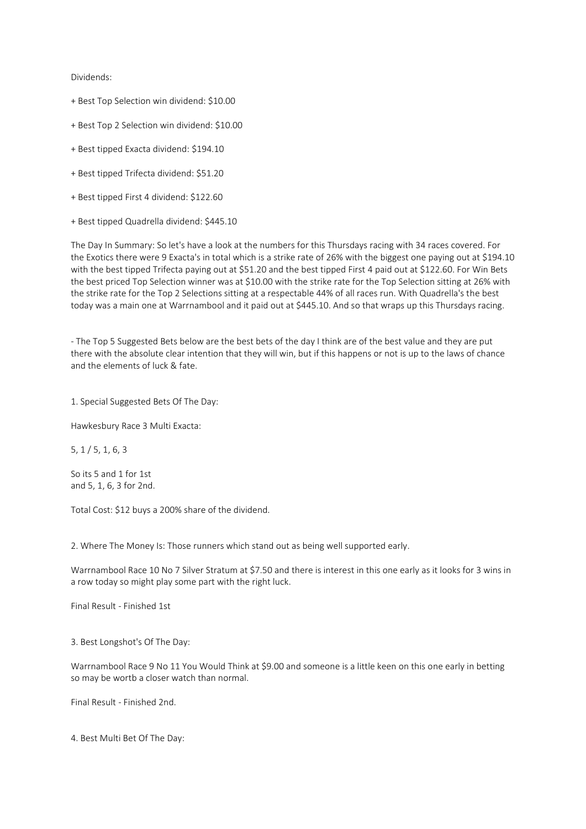## Dividends:

- + Best Top Selection win dividend: \$10.00
- + Best Top 2 Selection win dividend: \$10.00
- + Best tipped Exacta dividend: \$194.10
- + Best tipped Trifecta dividend: \$51.20
- + Best tipped First 4 dividend: \$122.60
- + Best tipped Quadrella dividend: \$445.10

The Day In Summary: So let's have a look at the numbers for this Thursdays racing with 34 races covered. For the Exotics there were 9 Exacta's in total which is a strike rate of 26% with the biggest one paying out at \$194.10 with the best tipped Trifecta paying out at \$51.20 and the best tipped First 4 paid out at \$122.60. For Win Bets the best priced Top Selection winner was at \$10.00 with the strike rate for the Top Selection sitting at 26% with the strike rate for the Top 2 Selections sitting at a respectable 44% of all races run. With Quadrella's the best today was a main one at Warrnambool and it paid out at \$445.10. And so that wraps up this Thursdays racing.

- The Top 5 Suggested Bets below are the best bets of the day I think are of the best value and they are put there with the absolute clear intention that they will win, but if this happens or not is up to the laws of chance and the elements of luck & fate.

1. Special Suggested Bets Of The Day:

Hawkesbury Race 3 Multi Exacta:

5, 1 / 5, 1, 6, 3

So its 5 and 1 for 1st and 5, 1, 6, 3 for 2nd.

Total Cost: \$12 buys a 200% share of the dividend.

2. Where The Money Is: Those runners which stand out as being well supported early.

Warrnambool Race 10 No 7 Silver Stratum at \$7.50 and there is interest in this one early as it looks for 3 wins in a row today so might play some part with the right luck.

Final Result - Finished 1st

3. Best Longshot's Of The Day:

Warrnambool Race 9 No 11 You Would Think at \$9.00 and someone is a little keen on this one early in betting so may be wortb a closer watch than normal.

Final Result - Finished 2nd.

4. Best Multi Bet Of The Day: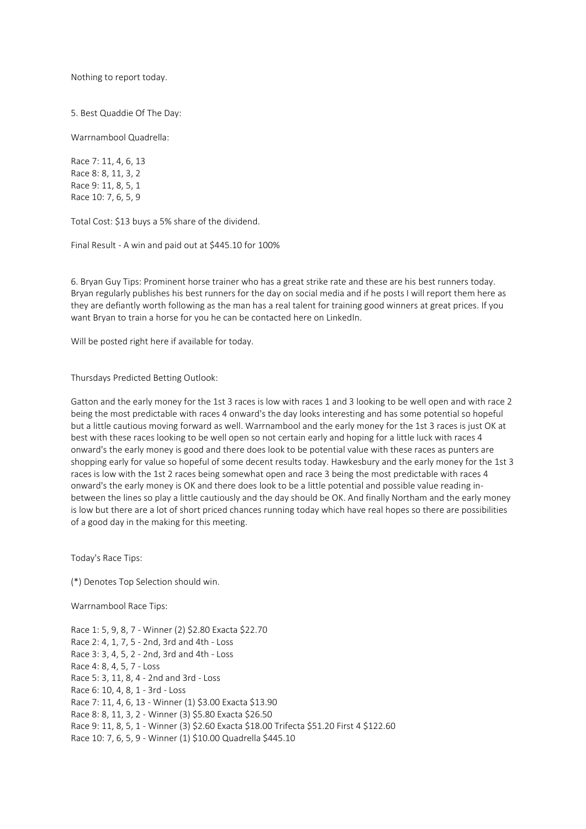Nothing to report today.

5. Best Quaddie Of The Day:

Warrnambool Quadrella:

Race 7: 11, 4, 6, 13 Race 8: 8, 11, 3, 2 Race 9: 11, 8, 5, 1 Race 10: 7, 6, 5, 9

Total Cost: \$13 buys a 5% share of the dividend.

Final Result - A win and paid out at \$445.10 for 100%

6. Bryan Guy Tips: Prominent horse trainer who has a great strike rate and these are his best runners today. Bryan regularly publishes his best runners for the day on social media and if he posts I will report them here as they are defiantly worth following as the man has a real talent for training good winners at great prices. If you want Bryan to train a horse for you he can be contacted here on LinkedIn.

Will be posted right here if available for today.

Thursdays Predicted Betting Outlook:

Gatton and the early money for the 1st 3 races is low with races 1 and 3 looking to be well open and with race 2 being the most predictable with races 4 onward's the day looks interesting and has some potential so hopeful but a little cautious moving forward as well. Warrnambool and the early money for the 1st 3 races is just OK at best with these races looking to be well open so not certain early and hoping for a little luck with races 4 onward's the early money is good and there does look to be potential value with these races as punters are shopping early for value so hopeful of some decent results today. Hawkesbury and the early money for the 1st 3 races is low with the 1st 2 races being somewhat open and race 3 being the most predictable with races 4 onward's the early money is OK and there does look to be a little potential and possible value reading inbetween the lines so play a little cautiously and the day should be OK. And finally Northam and the early money is low but there are a lot of short priced chances running today which have real hopes so there are possibilities of a good day in the making for this meeting.

Today's Race Tips:

(\*) Denotes Top Selection should win.

Warrnambool Race Tips:

Race 1: 5, 9, 8, 7 - Winner (2) \$2.80 Exacta \$22.70 Race 2: 4, 1, 7, 5 - 2nd, 3rd and 4th - Loss Race 3: 3, 4, 5, 2 - 2nd, 3rd and 4th - Loss Race 4: 8, 4, 5, 7 - Loss Race 5: 3, 11, 8, 4 - 2nd and 3rd - Loss Race 6: 10, 4, 8, 1 - 3rd - Loss Race 7: 11, 4, 6, 13 - Winner (1) \$3.00 Exacta \$13.90 Race 8: 8, 11, 3, 2 - Winner (3) \$5.80 Exacta \$26.50 Race 9: 11, 8, 5, 1 - Winner (3) \$2.60 Exacta \$18.00 Trifecta \$51.20 First 4 \$122.60 Race 10: 7, 6, 5, 9 - Winner (1) \$10.00 Quadrella \$445.10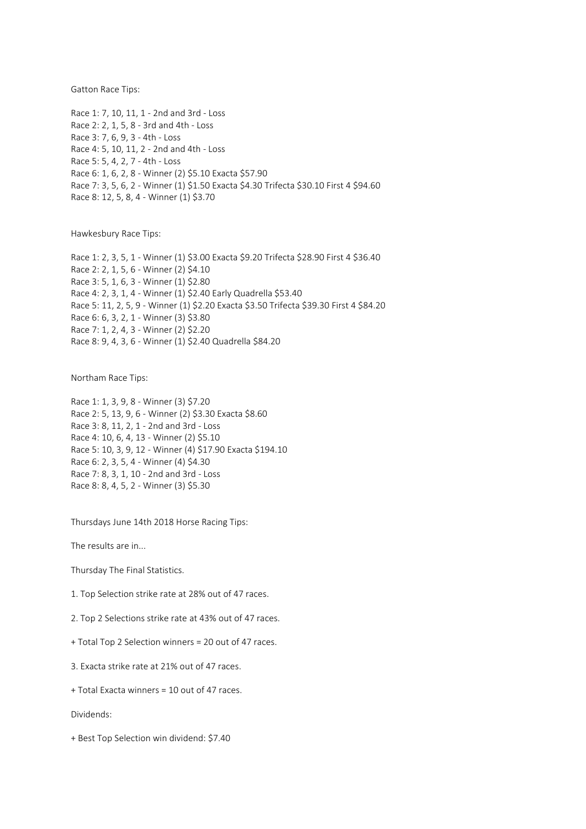Gatton Race Tips:

Race 1: 7, 10, 11, 1 - 2nd and 3rd - Loss Race 2: 2, 1, 5, 8 - 3rd and 4th - Loss Race 3: 7, 6, 9, 3 - 4th - Loss Race 4: 5, 10, 11, 2 - 2nd and 4th - Loss Race 5: 5, 4, 2, 7 - 4th - Loss Race 6: 1, 6, 2, 8 - Winner (2) \$5.10 Exacta \$57.90 Race 7: 3, 5, 6, 2 - Winner (1) \$1.50 Exacta \$4.30 Trifecta \$30.10 First 4 \$94.60 Race 8: 12, 5, 8, 4 - Winner (1) \$3.70

Hawkesbury Race Tips:

Race 1: 2, 3, 5, 1 - Winner (1) \$3.00 Exacta \$9.20 Trifecta \$28.90 First 4 \$36.40 Race 2: 2, 1, 5, 6 - Winner (2) \$4.10 Race 3: 5, 1, 6, 3 - Winner (1) \$2.80 Race 4: 2, 3, 1, 4 - Winner (1) \$2.40 Early Quadrella \$53.40 Race 5: 11, 2, 5, 9 - Winner (1) \$2.20 Exacta \$3.50 Trifecta \$39.30 First 4 \$84.20 Race 6: 6, 3, 2, 1 - Winner (3) \$3.80 Race 7: 1, 2, 4, 3 - Winner (2) \$2.20 Race 8: 9, 4, 3, 6 - Winner (1) \$2.40 Quadrella \$84.20

Northam Race Tips:

Race 1: 1, 3, 9, 8 - Winner (3) \$7.20 Race 2: 5, 13, 9, 6 - Winner (2) \$3.30 Exacta \$8.60 Race 3: 8, 11, 2, 1 - 2nd and 3rd - Loss Race 4: 10, 6, 4, 13 - Winner (2) \$5.10 Race 5: 10, 3, 9, 12 - Winner (4) \$17.90 Exacta \$194.10 Race 6: 2, 3, 5, 4 - Winner (4) \$4.30 Race 7: 8, 3, 1, 10 - 2nd and 3rd - Loss Race 8: 8, 4, 5, 2 - Winner (3) \$5.30

Thursdays June 14th 2018 Horse Racing Tips:

The results are in...

Thursday The Final Statistics.

1. Top Selection strike rate at 28% out of 47 races.

2. Top 2 Selections strike rate at 43% out of 47 races.

+ Total Top 2 Selection winners = 20 out of 47 races.

3. Exacta strike rate at 21% out of 47 races.

+ Total Exacta winners = 10 out of 47 races.

Dividends:

+ Best Top Selection win dividend: \$7.40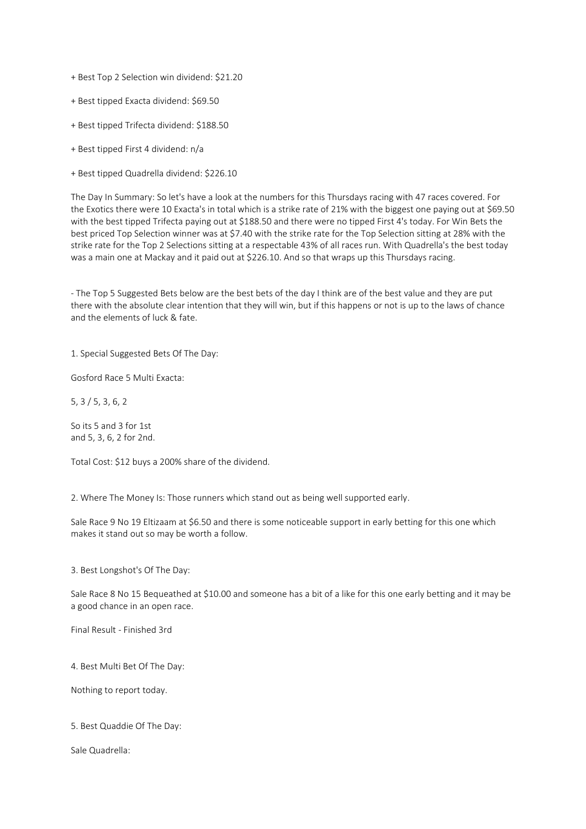+ Best Top 2 Selection win dividend: \$21.20

- + Best tipped Exacta dividend: \$69.50
- + Best tipped Trifecta dividend: \$188.50
- + Best tipped First 4 dividend: n/a
- + Best tipped Quadrella dividend: \$226.10

The Day In Summary: So let's have a look at the numbers for this Thursdays racing with 47 races covered. For the Exotics there were 10 Exacta's in total which is a strike rate of 21% with the biggest one paying out at \$69.50 with the best tipped Trifecta paying out at \$188.50 and there were no tipped First 4's today. For Win Bets the best priced Top Selection winner was at \$7.40 with the strike rate for the Top Selection sitting at 28% with the strike rate for the Top 2 Selections sitting at a respectable 43% of all races run. With Quadrella's the best today was a main one at Mackay and it paid out at \$226.10. And so that wraps up this Thursdays racing.

- The Top 5 Suggested Bets below are the best bets of the day I think are of the best value and they are put there with the absolute clear intention that they will win, but if this happens or not is up to the laws of chance and the elements of luck & fate.

1. Special Suggested Bets Of The Day:

Gosford Race 5 Multi Exacta:

5, 3 / 5, 3, 6, 2

So its 5 and 3 for 1st and 5, 3, 6, 2 for 2nd.

Total Cost: \$12 buys a 200% share of the dividend.

2. Where The Money Is: Those runners which stand out as being well supported early.

Sale Race 9 No 19 Eltizaam at \$6.50 and there is some noticeable support in early betting for this one which makes it stand out so may be worth a follow.

3. Best Longshot's Of The Day:

Sale Race 8 No 15 Bequeathed at \$10.00 and someone has a bit of a like for this one early betting and it may be a good chance in an open race.

Final Result - Finished 3rd

4. Best Multi Bet Of The Day:

Nothing to report today.

5. Best Quaddie Of The Day:

Sale Quadrella: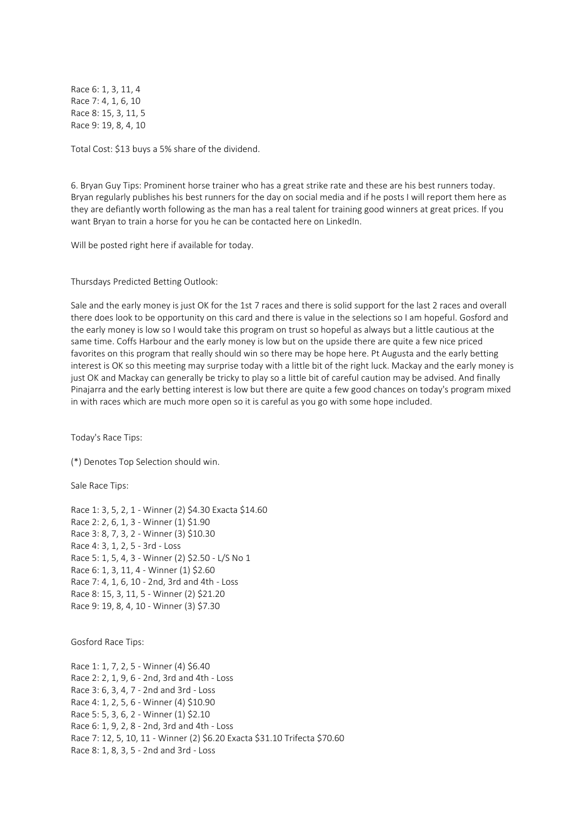Race 6: 1, 3, 11, 4 Race 7: 4, 1, 6, 10 Race 8: 15, 3, 11, 5 Race 9: 19, 8, 4, 10

Total Cost: \$13 buys a 5% share of the dividend.

6. Bryan Guy Tips: Prominent horse trainer who has a great strike rate and these are his best runners today. Bryan regularly publishes his best runners for the day on social media and if he posts I will report them here as they are defiantly worth following as the man has a real talent for training good winners at great prices. If you want Bryan to train a horse for you he can be contacted here on LinkedIn.

Will be posted right here if available for today.

Thursdays Predicted Betting Outlook:

Sale and the early money is just OK for the 1st 7 races and there is solid support for the last 2 races and overall there does look to be opportunity on this card and there is value in the selections so I am hopeful. Gosford and the early money is low so I would take this program on trust so hopeful as always but a little cautious at the same time. Coffs Harbour and the early money is low but on the upside there are quite a few nice priced favorites on this program that really should win so there may be hope here. Pt Augusta and the early betting interest is OK so this meeting may surprise today with a little bit of the right luck. Mackay and the early money is just OK and Mackay can generally be tricky to play so a little bit of careful caution may be advised. And finally Pinajarra and the early betting interest is low but there are quite a few good chances on today's program mixed in with races which are much more open so it is careful as you go with some hope included.

Today's Race Tips:

(\*) Denotes Top Selection should win.

Sale Race Tips:

Race 1: 3, 5, 2, 1 - Winner (2) \$4.30 Exacta \$14.60 Race 2: 2, 6, 1, 3 - Winner (1) \$1.90 Race 3: 8, 7, 3, 2 - Winner (3) \$10.30 Race 4: 3, 1, 2, 5 - 3rd - Loss Race 5: 1, 5, 4, 3 - Winner (2) \$2.50 - L/S No 1 Race 6: 1, 3, 11, 4 - Winner (1) \$2.60 Race 7: 4, 1, 6, 10 - 2nd, 3rd and 4th - Loss Race 8: 15, 3, 11, 5 - Winner (2) \$21.20 Race 9: 19, 8, 4, 10 - Winner (3) \$7.30

Gosford Race Tips:

Race 1: 1, 7, 2, 5 - Winner (4) \$6.40 Race 2: 2, 1, 9, 6 - 2nd, 3rd and 4th - Loss Race 3: 6, 3, 4, 7 - 2nd and 3rd - Loss Race 4: 1, 2, 5, 6 - Winner (4) \$10.90 Race 5: 5, 3, 6, 2 - Winner (1) \$2.10 Race 6: 1, 9, 2, 8 - 2nd, 3rd and 4th - Loss Race 7: 12, 5, 10, 11 - Winner (2) \$6.20 Exacta \$31.10 Trifecta \$70.60 Race 8: 1, 8, 3, 5 - 2nd and 3rd - Loss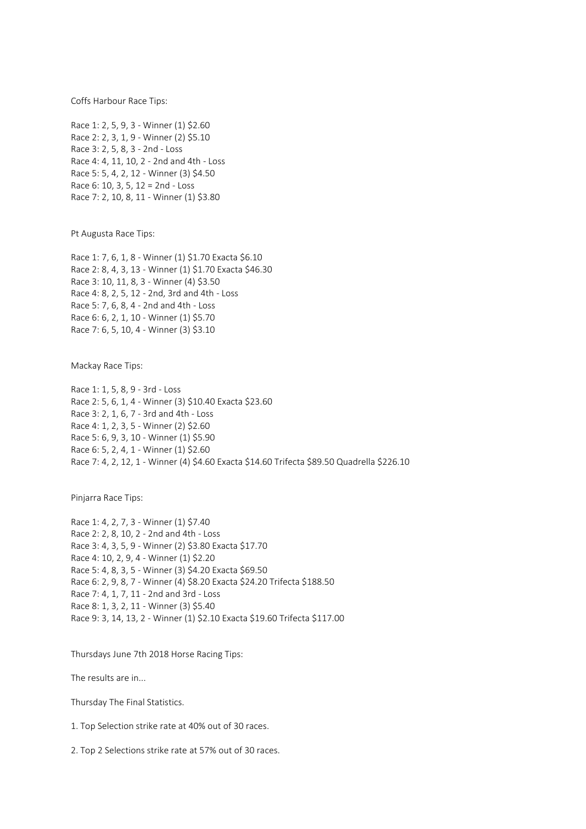Coffs Harbour Race Tips:

Race 1: 2, 5, 9, 3 - Winner (1) \$2.60 Race 2: 2, 3, 1, 9 - Winner (2) \$5.10 Race 3: 2, 5, 8, 3 - 2nd - Loss Race 4: 4, 11, 10, 2 - 2nd and 4th - Loss Race 5: 5, 4, 2, 12 - Winner (3) \$4.50 Race 6: 10, 3, 5, 12 = 2nd - Loss Race 7: 2, 10, 8, 11 - Winner (1) \$3.80

Pt Augusta Race Tips:

Race 1: 7, 6, 1, 8 - Winner (1) \$1.70 Exacta \$6.10 Race 2: 8, 4, 3, 13 - Winner (1) \$1.70 Exacta \$46.30 Race 3: 10, 11, 8, 3 - Winner (4) \$3.50 Race 4: 8, 2, 5, 12 - 2nd, 3rd and 4th - Loss Race 5: 7, 6, 8, 4 - 2nd and 4th - Loss Race 6: 6, 2, 1, 10 - Winner (1) \$5.70 Race 7: 6, 5, 10, 4 - Winner (3) \$3.10

Mackay Race Tips:

Race 1: 1, 5, 8, 9 - 3rd - Loss Race 2: 5, 6, 1, 4 - Winner (3) \$10.40 Exacta \$23.60 Race 3: 2, 1, 6, 7 - 3rd and 4th - Loss Race 4: 1, 2, 3, 5 - Winner (2) \$2.60 Race 5: 6, 9, 3, 10 - Winner (1) \$5.90 Race 6: 5, 2, 4, 1 - Winner (1) \$2.60 Race 7: 4, 2, 12, 1 - Winner (4) \$4.60 Exacta \$14.60 Trifecta \$89.50 Quadrella \$226.10

Pinjarra Race Tips:

Race 1: 4, 2, 7, 3 - Winner (1) \$7.40 Race 2: 2, 8, 10, 2 - 2nd and 4th - Loss Race 3: 4, 3, 5, 9 - Winner (2) \$3.80 Exacta \$17.70 Race 4: 10, 2, 9, 4 - Winner (1) \$2.20 Race 5: 4, 8, 3, 5 - Winner (3) \$4.20 Exacta \$69.50 Race 6: 2, 9, 8, 7 - Winner (4) \$8.20 Exacta \$24.20 Trifecta \$188.50 Race 7: 4, 1, 7, 11 - 2nd and 3rd - Loss Race 8: 1, 3, 2, 11 - Winner (3) \$5.40 Race 9: 3, 14, 13, 2 - Winner (1) \$2.10 Exacta \$19.60 Trifecta \$117.00

Thursdays June 7th 2018 Horse Racing Tips:

The results are in...

Thursday The Final Statistics.

1. Top Selection strike rate at 40% out of 30 races.

2. Top 2 Selections strike rate at 57% out of 30 races.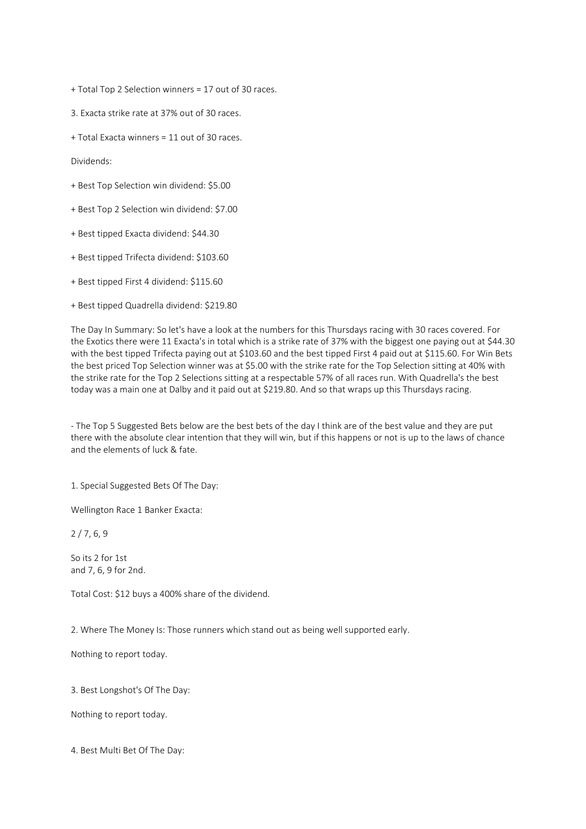+ Total Top 2 Selection winners = 17 out of 30 races.

3. Exacta strike rate at 37% out of 30 races.

+ Total Exacta winners = 11 out of 30 races.

Dividends:

- + Best Top Selection win dividend: \$5.00
- + Best Top 2 Selection win dividend: \$7.00
- + Best tipped Exacta dividend: \$44.30
- + Best tipped Trifecta dividend: \$103.60
- + Best tipped First 4 dividend: \$115.60
- + Best tipped Quadrella dividend: \$219.80

The Day In Summary: So let's have a look at the numbers for this Thursdays racing with 30 races covered. For the Exotics there were 11 Exacta's in total which is a strike rate of 37% with the biggest one paying out at \$44.30 with the best tipped Trifecta paying out at \$103.60 and the best tipped First 4 paid out at \$115.60. For Win Bets the best priced Top Selection winner was at \$5.00 with the strike rate for the Top Selection sitting at 40% with the strike rate for the Top 2 Selections sitting at a respectable 57% of all races run. With Quadrella's the best today was a main one at Dalby and it paid out at \$219.80. And so that wraps up this Thursdays racing.

- The Top 5 Suggested Bets below are the best bets of the day I think are of the best value and they are put there with the absolute clear intention that they will win, but if this happens or not is up to the laws of chance and the elements of luck & fate.

1. Special Suggested Bets Of The Day:

Wellington Race 1 Banker Exacta:

2 / 7, 6, 9

So its 2 for 1st and 7, 6, 9 for 2nd.

Total Cost: \$12 buys a 400% share of the dividend.

2. Where The Money Is: Those runners which stand out as being well supported early.

Nothing to report today.

3. Best Longshot's Of The Day:

Nothing to report today.

4. Best Multi Bet Of The Day: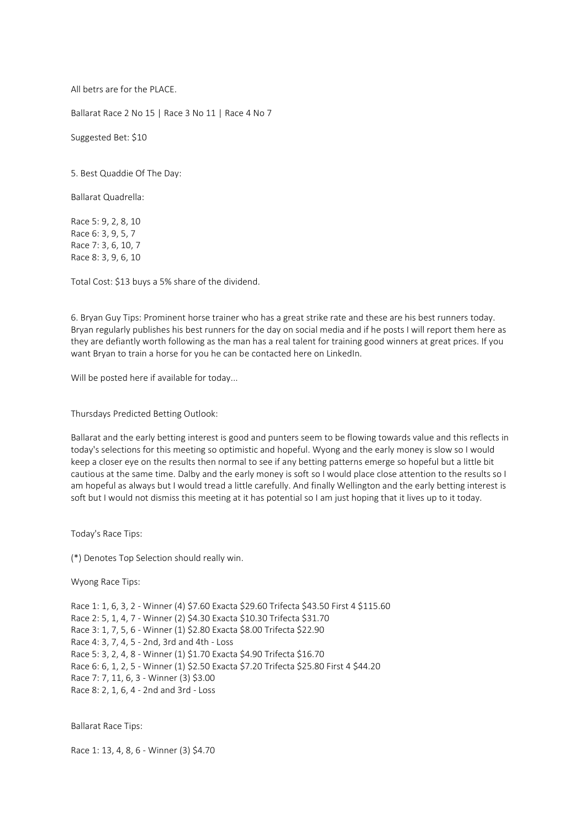All betrs are for the PLACE.

Ballarat Race 2 No 15 | Race 3 No 11 | Race 4 No 7

Suggested Bet: \$10

5. Best Quaddie Of The Day:

Ballarat Quadrella:

Race 5: 9, 2, 8, 10 Race 6: 3, 9, 5, 7 Race 7: 3, 6, 10, 7 Race 8: 3, 9, 6, 10

Total Cost: \$13 buys a 5% share of the dividend.

6. Bryan Guy Tips: Prominent horse trainer who has a great strike rate and these are his best runners today. Bryan regularly publishes his best runners for the day on social media and if he posts I will report them here as they are defiantly worth following as the man has a real talent for training good winners at great prices. If you want Bryan to train a horse for you he can be contacted here on LinkedIn.

Will be posted here if available for today...

Thursdays Predicted Betting Outlook:

Ballarat and the early betting interest is good and punters seem to be flowing towards value and this reflects in today's selections for this meeting so optimistic and hopeful. Wyong and the early money is slow so I would keep a closer eye on the results then normal to see if any betting patterns emerge so hopeful but a little bit cautious at the same time. Dalby and the early money is soft so I would place close attention to the results so I am hopeful as always but I would tread a little carefully. And finally Wellington and the early betting interest is soft but I would not dismiss this meeting at it has potential so I am just hoping that it lives up to it today.

Today's Race Tips:

(\*) Denotes Top Selection should really win.

Wyong Race Tips:

Race 1: 1, 6, 3, 2 - Winner (4) \$7.60 Exacta \$29.60 Trifecta \$43.50 First 4 \$115.60 Race 2: 5, 1, 4, 7 - Winner (2) \$4.30 Exacta \$10.30 Trifecta \$31.70 Race 3: 1, 7, 5, 6 - Winner (1) \$2.80 Exacta \$8.00 Trifecta \$22.90 Race 4: 3, 7, 4, 5 - 2nd, 3rd and 4th - Loss Race 5: 3, 2, 4, 8 - Winner (1) \$1.70 Exacta \$4.90 Trifecta \$16.70 Race 6: 6, 1, 2, 5 - Winner (1) \$2.50 Exacta \$7.20 Trifecta \$25.80 First 4 \$44.20 Race 7: 7, 11, 6, 3 - Winner (3) \$3.00 Race 8: 2, 1, 6, 4 - 2nd and 3rd - Loss

Ballarat Race Tips:

Race 1: 13, 4, 8, 6 - Winner (3) \$4.70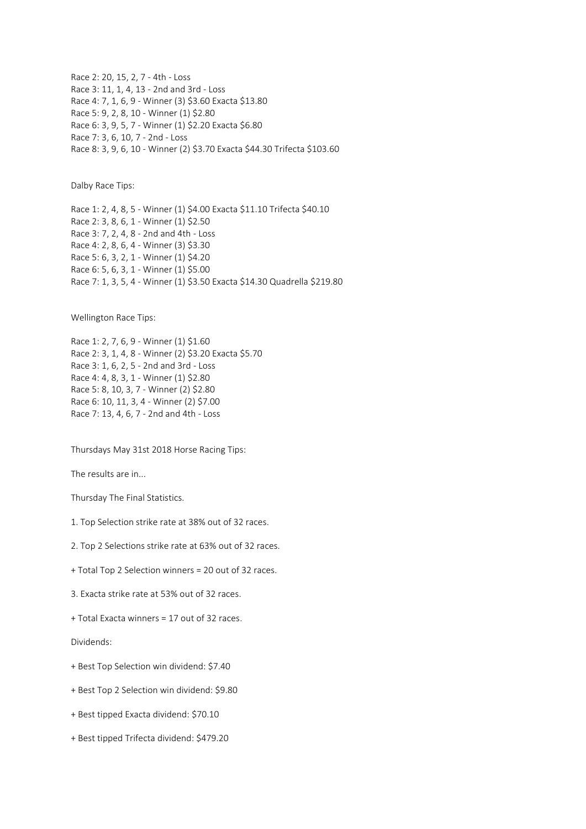Race 2: 20, 15, 2, 7 - 4th - Loss Race 3: 11, 1, 4, 13 - 2nd and 3rd - Loss Race 4: 7, 1, 6, 9 - Winner (3) \$3.60 Exacta \$13.80 Race 5: 9, 2, 8, 10 - Winner (1) \$2.80 Race 6: 3, 9, 5, 7 - Winner (1) \$2.20 Exacta \$6.80 Race 7: 3, 6, 10, 7 - 2nd - Loss Race 8: 3, 9, 6, 10 - Winner (2) \$3.70 Exacta \$44.30 Trifecta \$103.60

Dalby Race Tips:

Race 1: 2, 4, 8, 5 - Winner (1) \$4.00 Exacta \$11.10 Trifecta \$40.10 Race 2: 3, 8, 6, 1 - Winner (1) \$2.50 Race 3: 7, 2, 4, 8 - 2nd and 4th - Loss Race 4: 2, 8, 6, 4 - Winner (3) \$3.30 Race 5: 6, 3, 2, 1 - Winner (1) \$4.20 Race 6: 5, 6, 3, 1 - Winner (1) \$5.00 Race 7: 1, 3, 5, 4 - Winner (1) \$3.50 Exacta \$14.30 Quadrella \$219.80

Wellington Race Tips:

Race 1: 2, 7, 6, 9 - Winner (1) \$1.60 Race 2: 3, 1, 4, 8 - Winner (2) \$3.20 Exacta \$5.70 Race 3: 1, 6, 2, 5 - 2nd and 3rd - Loss Race 4: 4, 8, 3, 1 - Winner (1) \$2.80 Race 5: 8, 10, 3, 7 - Winner (2) \$2.80 Race 6: 10, 11, 3, 4 - Winner (2) \$7.00 Race 7: 13, 4, 6, 7 - 2nd and 4th - Loss

Thursdays May 31st 2018 Horse Racing Tips:

The results are in...

Thursday The Final Statistics.

- 1. Top Selection strike rate at 38% out of 32 races.
- 2. Top 2 Selections strike rate at 63% out of 32 races.
- + Total Top 2 Selection winners = 20 out of 32 races.
- 3. Exacta strike rate at 53% out of 32 races.
- + Total Exacta winners = 17 out of 32 races.

Dividends:

- + Best Top Selection win dividend: \$7.40
- + Best Top 2 Selection win dividend: \$9.80
- + Best tipped Exacta dividend: \$70.10
- + Best tipped Trifecta dividend: \$479.20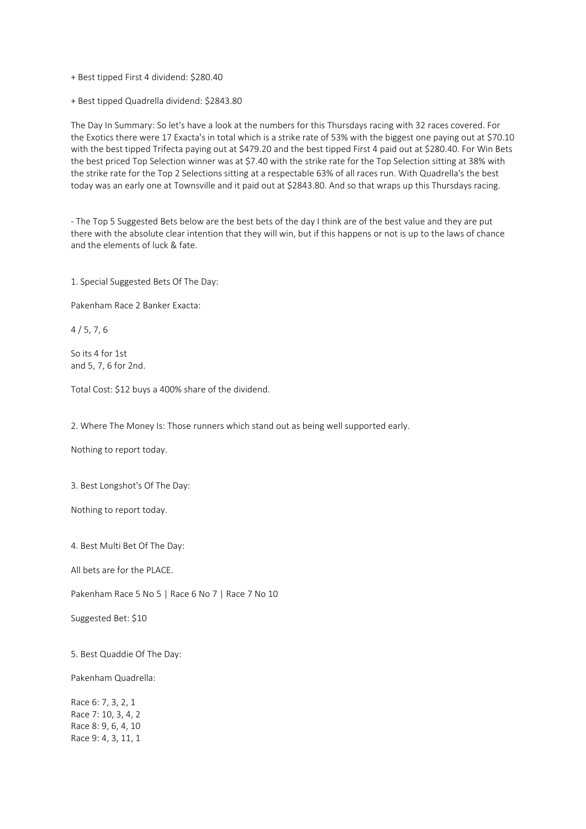- + Best tipped First 4 dividend: \$280.40
- + Best tipped Quadrella dividend: \$2843.80

The Day In Summary: So let's have a look at the numbers for this Thursdays racing with 32 races covered. For the Exotics there were 17 Exacta's in total which is a strike rate of 53% with the biggest one paying out at \$70.10 with the best tipped Trifecta paying out at \$479.20 and the best tipped First 4 paid out at \$280.40. For Win Bets the best priced Top Selection winner was at \$7.40 with the strike rate for the Top Selection sitting at 38% with the strike rate for the Top 2 Selections sitting at a respectable 63% of all races run. With Quadrella's the best today was an early one at Townsville and it paid out at \$2843.80. And so that wraps up this Thursdays racing.

- The Top 5 Suggested Bets below are the best bets of the day I think are of the best value and they are put there with the absolute clear intention that they will win, but if this happens or not is up to the laws of chance and the elements of luck & fate.

1. Special Suggested Bets Of The Day:

Pakenham Race 2 Banker Exacta:

4 / 5, 7, 6

So its 4 for 1st and 5, 7, 6 for 2nd.

Total Cost: \$12 buys a 400% share of the dividend.

2. Where The Money Is: Those runners which stand out as being well supported early.

Nothing to report today.

3. Best Longshot's Of The Day:

Nothing to report today.

4. Best Multi Bet Of The Day:

All bets are for the PLACE.

Pakenham Race 5 No 5 | Race 6 No 7 | Race 7 No 10

Suggested Bet: \$10

5. Best Quaddie Of The Day:

Pakenham Quadrella:

Race 6: 7, 3, 2, 1 Race 7: 10, 3, 4, 2 Race 8: 9, 6, 4, 10 Race 9: 4, 3, 11, 1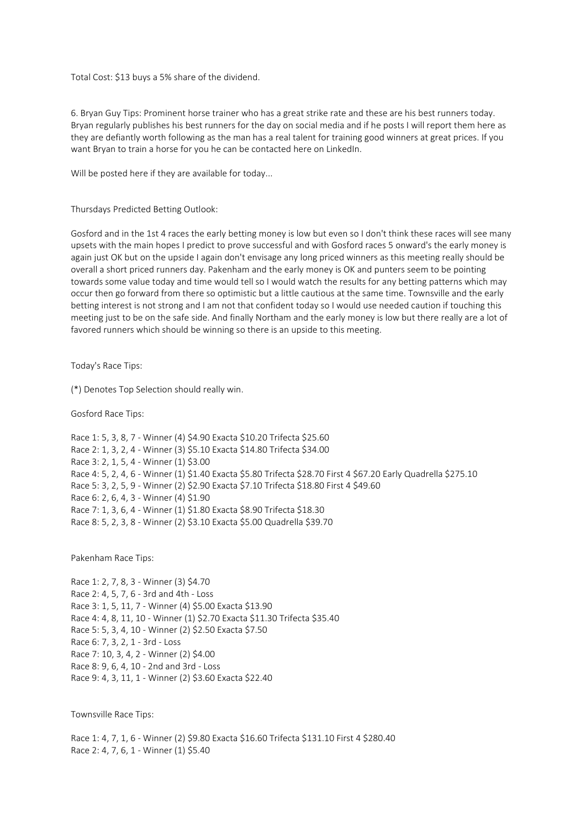Total Cost: \$13 buys a 5% share of the dividend.

6. Bryan Guy Tips: Prominent horse trainer who has a great strike rate and these are his best runners today. Bryan regularly publishes his best runners for the day on social media and if he posts I will report them here as they are defiantly worth following as the man has a real talent for training good winners at great prices. If you want Bryan to train a horse for you he can be contacted here on LinkedIn.

Will be posted here if they are available for today...

Thursdays Predicted Betting Outlook:

Gosford and in the 1st 4 races the early betting money is low but even so I don't think these races will see many upsets with the main hopes I predict to prove successful and with Gosford races 5 onward's the early money is again just OK but on the upside I again don't envisage any long priced winners as this meeting really should be overall a short priced runners day. Pakenham and the early money is OK and punters seem to be pointing towards some value today and time would tell so I would watch the results for any betting patterns which may occur then go forward from there so optimistic but a little cautious at the same time. Townsville and the early betting interest is not strong and I am not that confident today so I would use needed caution if touching this meeting just to be on the safe side. And finally Northam and the early money is low but there really are a lot of favored runners which should be winning so there is an upside to this meeting.

Today's Race Tips:

(\*) Denotes Top Selection should really win.

Gosford Race Tips:

Race 1: 5, 3, 8, 7 - Winner (4) \$4.90 Exacta \$10.20 Trifecta \$25.60 Race 2: 1, 3, 2, 4 - Winner (3) \$5.10 Exacta \$14.80 Trifecta \$34.00 Race 3: 2, 1, 5, 4 - Winner (1) \$3.00 Race 4: 5, 2, 4, 6 - Winner (1) \$1.40 Exacta \$5.80 Trifecta \$28.70 First 4 \$67.20 Early Quadrella \$275.10 Race 5: 3, 2, 5, 9 - Winner (2) \$2.90 Exacta \$7.10 Trifecta \$18.80 First 4 \$49.60 Race 6: 2, 6, 4, 3 - Winner (4) \$1.90 Race 7: 1, 3, 6, 4 - Winner (1) \$1.80 Exacta \$8.90 Trifecta \$18.30 Race 8: 5, 2, 3, 8 - Winner (2) \$3.10 Exacta \$5.00 Quadrella \$39.70

Pakenham Race Tips:

Race 1: 2, 7, 8, 3 - Winner (3) \$4.70 Race 2: 4, 5, 7, 6 - 3rd and 4th - Loss Race 3: 1, 5, 11, 7 - Winner (4) \$5.00 Exacta \$13.90 Race 4: 4, 8, 11, 10 - Winner (1) \$2.70 Exacta \$11.30 Trifecta \$35.40 Race 5: 5, 3, 4, 10 - Winner (2) \$2.50 Exacta \$7.50 Race 6: 7, 3, 2, 1 - 3rd - Loss Race 7: 10, 3, 4, 2 - Winner (2) \$4.00 Race 8: 9, 6, 4, 10 - 2nd and 3rd - Loss Race 9: 4, 3, 11, 1 - Winner (2) \$3.60 Exacta \$22.40

Townsville Race Tips:

Race 1: 4, 7, 1, 6 - Winner (2) \$9.80 Exacta \$16.60 Trifecta \$131.10 First 4 \$280.40 Race 2: 4, 7, 6, 1 - Winner (1) \$5.40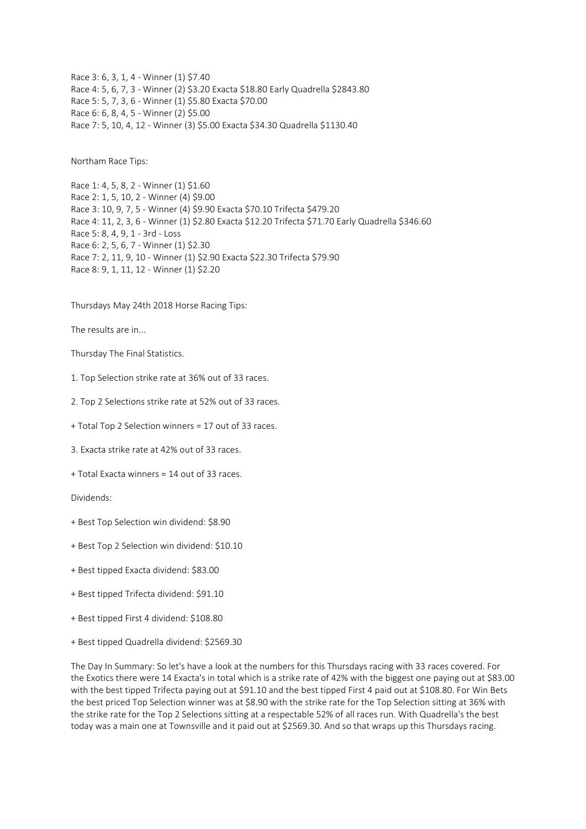Race 3: 6, 3, 1, 4 - Winner (1) \$7.40 Race 4: 5, 6, 7, 3 - Winner (2) \$3.20 Exacta \$18.80 Early Quadrella \$2843.80 Race 5: 5, 7, 3, 6 - Winner (1) \$5.80 Exacta \$70.00 Race 6: 6, 8, 4, 5 - Winner (2) \$5.00 Race 7: 5, 10, 4, 12 - Winner (3) \$5.00 Exacta \$34.30 Quadrella \$1130.40

Northam Race Tips:

Race 1: 4, 5, 8, 2 - Winner (1) \$1.60 Race 2: 1, 5, 10, 2 - Winner (4) \$9.00 Race 3: 10, 9, 7, 5 - Winner (4) \$9.90 Exacta \$70.10 Trifecta \$479.20 Race 4: 11, 2, 3, 6 - Winner (1) \$2.80 Exacta \$12.20 Trifecta \$71.70 Early Quadrella \$346.60 Race 5: 8, 4, 9, 1 - 3rd - Loss Race 6: 2, 5, 6, 7 - Winner (1) \$2.30 Race 7: 2, 11, 9, 10 - Winner (1) \$2.90 Exacta \$22.30 Trifecta \$79.90 Race 8: 9, 1, 11, 12 - Winner (1) \$2.20

## Thursdays May 24th 2018 Horse Racing Tips:

The results are in...

Thursday The Final Statistics.

- 1. Top Selection strike rate at 36% out of 33 races.
- 2. Top 2 Selections strike rate at 52% out of 33 races.
- + Total Top 2 Selection winners = 17 out of 33 races.
- 3. Exacta strike rate at 42% out of 33 races.
- + Total Exacta winners = 14 out of 33 races.

Dividends:

- + Best Top Selection win dividend: \$8.90
- + Best Top 2 Selection win dividend: \$10.10
- + Best tipped Exacta dividend: \$83.00
- + Best tipped Trifecta dividend: \$91.10
- + Best tipped First 4 dividend: \$108.80
- + Best tipped Quadrella dividend: \$2569.30

The Day In Summary: So let's have a look at the numbers for this Thursdays racing with 33 races covered. For the Exotics there were 14 Exacta's in total which is a strike rate of 42% with the biggest one paying out at \$83.00 with the best tipped Trifecta paying out at \$91.10 and the best tipped First 4 paid out at \$108.80. For Win Bets the best priced Top Selection winner was at \$8.90 with the strike rate for the Top Selection sitting at 36% with the strike rate for the Top 2 Selections sitting at a respectable 52% of all races run. With Quadrella's the best today was a main one at Townsville and it paid out at \$2569.30. And so that wraps up this Thursdays racing.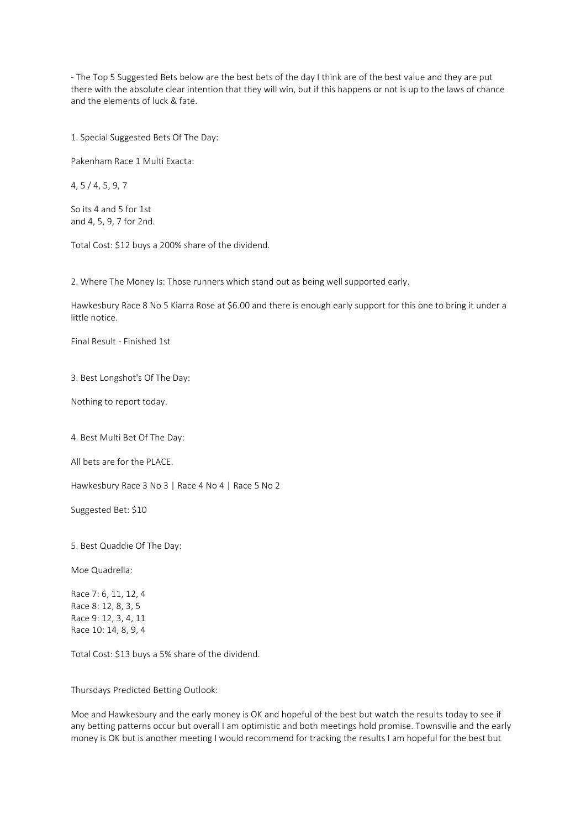- The Top 5 Suggested Bets below are the best bets of the day I think are of the best value and they are put there with the absolute clear intention that they will win, but if this happens or not is up to the laws of chance and the elements of luck & fate.

1. Special Suggested Bets Of The Day:

Pakenham Race 1 Multi Exacta:

4, 5 / 4, 5, 9, 7

So its 4 and 5 for 1st and 4, 5, 9, 7 for 2nd.

Total Cost: \$12 buys a 200% share of the dividend.

2. Where The Money Is: Those runners which stand out as being well supported early.

Hawkesbury Race 8 No 5 Kiarra Rose at \$6.00 and there is enough early support for this one to bring it under a little notice.

Final Result - Finished 1st

3. Best Longshot's Of The Day:

Nothing to report today.

4. Best Multi Bet Of The Day:

All bets are for the PLACE.

Hawkesbury Race 3 No 3 | Race 4 No 4 | Race 5 No 2

Suggested Bet: \$10

5. Best Quaddie Of The Day:

Moe Quadrella:

Race 7: 6, 11, 12, 4 Race 8: 12, 8, 3, 5 Race 9: 12, 3, 4, 11 Race 10: 14, 8, 9, 4

Total Cost: \$13 buys a 5% share of the dividend.

Thursdays Predicted Betting Outlook:

Moe and Hawkesbury and the early money is OK and hopeful of the best but watch the results today to see if any betting patterns occur but overall I am optimistic and both meetings hold promise. Townsville and the early money is OK but is another meeting I would recommend for tracking the results I am hopeful for the best but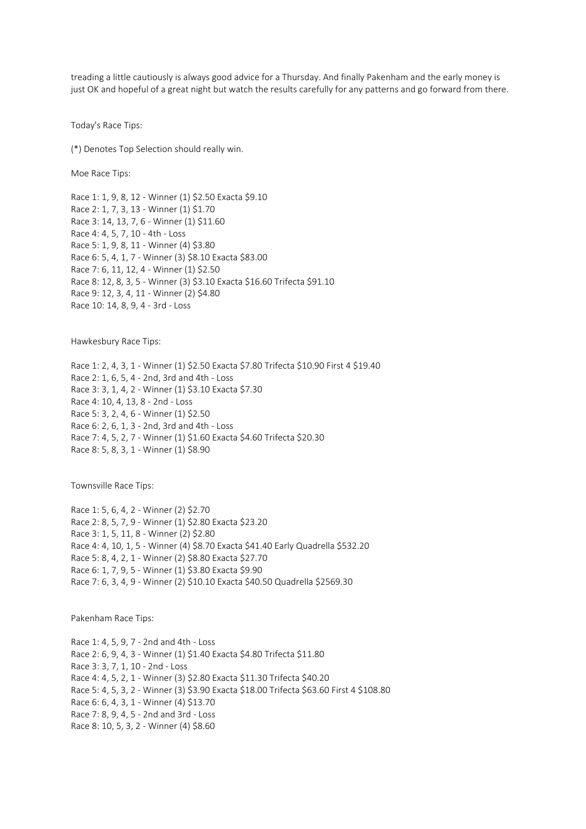treading a little cautiously is always good advice for a Thursday. And finally Pakenham and the early money is just OK and hopeful of a great night but watch the results carefully for any patterns and go forward from there.

Today's Race Tips:

(\*) Denotes Top Selection should really win.

Moe Race Tips:

Race 1: 1, 9, 8, 12 - Winner (1) \$2.50 Exacta \$9.10 Race 2: 1, 7, 3, 13 - Winner (1) \$1.70 Race 3: 14, 13, 7, 6 - Winner (1) \$11.60 Race 4: 4, 5, 7, 10 - 4th - Loss Race 5: 1, 9, 8, 11 - Winner (4) \$3.80 Race 6: 5, 4, 1, 7 - Winner (3) \$8.10 Exacta \$83.00 Race 7: 6, 11, 12, 4 - Winner (1) \$2.50 Race 8: 12, 8, 3, 5 - Winner (3) \$3.10 Exacta \$16.60 Trifecta \$91.10 Race 9: 12, 3, 4, 11 - Winner (2) \$4.80 Race 10: 14, 8, 9, 4 - 3rd - Loss

Hawkesbury Race Tips:

Race 1: 2, 4, 3, 1 - Winner (1) \$2.50 Exacta \$7.80 Trifecta \$10.90 First 4 \$19.40 Race 2: 1, 6, 5, 4 - 2nd, 3rd and 4th - Loss Race 3: 3, 1, 4, 2 - Winner (1) \$3.10 Exacta \$7.30 Race 4: 10, 4, 13, 8 - 2nd - Loss Race 5: 3, 2, 4, 6 - Winner (1) \$2.50 Race 6: 2, 6, 1, 3 - 2nd, 3rd and 4th - Loss Race 7: 4, 5, 2, 7 - Winner (1) \$1.60 Exacta \$4.60 Trifecta \$20.30 Race 8: 5, 8, 3, 1 - Winner (1) \$8.90

Townsville Race Tips:

Race 1: 5, 6, 4, 2 - Winner (2) \$2.70 Race 2: 8, 5, 7, 9 - Winner (1) \$2.80 Exacta \$23.20 Race 3: 1, 5, 11, 8 - Winner (2) \$2.80 Race 4: 4, 10, 1, 5 - Winner (4) \$8.70 Exacta \$41.40 Early Quadrella \$532.20 Race 5: 8, 4, 2, 1 - Winner (2) \$8.80 Exacta \$27.70 Race 6: 1, 7, 9, 5 - Winner (1) \$3.80 Exacta \$9.90 Race 7: 6, 3, 4, 9 - Winner (2) \$10.10 Exacta \$40.50 Quadrella \$2569.30

Pakenham Race Tips:

Race 1: 4, 5, 9, 7 - 2nd and 4th - Loss Race 2: 6, 9, 4, 3 - Winner (1) \$1.40 Exacta \$4.80 Trifecta \$11.80 Race 3: 3, 7, 1, 10 - 2nd - Loss Race 4: 4, 5, 2, 1 - Winner (3) \$2.80 Exacta \$11.30 Trifecta \$40.20 Race 5: 4, 5, 3, 2 - Winner (3) \$3.90 Exacta \$18.00 Trifecta \$63.60 First 4 \$108.80 Race 6: 6, 4, 3, 1 - Winner (4) \$13.70 Race 7: 8, 9, 4, 5 - 2nd and 3rd - Loss Race 8: 10, 5, 3, 2 - Winner (4) \$8.60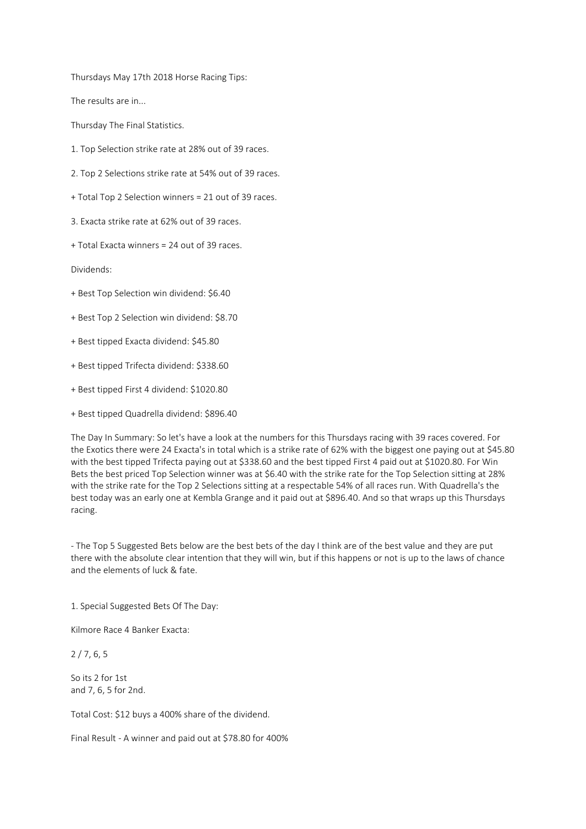Thursdays May 17th 2018 Horse Racing Tips:

The results are in...

Thursday The Final Statistics.

- 1. Top Selection strike rate at 28% out of 39 races.
- 2. Top 2 Selections strike rate at 54% out of 39 races.
- + Total Top 2 Selection winners = 21 out of 39 races.

3. Exacta strike rate at 62% out of 39 races.

+ Total Exacta winners = 24 out of 39 races.

Dividends:

- + Best Top Selection win dividend: \$6.40
- + Best Top 2 Selection win dividend: \$8.70
- + Best tipped Exacta dividend: \$45.80
- + Best tipped Trifecta dividend: \$338.60
- + Best tipped First 4 dividend: \$1020.80
- + Best tipped Quadrella dividend: \$896.40

The Day In Summary: So let's have a look at the numbers for this Thursdays racing with 39 races covered. For the Exotics there were 24 Exacta's in total which is a strike rate of 62% with the biggest one paying out at \$45.80 with the best tipped Trifecta paying out at \$338.60 and the best tipped First 4 paid out at \$1020.80. For Win Bets the best priced Top Selection winner was at \$6.40 with the strike rate for the Top Selection sitting at 28% with the strike rate for the Top 2 Selections sitting at a respectable 54% of all races run. With Quadrella's the best today was an early one at Kembla Grange and it paid out at \$896.40. And so that wraps up this Thursdays racing.

- The Top 5 Suggested Bets below are the best bets of the day I think are of the best value and they are put there with the absolute clear intention that they will win, but if this happens or not is up to the laws of chance and the elements of luck & fate.

1. Special Suggested Bets Of The Day:

Kilmore Race 4 Banker Exacta:

2 / 7, 6, 5

So its 2 for 1st and 7, 6, 5 for 2nd.

Total Cost: \$12 buys a 400% share of the dividend.

Final Result - A winner and paid out at \$78.80 for 400%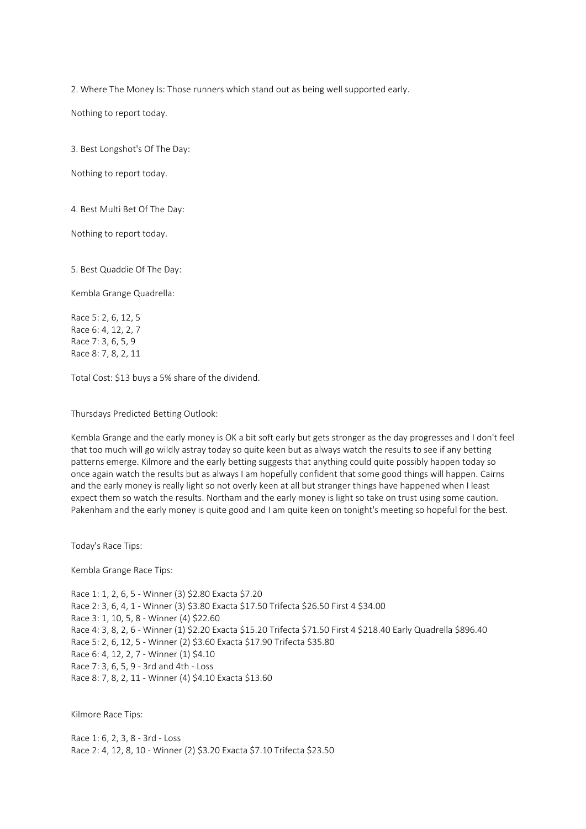2. Where The Money Is: Those runners which stand out as being well supported early.

Nothing to report today.

3. Best Longshot's Of The Day:

Nothing to report today.

4. Best Multi Bet Of The Day:

Nothing to report today.

5. Best Quaddie Of The Day:

Kembla Grange Quadrella:

Race 5: 2, 6, 12, 5 Race 6: 4, 12, 2, 7 Race 7: 3, 6, 5, 9 Race 8: 7, 8, 2, 11

Total Cost: \$13 buys a 5% share of the dividend.

Thursdays Predicted Betting Outlook:

Kembla Grange and the early money is OK a bit soft early but gets stronger as the day progresses and I don't feel that too much will go wildly astray today so quite keen but as always watch the results to see if any betting patterns emerge. Kilmore and the early betting suggests that anything could quite possibly happen today so once again watch the results but as always I am hopefully confident that some good things will happen. Cairns and the early money is really light so not overly keen at all but stranger things have happened when I least expect them so watch the results. Northam and the early money is light so take on trust using some caution. Pakenham and the early money is quite good and I am quite keen on tonight's meeting so hopeful for the best.

Today's Race Tips:

Kembla Grange Race Tips:

Race 1: 1, 2, 6, 5 - Winner (3) \$2.80 Exacta \$7.20 Race 2: 3, 6, 4, 1 - Winner (3) \$3.80 Exacta \$17.50 Trifecta \$26.50 First 4 \$34.00 Race 3: 1, 10, 5, 8 - Winner (4) \$22.60 Race 4: 3, 8, 2, 6 - Winner (1) \$2.20 Exacta \$15.20 Trifecta \$71.50 First 4 \$218.40 Early Quadrella \$896.40 Race 5: 2, 6, 12, 5 - Winner (2) \$3.60 Exacta \$17.90 Trifecta \$35.80 Race 6: 4, 12, 2, 7 - Winner (1) \$4.10 Race 7: 3, 6, 5, 9 - 3rd and 4th - Loss Race 8: 7, 8, 2, 11 - Winner (4) \$4.10 Exacta \$13.60

Kilmore Race Tips:

Race 1: 6, 2, 3, 8 - 3rd - Loss Race 2: 4, 12, 8, 10 - Winner (2) \$3.20 Exacta \$7.10 Trifecta \$23.50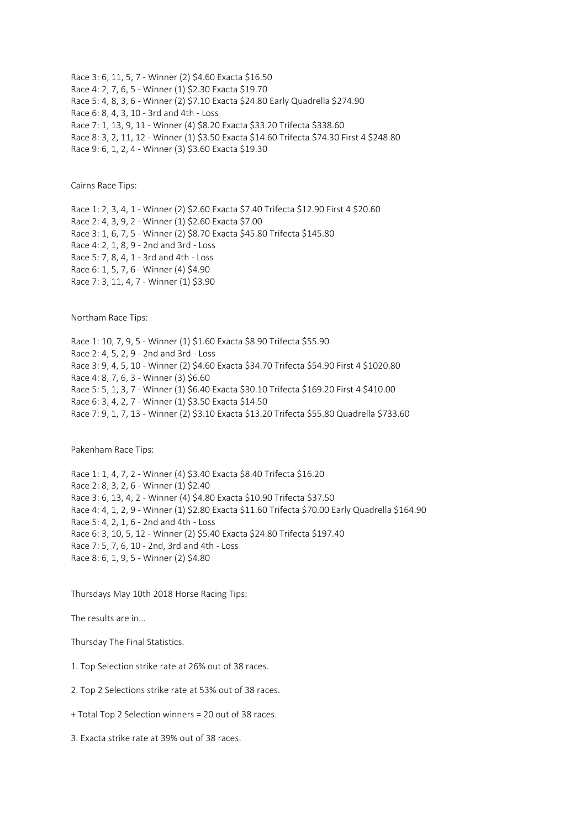Race 3: 6, 11, 5, 7 - Winner (2) \$4.60 Exacta \$16.50 Race 4: 2, 7, 6, 5 - Winner (1) \$2.30 Exacta \$19.70 Race 5: 4, 8, 3, 6 - Winner (2) \$7.10 Exacta \$24.80 Early Quadrella \$274.90 Race 6: 8, 4, 3, 10 - 3rd and 4th - Loss Race 7: 1, 13, 9, 11 - Winner (4) \$8.20 Exacta \$33.20 Trifecta \$338.60 Race 8: 3, 2, 11, 12 - Winner (1) \$3.50 Exacta \$14.60 Trifecta \$74.30 First 4 \$248.80 Race 9: 6, 1, 2, 4 - Winner (3) \$3.60 Exacta \$19.30

Cairns Race Tips:

Race 1: 2, 3, 4, 1 - Winner (2) \$2.60 Exacta \$7.40 Trifecta \$12.90 First 4 \$20.60 Race 2: 4, 3, 9, 2 - Winner (1) \$2.60 Exacta \$7.00 Race 3: 1, 6, 7, 5 - Winner (2) \$8.70 Exacta \$45.80 Trifecta \$145.80 Race 4: 2, 1, 8, 9 - 2nd and 3rd - Loss Race 5: 7, 8, 4, 1 - 3rd and 4th - Loss Race 6: 1, 5, 7, 6 - Winner (4) \$4.90 Race 7: 3, 11, 4, 7 - Winner (1) \$3.90

Northam Race Tips:

Race 1: 10, 7, 9, 5 - Winner (1) \$1.60 Exacta \$8.90 Trifecta \$55.90 Race 2: 4, 5, 2, 9 - 2nd and 3rd - Loss Race 3: 9, 4, 5, 10 - Winner (2) \$4.60 Exacta \$34.70 Trifecta \$54.90 First 4 \$1020.80 Race 4: 8, 7, 6, 3 - Winner (3) \$6.60 Race 5: 5, 1, 3, 7 - Winner (1) \$6.40 Exacta \$30.10 Trifecta \$169.20 First 4 \$410.00 Race 6: 3, 4, 2, 7 - Winner (1) \$3.50 Exacta \$14.50 Race 7: 9, 1, 7, 13 - Winner (2) \$3.10 Exacta \$13.20 Trifecta \$55.80 Quadrella \$733.60

Pakenham Race Tips:

Race 1: 1, 4, 7, 2 - Winner (4) \$3.40 Exacta \$8.40 Trifecta \$16.20 Race 2: 8, 3, 2, 6 - Winner (1) \$2.40 Race 3: 6, 13, 4, 2 - Winner (4) \$4.80 Exacta \$10.90 Trifecta \$37.50 Race 4: 4, 1, 2, 9 - Winner (1) \$2.80 Exacta \$11.60 Trifecta \$70.00 Early Quadrella \$164.90 Race 5: 4, 2, 1, 6 - 2nd and 4th - Loss Race 6: 3, 10, 5, 12 - Winner (2) \$5.40 Exacta \$24.80 Trifecta \$197.40 Race 7: 5, 7, 6, 10 - 2nd, 3rd and 4th - Loss Race 8: 6, 1, 9, 5 - Winner (2) \$4.80

Thursdays May 10th 2018 Horse Racing Tips:

The results are in...

Thursday The Final Statistics.

1. Top Selection strike rate at 26% out of 38 races.

- 2. Top 2 Selections strike rate at 53% out of 38 races.
- + Total Top 2 Selection winners = 20 out of 38 races.
- 3. Exacta strike rate at 39% out of 38 races.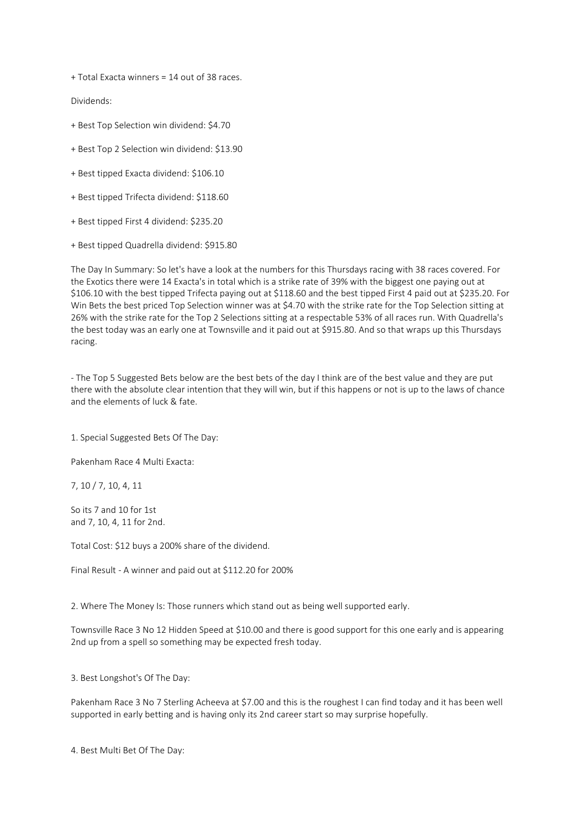+ Total Exacta winners = 14 out of 38 races.

Dividends:

- + Best Top Selection win dividend: \$4.70
- + Best Top 2 Selection win dividend: \$13.90
- + Best tipped Exacta dividend: \$106.10
- + Best tipped Trifecta dividend: \$118.60
- + Best tipped First 4 dividend: \$235.20
- + Best tipped Quadrella dividend: \$915.80

The Day In Summary: So let's have a look at the numbers for this Thursdays racing with 38 races covered. For the Exotics there were 14 Exacta's in total which is a strike rate of 39% with the biggest one paying out at \$106.10 with the best tipped Trifecta paying out at \$118.60 and the best tipped First 4 paid out at \$235.20. For Win Bets the best priced Top Selection winner was at \$4.70 with the strike rate for the Top Selection sitting at 26% with the strike rate for the Top 2 Selections sitting at a respectable 53% of all races run. With Quadrella's the best today was an early one at Townsville and it paid out at \$915.80. And so that wraps up this Thursdays racing.

- The Top 5 Suggested Bets below are the best bets of the day I think are of the best value and they are put there with the absolute clear intention that they will win, but if this happens or not is up to the laws of chance and the elements of luck & fate.

1. Special Suggested Bets Of The Day:

Pakenham Race 4 Multi Exacta:

7, 10 / 7, 10, 4, 11

So its 7 and 10 for 1st and 7, 10, 4, 11 for 2nd.

Total Cost: \$12 buys a 200% share of the dividend.

Final Result - A winner and paid out at \$112.20 for 200%

2. Where The Money Is: Those runners which stand out as being well supported early.

Townsville Race 3 No 12 Hidden Speed at \$10.00 and there is good support for this one early and is appearing 2nd up from a spell so something may be expected fresh today.

3. Best Longshot's Of The Day:

Pakenham Race 3 No 7 Sterling Acheeva at \$7.00 and this is the roughest I can find today and it has been well supported in early betting and is having only its 2nd career start so may surprise hopefully.

4. Best Multi Bet Of The Day: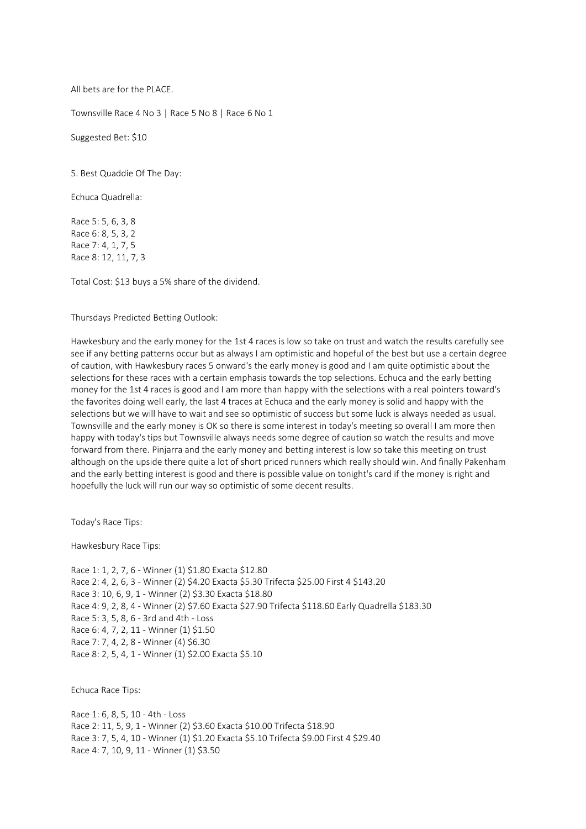All bets are for the PLACE.

Townsville Race 4 No 3 | Race 5 No 8 | Race 6 No 1

Suggested Bet: \$10

5. Best Quaddie Of The Day:

Echuca Quadrella:

Race 5: 5, 6, 3, 8 Race 6: 8, 5, 3, 2 Race 7: 4, 1, 7, 5 Race 8: 12, 11, 7, 3

Total Cost: \$13 buys a 5% share of the dividend.

Thursdays Predicted Betting Outlook:

Hawkesbury and the early money for the 1st 4 races is low so take on trust and watch the results carefully see see if any betting patterns occur but as always I am optimistic and hopeful of the best but use a certain degree of caution, with Hawkesbury races 5 onward's the early money is good and I am quite optimistic about the selections for these races with a certain emphasis towards the top selections. Echuca and the early betting money for the 1st 4 races is good and I am more than happy with the selections with a real pointers toward's the favorites doing well early, the last 4 traces at Echuca and the early money is solid and happy with the selections but we will have to wait and see so optimistic of success but some luck is always needed as usual. Townsville and the early money is OK so there is some interest in today's meeting so overall I am more then happy with today's tips but Townsville always needs some degree of caution so watch the results and move forward from there. Pinjarra and the early money and betting interest is low so take this meeting on trust although on the upside there quite a lot of short priced runners which really should win. And finally Pakenham and the early betting interest is good and there is possible value on tonight's card if the money is right and hopefully the luck will run our way so optimistic of some decent results.

Today's Race Tips:

Hawkesbury Race Tips:

Race 1: 1, 2, 7, 6 - Winner (1) \$1.80 Exacta \$12.80 Race 2: 4, 2, 6, 3 - Winner (2) \$4.20 Exacta \$5.30 Trifecta \$25.00 First 4 \$143.20 Race 3: 10, 6, 9, 1 - Winner (2) \$3.30 Exacta \$18.80 Race 4: 9, 2, 8, 4 - Winner (2) \$7.60 Exacta \$27.90 Trifecta \$118.60 Early Quadrella \$183.30 Race 5: 3, 5, 8, 6 - 3rd and 4th - Loss Race 6: 4, 7, 2, 11 - Winner (1) \$1.50 Race 7: 7, 4, 2, 8 - Winner (4) \$6.30 Race 8: 2, 5, 4, 1 - Winner (1) \$2.00 Exacta \$5.10

Echuca Race Tips:

Race 1: 6, 8, 5, 10 - 4th - Loss Race 2: 11, 5, 9, 1 - Winner (2) \$3.60 Exacta \$10.00 Trifecta \$18.90 Race 3: 7, 5, 4, 10 - Winner (1) \$1.20 Exacta \$5.10 Trifecta \$9.00 First 4 \$29.40 Race 4: 7, 10, 9, 11 - Winner (1) \$3.50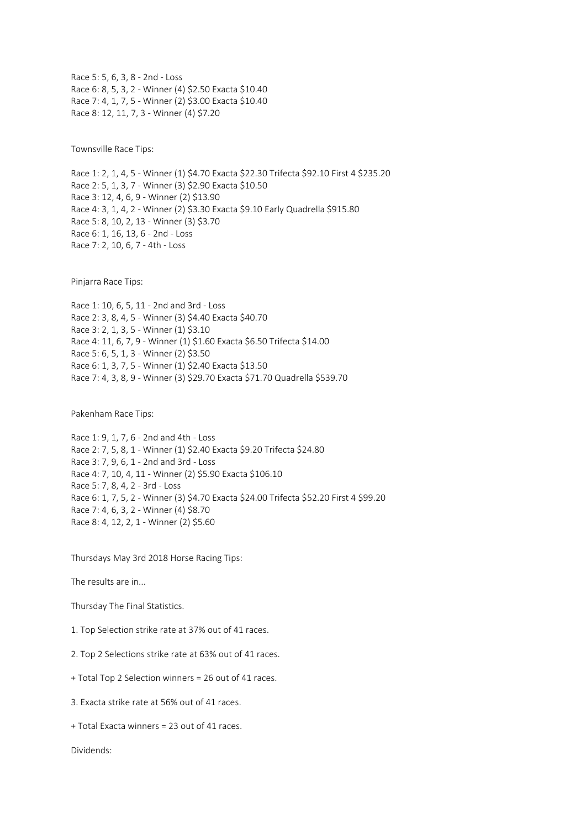Race 5: 5, 6, 3, 8 - 2nd - Loss Race 6: 8, 5, 3, 2 - Winner (4) \$2.50 Exacta \$10.40 Race 7: 4, 1, 7, 5 - Winner (2) \$3.00 Exacta \$10.40 Race 8: 12, 11, 7, 3 - Winner (4) \$7.20

Townsville Race Tips:

Race 1: 2, 1, 4, 5 - Winner (1) \$4.70 Exacta \$22.30 Trifecta \$92.10 First 4 \$235.20 Race 2: 5, 1, 3, 7 - Winner (3) \$2.90 Exacta \$10.50 Race 3: 12, 4, 6, 9 - Winner (2) \$13.90 Race 4: 3, 1, 4, 2 - Winner (2) \$3.30 Exacta \$9.10 Early Quadrella \$915.80 Race 5: 8, 10, 2, 13 - Winner (3) \$3.70 Race 6: 1, 16, 13, 6 - 2nd - Loss Race 7: 2, 10, 6, 7 - 4th - Loss

Pinjarra Race Tips:

Race 1: 10, 6, 5, 11 - 2nd and 3rd - Loss Race 2: 3, 8, 4, 5 - Winner (3) \$4.40 Exacta \$40.70 Race 3: 2, 1, 3, 5 - Winner (1) \$3.10 Race 4: 11, 6, 7, 9 - Winner (1) \$1.60 Exacta \$6.50 Trifecta \$14.00 Race 5: 6, 5, 1, 3 - Winner (2) \$3.50 Race 6: 1, 3, 7, 5 - Winner (1) \$2.40 Exacta \$13.50 Race 7: 4, 3, 8, 9 - Winner (3) \$29.70 Exacta \$71.70 Quadrella \$539.70

Pakenham Race Tips:

Race 1: 9, 1, 7, 6 - 2nd and 4th - Loss Race 2: 7, 5, 8, 1 - Winner (1) \$2.40 Exacta \$9.20 Trifecta \$24.80 Race 3: 7, 9, 6, 1 - 2nd and 3rd - Loss Race 4: 7, 10, 4, 11 - Winner (2) \$5.90 Exacta \$106.10 Race 5: 7, 8, 4, 2 - 3rd - Loss Race 6: 1, 7, 5, 2 - Winner (3) \$4.70 Exacta \$24.00 Trifecta \$52.20 First 4 \$99.20 Race 7: 4, 6, 3, 2 - Winner (4) \$8.70 Race 8: 4, 12, 2, 1 - Winner (2) \$5.60

Thursdays May 3rd 2018 Horse Racing Tips:

The results are in...

Thursday The Final Statistics.

1. Top Selection strike rate at 37% out of 41 races.

2. Top 2 Selections strike rate at 63% out of 41 races.

+ Total Top 2 Selection winners = 26 out of 41 races.

3. Exacta strike rate at 56% out of 41 races.

+ Total Exacta winners = 23 out of 41 races.

Dividends: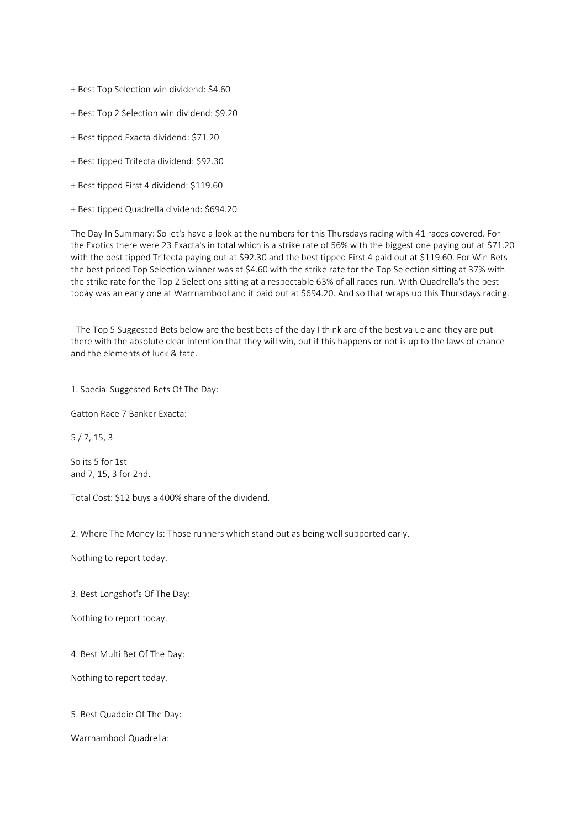+ Best Top Selection win dividend: \$4.60

+ Best Top 2 Selection win dividend: \$9.20

+ Best tipped Exacta dividend: \$71.20

+ Best tipped Trifecta dividend: \$92.30

+ Best tipped First 4 dividend: \$119.60

+ Best tipped Quadrella dividend: \$694.20

The Day In Summary: So let's have a look at the numbers for this Thursdays racing with 41 races covered. For the Exotics there were 23 Exacta's in total which is a strike rate of 56% with the biggest one paying out at \$71.20 with the best tipped Trifecta paying out at \$92.30 and the best tipped First 4 paid out at \$119.60. For Win Bets the best priced Top Selection winner was at \$4.60 with the strike rate for the Top Selection sitting at 37% with the strike rate for the Top 2 Selections sitting at a respectable 63% of all races run. With Quadrella's the best today was an early one at Warrnambool and it paid out at \$694.20. And so that wraps up this Thursdays racing.

- The Top 5 Suggested Bets below are the best bets of the day I think are of the best value and they are put there with the absolute clear intention that they will win, but if this happens or not is up to the laws of chance and the elements of luck & fate.

1. Special Suggested Bets Of The Day:

Gatton Race 7 Banker Exacta:

5 / 7, 15, 3

So its 5 for 1st and 7, 15, 3 for 2nd.

Total Cost: \$12 buys a 400% share of the dividend.

2. Where The Money Is: Those runners which stand out as being well supported early.

Nothing to report today.

3. Best Longshot's Of The Day:

Nothing to report today.

4. Best Multi Bet Of The Day:

Nothing to report today.

5. Best Quaddie Of The Day:

Warrnambool Quadrella: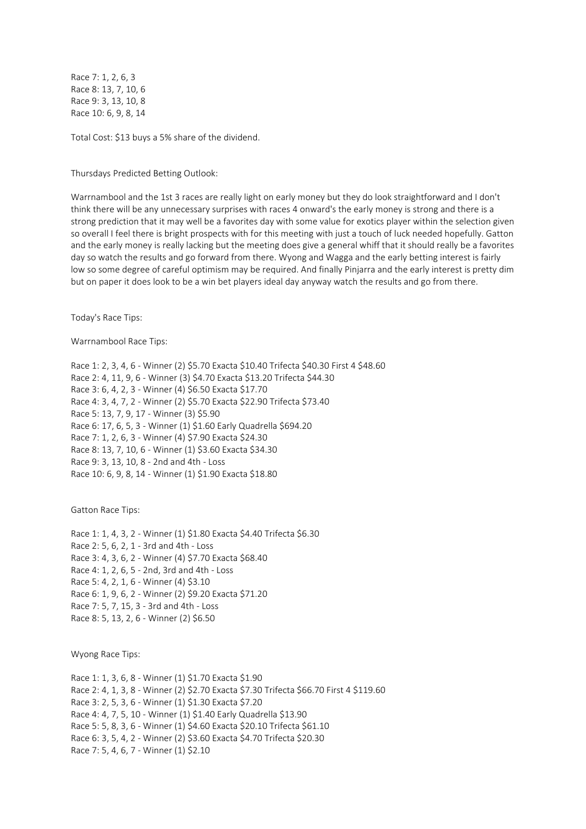Race 7: 1, 2, 6, 3 Race 8: 13, 7, 10, 6 Race 9: 3, 13, 10, 8 Race 10: 6, 9, 8, 14

Total Cost: \$13 buys a 5% share of the dividend.

Thursdays Predicted Betting Outlook:

Warrnambool and the 1st 3 races are really light on early money but they do look straightforward and I don't think there will be any unnecessary surprises with races 4 onward's the early money is strong and there is a strong prediction that it may well be a favorites day with some value for exotics player within the selection given so overall I feel there is bright prospects with for this meeting with just a touch of luck needed hopefully. Gatton and the early money is really lacking but the meeting does give a general whiff that it should really be a favorites day so watch the results and go forward from there. Wyong and Wagga and the early betting interest is fairly low so some degree of careful optimism may be required. And finally Pinjarra and the early interest is pretty dim but on paper it does look to be a win bet players ideal day anyway watch the results and go from there.

Today's Race Tips:

Warrnambool Race Tips:

Race 1: 2, 3, 4, 6 - Winner (2) \$5.70 Exacta \$10.40 Trifecta \$40.30 First 4 \$48.60 Race 2: 4, 11, 9, 6 - Winner (3) \$4.70 Exacta \$13.20 Trifecta \$44.30 Race 3: 6, 4, 2, 3 - Winner (4) \$6.50 Exacta \$17.70 Race 4: 3, 4, 7, 2 - Winner (2) \$5.70 Exacta \$22.90 Trifecta \$73.40 Race 5: 13, 7, 9, 17 - Winner (3) \$5.90 Race 6: 17, 6, 5, 3 - Winner (1) \$1.60 Early Quadrella \$694.20 Race 7: 1, 2, 6, 3 - Winner (4) \$7.90 Exacta \$24.30 Race 8: 13, 7, 10, 6 - Winner (1) \$3.60 Exacta \$34.30 Race 9: 3, 13, 10, 8 - 2nd and 4th - Loss Race 10: 6, 9, 8, 14 - Winner (1) \$1.90 Exacta \$18.80

Gatton Race Tips:

Race 1: 1, 4, 3, 2 - Winner (1) \$1.80 Exacta \$4.40 Trifecta \$6.30 Race 2: 5, 6, 2, 1 - 3rd and 4th - Loss Race 3: 4, 3, 6, 2 - Winner (4) \$7.70 Exacta \$68.40 Race 4: 1, 2, 6, 5 - 2nd, 3rd and 4th - Loss Race 5: 4, 2, 1, 6 - Winner (4) \$3.10 Race 6: 1, 9, 6, 2 - Winner (2) \$9.20 Exacta \$71.20 Race 7: 5, 7, 15, 3 - 3rd and 4th - Loss Race 8: 5, 13, 2, 6 - Winner (2) \$6.50

Wyong Race Tips:

Race 1: 1, 3, 6, 8 - Winner (1) \$1.70 Exacta \$1.90 Race 2: 4, 1, 3, 8 - Winner (2) \$2.70 Exacta \$7.30 Trifecta \$66.70 First 4 \$119.60 Race 3: 2, 5, 3, 6 - Winner (1) \$1.30 Exacta \$7.20 Race 4: 4, 7, 5, 10 - Winner (1) \$1.40 Early Quadrella \$13.90 Race 5: 5, 8, 3, 6 - Winner (1) \$4.60 Exacta \$20.10 Trifecta \$61.10 Race 6: 3, 5, 4, 2 - Winner (2) \$3.60 Exacta \$4.70 Trifecta \$20.30 Race 7: 5, 4, 6, 7 - Winner (1) \$2.10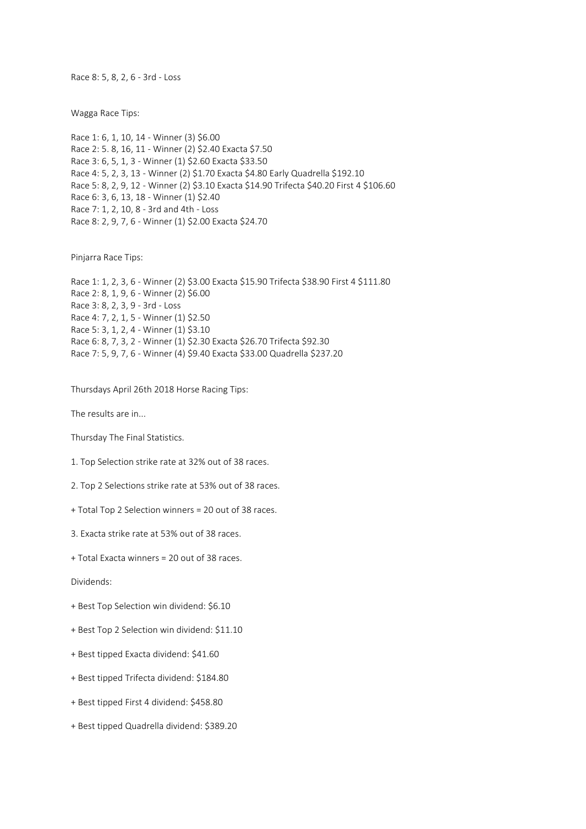Race 8: 5, 8, 2, 6 - 3rd - Loss

Wagga Race Tips:

Race 1: 6, 1, 10, 14 - Winner (3) \$6.00 Race 2: 5. 8, 16, 11 - Winner (2) \$2.40 Exacta \$7.50 Race 3: 6, 5, 1, 3 - Winner (1) \$2.60 Exacta \$33.50 Race 4: 5, 2, 3, 13 - Winner (2) \$1.70 Exacta \$4.80 Early Quadrella \$192.10 Race 5: 8, 2, 9, 12 - Winner (2) \$3.10 Exacta \$14.90 Trifecta \$40.20 First 4 \$106.60 Race 6: 3, 6, 13, 18 - Winner (1) \$2.40 Race 7: 1, 2, 10, 8 - 3rd and 4th - Loss Race 8: 2, 9, 7, 6 - Winner (1) \$2.00 Exacta \$24.70

Pinjarra Race Tips:

Race 1: 1, 2, 3, 6 - Winner (2) \$3.00 Exacta \$15.90 Trifecta \$38.90 First 4 \$111.80 Race 2: 8, 1, 9, 6 - Winner (2) \$6.00 Race 3: 8, 2, 3, 9 - 3rd - Loss Race 4: 7, 2, 1, 5 - Winner (1) \$2.50 Race 5: 3, 1, 2, 4 - Winner (1) \$3.10 Race 6: 8, 7, 3, 2 - Winner (1) \$2.30 Exacta \$26.70 Trifecta \$92.30 Race 7: 5, 9, 7, 6 - Winner (4) \$9.40 Exacta \$33.00 Quadrella \$237.20

Thursdays April 26th 2018 Horse Racing Tips:

The results are in...

Thursday The Final Statistics.

1. Top Selection strike rate at 32% out of 38 races.

2. Top 2 Selections strike rate at 53% out of 38 races.

+ Total Top 2 Selection winners = 20 out of 38 races.

3. Exacta strike rate at 53% out of 38 races.

+ Total Exacta winners = 20 out of 38 races.

Dividends:

+ Best Top Selection win dividend: \$6.10

+ Best Top 2 Selection win dividend: \$11.10

+ Best tipped Exacta dividend: \$41.60

+ Best tipped Trifecta dividend: \$184.80

+ Best tipped First 4 dividend: \$458.80

+ Best tipped Quadrella dividend: \$389.20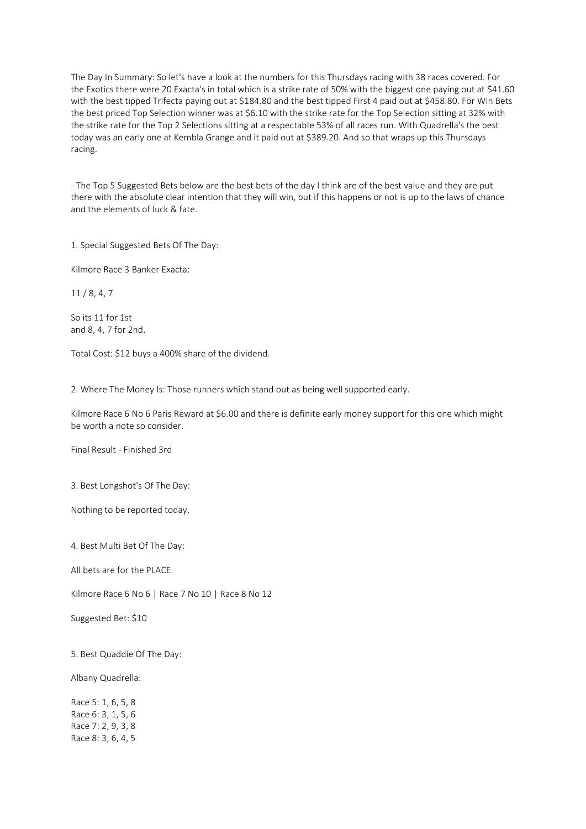The Day In Summary: So let's have a look at the numbers for this Thursdays racing with 38 races covered. For the Exotics there were 20 Exacta's in total which is a strike rate of 50% with the biggest one paying out at \$41.60 with the best tipped Trifecta paying out at \$184.80 and the best tipped First 4 paid out at \$458.80. For Win Bets the best priced Top Selection winner was at \$6.10 with the strike rate for the Top Selection sitting at 32% with the strike rate for the Top 2 Selections sitting at a respectable 53% of all races run. With Quadrella's the best today was an early one at Kembla Grange and it paid out at \$389.20. And so that wraps up this Thursdays racing.

- The Top 5 Suggested Bets below are the best bets of the day I think are of the best value and they are put there with the absolute clear intention that they will win, but if this happens or not is up to the laws of chance and the elements of luck & fate.

1. Special Suggested Bets Of The Day:

Kilmore Race 3 Banker Exacta:

11 / 8, 4, 7

So its 11 for 1st and 8, 4, 7 for 2nd.

Total Cost: \$12 buys a 400% share of the dividend.

2. Where The Money Is: Those runners which stand out as being well supported early.

Kilmore Race 6 No 6 Paris Reward at \$6.00 and there is definite early money support for this one which might be worth a note so consider.

Final Result - Finished 3rd

3. Best Longshot's Of The Day:

Nothing to be reported today.

4. Best Multi Bet Of The Day:

All bets are for the PLACE.

Kilmore Race 6 No 6 | Race 7 No 10 | Race 8 No 12

Suggested Bet: \$10

5. Best Quaddie Of The Day:

Albany Quadrella:

Race 5: 1, 6, 5, 8 Race 6: 3, 1, 5, 6 Race 7: 2, 9, 3, 8 Race 8: 3, 6, 4, 5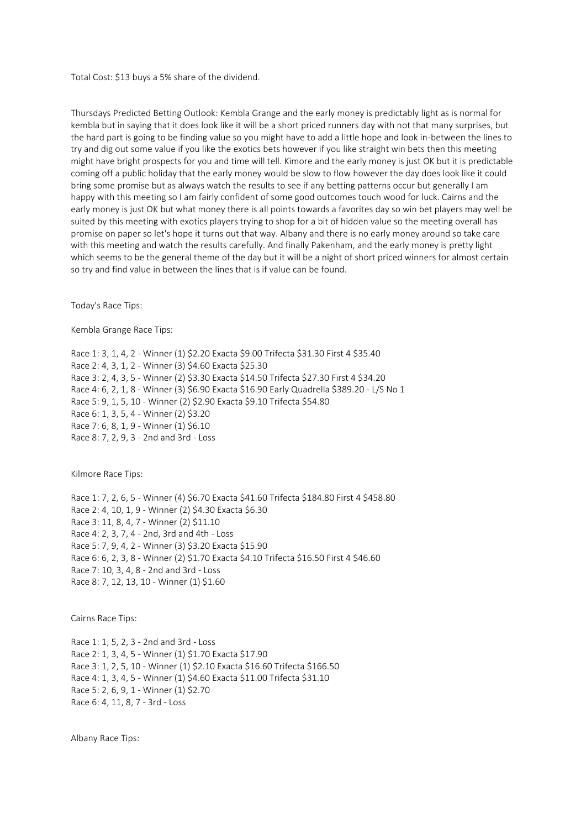Total Cost: \$13 buys a 5% share of the dividend.

Thursdays Predicted Betting Outlook: Kembla Grange and the early money is predictably light as is normal for kembla but in saying that it does look like it will be a short priced runners day with not that many surprises, but the hard part is going to be finding value so you might have to add a little hope and look in-between the lines to try and dig out some value if you like the exotics bets however if you like straight win bets then this meeting might have bright prospects for you and time will tell. Kimore and the early money is just OK but it is predictable coming off a public holiday that the early money would be slow to flow however the day does look like it could bring some promise but as always watch the results to see if any betting patterns occur but generally I am happy with this meeting so I am fairly confident of some good outcomes touch wood for luck. Cairns and the early money is just OK but what money there is all points towards a favorites day so win bet players may well be suited by this meeting with exotics players trying to shop for a bit of hidden value so the meeting overall has promise on paper so let's hope it turns out that way. Albany and there is no early money around so take care with this meeting and watch the results carefully. And finally Pakenham, and the early money is pretty light which seems to be the general theme of the day but it will be a night of short priced winners for almost certain so try and find value in between the lines that is if value can be found.

Today's Race Tips:

Kembla Grange Race Tips:

Race 1: 3, 1, 4, 2 - Winner (1) \$2.20 Exacta \$9.00 Trifecta \$31.30 First 4 \$35.40 Race 2: 4, 3, 1, 2 - Winner (3) \$4.60 Exacta \$25.30 Race 3: 2, 4, 3, 5 - Winner (2) \$3.30 Exacta \$14.50 Trifecta \$27.30 First 4 \$34.20 Race 4: 6, 2, 1, 8 - Winner (3) \$6.90 Exacta \$16.90 Early Quadrella \$389.20 - L/S No 1 Race 5: 9, 1, 5, 10 - Winner (2) \$2.90 Exacta \$9.10 Trifecta \$54.80 Race 6: 1, 3, 5, 4 - Winner (2) \$3.20 Race 7: 6, 8, 1, 9 - Winner (1) \$6.10 Race 8: 7, 2, 9, 3 - 2nd and 3rd - Loss

Kilmore Race Tips:

Race 1: 7, 2, 6, 5 - Winner (4) \$6.70 Exacta \$41.60 Trifecta \$184.80 First 4 \$458.80 Race 2: 4, 10, 1, 9 - Winner (2) \$4.30 Exacta \$6.30 Race 3: 11, 8, 4, 7 - Winner (2) \$11.10 Race 4: 2, 3, 7, 4 - 2nd, 3rd and 4th - Loss Race 5: 7, 9, 4, 2 - Winner (3) \$3.20 Exacta \$15.90 Race 6: 6, 2, 3, 8 - Winner (2) \$1.70 Exacta \$4.10 Trifecta \$16.50 First 4 \$46.60 Race 7: 10, 3, 4, 8 - 2nd and 3rd - Loss Race 8: 7, 12, 13, 10 - Winner (1) \$1.60

Cairns Race Tips:

Race 1: 1, 5, 2, 3 - 2nd and 3rd - Loss Race 2: 1, 3, 4, 5 - Winner (1) \$1.70 Exacta \$17.90 Race 3: 1, 2, 5, 10 - Winner (1) \$2.10 Exacta \$16.60 Trifecta \$166.50 Race 4: 1, 3, 4, 5 - Winner (1) \$4.60 Exacta \$11.00 Trifecta \$31.10 Race 5: 2, 6, 9, 1 - Winner (1) \$2.70 Race 6: 4, 11, 8, 7 - 3rd - Loss

Albany Race Tips: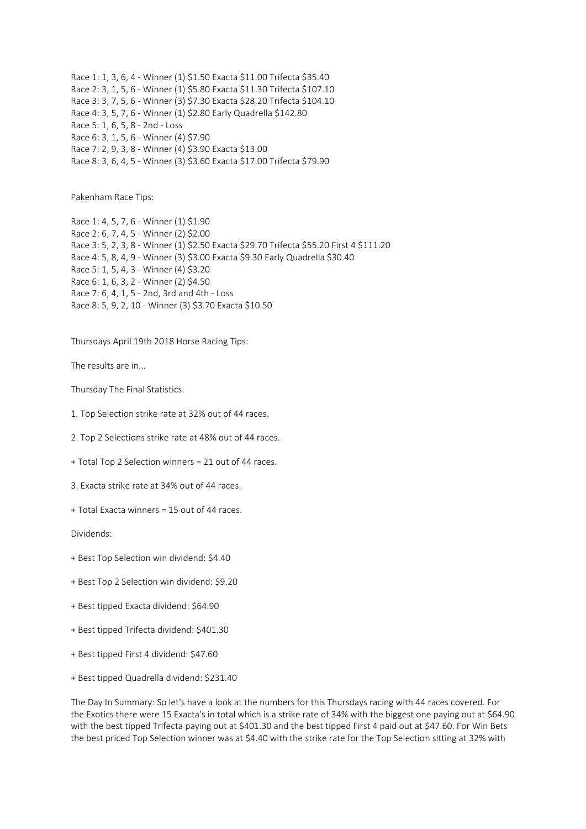Race 1: 1, 3, 6, 4 - Winner (1) \$1.50 Exacta \$11.00 Trifecta \$35.40 Race 2: 3, 1, 5, 6 - Winner (1) \$5.80 Exacta \$11.30 Trifecta \$107.10 Race 3: 3, 7, 5, 6 - Winner (3) \$7.30 Exacta \$28.20 Trifecta \$104.10 Race 4: 3, 5, 7, 6 - Winner (1) \$2.80 Early Quadrella \$142.80 Race 5: 1, 6, 5, 8 - 2nd - Loss Race 6: 3, 1, 5, 6 - Winner (4) \$7.90 Race 7: 2, 9, 3, 8 - Winner (4) \$3.90 Exacta \$13.00 Race 8: 3, 6, 4, 5 - Winner (3) \$3.60 Exacta \$17.00 Trifecta \$79.90

Pakenham Race Tips:

Race 1: 4, 5, 7, 6 - Winner (1) \$1.90 Race 2: 6, 7, 4, 5 - Winner (2) \$2.00 Race 3: 5, 2, 3, 8 - Winner (1) \$2.50 Exacta \$29.70 Trifecta \$55.20 First 4 \$111.20 Race 4: 5, 8, 4, 9 - Winner (3) \$3.00 Exacta \$9.30 Early Quadrella \$30.40 Race 5: 1, 5, 4, 3 - Winner (4) \$3.20 Race 6: 1, 6, 3, 2 - Winner (2) \$4.50 Race 7: 6, 4, 1, 5 - 2nd, 3rd and 4th - Loss Race 8: 5, 9, 2, 10 - Winner (3) \$3.70 Exacta \$10.50

Thursdays April 19th 2018 Horse Racing Tips:

The results are in...

Thursday The Final Statistics.

1. Top Selection strike rate at 32% out of 44 races.

2. Top 2 Selections strike rate at 48% out of 44 races.

- + Total Top 2 Selection winners = 21 out of 44 races.
- 3. Exacta strike rate at 34% out of 44 races.
- + Total Exacta winners = 15 out of 44 races.

Dividends:

- + Best Top Selection win dividend: \$4.40
- + Best Top 2 Selection win dividend: \$9.20
- + Best tipped Exacta dividend: \$64.90
- + Best tipped Trifecta dividend: \$401.30
- + Best tipped First 4 dividend: \$47.60
- + Best tipped Quadrella dividend: \$231.40

The Day In Summary: So let's have a look at the numbers for this Thursdays racing with 44 races covered. For the Exotics there were 15 Exacta's in total which is a strike rate of 34% with the biggest one paying out at \$64.90 with the best tipped Trifecta paying out at \$401.30 and the best tipped First 4 paid out at \$47.60. For Win Bets the best priced Top Selection winner was at \$4.40 with the strike rate for the Top Selection sitting at 32% with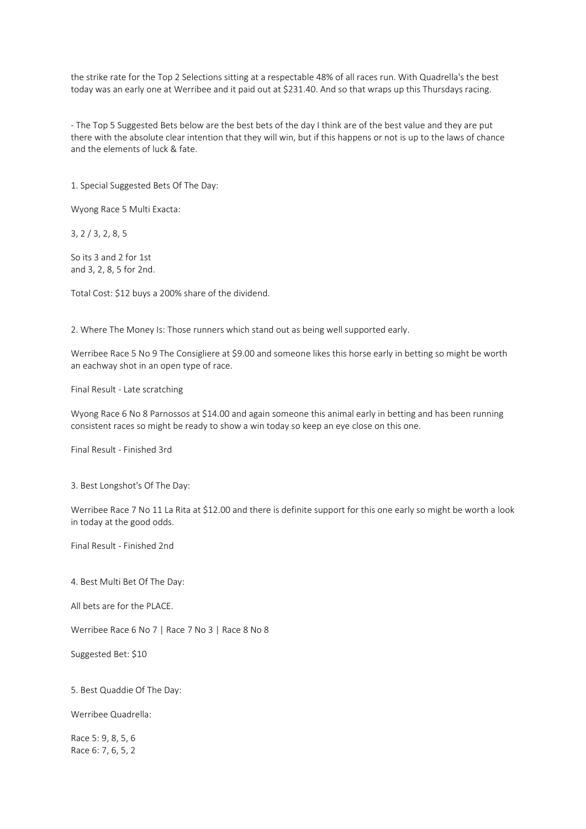the strike rate for the Top 2 Selections sitting at a respectable 48% of all races run. With Quadrella's the best today was an early one at Werribee and it paid out at \$231.40. And so that wraps up this Thursdays racing.

- The Top 5 Suggested Bets below are the best bets of the day I think are of the best value and they are put there with the absolute clear intention that they will win, but if this happens or not is up to the laws of chance and the elements of luck & fate.

1. Special Suggested Bets Of The Day:

Wyong Race 5 Multi Exacta:

3, 2 / 3, 2, 8, 5

So its 3 and 2 for 1st and 3, 2, 8, 5 for 2nd.

Total Cost: \$12 buys a 200% share of the dividend.

2. Where The Money Is: Those runners which stand out as being well supported early.

Werribee Race 5 No 9 The Consigliere at \$9.00 and someone likes this horse early in betting so might be worth an eachway shot in an open type of race.

Final Result - Late scratching

Wyong Race 6 No 8 Parnossos at \$14.00 and again someone this animal early in betting and has been running consistent races so might be ready to show a win today so keep an eye close on this one.

Final Result - Finished 3rd

3. Best Longshot's Of The Day:

Werribee Race 7 No 11 La Rita at \$12.00 and there is definite support for this one early so might be worth a look in today at the good odds.

Final Result - Finished 2nd

4. Best Multi Bet Of The Day:

All bets are for the PLACE.

Werribee Race 6 No 7 | Race 7 No 3 | Race 8 No 8

Suggested Bet: \$10

5. Best Quaddie Of The Day:

Werribee Quadrella:

Race 5: 9, 8, 5, 6 Race 6: 7, 6, 5, 2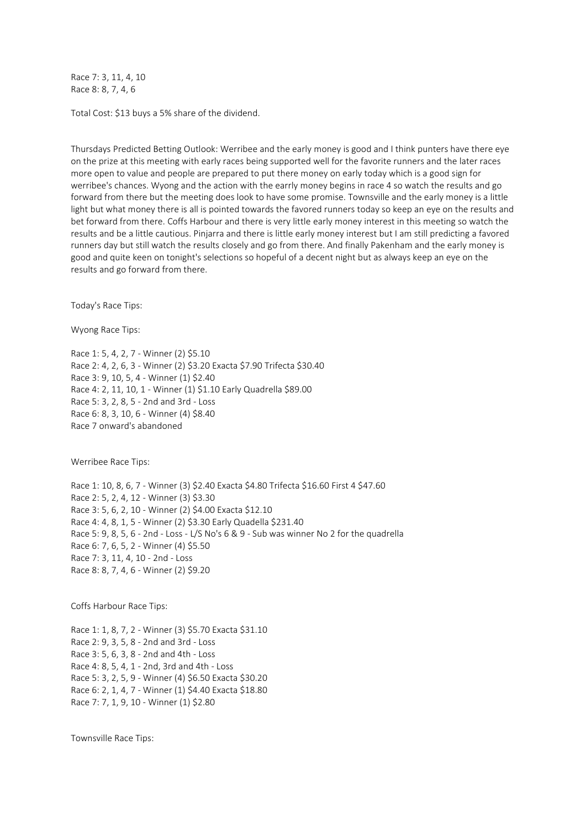Race 7: 3, 11, 4, 10 Race 8: 8, 7, 4, 6

Total Cost: \$13 buys a 5% share of the dividend.

Thursdays Predicted Betting Outlook: Werribee and the early money is good and I think punters have there eye on the prize at this meeting with early races being supported well for the favorite runners and the later races more open to value and people are prepared to put there money on early today which is a good sign for werribee's chances. Wyong and the action with the earrly money begins in race 4 so watch the results and go forward from there but the meeting does look to have some promise. Townsville and the early money is a little light but what money there is all is pointed towards the favored runners today so keep an eye on the results and bet forward from there. Coffs Harbour and there is very little early money interest in this meeting so watch the results and be a little cautious. Pinjarra and there is little early money interest but I am still predicting a favored runners day but still watch the results closely and go from there. And finally Pakenham and the early money is good and quite keen on tonight's selections so hopeful of a decent night but as always keep an eye on the results and go forward from there.

Today's Race Tips:

Wyong Race Tips:

Race 1: 5, 4, 2, 7 - Winner (2) \$5.10 Race 2: 4, 2, 6, 3 - Winner (2) \$3.20 Exacta \$7.90 Trifecta \$30.40 Race 3: 9, 10, 5, 4 - Winner (1) \$2.40 Race 4: 2, 11, 10, 1 - Winner (1) \$1.10 Early Quadrella \$89.00 Race 5: 3, 2, 8, 5 - 2nd and 3rd - Loss Race 6: 8, 3, 10, 6 - Winner (4) \$8.40 Race 7 onward's abandoned

Werribee Race Tips:

Race 1: 10, 8, 6, 7 - Winner (3) \$2.40 Exacta \$4.80 Trifecta \$16.60 First 4 \$47.60 Race 2: 5, 2, 4, 12 - Winner (3) \$3.30 Race 3: 5, 6, 2, 10 - Winner (2) \$4.00 Exacta \$12.10 Race 4: 4, 8, 1, 5 - Winner (2) \$3.30 Early Quadella \$231.40 Race 5: 9, 8, 5, 6 - 2nd - Loss - L/S No's 6 & 9 - Sub was winner No 2 for the quadrella Race 6: 7, 6, 5, 2 - Winner (4) \$5.50 Race 7: 3, 11, 4, 10 - 2nd - Loss Race 8: 8, 7, 4, 6 - Winner (2) \$9.20

Coffs Harbour Race Tips:

Race 1: 1, 8, 7, 2 - Winner (3) \$5.70 Exacta \$31.10 Race 2: 9, 3, 5, 8 - 2nd and 3rd - Loss Race 3: 5, 6, 3, 8 - 2nd and 4th - Loss Race 4: 8, 5, 4, 1 - 2nd, 3rd and 4th - Loss Race 5: 3, 2, 5, 9 - Winner (4) \$6.50 Exacta \$30.20 Race 6: 2, 1, 4, 7 - Winner (1) \$4.40 Exacta \$18.80 Race 7: 7, 1, 9, 10 - Winner (1) \$2.80

Townsville Race Tips: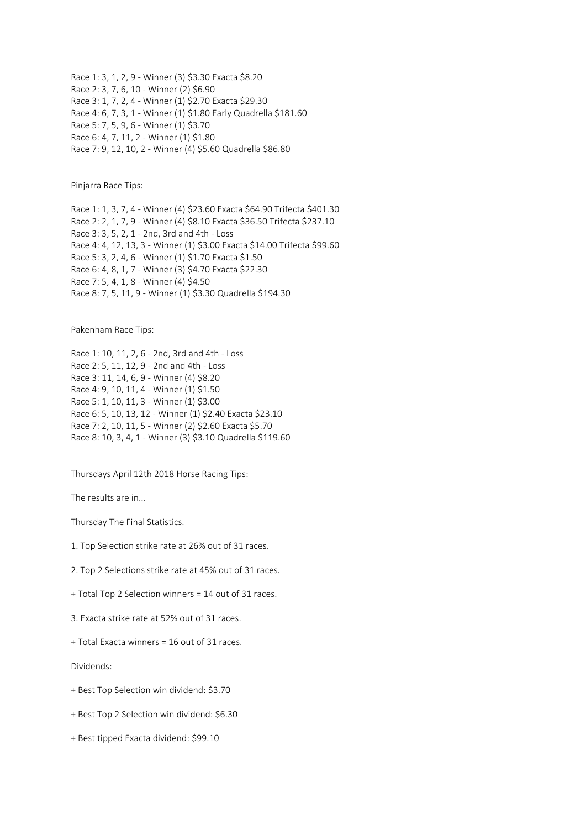Race 1: 3, 1, 2, 9 - Winner (3) \$3.30 Exacta \$8.20 Race 2: 3, 7, 6, 10 - Winner (2) \$6.90 Race 3: 1, 7, 2, 4 - Winner (1) \$2.70 Exacta \$29.30 Race 4: 6, 7, 3, 1 - Winner (1) \$1.80 Early Quadrella \$181.60 Race 5: 7, 5, 9, 6 - Winner (1) \$3.70 Race 6: 4, 7, 11, 2 - Winner (1) \$1.80 Race 7: 9, 12, 10, 2 - Winner (4) \$5.60 Quadrella \$86.80

Pinjarra Race Tips:

Race 1: 1, 3, 7, 4 - Winner (4) \$23.60 Exacta \$64.90 Trifecta \$401.30 Race 2: 2, 1, 7, 9 - Winner (4) \$8.10 Exacta \$36.50 Trifecta \$237.10 Race 3: 3, 5, 2, 1 - 2nd, 3rd and 4th - Loss Race 4: 4, 12, 13, 3 - Winner (1) \$3.00 Exacta \$14.00 Trifecta \$99.60 Race 5: 3, 2, 4, 6 - Winner (1) \$1.70 Exacta \$1.50 Race 6: 4, 8, 1, 7 - Winner (3) \$4.70 Exacta \$22.30 Race 7: 5, 4, 1, 8 - Winner (4) \$4.50 Race 8: 7, 5, 11, 9 - Winner (1) \$3.30 Quadrella \$194.30

Pakenham Race Tips:

Race 1: 10, 11, 2, 6 - 2nd, 3rd and 4th - Loss Race 2: 5, 11, 12, 9 - 2nd and 4th - Loss Race 3: 11, 14, 6, 9 - Winner (4) \$8.20 Race 4: 9, 10, 11, 4 - Winner (1) \$1.50 Race 5: 1, 10, 11, 3 - Winner (1) \$3.00 Race 6: 5, 10, 13, 12 - Winner (1) \$2.40 Exacta \$23.10 Race 7: 2, 10, 11, 5 - Winner (2) \$2.60 Exacta \$5.70 Race 8: 10, 3, 4, 1 - Winner (3) \$3.10 Quadrella \$119.60

Thursdays April 12th 2018 Horse Racing Tips:

The results are in...

Thursday The Final Statistics.

1. Top Selection strike rate at 26% out of 31 races.

2. Top 2 Selections strike rate at 45% out of 31 races.

+ Total Top 2 Selection winners = 14 out of 31 races.

3. Exacta strike rate at 52% out of 31 races.

+ Total Exacta winners = 16 out of 31 races.

Dividends:

+ Best Top Selection win dividend: \$3.70

+ Best Top 2 Selection win dividend: \$6.30

+ Best tipped Exacta dividend: \$99.10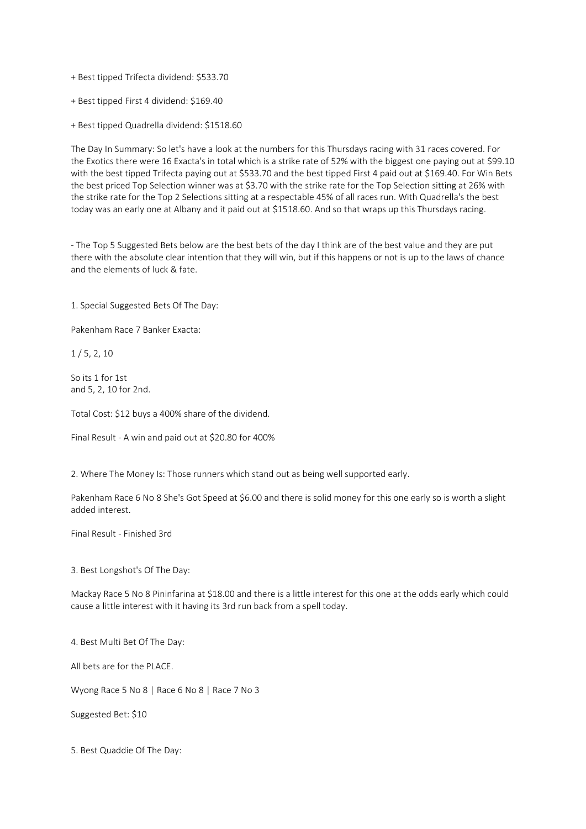- + Best tipped Trifecta dividend: \$533.70
- + Best tipped First 4 dividend: \$169.40
- + Best tipped Quadrella dividend: \$1518.60

The Day In Summary: So let's have a look at the numbers for this Thursdays racing with 31 races covered. For the Exotics there were 16 Exacta's in total which is a strike rate of 52% with the biggest one paying out at \$99.10 with the best tipped Trifecta paying out at \$533.70 and the best tipped First 4 paid out at \$169.40. For Win Bets the best priced Top Selection winner was at \$3.70 with the strike rate for the Top Selection sitting at 26% with the strike rate for the Top 2 Selections sitting at a respectable 45% of all races run. With Quadrella's the best today was an early one at Albany and it paid out at \$1518.60. And so that wraps up this Thursdays racing.

- The Top 5 Suggested Bets below are the best bets of the day I think are of the best value and they are put there with the absolute clear intention that they will win, but if this happens or not is up to the laws of chance and the elements of luck & fate.

1. Special Suggested Bets Of The Day:

Pakenham Race 7 Banker Exacta:

1 / 5, 2, 10

So its 1 for 1st and 5, 2, 10 for 2nd.

Total Cost: \$12 buys a 400% share of the dividend.

Final Result - A win and paid out at \$20.80 for 400%

2. Where The Money Is: Those runners which stand out as being well supported early.

Pakenham Race 6 No 8 She's Got Speed at \$6.00 and there is solid money for this one early so is worth a slight added interest.

Final Result - Finished 3rd

3. Best Longshot's Of The Day:

Mackay Race 5 No 8 Pininfarina at \$18.00 and there is a little interest for this one at the odds early which could cause a little interest with it having its 3rd run back from a spell today.

4. Best Multi Bet Of The Day:

All bets are for the PLACE.

Wyong Race 5 No 8 | Race 6 No 8 | Race 7 No 3

Suggested Bet: \$10

5. Best Quaddie Of The Day: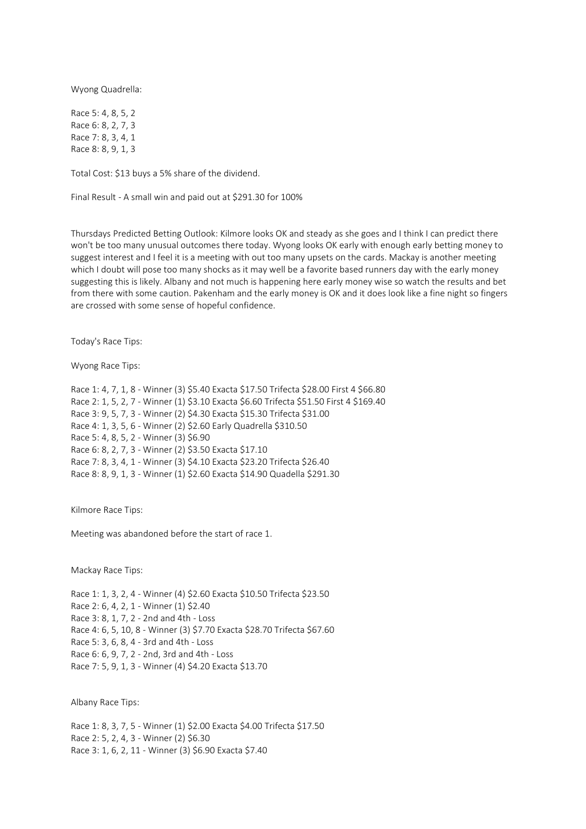Wyong Quadrella:

Race 5: 4, 8, 5, 2 Race 6: 8, 2, 7, 3 Race 7: 8, 3, 4, 1 Race 8: 8, 9, 1, 3

Total Cost: \$13 buys a 5% share of the dividend.

Final Result - A small win and paid out at \$291.30 for 100%

Thursdays Predicted Betting Outlook: Kilmore looks OK and steady as she goes and I think I can predict there won't be too many unusual outcomes there today. Wyong looks OK early with enough early betting money to suggest interest and I feel it is a meeting with out too many upsets on the cards. Mackay is another meeting which I doubt will pose too many shocks as it may well be a favorite based runners day with the early money suggesting this is likely. Albany and not much is happening here early money wise so watch the results and bet from there with some caution. Pakenham and the early money is OK and it does look like a fine night so fingers are crossed with some sense of hopeful confidence.

Today's Race Tips:

Wyong Race Tips:

Race 1: 4, 7, 1, 8 - Winner (3) \$5.40 Exacta \$17.50 Trifecta \$28.00 First 4 \$66.80 Race 2: 1, 5, 2, 7 - Winner (1) \$3.10 Exacta \$6.60 Trifecta \$51.50 First 4 \$169.40 Race 3: 9, 5, 7, 3 - Winner (2) \$4.30 Exacta \$15.30 Trifecta \$31.00 Race 4: 1, 3, 5, 6 - Winner (2) \$2.60 Early Quadrella \$310.50 Race 5: 4, 8, 5, 2 - Winner (3) \$6.90 Race 6: 8, 2, 7, 3 - Winner (2) \$3.50 Exacta \$17.10 Race 7: 8, 3, 4, 1 - Winner (3) \$4.10 Exacta \$23.20 Trifecta \$26.40 Race 8: 8, 9, 1, 3 - Winner (1) \$2.60 Exacta \$14.90 Quadella \$291.30

Kilmore Race Tips:

Meeting was abandoned before the start of race 1.

Mackay Race Tips:

Race 1: 1, 3, 2, 4 - Winner (4) \$2.60 Exacta \$10.50 Trifecta \$23.50 Race 2: 6, 4, 2, 1 - Winner (1) \$2.40 Race 3: 8, 1, 7, 2 - 2nd and 4th - Loss Race 4: 6, 5, 10, 8 - Winner (3) \$7.70 Exacta \$28.70 Trifecta \$67.60 Race 5: 3, 6, 8, 4 - 3rd and 4th - Loss Race 6: 6, 9, 7, 2 - 2nd, 3rd and 4th - Loss Race 7: 5, 9, 1, 3 - Winner (4) \$4.20 Exacta \$13.70

Albany Race Tips:

Race 1: 8, 3, 7, 5 - Winner (1) \$2.00 Exacta \$4.00 Trifecta \$17.50 Race 2: 5, 2, 4, 3 - Winner (2) \$6.30 Race 3: 1, 6, 2, 11 - Winner (3) \$6.90 Exacta \$7.40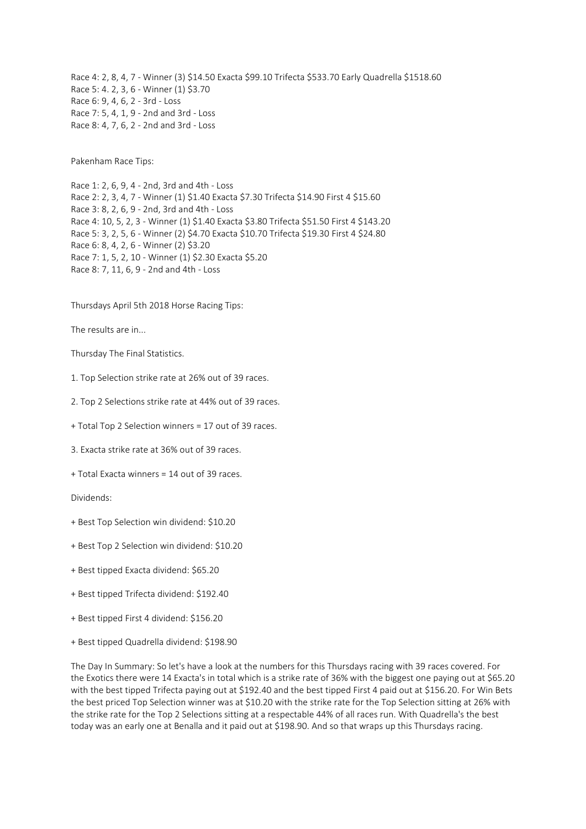Race 4: 2, 8, 4, 7 - Winner (3) \$14.50 Exacta \$99.10 Trifecta \$533.70 Early Quadrella \$1518.60 Race 5: 4. 2, 3, 6 - Winner (1) \$3.70 Race 6: 9, 4, 6, 2 - 3rd - Loss Race 7: 5, 4, 1, 9 - 2nd and 3rd - Loss Race 8: 4, 7, 6, 2 - 2nd and 3rd - Loss

Pakenham Race Tips:

Race 1: 2, 6, 9, 4 - 2nd, 3rd and 4th - Loss Race 2: 2, 3, 4, 7 - Winner (1) \$1.40 Exacta \$7.30 Trifecta \$14.90 First 4 \$15.60 Race 3: 8, 2, 6, 9 - 2nd, 3rd and 4th - Loss Race 4: 10, 5, 2, 3 - Winner (1) \$1.40 Exacta \$3.80 Trifecta \$51.50 First 4 \$143.20 Race 5: 3, 2, 5, 6 - Winner (2) \$4.70 Exacta \$10.70 Trifecta \$19.30 First 4 \$24.80 Race 6: 8, 4, 2, 6 - Winner (2) \$3.20 Race 7: 1, 5, 2, 10 - Winner (1) \$2.30 Exacta \$5.20 Race 8: 7, 11, 6, 9 - 2nd and 4th - Loss

Thursdays April 5th 2018 Horse Racing Tips:

The results are in...

Thursday The Final Statistics.

1. Top Selection strike rate at 26% out of 39 races.

2. Top 2 Selections strike rate at 44% out of 39 races.

+ Total Top 2 Selection winners = 17 out of 39 races.

3. Exacta strike rate at 36% out of 39 races.

+ Total Exacta winners = 14 out of 39 races.

Dividends:

+ Best Top Selection win dividend: \$10.20

+ Best Top 2 Selection win dividend: \$10.20

+ Best tipped Exacta dividend: \$65.20

+ Best tipped Trifecta dividend: \$192.40

+ Best tipped First 4 dividend: \$156.20

+ Best tipped Quadrella dividend: \$198.90

The Day In Summary: So let's have a look at the numbers for this Thursdays racing with 39 races covered. For the Exotics there were 14 Exacta's in total which is a strike rate of 36% with the biggest one paying out at \$65.20 with the best tipped Trifecta paying out at \$192.40 and the best tipped First 4 paid out at \$156.20. For Win Bets the best priced Top Selection winner was at \$10.20 with the strike rate for the Top Selection sitting at 26% with the strike rate for the Top 2 Selections sitting at a respectable 44% of all races run. With Quadrella's the best today was an early one at Benalla and it paid out at \$198.90. And so that wraps up this Thursdays racing.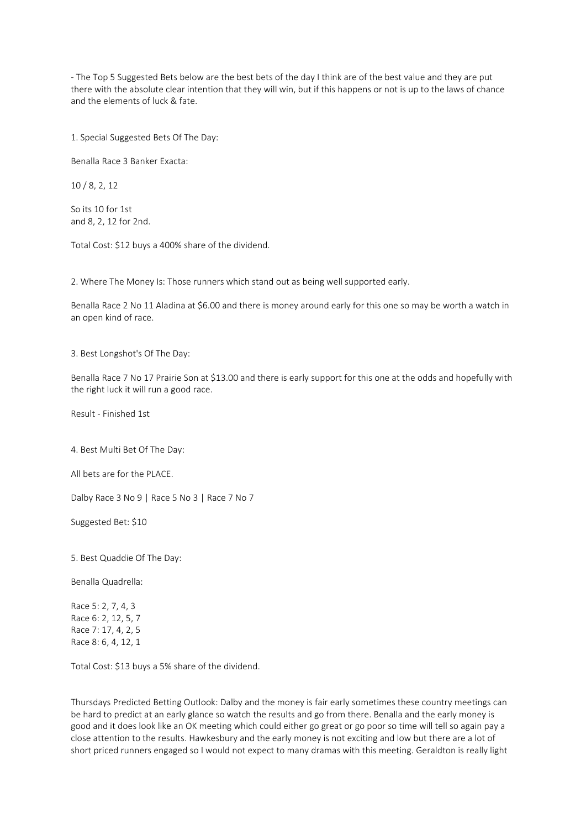- The Top 5 Suggested Bets below are the best bets of the day I think are of the best value and they are put there with the absolute clear intention that they will win, but if this happens or not is up to the laws of chance and the elements of luck & fate.

1. Special Suggested Bets Of The Day:

Benalla Race 3 Banker Exacta:

10 / 8, 2, 12

So its 10 for 1st and 8, 2, 12 for 2nd.

Total Cost: \$12 buys a 400% share of the dividend.

2. Where The Money Is: Those runners which stand out as being well supported early.

Benalla Race 2 No 11 Aladina at \$6.00 and there is money around early for this one so may be worth a watch in an open kind of race.

3. Best Longshot's Of The Day:

Benalla Race 7 No 17 Prairie Son at \$13.00 and there is early support for this one at the odds and hopefully with the right luck it will run a good race.

Result - Finished 1st

4. Best Multi Bet Of The Day:

All bets are for the PLACE.

Dalby Race 3 No 9 | Race 5 No 3 | Race 7 No 7

Suggested Bet: \$10

5. Best Quaddie Of The Day:

Benalla Quadrella:

Race 5: 2, 7, 4, 3 Race 6: 2, 12, 5, 7 Race 7: 17, 4, 2, 5 Race 8: 6, 4, 12, 1

Total Cost: \$13 buys a 5% share of the dividend.

Thursdays Predicted Betting Outlook: Dalby and the money is fair early sometimes these country meetings can be hard to predict at an early glance so watch the results and go from there. Benalla and the early money is good and it does look like an OK meeting which could either go great or go poor so time will tell so again pay a close attention to the results. Hawkesbury and the early money is not exciting and low but there are a lot of short priced runners engaged so I would not expect to many dramas with this meeting. Geraldton is really light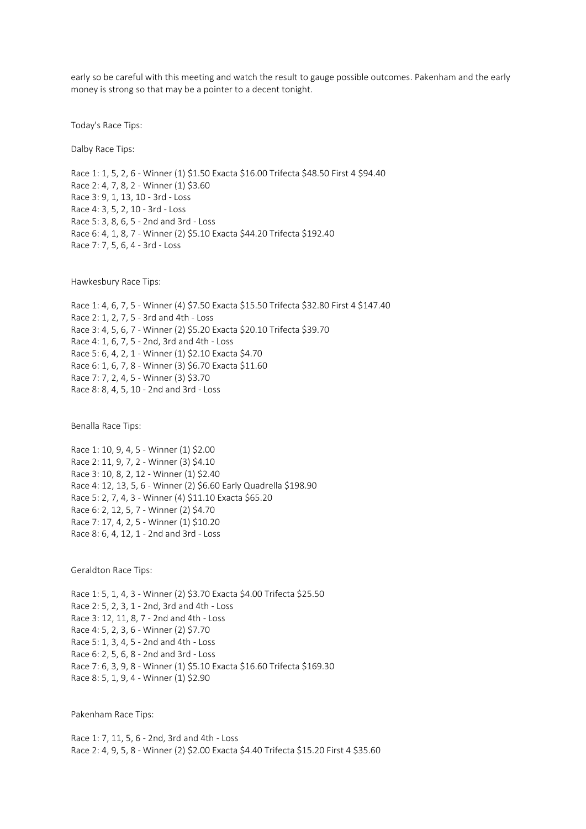early so be careful with this meeting and watch the result to gauge possible outcomes. Pakenham and the early money is strong so that may be a pointer to a decent tonight.

Today's Race Tips:

Dalby Race Tips:

Race 1: 1, 5, 2, 6 - Winner (1) \$1.50 Exacta \$16.00 Trifecta \$48.50 First 4 \$94.40 Race 2: 4, 7, 8, 2 - Winner (1) \$3.60 Race 3: 9, 1, 13, 10 - 3rd - Loss Race 4: 3, 5, 2, 10 - 3rd - Loss Race 5: 3, 8, 6, 5 - 2nd and 3rd - Loss Race 6: 4, 1, 8, 7 - Winner (2) \$5.10 Exacta \$44.20 Trifecta \$192.40 Race 7: 7, 5, 6, 4 - 3rd - Loss

Hawkesbury Race Tips:

Race 1: 4, 6, 7, 5 - Winner (4) \$7.50 Exacta \$15.50 Trifecta \$32.80 First 4 \$147.40 Race 2: 1, 2, 7, 5 - 3rd and 4th - Loss Race 3: 4, 5, 6, 7 - Winner (2) \$5.20 Exacta \$20.10 Trifecta \$39.70 Race 4: 1, 6, 7, 5 - 2nd, 3rd and 4th - Loss Race 5: 6, 4, 2, 1 - Winner (1) \$2.10 Exacta \$4.70 Race 6: 1, 6, 7, 8 - Winner (3) \$6.70 Exacta \$11.60 Race 7: 7, 2, 4, 5 - Winner (3) \$3.70 Race 8: 8, 4, 5, 10 - 2nd and 3rd - Loss

Benalla Race Tips:

Race 1: 10, 9, 4, 5 - Winner (1) \$2.00 Race 2: 11, 9, 7, 2 - Winner (3) \$4.10 Race 3: 10, 8, 2, 12 - Winner (1) \$2.40 Race 4: 12, 13, 5, 6 - Winner (2) \$6.60 Early Quadrella \$198.90 Race 5: 2, 7, 4, 3 - Winner (4) \$11.10 Exacta \$65.20 Race 6: 2, 12, 5, 7 - Winner (2) \$4.70 Race 7: 17, 4, 2, 5 - Winner (1) \$10.20 Race 8: 6, 4, 12, 1 - 2nd and 3rd - Loss

Geraldton Race Tips:

Race 1: 5, 1, 4, 3 - Winner (2) \$3.70 Exacta \$4.00 Trifecta \$25.50 Race 2: 5, 2, 3, 1 - 2nd, 3rd and 4th - Loss Race 3: 12, 11, 8, 7 - 2nd and 4th - Loss Race 4: 5, 2, 3, 6 - Winner (2) \$7.70 Race 5: 1, 3, 4, 5 - 2nd and 4th - Loss Race 6: 2, 5, 6, 8 - 2nd and 3rd - Loss Race 7: 6, 3, 9, 8 - Winner (1) \$5.10 Exacta \$16.60 Trifecta \$169.30 Race 8: 5, 1, 9, 4 - Winner (1) \$2.90

Pakenham Race Tips:

Race 1: 7, 11, 5, 6 - 2nd, 3rd and 4th - Loss Race 2: 4, 9, 5, 8 - Winner (2) \$2.00 Exacta \$4.40 Trifecta \$15.20 First 4 \$35.60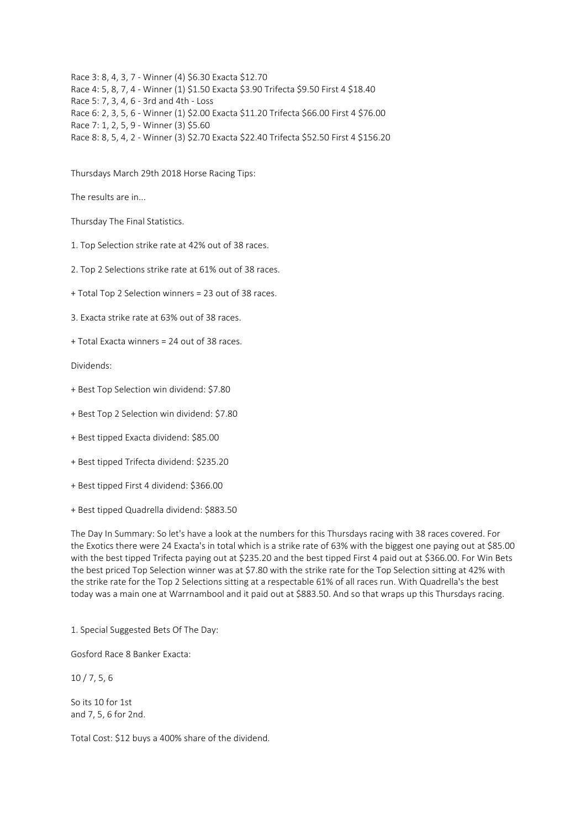Race 3: 8, 4, 3, 7 - Winner (4) \$6.30 Exacta \$12.70 Race 4: 5, 8, 7, 4 - Winner (1) \$1.50 Exacta \$3.90 Trifecta \$9.50 First 4 \$18.40 Race 5: 7, 3, 4, 6 - 3rd and 4th - Loss Race 6: 2, 3, 5, 6 - Winner (1) \$2.00 Exacta \$11.20 Trifecta \$66.00 First 4 \$76.00 Race 7: 1, 2, 5, 9 - Winner (3) \$5.60 Race 8: 8, 5, 4, 2 - Winner (3) \$2.70 Exacta \$22.40 Trifecta \$52.50 First 4 \$156.20

Thursdays March 29th 2018 Horse Racing Tips:

The results are in...

Thursday The Final Statistics.

1. Top Selection strike rate at 42% out of 38 races.

2. Top 2 Selections strike rate at 61% out of 38 races.

+ Total Top 2 Selection winners = 23 out of 38 races.

3. Exacta strike rate at 63% out of 38 races.

+ Total Exacta winners = 24 out of 38 races.

Dividends:

+ Best Top Selection win dividend: \$7.80

+ Best Top 2 Selection win dividend: \$7.80

+ Best tipped Exacta dividend: \$85.00

+ Best tipped Trifecta dividend: \$235.20

+ Best tipped First 4 dividend: \$366.00

+ Best tipped Quadrella dividend: \$883.50

The Day In Summary: So let's have a look at the numbers for this Thursdays racing with 38 races covered. For the Exotics there were 24 Exacta's in total which is a strike rate of 63% with the biggest one paying out at \$85.00 with the best tipped Trifecta paying out at \$235.20 and the best tipped First 4 paid out at \$366.00. For Win Bets the best priced Top Selection winner was at \$7.80 with the strike rate for the Top Selection sitting at 42% with the strike rate for the Top 2 Selections sitting at a respectable 61% of all races run. With Quadrella's the best today was a main one at Warrnambool and it paid out at \$883.50. And so that wraps up this Thursdays racing.

1. Special Suggested Bets Of The Day:

Gosford Race 8 Banker Exacta:

10 / 7, 5, 6

So its 10 for 1st and 7, 5, 6 for 2nd.

Total Cost: \$12 buys a 400% share of the dividend.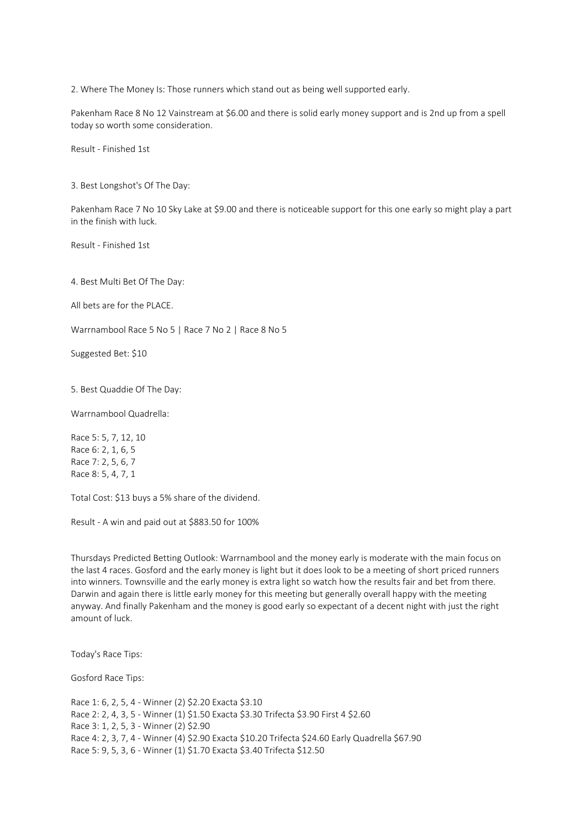2. Where The Money Is: Those runners which stand out as being well supported early.

Pakenham Race 8 No 12 Vainstream at \$6.00 and there is solid early money support and is 2nd up from a spell today so worth some consideration.

Result - Finished 1st

3. Best Longshot's Of The Day:

Pakenham Race 7 No 10 Sky Lake at \$9.00 and there is noticeable support for this one early so might play a part in the finish with luck.

Result - Finished 1st

4. Best Multi Bet Of The Day:

All bets are for the PLACE.

Warrnambool Race 5 No 5 | Race 7 No 2 | Race 8 No 5

Suggested Bet: \$10

5. Best Quaddie Of The Day:

Warrnambool Quadrella:

Race 5: 5, 7, 12, 10 Race 6: 2, 1, 6, 5 Race 7: 2, 5, 6, 7 Race 8: 5, 4, 7, 1

Total Cost: \$13 buys a 5% share of the dividend.

Result - A win and paid out at \$883.50 for 100%

Thursdays Predicted Betting Outlook: Warrnambool and the money early is moderate with the main focus on the last 4 races. Gosford and the early money is light but it does look to be a meeting of short priced runners into winners. Townsville and the early money is extra light so watch how the results fair and bet from there. Darwin and again there is little early money for this meeting but generally overall happy with the meeting anyway. And finally Pakenham and the money is good early so expectant of a decent night with just the right amount of luck.

Today's Race Tips:

Gosford Race Tips:

Race 1: 6, 2, 5, 4 - Winner (2) \$2.20 Exacta \$3.10 Race 2: 2, 4, 3, 5 - Winner (1) \$1.50 Exacta \$3.30 Trifecta \$3.90 First 4 \$2.60 Race 3: 1, 2, 5, 3 - Winner (2) \$2.90 Race 4: 2, 3, 7, 4 - Winner (4) \$2.90 Exacta \$10.20 Trifecta \$24.60 Early Quadrella \$67.90 Race 5: 9, 5, 3, 6 - Winner (1) \$1.70 Exacta \$3.40 Trifecta \$12.50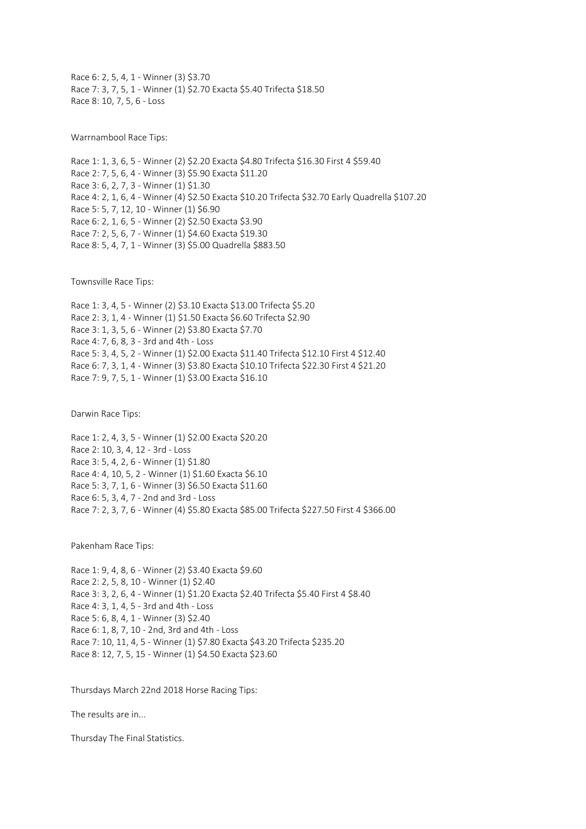Race 6: 2, 5, 4, 1 - Winner (3) \$3.70 Race 7: 3, 7, 5, 1 - Winner (1) \$2.70 Exacta \$5.40 Trifecta \$18.50 Race 8: 10, 7, 5, 6 - Loss

Warrnambool Race Tips:

Race 1: 1, 3, 6, 5 - Winner (2) \$2.20 Exacta \$4.80 Trifecta \$16.30 First 4 \$59.40 Race 2: 7, 5, 6, 4 - Winner (3) \$5.90 Exacta \$11.20 Race 3: 6, 2, 7, 3 - Winner (1) \$1.30 Race 4: 2, 1, 6, 4 - Winner (4) \$2.50 Exacta \$10.20 Trifecta \$32.70 Early Quadrella \$107.20 Race 5: 5, 7, 12, 10 - Winner (1) \$6.90 Race 6: 2, 1, 6, 5 - Winner (2) \$2.50 Exacta \$3.90 Race 7: 2, 5, 6, 7 - Winner (1) \$4.60 Exacta \$19.30 Race 8: 5, 4, 7, 1 - Winner (3) \$5.00 Quadrella \$883.50

Townsville Race Tips:

Race 1: 3, 4, 5 - Winner (2) \$3.10 Exacta \$13.00 Trifecta \$5.20 Race 2: 3, 1, 4 - Winner (1) \$1.50 Exacta \$6.60 Trifecta \$2.90 Race 3: 1, 3, 5, 6 - Winner (2) \$3.80 Exacta \$7.70 Race 4: 7, 6, 8, 3 - 3rd and 4th - Loss Race 5: 3, 4, 5, 2 - Winner (1) \$2.00 Exacta \$11.40 Trifecta \$12.10 First 4 \$12.40 Race 6: 7, 3, 1, 4 - Winner (3) \$3.80 Exacta \$10.10 Trifecta \$22.30 First 4 \$21.20 Race 7: 9, 7, 5, 1 - Winner (1) \$3.00 Exacta \$16.10

Darwin Race Tips:

Race 1: 2, 4, 3, 5 - Winner (1) \$2.00 Exacta \$20.20 Race 2: 10, 3, 4, 12 - 3rd - Loss Race 3: 5, 4, 2, 6 - Winner (1) \$1.80 Race 4: 4, 10, 5, 2 - Winner (1) \$1.60 Exacta \$6.10 Race 5: 3, 7, 1, 6 - Winner (3) \$6.50 Exacta \$11.60 Race 6: 5, 3, 4, 7 - 2nd and 3rd - Loss Race 7: 2, 3, 7, 6 - Winner (4) \$5.80 Exacta \$85.00 Trifecta \$227.50 First 4 \$366.00

Pakenham Race Tips:

Race 1: 9, 4, 8, 6 - Winner (2) \$3.40 Exacta \$9.60 Race 2: 2, 5, 8, 10 - Winner (1) \$2.40 Race 3: 3, 2, 6, 4 - Winner (1) \$1.20 Exacta \$2.40 Trifecta \$5.40 First 4 \$8.40 Race 4: 3, 1, 4, 5 - 3rd and 4th - Loss Race 5: 6, 8, 4, 1 - Winner (3) \$2.40 Race 6: 1, 8, 7, 10 - 2nd, 3rd and 4th - Loss Race 7: 10, 11, 4, 5 - Winner (1) \$7.80 Exacta \$43.20 Trifecta \$235.20 Race 8: 12, 7, 5, 15 - Winner (1) \$4.50 Exacta \$23.60

Thursdays March 22nd 2018 Horse Racing Tips:

The results are in...

Thursday The Final Statistics.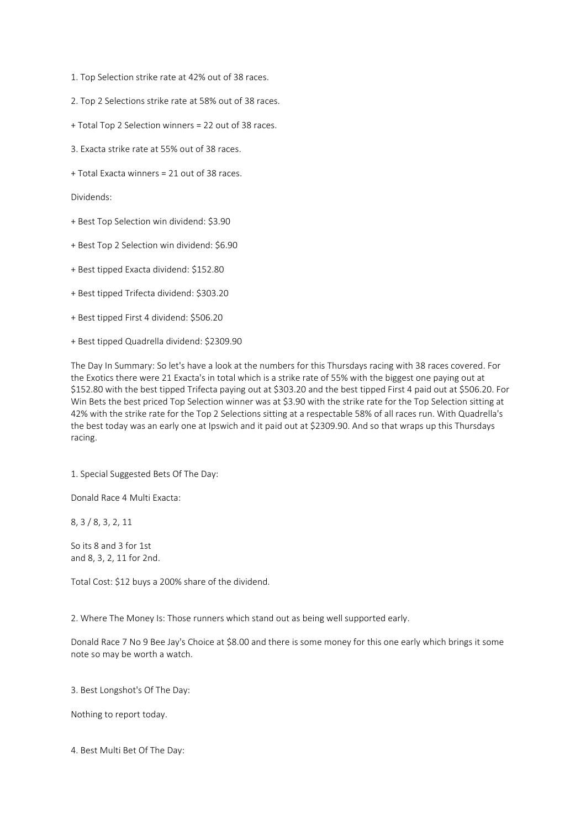- 1. Top Selection strike rate at 42% out of 38 races.
- 2. Top 2 Selections strike rate at 58% out of 38 races.
- + Total Top 2 Selection winners = 22 out of 38 races.
- 3. Exacta strike rate at 55% out of 38 races.
- + Total Exacta winners = 21 out of 38 races.

Dividends:

- + Best Top Selection win dividend: \$3.90
- + Best Top 2 Selection win dividend: \$6.90
- + Best tipped Exacta dividend: \$152.80
- + Best tipped Trifecta dividend: \$303.20
- + Best tipped First 4 dividend: \$506.20
- + Best tipped Quadrella dividend: \$2309.90

The Day In Summary: So let's have a look at the numbers for this Thursdays racing with 38 races covered. For the Exotics there were 21 Exacta's in total which is a strike rate of 55% with the biggest one paying out at \$152.80 with the best tipped Trifecta paying out at \$303.20 and the best tipped First 4 paid out at \$506.20. For Win Bets the best priced Top Selection winner was at \$3.90 with the strike rate for the Top Selection sitting at 42% with the strike rate for the Top 2 Selections sitting at a respectable 58% of all races run. With Quadrella's the best today was an early one at Ipswich and it paid out at \$2309.90. And so that wraps up this Thursdays racing.

1. Special Suggested Bets Of The Day:

Donald Race 4 Multi Exacta:

8, 3 / 8, 3, 2, 11

So its 8 and 3 for 1st and 8, 3, 2, 11 for 2nd.

Total Cost: \$12 buys a 200% share of the dividend.

2. Where The Money Is: Those runners which stand out as being well supported early.

Donald Race 7 No 9 Bee Jay's Choice at \$8.00 and there is some money for this one early which brings it some note so may be worth a watch.

3. Best Longshot's Of The Day:

Nothing to report today.

4. Best Multi Bet Of The Day: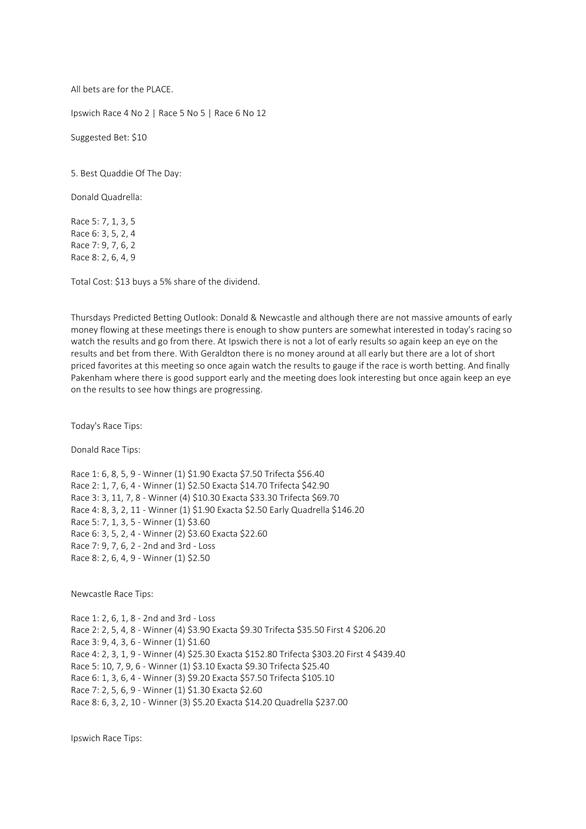All bets are for the PLACE.

Ipswich Race 4 No 2 | Race 5 No 5 | Race 6 No 12

Suggested Bet: \$10

5. Best Quaddie Of The Day:

Donald Quadrella:

Race 5: 7, 1, 3, 5 Race 6: 3, 5, 2, 4 Race 7: 9, 7, 6, 2 Race 8: 2, 6, 4, 9

Total Cost: \$13 buys a 5% share of the dividend.

Thursdays Predicted Betting Outlook: Donald & Newcastle and although there are not massive amounts of early money flowing at these meetings there is enough to show punters are somewhat interested in today's racing so watch the results and go from there. At Ipswich there is not a lot of early results so again keep an eye on the results and bet from there. With Geraldton there is no money around at all early but there are a lot of short priced favorites at this meeting so once again watch the results to gauge if the race is worth betting. And finally Pakenham where there is good support early and the meeting does look interesting but once again keep an eye on the results to see how things are progressing.

Today's Race Tips:

Donald Race Tips:

Race 1: 6, 8, 5, 9 - Winner (1) \$1.90 Exacta \$7.50 Trifecta \$56.40 Race 2: 1, 7, 6, 4 - Winner (1) \$2.50 Exacta \$14.70 Trifecta \$42.90 Race 3: 3, 11, 7, 8 - Winner (4) \$10.30 Exacta \$33.30 Trifecta \$69.70 Race 4: 8, 3, 2, 11 - Winner (1) \$1.90 Exacta \$2.50 Early Quadrella \$146.20 Race 5: 7, 1, 3, 5 - Winner (1) \$3.60 Race 6: 3, 5, 2, 4 - Winner (2) \$3.60 Exacta \$22.60 Race 7: 9, 7, 6, 2 - 2nd and 3rd - Loss Race 8: 2, 6, 4, 9 - Winner (1) \$2.50

Newcastle Race Tips:

Race 1: 2, 6, 1, 8 - 2nd and 3rd - Loss Race 2: 2, 5, 4, 8 - Winner (4) \$3.90 Exacta \$9.30 Trifecta \$35.50 First 4 \$206.20 Race 3: 9, 4, 3, 6 - Winner (1) \$1.60 Race 4: 2, 3, 1, 9 - Winner (4) \$25.30 Exacta \$152.80 Trifecta \$303.20 First 4 \$439.40 Race 5: 10, 7, 9, 6 - Winner (1) \$3.10 Exacta \$9.30 Trifecta \$25.40 Race 6: 1, 3, 6, 4 - Winner (3) \$9.20 Exacta \$57.50 Trifecta \$105.10 Race 7: 2, 5, 6, 9 - Winner (1) \$1.30 Exacta \$2.60 Race 8: 6, 3, 2, 10 - Winner (3) \$5.20 Exacta \$14.20 Quadrella \$237.00

Ipswich Race Tips: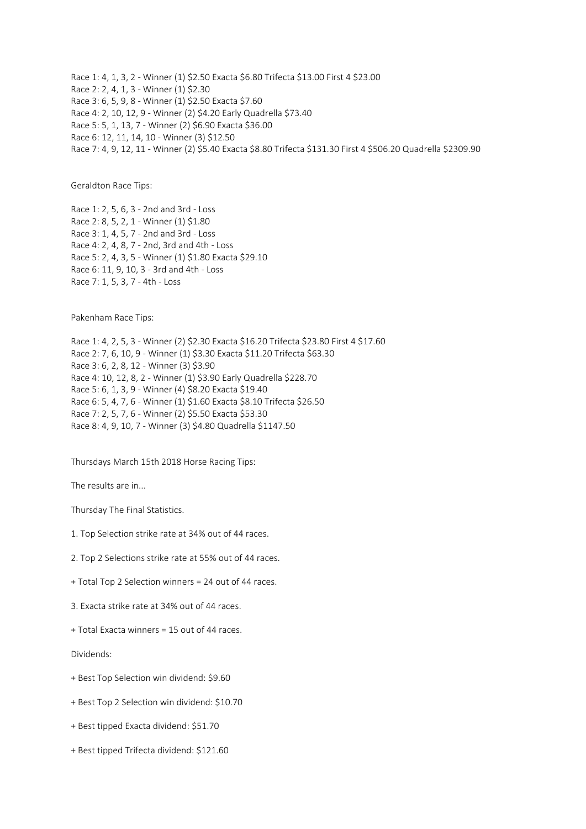Race 1: 4, 1, 3, 2 - Winner (1) \$2.50 Exacta \$6.80 Trifecta \$13.00 First 4 \$23.00 Race 2: 2, 4, 1, 3 - Winner (1) \$2.30 Race 3: 6, 5, 9, 8 - Winner (1) \$2.50 Exacta \$7.60 Race 4: 2, 10, 12, 9 - Winner (2) \$4.20 Early Quadrella \$73.40 Race 5: 5, 1, 13, 7 - Winner (2) \$6.90 Exacta \$36.00 Race 6: 12, 11, 14, 10 - Winner (3) \$12.50 Race 7: 4, 9, 12, 11 - Winner (2) \$5.40 Exacta \$8.80 Trifecta \$131.30 First 4 \$506.20 Quadrella \$2309.90

Geraldton Race Tips:

Race 1: 2, 5, 6, 3 - 2nd and 3rd - Loss Race 2: 8, 5, 2, 1 - Winner (1) \$1.80 Race 3: 1, 4, 5, 7 - 2nd and 3rd - Loss Race 4: 2, 4, 8, 7 - 2nd, 3rd and 4th - Loss Race 5: 2, 4, 3, 5 - Winner (1) \$1.80 Exacta \$29.10 Race 6: 11, 9, 10, 3 - 3rd and 4th - Loss Race 7: 1, 5, 3, 7 - 4th - Loss

Pakenham Race Tips:

Race 1: 4, 2, 5, 3 - Winner (2) \$2.30 Exacta \$16.20 Trifecta \$23.80 First 4 \$17.60 Race 2: 7, 6, 10, 9 - Winner (1) \$3.30 Exacta \$11.20 Trifecta \$63.30 Race 3: 6, 2, 8, 12 - Winner (3) \$3.90 Race 4: 10, 12, 8, 2 - Winner (1) \$3.90 Early Quadrella \$228.70 Race 5: 6, 1, 3, 9 - Winner (4) \$8.20 Exacta \$19.40 Race 6: 5, 4, 7, 6 - Winner (1) \$1.60 Exacta \$8.10 Trifecta \$26.50 Race 7: 2, 5, 7, 6 - Winner (2) \$5.50 Exacta \$53.30 Race 8: 4, 9, 10, 7 - Winner (3) \$4.80 Quadrella \$1147.50

Thursdays March 15th 2018 Horse Racing Tips:

The results are in...

Thursday The Final Statistics.

- 1. Top Selection strike rate at 34% out of 44 races.
- 2. Top 2 Selections strike rate at 55% out of 44 races.
- + Total Top 2 Selection winners = 24 out of 44 races.
- 3. Exacta strike rate at 34% out of 44 races.
- + Total Exacta winners = 15 out of 44 races.

Dividends:

- + Best Top Selection win dividend: \$9.60
- + Best Top 2 Selection win dividend: \$10.70
- + Best tipped Exacta dividend: \$51.70
- + Best tipped Trifecta dividend: \$121.60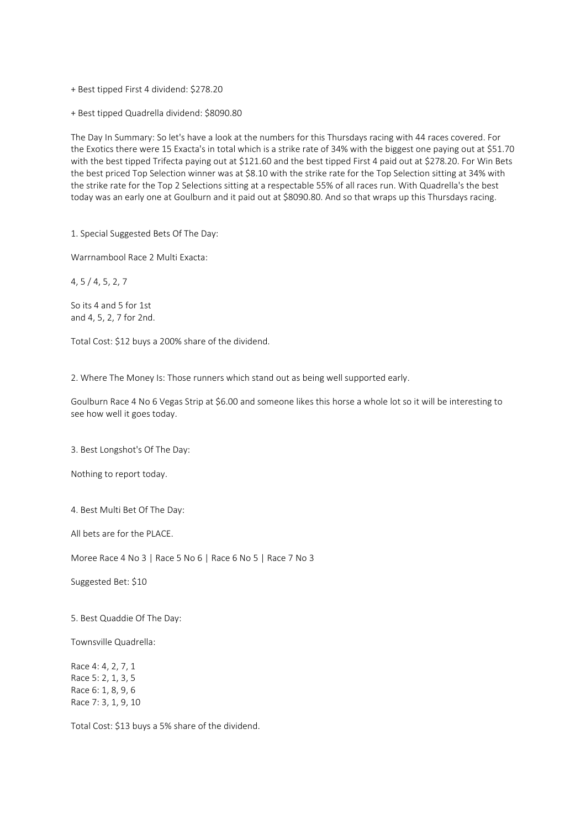+ Best tipped First 4 dividend: \$278.20

+ Best tipped Quadrella dividend: \$8090.80

The Day In Summary: So let's have a look at the numbers for this Thursdays racing with 44 races covered. For the Exotics there were 15 Exacta's in total which is a strike rate of 34% with the biggest one paying out at \$51.70 with the best tipped Trifecta paying out at \$121.60 and the best tipped First 4 paid out at \$278.20. For Win Bets the best priced Top Selection winner was at \$8.10 with the strike rate for the Top Selection sitting at 34% with the strike rate for the Top 2 Selections sitting at a respectable 55% of all races run. With Quadrella's the best today was an early one at Goulburn and it paid out at \$8090.80. And so that wraps up this Thursdays racing.

1. Special Suggested Bets Of The Day:

Warrnambool Race 2 Multi Exacta:

4, 5 / 4, 5, 2, 7

So its 4 and 5 for 1st and 4, 5, 2, 7 for 2nd.

Total Cost: \$12 buys a 200% share of the dividend.

2. Where The Money Is: Those runners which stand out as being well supported early.

Goulburn Race 4 No 6 Vegas Strip at \$6.00 and someone likes this horse a whole lot so it will be interesting to see how well it goes today.

3. Best Longshot's Of The Day:

Nothing to report today.

4. Best Multi Bet Of The Day:

All bets are for the PLACE.

Moree Race 4 No 3 | Race 5 No 6 | Race 6 No 5 | Race 7 No 3

Suggested Bet: \$10

5. Best Quaddie Of The Day:

Townsville Quadrella:

Race 4: 4, 2, 7, 1 Race 5: 2, 1, 3, 5 Race 6: 1, 8, 9, 6 Race 7: 3, 1, 9, 10

Total Cost: \$13 buys a 5% share of the dividend.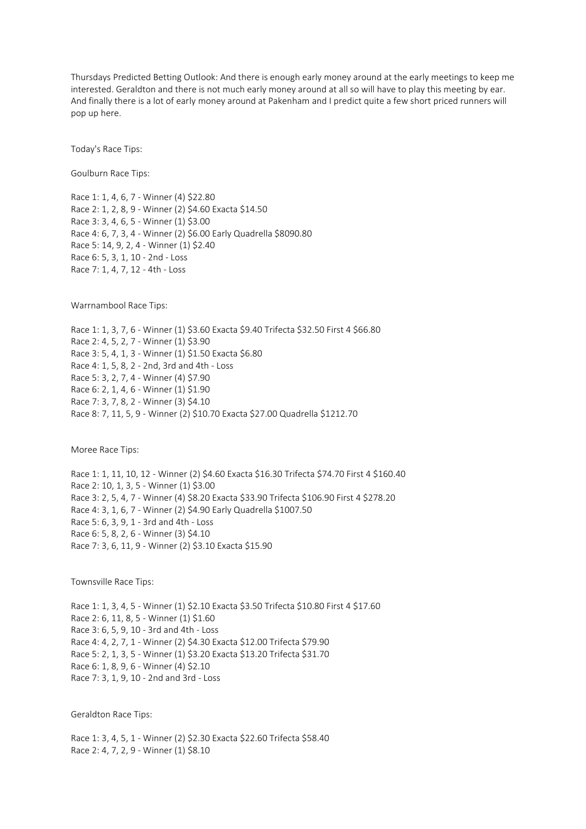Thursdays Predicted Betting Outlook: And there is enough early money around at the early meetings to keep me interested. Geraldton and there is not much early money around at all so will have to play this meeting by ear. And finally there is a lot of early money around at Pakenham and I predict quite a few short priced runners will pop up here.

Today's Race Tips:

Goulburn Race Tips:

Race 1: 1, 4, 6, 7 - Winner (4) \$22.80 Race 2: 1, 2, 8, 9 - Winner (2) \$4.60 Exacta \$14.50 Race 3: 3, 4, 6, 5 - Winner (1) \$3.00 Race 4: 6, 7, 3, 4 - Winner (2) \$6.00 Early Quadrella \$8090.80 Race 5: 14, 9, 2, 4 - Winner (1) \$2.40 Race 6: 5, 3, 1, 10 - 2nd - Loss Race 7: 1, 4, 7, 12 - 4th - Loss

Warrnambool Race Tips:

Race 1: 1, 3, 7, 6 - Winner (1) \$3.60 Exacta \$9.40 Trifecta \$32.50 First 4 \$66.80 Race 2: 4, 5, 2, 7 - Winner (1) \$3.90 Race 3: 5, 4, 1, 3 - Winner (1) \$1.50 Exacta \$6.80 Race 4: 1, 5, 8, 2 - 2nd, 3rd and 4th - Loss Race 5: 3, 2, 7, 4 - Winner (4) \$7.90 Race 6: 2, 1, 4, 6 - Winner (1) \$1.90 Race 7: 3, 7, 8, 2 - Winner (3) \$4.10 Race 8: 7, 11, 5, 9 - Winner (2) \$10.70 Exacta \$27.00 Quadrella \$1212.70

Moree Race Tips:

Race 1: 1, 11, 10, 12 - Winner (2) \$4.60 Exacta \$16.30 Trifecta \$74.70 First 4 \$160.40 Race 2: 10, 1, 3, 5 - Winner (1) \$3.00 Race 3: 2, 5, 4, 7 - Winner (4) \$8.20 Exacta \$33.90 Trifecta \$106.90 First 4 \$278.20 Race 4: 3, 1, 6, 7 - Winner (2) \$4.90 Early Quadrella \$1007.50 Race 5: 6, 3, 9, 1 - 3rd and 4th - Loss Race 6: 5, 8, 2, 6 - Winner (3) \$4.10 Race 7: 3, 6, 11, 9 - Winner (2) \$3.10 Exacta \$15.90

Townsville Race Tips:

Race 1: 1, 3, 4, 5 - Winner (1) \$2.10 Exacta \$3.50 Trifecta \$10.80 First 4 \$17.60 Race 2: 6, 11, 8, 5 - Winner (1) \$1.60 Race 3: 6, 5, 9, 10 - 3rd and 4th - Loss Race 4: 4, 2, 7, 1 - Winner (2) \$4.30 Exacta \$12.00 Trifecta \$79.90 Race 5: 2, 1, 3, 5 - Winner (1) \$3.20 Exacta \$13.20 Trifecta \$31.70 Race 6: 1, 8, 9, 6 - Winner (4) \$2.10 Race 7: 3, 1, 9, 10 - 2nd and 3rd - Loss

Geraldton Race Tips:

Race 1: 3, 4, 5, 1 - Winner (2) \$2.30 Exacta \$22.60 Trifecta \$58.40 Race 2: 4, 7, 2, 9 - Winner (1) \$8.10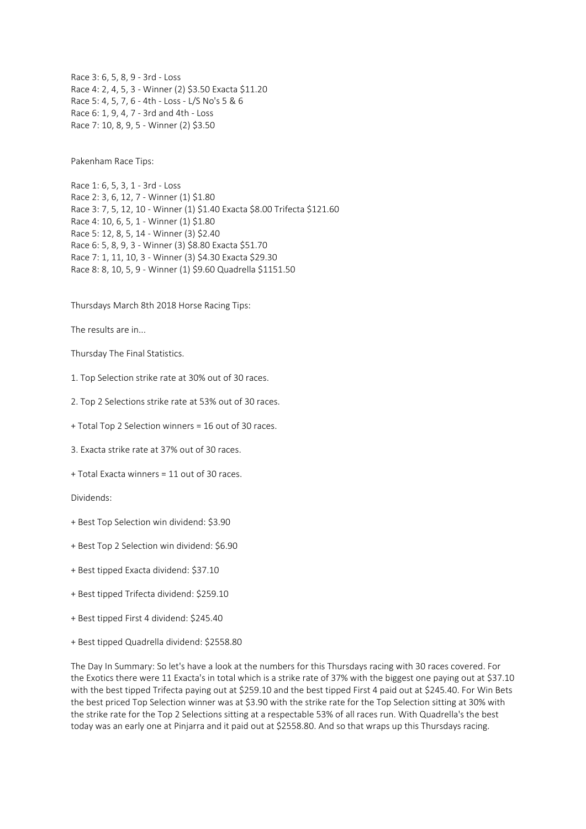Race 3: 6, 5, 8, 9 - 3rd - Loss Race 4: 2, 4, 5, 3 - Winner (2) \$3.50 Exacta \$11.20 Race 5: 4, 5, 7, 6 - 4th - Loss - L/S No's 5 & 6 Race 6: 1, 9, 4, 7 - 3rd and 4th - Loss Race 7: 10, 8, 9, 5 - Winner (2) \$3.50

Pakenham Race Tips:

Race 1: 6, 5, 3, 1 - 3rd - Loss Race 2: 3, 6, 12, 7 - Winner (1) \$1.80 Race 3: 7, 5, 12, 10 - Winner (1) \$1.40 Exacta \$8.00 Trifecta \$121.60 Race 4: 10, 6, 5, 1 - Winner (1) \$1.80 Race 5: 12, 8, 5, 14 - Winner (3) \$2.40 Race 6: 5, 8, 9, 3 - Winner (3) \$8.80 Exacta \$51.70 Race 7: 1, 11, 10, 3 - Winner (3) \$4.30 Exacta \$29.30 Race 8: 8, 10, 5, 9 - Winner (1) \$9.60 Quadrella \$1151.50

Thursdays March 8th 2018 Horse Racing Tips:

The results are in...

Thursday The Final Statistics.

1. Top Selection strike rate at 30% out of 30 races.

2. Top 2 Selections strike rate at 53% out of 30 races.

+ Total Top 2 Selection winners = 16 out of 30 races.

3. Exacta strike rate at 37% out of 30 races.

+ Total Exacta winners = 11 out of 30 races.

Dividends:

+ Best Top Selection win dividend: \$3.90

+ Best Top 2 Selection win dividend: \$6.90

+ Best tipped Exacta dividend: \$37.10

+ Best tipped Trifecta dividend: \$259.10

+ Best tipped First 4 dividend: \$245.40

+ Best tipped Quadrella dividend: \$2558.80

The Day In Summary: So let's have a look at the numbers for this Thursdays racing with 30 races covered. For the Exotics there were 11 Exacta's in total which is a strike rate of 37% with the biggest one paying out at \$37.10 with the best tipped Trifecta paying out at \$259.10 and the best tipped First 4 paid out at \$245.40. For Win Bets the best priced Top Selection winner was at \$3.90 with the strike rate for the Top Selection sitting at 30% with the strike rate for the Top 2 Selections sitting at a respectable 53% of all races run. With Quadrella's the best today was an early one at Pinjarra and it paid out at \$2558.80. And so that wraps up this Thursdays racing.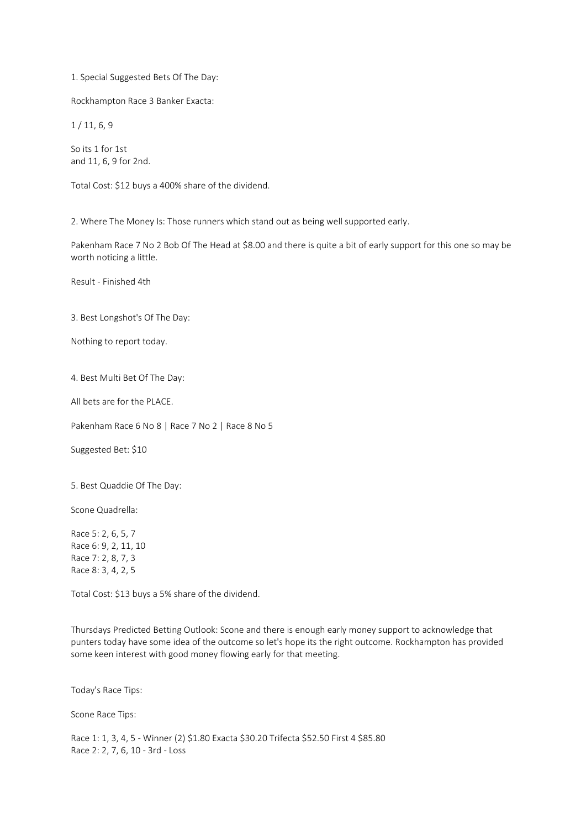1. Special Suggested Bets Of The Day:

Rockhampton Race 3 Banker Exacta:

1 / 11, 6, 9

So its 1 for 1st and 11, 6, 9 for 2nd.

Total Cost: \$12 buys a 400% share of the dividend.

2. Where The Money Is: Those runners which stand out as being well supported early.

Pakenham Race 7 No 2 Bob Of The Head at \$8.00 and there is quite a bit of early support for this one so may be worth noticing a little.

Result - Finished 4th

3. Best Longshot's Of The Day:

Nothing to report today.

4. Best Multi Bet Of The Day:

All bets are for the PLACE.

Pakenham Race 6 No 8 | Race 7 No 2 | Race 8 No 5

Suggested Bet: \$10

5. Best Quaddie Of The Day:

Scone Quadrella:

Race 5: 2, 6, 5, 7 Race 6: 9, 2, 11, 10 Race 7: 2, 8, 7, 3 Race 8: 3, 4, 2, 5

Total Cost: \$13 buys a 5% share of the dividend.

Thursdays Predicted Betting Outlook: Scone and there is enough early money support to acknowledge that punters today have some idea of the outcome so let's hope its the right outcome. Rockhampton has provided some keen interest with good money flowing early for that meeting.

Today's Race Tips:

Scone Race Tips:

Race 1: 1, 3, 4, 5 - Winner (2) \$1.80 Exacta \$30.20 Trifecta \$52.50 First 4 \$85.80 Race 2: 2, 7, 6, 10 - 3rd - Loss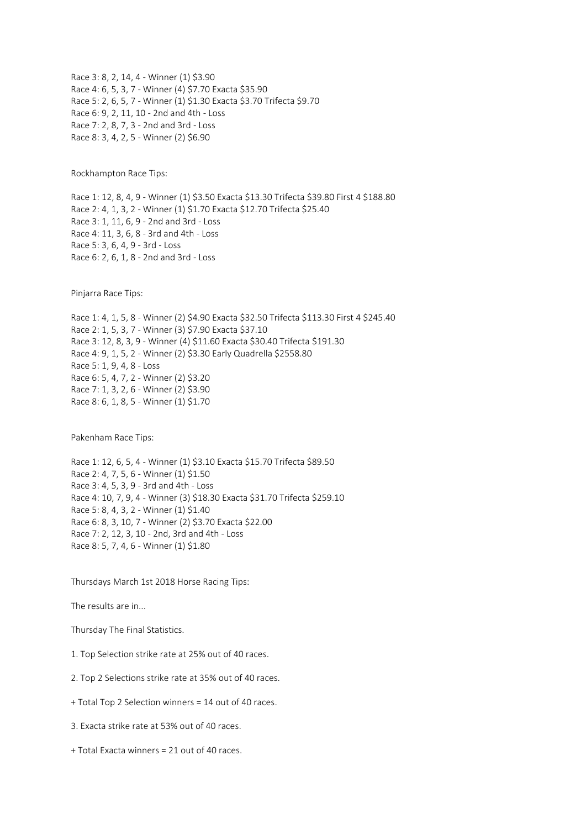Race 3: 8, 2, 14, 4 - Winner (1) \$3.90 Race 4: 6, 5, 3, 7 - Winner (4) \$7.70 Exacta \$35.90 Race 5: 2, 6, 5, 7 - Winner (1) \$1.30 Exacta \$3.70 Trifecta \$9.70 Race 6: 9, 2, 11, 10 - 2nd and 4th - Loss Race 7: 2, 8, 7, 3 - 2nd and 3rd - Loss Race 8: 3, 4, 2, 5 - Winner (2) \$6.90

Rockhampton Race Tips:

Race 1: 12, 8, 4, 9 - Winner (1) \$3.50 Exacta \$13.30 Trifecta \$39.80 First 4 \$188.80 Race 2: 4, 1, 3, 2 - Winner (1) \$1.70 Exacta \$12.70 Trifecta \$25.40 Race 3: 1, 11, 6, 9 - 2nd and 3rd - Loss Race 4: 11, 3, 6, 8 - 3rd and 4th - Loss Race 5: 3, 6, 4, 9 - 3rd - Loss Race 6: 2, 6, 1, 8 - 2nd and 3rd - Loss

Pinjarra Race Tips:

Race 1: 4, 1, 5, 8 - Winner (2) \$4.90 Exacta \$32.50 Trifecta \$113.30 First 4 \$245.40 Race 2: 1, 5, 3, 7 - Winner (3) \$7.90 Exacta \$37.10 Race 3: 12, 8, 3, 9 - Winner (4) \$11.60 Exacta \$30.40 Trifecta \$191.30 Race 4: 9, 1, 5, 2 - Winner (2) \$3.30 Early Quadrella \$2558.80 Race 5: 1, 9, 4, 8 - Loss Race 6: 5, 4, 7, 2 - Winner (2) \$3.20 Race 7: 1, 3, 2, 6 - Winner (2) \$3.90 Race 8: 6, 1, 8, 5 - Winner (1) \$1.70

Pakenham Race Tips:

Race 1: 12, 6, 5, 4 - Winner (1) \$3.10 Exacta \$15.70 Trifecta \$89.50 Race 2: 4, 7, 5, 6 - Winner (1) \$1.50 Race 3: 4, 5, 3, 9 - 3rd and 4th - Loss Race 4: 10, 7, 9, 4 - Winner (3) \$18.30 Exacta \$31.70 Trifecta \$259.10 Race 5: 8, 4, 3, 2 - Winner (1) \$1.40 Race 6: 8, 3, 10, 7 - Winner (2) \$3.70 Exacta \$22.00 Race 7: 2, 12, 3, 10 - 2nd, 3rd and 4th - Loss Race 8: 5, 7, 4, 6 - Winner (1) \$1.80

Thursdays March 1st 2018 Horse Racing Tips:

The results are in...

Thursday The Final Statistics.

- 1. Top Selection strike rate at 25% out of 40 races.
- 2. Top 2 Selections strike rate at 35% out of 40 races.
- + Total Top 2 Selection winners = 14 out of 40 races.
- 3. Exacta strike rate at 53% out of 40 races.
- + Total Exacta winners = 21 out of 40 races.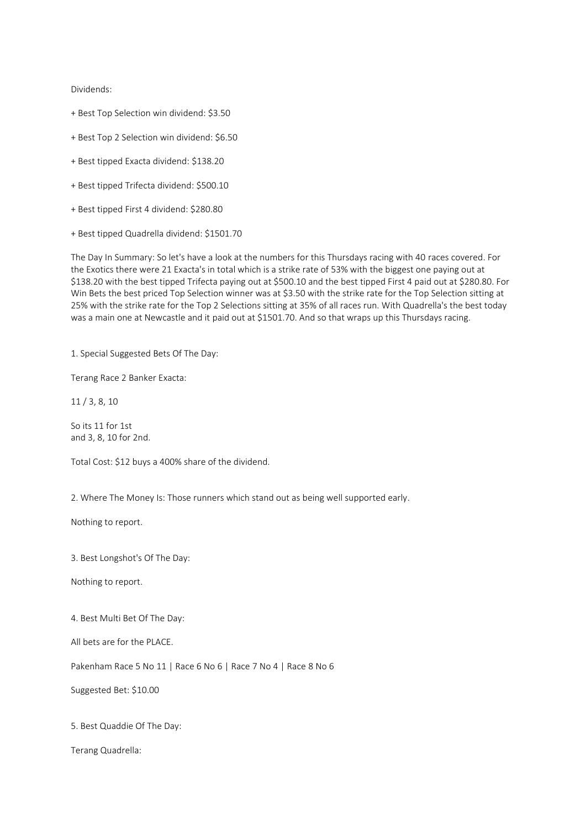Dividends:

- + Best Top Selection win dividend: \$3.50
- + Best Top 2 Selection win dividend: \$6.50
- + Best tipped Exacta dividend: \$138.20
- + Best tipped Trifecta dividend: \$500.10
- + Best tipped First 4 dividend: \$280.80
- + Best tipped Quadrella dividend: \$1501.70

The Day In Summary: So let's have a look at the numbers for this Thursdays racing with 40 races covered. For the Exotics there were 21 Exacta's in total which is a strike rate of 53% with the biggest one paying out at \$138.20 with the best tipped Trifecta paying out at \$500.10 and the best tipped First 4 paid out at \$280.80. For Win Bets the best priced Top Selection winner was at \$3.50 with the strike rate for the Top Selection sitting at 25% with the strike rate for the Top 2 Selections sitting at 35% of all races run. With Quadrella's the best today was a main one at Newcastle and it paid out at \$1501.70. And so that wraps up this Thursdays racing.

1. Special Suggested Bets Of The Day:

Terang Race 2 Banker Exacta:

11 / 3, 8, 10

So its 11 for 1st and 3, 8, 10 for 2nd.

Total Cost: \$12 buys a 400% share of the dividend.

2. Where The Money Is: Those runners which stand out as being well supported early.

Nothing to report.

3. Best Longshot's Of The Day:

Nothing to report.

4. Best Multi Bet Of The Day:

All bets are for the PLACE.

Pakenham Race 5 No 11 | Race 6 No 6 | Race 7 No 4 | Race 8 No 6

Suggested Bet: \$10.00

5. Best Quaddie Of The Day:

Terang Quadrella: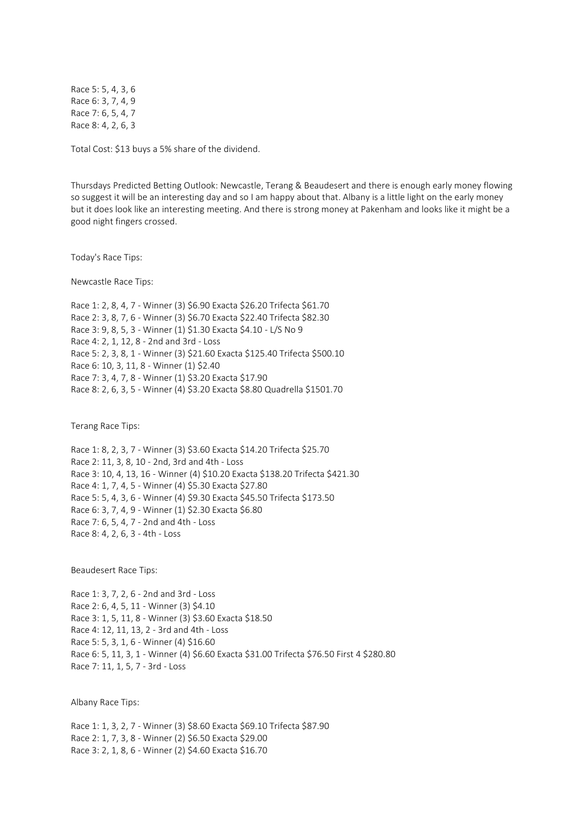Race 5: 5, 4, 3, 6 Race 6: 3, 7, 4, 9 Race 7: 6, 5, 4, 7 Race 8: 4, 2, 6, 3

Total Cost: \$13 buys a 5% share of the dividend.

Thursdays Predicted Betting Outlook: Newcastle, Terang & Beaudesert and there is enough early money flowing so suggest it will be an interesting day and so I am happy about that. Albany is a little light on the early money but it does look like an interesting meeting. And there is strong money at Pakenham and looks like it might be a good night fingers crossed.

Today's Race Tips:

Newcastle Race Tips:

Race 1: 2, 8, 4, 7 - Winner (3) \$6.90 Exacta \$26.20 Trifecta \$61.70 Race 2: 3, 8, 7, 6 - Winner (3) \$6.70 Exacta \$22.40 Trifecta \$82.30 Race 3: 9, 8, 5, 3 - Winner (1) \$1.30 Exacta \$4.10 - L/S No 9 Race 4: 2, 1, 12, 8 - 2nd and 3rd - Loss Race 5: 2, 3, 8, 1 - Winner (3) \$21.60 Exacta \$125.40 Trifecta \$500.10 Race 6: 10, 3, 11, 8 - Winner (1) \$2.40 Race 7: 3, 4, 7, 8 - Winner (1) \$3.20 Exacta \$17.90 Race 8: 2, 6, 3, 5 - Winner (4) \$3.20 Exacta \$8.80 Quadrella \$1501.70

Terang Race Tips:

Race 1: 8, 2, 3, 7 - Winner (3) \$3.60 Exacta \$14.20 Trifecta \$25.70 Race 2: 11, 3, 8, 10 - 2nd, 3rd and 4th - Loss Race 3: 10, 4, 13, 16 - Winner (4) \$10.20 Exacta \$138.20 Trifecta \$421.30 Race 4: 1, 7, 4, 5 - Winner (4) \$5.30 Exacta \$27.80 Race 5: 5, 4, 3, 6 - Winner (4) \$9.30 Exacta \$45.50 Trifecta \$173.50 Race 6: 3, 7, 4, 9 - Winner (1) \$2.30 Exacta \$6.80 Race 7: 6, 5, 4, 7 - 2nd and 4th - Loss Race 8: 4, 2, 6, 3 - 4th - Loss

Beaudesert Race Tips:

Race 1: 3, 7, 2, 6 - 2nd and 3rd - Loss Race 2: 6, 4, 5, 11 - Winner (3) \$4.10 Race 3: 1, 5, 11, 8 - Winner (3) \$3.60 Exacta \$18.50 Race 4: 12, 11, 13, 2 - 3rd and 4th - Loss Race 5: 5, 3, 1, 6 - Winner (4) \$16.60 Race 6: 5, 11, 3, 1 - Winner (4) \$6.60 Exacta \$31.00 Trifecta \$76.50 First 4 \$280.80 Race 7: 11, 1, 5, 7 - 3rd - Loss

Albany Race Tips:

Race 1: 1, 3, 2, 7 - Winner (3) \$8.60 Exacta \$69.10 Trifecta \$87.90 Race 2: 1, 7, 3, 8 - Winner (2) \$6.50 Exacta \$29.00 Race 3: 2, 1, 8, 6 - Winner (2) \$4.60 Exacta \$16.70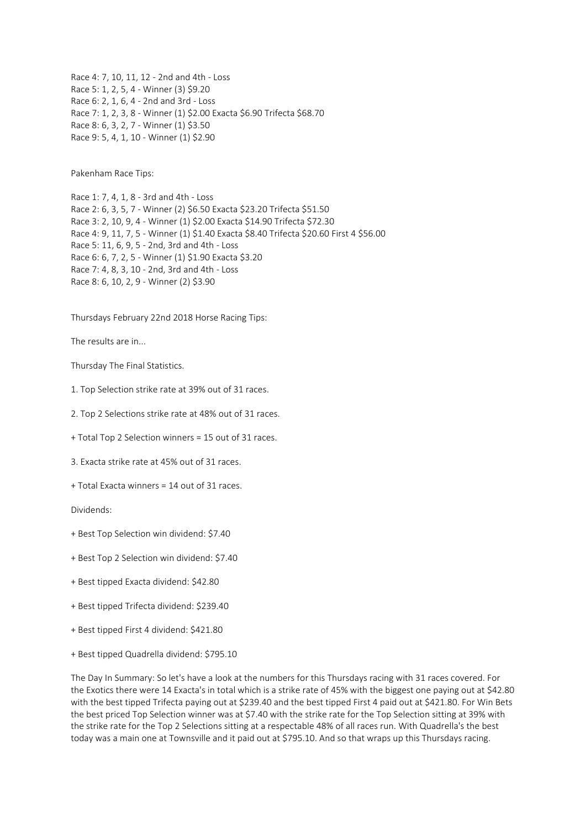Race 4: 7, 10, 11, 12 - 2nd and 4th - Loss Race 5: 1, 2, 5, 4 - Winner (3) \$9.20 Race 6: 2, 1, 6, 4 - 2nd and 3rd - Loss Race 7: 1, 2, 3, 8 - Winner (1) \$2.00 Exacta \$6.90 Trifecta \$68.70 Race 8: 6, 3, 2, 7 - Winner (1) \$3.50 Race 9: 5, 4, 1, 10 - Winner (1) \$2.90

Pakenham Race Tips:

Race 1: 7, 4, 1, 8 - 3rd and 4th - Loss Race 2: 6, 3, 5, 7 - Winner (2) \$6.50 Exacta \$23.20 Trifecta \$51.50 Race 3: 2, 10, 9, 4 - Winner (1) \$2.00 Exacta \$14.90 Trifecta \$72.30 Race 4: 9, 11, 7, 5 - Winner (1) \$1.40 Exacta \$8.40 Trifecta \$20.60 First 4 \$56.00 Race 5: 11, 6, 9, 5 - 2nd, 3rd and 4th - Loss Race 6: 6, 7, 2, 5 - Winner (1) \$1.90 Exacta \$3.20 Race 7: 4, 8, 3, 10 - 2nd, 3rd and 4th - Loss Race 8: 6, 10, 2, 9 - Winner (2) \$3.90

Thursdays February 22nd 2018 Horse Racing Tips:

The results are in...

Thursday The Final Statistics.

1. Top Selection strike rate at 39% out of 31 races.

2. Top 2 Selections strike rate at 48% out of 31 races.

+ Total Top 2 Selection winners = 15 out of 31 races.

3. Exacta strike rate at 45% out of 31 races.

+ Total Exacta winners = 14 out of 31 races.

Dividends:

- + Best Top Selection win dividend: \$7.40
- + Best Top 2 Selection win dividend: \$7.40
- + Best tipped Exacta dividend: \$42.80
- + Best tipped Trifecta dividend: \$239.40
- + Best tipped First 4 dividend: \$421.80
- + Best tipped Quadrella dividend: \$795.10

The Day In Summary: So let's have a look at the numbers for this Thursdays racing with 31 races covered. For the Exotics there were 14 Exacta's in total which is a strike rate of 45% with the biggest one paying out at \$42.80 with the best tipped Trifecta paying out at \$239.40 and the best tipped First 4 paid out at \$421.80. For Win Bets the best priced Top Selection winner was at \$7.40 with the strike rate for the Top Selection sitting at 39% with the strike rate for the Top 2 Selections sitting at a respectable 48% of all races run. With Quadrella's the best today was a main one at Townsville and it paid out at \$795.10. And so that wraps up this Thursdays racing.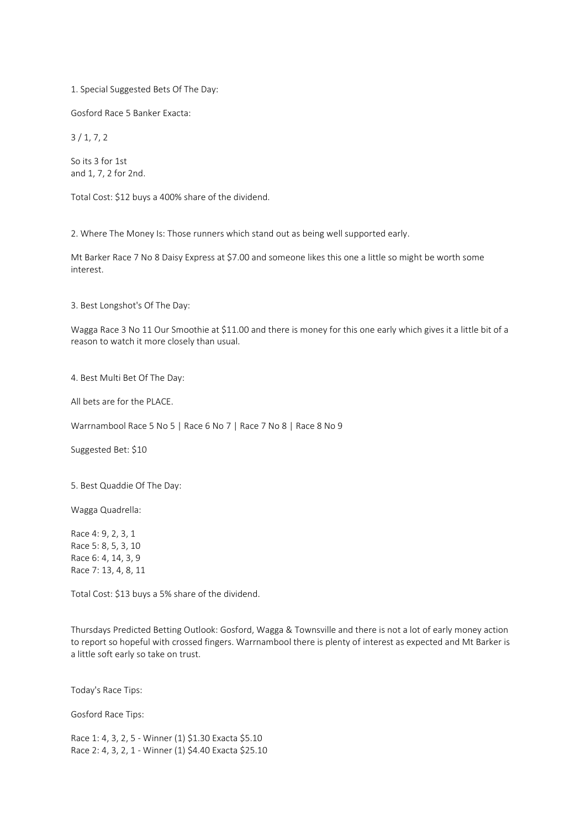1. Special Suggested Bets Of The Day:

Gosford Race 5 Banker Exacta:

3 / 1, 7, 2

So its 3 for 1st and 1, 7, 2 for 2nd.

Total Cost: \$12 buys a 400% share of the dividend.

2. Where The Money Is: Those runners which stand out as being well supported early.

Mt Barker Race 7 No 8 Daisy Express at \$7.00 and someone likes this one a little so might be worth some interest.

3. Best Longshot's Of The Day:

Wagga Race 3 No 11 Our Smoothie at \$11.00 and there is money for this one early which gives it a little bit of a reason to watch it more closely than usual.

4. Best Multi Bet Of The Day:

All bets are for the PLACE.

Warrnambool Race 5 No 5 | Race 6 No 7 | Race 7 No 8 | Race 8 No 9

Suggested Bet: \$10

5. Best Quaddie Of The Day:

Wagga Quadrella:

Race 4: 9, 2, 3, 1 Race 5: 8, 5, 3, 10 Race 6: 4, 14, 3, 9 Race 7: 13, 4, 8, 11

Total Cost: \$13 buys a 5% share of the dividend.

Thursdays Predicted Betting Outlook: Gosford, Wagga & Townsville and there is not a lot of early money action to report so hopeful with crossed fingers. Warrnambool there is plenty of interest as expected and Mt Barker is a little soft early so take on trust.

Today's Race Tips:

Gosford Race Tips:

Race 1: 4, 3, 2, 5 - Winner (1) \$1.30 Exacta \$5.10 Race 2: 4, 3, 2, 1 - Winner (1) \$4.40 Exacta \$25.10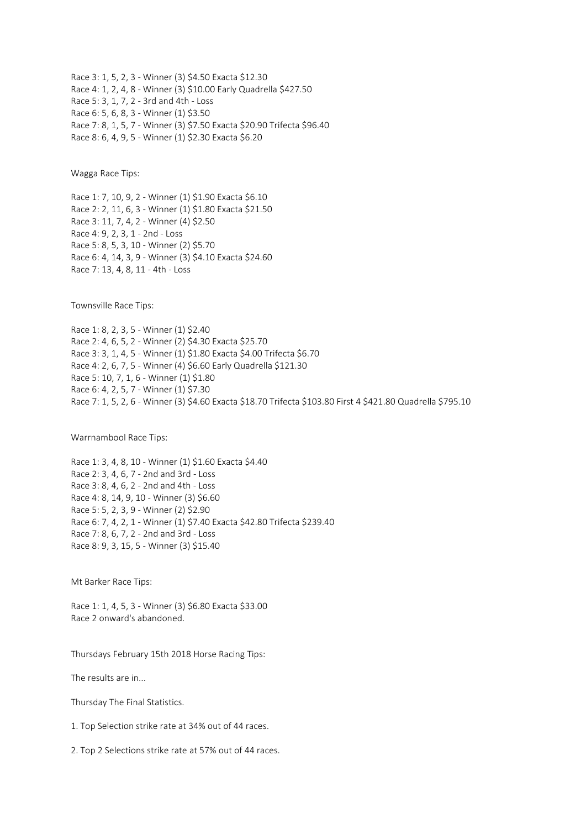Race 3: 1, 5, 2, 3 - Winner (3) \$4.50 Exacta \$12.30 Race 4: 1, 2, 4, 8 - Winner (3) \$10.00 Early Quadrella \$427.50 Race 5: 3, 1, 7, 2 - 3rd and 4th - Loss Race 6: 5, 6, 8, 3 - Winner (1) \$3.50 Race 7: 8, 1, 5, 7 - Winner (3) \$7.50 Exacta \$20.90 Trifecta \$96.40 Race 8: 6, 4, 9, 5 - Winner (1) \$2.30 Exacta \$6.20

Wagga Race Tips:

Race 1: 7, 10, 9, 2 - Winner (1) \$1.90 Exacta \$6.10 Race 2: 2, 11, 6, 3 - Winner (1) \$1.80 Exacta \$21.50 Race 3: 11, 7, 4, 2 - Winner (4) \$2.50 Race 4: 9, 2, 3, 1 - 2nd - Loss Race 5: 8, 5, 3, 10 - Winner (2) \$5.70 Race 6: 4, 14, 3, 9 - Winner (3) \$4.10 Exacta \$24.60 Race 7: 13, 4, 8, 11 - 4th - Loss

Townsville Race Tips:

Race 1: 8, 2, 3, 5 - Winner (1) \$2.40 Race 2: 4, 6, 5, 2 - Winner (2) \$4.30 Exacta \$25.70 Race 3: 3, 1, 4, 5 - Winner (1) \$1.80 Exacta \$4.00 Trifecta \$6.70 Race 4: 2, 6, 7, 5 - Winner (4) \$6.60 Early Quadrella \$121.30 Race 5: 10, 7, 1, 6 - Winner (1) \$1.80 Race 6: 4, 2, 5, 7 - Winner (1) \$7.30 Race 7: 1, 5, 2, 6 - Winner (3) \$4.60 Exacta \$18.70 Trifecta \$103.80 First 4 \$421.80 Quadrella \$795.10

Warrnambool Race Tips:

Race 1: 3, 4, 8, 10 - Winner (1) \$1.60 Exacta \$4.40 Race 2: 3, 4, 6, 7 - 2nd and 3rd - Loss Race 3: 8, 4, 6, 2 - 2nd and 4th - Loss Race 4: 8, 14, 9, 10 - Winner (3) \$6.60 Race 5: 5, 2, 3, 9 - Winner (2) \$2.90 Race 6: 7, 4, 2, 1 - Winner (1) \$7.40 Exacta \$42.80 Trifecta \$239.40 Race 7: 8, 6, 7, 2 - 2nd and 3rd - Loss Race 8: 9, 3, 15, 5 - Winner (3) \$15.40

Mt Barker Race Tips:

Race 1: 1, 4, 5, 3 - Winner (3) \$6.80 Exacta \$33.00 Race 2 onward's abandoned.

Thursdays February 15th 2018 Horse Racing Tips:

The results are in...

Thursday The Final Statistics.

1. Top Selection strike rate at 34% out of 44 races.

2. Top 2 Selections strike rate at 57% out of 44 races.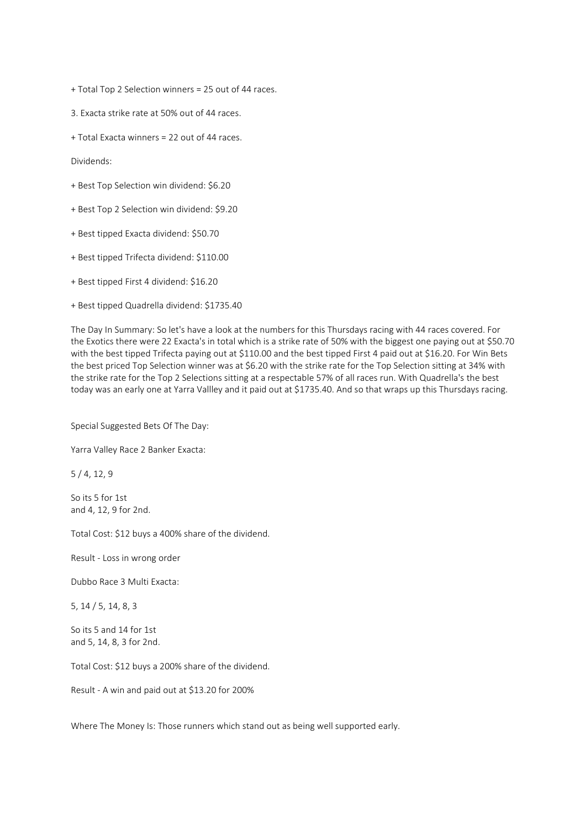+ Total Top 2 Selection winners = 25 out of 44 races.

3. Exacta strike rate at 50% out of 44 races.

+ Total Exacta winners = 22 out of 44 races.

Dividends:

- + Best Top Selection win dividend: \$6.20
- + Best Top 2 Selection win dividend: \$9.20
- + Best tipped Exacta dividend: \$50.70
- + Best tipped Trifecta dividend: \$110.00
- + Best tipped First 4 dividend: \$16.20
- + Best tipped Quadrella dividend: \$1735.40

The Day In Summary: So let's have a look at the numbers for this Thursdays racing with 44 races covered. For the Exotics there were 22 Exacta's in total which is a strike rate of 50% with the biggest one paying out at \$50.70 with the best tipped Trifecta paying out at \$110.00 and the best tipped First 4 paid out at \$16.20. For Win Bets the best priced Top Selection winner was at \$6.20 with the strike rate for the Top Selection sitting at 34% with the strike rate for the Top 2 Selections sitting at a respectable 57% of all races run. With Quadrella's the best today was an early one at Yarra Vallley and it paid out at \$1735.40. And so that wraps up this Thursdays racing.

Special Suggested Bets Of The Day:

Yarra Valley Race 2 Banker Exacta:

5 / 4, 12, 9

So its 5 for 1st and 4, 12, 9 for 2nd.

Total Cost: \$12 buys a 400% share of the dividend.

Result - Loss in wrong order

Dubbo Race 3 Multi Exacta:

5, 14 / 5, 14, 8, 3

So its 5 and 14 for 1st and 5, 14, 8, 3 for 2nd.

Total Cost: \$12 buys a 200% share of the dividend.

Result - A win and paid out at \$13.20 for 200%

Where The Money Is: Those runners which stand out as being well supported early.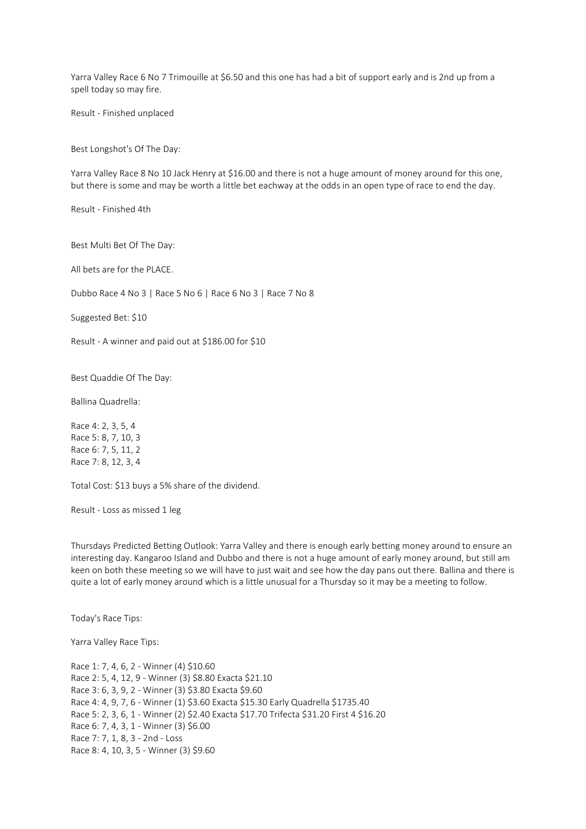Yarra Valley Race 6 No 7 Trimouille at \$6.50 and this one has had a bit of support early and is 2nd up from a spell today so may fire.

Result - Finished unplaced

Best Longshot's Of The Day:

Yarra Valley Race 8 No 10 Jack Henry at \$16.00 and there is not a huge amount of money around for this one, but there is some and may be worth a little bet eachway at the odds in an open type of race to end the day.

Result - Finished 4th

Best Multi Bet Of The Day:

All bets are for the PLACE.

Dubbo Race 4 No 3 | Race 5 No 6 | Race 6 No 3 | Race 7 No 8

Suggested Bet: \$10

Result - A winner and paid out at \$186.00 for \$10

Best Quaddie Of The Day:

Ballina Quadrella:

Race 4: 2, 3, 5, 4 Race 5: 8, 7, 10, 3 Race 6: 7, 5, 11, 2 Race 7: 8, 12, 3, 4

Total Cost: \$13 buys a 5% share of the dividend.

Result - Loss as missed 1 leg

Thursdays Predicted Betting Outlook: Yarra Valley and there is enough early betting money around to ensure an interesting day. Kangaroo Island and Dubbo and there is not a huge amount of early money around, but still am keen on both these meeting so we will have to just wait and see how the day pans out there. Ballina and there is quite a lot of early money around which is a little unusual for a Thursday so it may be a meeting to follow.

Today's Race Tips:

Yarra Valley Race Tips:

Race 1: 7, 4, 6, 2 - Winner (4) \$10.60 Race 2: 5, 4, 12, 9 - Winner (3) \$8.80 Exacta \$21.10 Race 3: 6, 3, 9, 2 - Winner (3) \$3.80 Exacta \$9.60 Race 4: 4, 9, 7, 6 - Winner (1) \$3.60 Exacta \$15.30 Early Quadrella \$1735.40 Race 5: 2, 3, 6, 1 - Winner (2) \$2.40 Exacta \$17.70 Trifecta \$31.20 First 4 \$16.20 Race 6: 7, 4, 3, 1 - Winner (3) \$6.00 Race 7: 7, 1, 8, 3 - 2nd - Loss Race 8: 4, 10, 3, 5 - Winner (3) \$9.60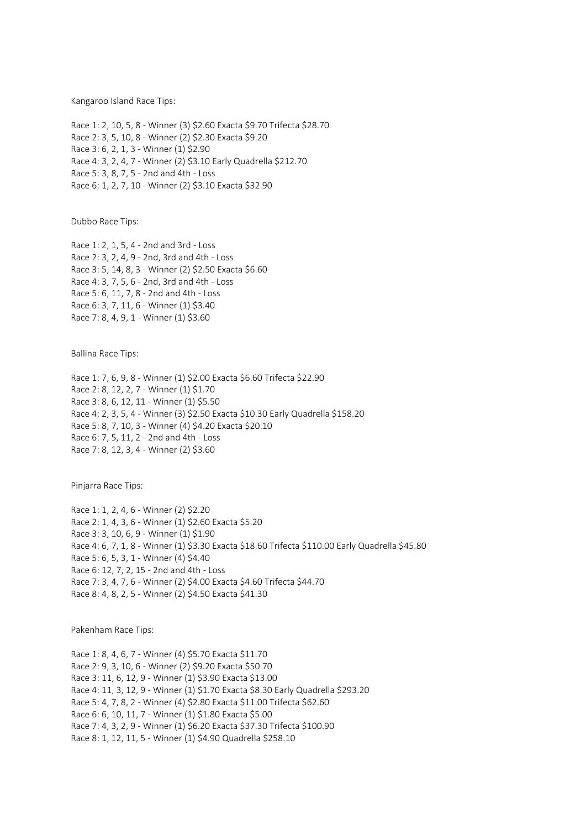Kangaroo Island Race Tips:

Race 1: 2, 10, 5, 8 - Winner (3) \$2.60 Exacta \$9.70 Trifecta \$28.70 Race 2: 3, 5, 10, 8 - Winner (2) \$2.30 Exacta \$9.20 Race 3: 6, 2, 1, 3 - Winner (1) \$2.90 Race 4: 3, 2, 4, 7 - Winner (2) \$3.10 Early Quadrella \$212.70 Race 5: 3, 8, 7, 5 - 2nd and 4th - Loss Race 6: 1, 2, 7, 10 - Winner (2) \$3.10 Exacta \$32.90

Dubbo Race Tips:

Race 1: 2, 1, 5, 4 - 2nd and 3rd - Loss Race 2: 3, 2, 4, 9 - 2nd, 3rd and 4th - Loss Race 3: 5, 14, 8, 3 - Winner (2) \$2.50 Exacta \$6.60 Race 4: 3, 7, 5, 6 - 2nd, 3rd and 4th - Loss Race 5: 6, 11, 7, 8 - 2nd and 4th - Loss Race 6: 3, 7, 11, 6 - Winner (1) \$3.40 Race 7: 8, 4, 9, 1 - Winner (1) \$3.60

Ballina Race Tips:

Race 1: 7, 6, 9, 8 - Winner (1) \$2.00 Exacta \$6.60 Trifecta \$22.90 Race 2: 8, 12, 2, 7 - Winner (1) \$1.70 Race 3: 8, 6, 12, 11 - Winner (1) \$5.50 Race 4: 2, 3, 5, 4 - Winner (3) \$2.50 Exacta \$10.30 Early Quadrella \$158.20 Race 5: 8, 7, 10, 3 - Winner (4) \$4.20 Exacta \$20.10 Race 6: 7, 5, 11, 2 - 2nd and 4th - Loss Race 7: 8, 12, 3, 4 - Winner (2) \$3.60

Pinjarra Race Tips:

Race 1: 1, 2, 4, 6 - Winner (2) \$2.20 Race 2: 1, 4, 3, 6 - Winner (1) \$2.60 Exacta \$5.20 Race 3: 3, 10, 6, 9 - Winner (1) \$1.90 Race 4: 6, 7, 1, 8 - Winner (1) \$3.30 Exacta \$18.60 Trifecta \$110.00 Early Quadrella \$45.80 Race 5: 6, 5, 3, 1 - Winner (4) \$4.40 Race 6: 12, 7, 2, 15 - 2nd and 4th - Loss Race 7: 3, 4, 7, 6 - Winner (2) \$4.00 Exacta \$4.60 Trifecta \$44.70 Race 8: 4, 8, 2, 5 - Winner (2) \$4.50 Exacta \$41.30

Pakenham Race Tips:

Race 1: 8, 4, 6, 7 - Winner (4) \$5.70 Exacta \$11.70 Race 2: 9, 3, 10, 6 - Winner (2) \$9.20 Exacta \$50.70 Race 3: 11, 6, 12, 9 - Winner (1) \$3.90 Exacta \$13.00 Race 4: 11, 3, 12, 9 - Winner (1) \$1.70 Exacta \$8.30 Early Quadrella \$293.20 Race 5: 4, 7, 8, 2 - Winner (4) \$2.80 Exacta \$11.00 Trifecta \$62.60 Race 6: 6, 10, 11, 7 - Winner (1) \$1.80 Exacta \$5.00 Race 7: 4, 3, 2, 9 - Winner (1) \$6.20 Exacta \$37.30 Trifecta \$100.90 Race 8: 1, 12, 11, 5 - Winner (1) \$4.90 Quadrella \$258.10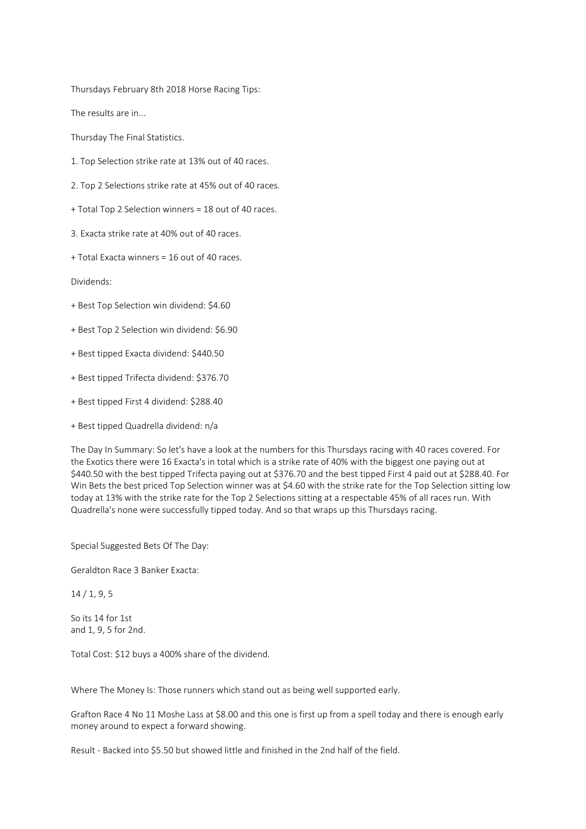Thursdays February 8th 2018 Horse Racing Tips:

The results are in...

Thursday The Final Statistics.

- 1. Top Selection strike rate at 13% out of 40 races.
- 2. Top 2 Selections strike rate at 45% out of 40 races.
- + Total Top 2 Selection winners = 18 out of 40 races.
- 3. Exacta strike rate at 40% out of 40 races.
- + Total Exacta winners = 16 out of 40 races.

Dividends:

- + Best Top Selection win dividend: \$4.60
- + Best Top 2 Selection win dividend: \$6.90
- + Best tipped Exacta dividend: \$440.50
- + Best tipped Trifecta dividend: \$376.70
- + Best tipped First 4 dividend: \$288.40
- + Best tipped Quadrella dividend: n/a

The Day In Summary: So let's have a look at the numbers for this Thursdays racing with 40 races covered. For the Exotics there were 16 Exacta's in total which is a strike rate of 40% with the biggest one paying out at \$440.50 with the best tipped Trifecta paying out at \$376.70 and the best tipped First 4 paid out at \$288.40. For Win Bets the best priced Top Selection winner was at \$4.60 with the strike rate for the Top Selection sitting low today at 13% with the strike rate for the Top 2 Selections sitting at a respectable 45% of all races run. With Quadrella's none were successfully tipped today. And so that wraps up this Thursdays racing.

Special Suggested Bets Of The Day:

Geraldton Race 3 Banker Exacta:

14 / 1, 9, 5

So its 14 for 1st and 1, 9, 5 for 2nd.

Total Cost: \$12 buys a 400% share of the dividend.

Where The Money Is: Those runners which stand out as being well supported early.

Grafton Race 4 No 11 Moshe Lass at \$8.00 and this one is first up from a spell today and there is enough early money around to expect a forward showing.

Result - Backed into \$5.50 but showed little and finished in the 2nd half of the field.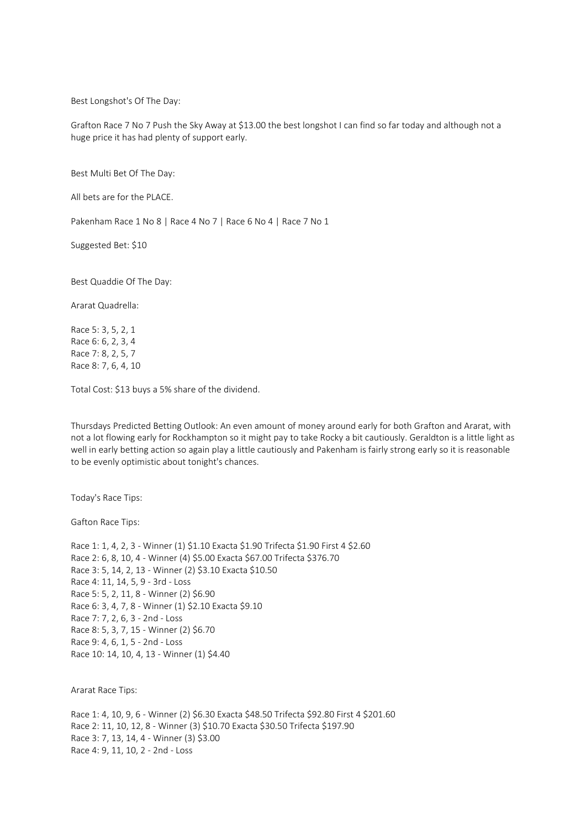Best Longshot's Of The Day:

Grafton Race 7 No 7 Push the Sky Away at \$13.00 the best longshot I can find so far today and although not a huge price it has had plenty of support early.

Best Multi Bet Of The Day:

All bets are for the PLACE.

Pakenham Race 1 No 8 | Race 4 No 7 | Race 6 No 4 | Race 7 No 1

Suggested Bet: \$10

Best Quaddie Of The Day:

Ararat Quadrella:

Race 5: 3, 5, 2, 1 Race 6: 6, 2, 3, 4 Race 7: 8, 2, 5, 7 Race 8: 7, 6, 4, 10

Total Cost: \$13 buys a 5% share of the dividend.

Thursdays Predicted Betting Outlook: An even amount of money around early for both Grafton and Ararat, with not a lot flowing early for Rockhampton so it might pay to take Rocky a bit cautiously. Geraldton is a little light as well in early betting action so again play a little cautiously and Pakenham is fairly strong early so it is reasonable to be evenly optimistic about tonight's chances.

Today's Race Tips:

Gafton Race Tips:

Race 1: 1, 4, 2, 3 - Winner (1) \$1.10 Exacta \$1.90 Trifecta \$1.90 First 4 \$2.60 Race 2: 6, 8, 10, 4 - Winner (4) \$5.00 Exacta \$67.00 Trifecta \$376.70 Race 3: 5, 14, 2, 13 - Winner (2) \$3.10 Exacta \$10.50 Race 4: 11, 14, 5, 9 - 3rd - Loss Race 5: 5, 2, 11, 8 - Winner (2) \$6.90 Race 6: 3, 4, 7, 8 - Winner (1) \$2.10 Exacta \$9.10 Race 7: 7, 2, 6, 3 - 2nd - Loss Race 8: 5, 3, 7, 15 - Winner (2) \$6.70 Race 9: 4, 6, 1, 5 - 2nd - Loss Race 10: 14, 10, 4, 13 - Winner (1) \$4.40

Ararat Race Tips:

Race 1: 4, 10, 9, 6 - Winner (2) \$6.30 Exacta \$48.50 Trifecta \$92.80 First 4 \$201.60 Race 2: 11, 10, 12, 8 - Winner (3) \$10.70 Exacta \$30.50 Trifecta \$197.90 Race 3: 7, 13, 14, 4 - Winner (3) \$3.00 Race 4: 9, 11, 10, 2 - 2nd - Loss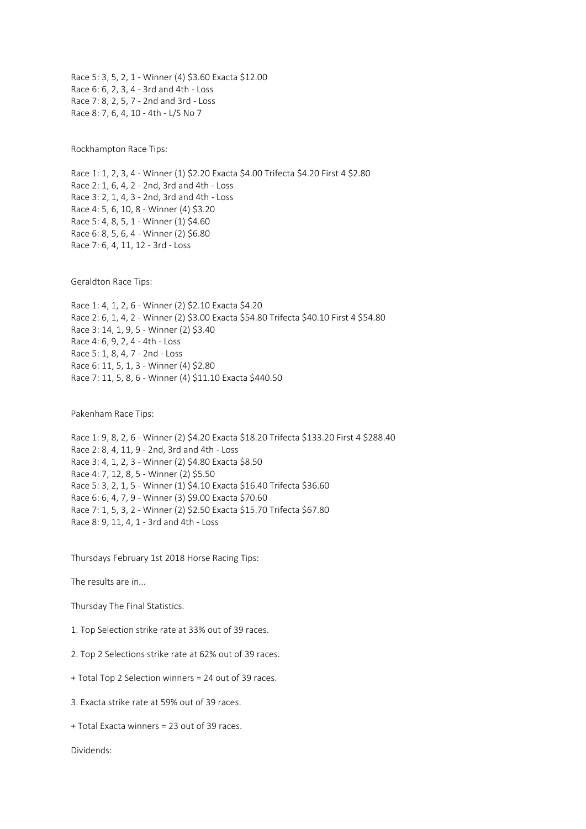Race 5: 3, 5, 2, 1 - Winner (4) \$3.60 Exacta \$12.00 Race 6: 6, 2, 3, 4 - 3rd and 4th - Loss Race 7: 8, 2, 5, 7 - 2nd and 3rd - Loss Race 8: 7, 6, 4, 10 - 4th - L/S No 7

Rockhampton Race Tips:

Race 1: 1, 2, 3, 4 - Winner (1) \$2.20 Exacta \$4.00 Trifecta \$4.20 First 4 \$2.80 Race 2: 1, 6, 4, 2 - 2nd, 3rd and 4th - Loss Race 3: 2, 1, 4, 3 - 2nd, 3rd and 4th - Loss Race 4: 5, 6, 10, 8 - Winner (4) \$3.20 Race 5: 4, 8, 5, 1 - Winner (1) \$4.60 Race 6: 8, 5, 6, 4 - Winner (2) \$6.80 Race 7: 6, 4, 11, 12 - 3rd - Loss

Geraldton Race Tips:

Race 1: 4, 1, 2, 6 - Winner (2) \$2.10 Exacta \$4.20 Race 2: 6, 1, 4, 2 - Winner (2) \$3.00 Exacta \$54.80 Trifecta \$40.10 First 4 \$54.80 Race 3: 14, 1, 9, 5 - Winner (2) \$3.40 Race 4: 6, 9, 2, 4 - 4th - Loss Race 5: 1, 8, 4, 7 - 2nd - Loss Race 6: 11, 5, 1, 3 - Winner (4) \$2.80 Race 7: 11, 5, 8, 6 - Winner (4) \$11.10 Exacta \$440.50

Pakenham Race Tips:

Race 1: 9, 8, 2, 6 - Winner (2) \$4.20 Exacta \$18.20 Trifecta \$133.20 First 4 \$288.40 Race 2: 8, 4, 11, 9 - 2nd, 3rd and 4th - Loss Race 3: 4, 1, 2, 3 - Winner (2) \$4.80 Exacta \$8.50 Race 4: 7, 12, 8, 5 - Winner (2) \$5.50 Race 5: 3, 2, 1, 5 - Winner (1) \$4.10 Exacta \$16.40 Trifecta \$36.60 Race 6: 6, 4, 7, 9 - Winner (3) \$9.00 Exacta \$70.60 Race 7: 1, 5, 3, 2 - Winner (2) \$2.50 Exacta \$15.70 Trifecta \$67.80 Race 8: 9, 11, 4, 1 - 3rd and 4th - Loss

Thursdays February 1st 2018 Horse Racing Tips:

The results are in...

Thursday The Final Statistics.

1. Top Selection strike rate at 33% out of 39 races.

2. Top 2 Selections strike rate at 62% out of 39 races.

+ Total Top 2 Selection winners = 24 out of 39 races.

3. Exacta strike rate at 59% out of 39 races.

+ Total Exacta winners = 23 out of 39 races.

Dividends: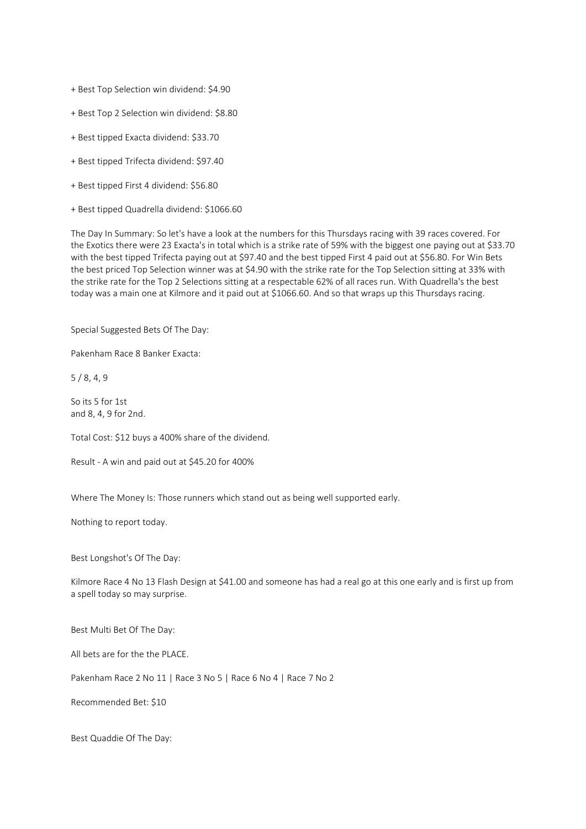+ Best Top Selection win dividend: \$4.90

+ Best Top 2 Selection win dividend: \$8.80

- + Best tipped Exacta dividend: \$33.70
- + Best tipped Trifecta dividend: \$97.40
- + Best tipped First 4 dividend: \$56.80
- + Best tipped Quadrella dividend: \$1066.60

The Day In Summary: So let's have a look at the numbers for this Thursdays racing with 39 races covered. For the Exotics there were 23 Exacta's in total which is a strike rate of 59% with the biggest one paying out at \$33.70 with the best tipped Trifecta paying out at \$97.40 and the best tipped First 4 paid out at \$56.80. For Win Bets the best priced Top Selection winner was at \$4.90 with the strike rate for the Top Selection sitting at 33% with the strike rate for the Top 2 Selections sitting at a respectable 62% of all races run. With Quadrella's the best today was a main one at Kilmore and it paid out at \$1066.60. And so that wraps up this Thursdays racing.

Special Suggested Bets Of The Day:

Pakenham Race 8 Banker Exacta:

5 / 8, 4, 9

So its 5 for 1st and 8, 4, 9 for 2nd.

Total Cost: \$12 buys a 400% share of the dividend.

Result - A win and paid out at \$45.20 for 400%

Where The Money Is: Those runners which stand out as being well supported early.

Nothing to report today.

Best Longshot's Of The Day:

Kilmore Race 4 No 13 Flash Design at \$41.00 and someone has had a real go at this one early and is first up from a spell today so may surprise.

Best Multi Bet Of The Day:

All bets are for the the PLACE.

Pakenham Race 2 No 11 | Race 3 No 5 | Race 6 No 4 | Race 7 No 2

Recommended Bet: \$10

Best Quaddie Of The Day: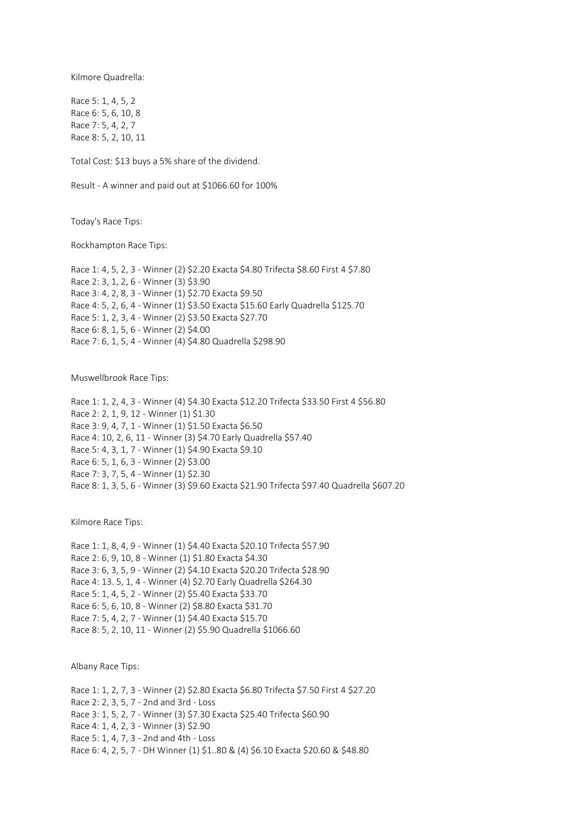Kilmore Quadrella:

Race 5: 1, 4, 5, 2 Race 6: 5, 6, 10, 8 Race 7: 5, 4, 2, 7 Race 8: 5, 2, 10, 11

Total Cost: \$13 buys a 5% share of the dividend.

Result - A winner and paid out at \$1066.60 for 100%

Today's Race Tips:

Rockhampton Race Tips:

Race 1: 4, 5, 2, 3 - Winner (2) \$2.20 Exacta \$4.80 Trifecta \$8.60 First 4 \$7.80 Race 2: 3, 1, 2, 6 - Winner (3) \$3.90 Race 3: 4, 2, 8, 3 - Winner (1) \$2.70 Exacta \$9.50 Race 4: 5, 2, 6, 4 - Winner (1) \$3.50 Exacta \$15.60 Early Quadrella \$125.70 Race 5: 1, 2, 3, 4 - Winner (2) \$3.50 Exacta \$27.70 Race 6: 8, 1, 5, 6 - Winner (2) \$4.00 Race 7: 6, 1, 5, 4 - Winner (4) \$4.80 Quadrella \$298.90

Muswellbrook Race Tips:

Race 1: 1, 2, 4, 3 - Winner (4) \$4.30 Exacta \$12.20 Trifecta \$33.50 First 4 \$56.80 Race 2: 2, 1, 9, 12 - Winner (1) \$1.30 Race 3: 9, 4, 7, 1 - Winner (1) \$1.50 Exacta \$6.50 Race 4: 10, 2, 6, 11 - Winner (3) \$4.70 Early Quadrella \$57.40 Race 5: 4, 3, 1, 7 - Winner (1) \$4.90 Exacta \$9.10 Race 6: 5, 1, 6, 3 - Winner (2) \$3.00 Race 7: 3, 7, 5, 4 - Winner (1) \$2.30 Race 8: 1, 3, 5, 6 - Winner (3) \$9.60 Exacta \$21.90 Trifecta \$97.40 Quadrella \$607.20

Kilmore Race Tips:

Race 1: 1, 8, 4, 9 - Winner (1) \$4.40 Exacta \$20.10 Trifecta \$57.90 Race 2: 6, 9, 10, 8 - Winner (1) \$1.80 Exacta \$4.30 Race 3: 6, 3, 5, 9 - Winner (2) \$4.10 Exacta \$20.20 Trifecta \$28.90 Race 4: 13. 5, 1, 4 - Winner (4) \$2.70 Early Quadrella \$264.30 Race 5: 1, 4, 5, 2 - Winner (2) \$5.40 Exacta \$33.70 Race 6: 5, 6, 10, 8 - Winner (2) \$8.80 Exacta \$31.70 Race 7: 5, 4, 2, 7 - Winner (1) \$4.40 Exacta \$15.70 Race 8: 5, 2, 10, 11 - Winner (2) \$5.90 Quadrella \$1066.60

Albany Race Tips:

Race 1: 1, 2, 7, 3 - Winner (2) \$2.80 Exacta \$6.80 Trifecta \$7.50 First 4 \$27.20 Race 2: 2, 3, 5, 7 - 2nd and 3rd - Loss Race 3: 1, 5, 2, 7 - Winner (3) \$7.30 Exacta \$25.40 Trifecta \$60.90 Race 4: 1, 4, 2, 3 - Winner (3) \$2.90 Race 5: 1, 4, 7, 3 - 2nd and 4th - Loss Race 6: 4, 2, 5, 7 - DH Winner (1) \$1..80 & (4) \$6.10 Exacta \$20.60 & \$48.80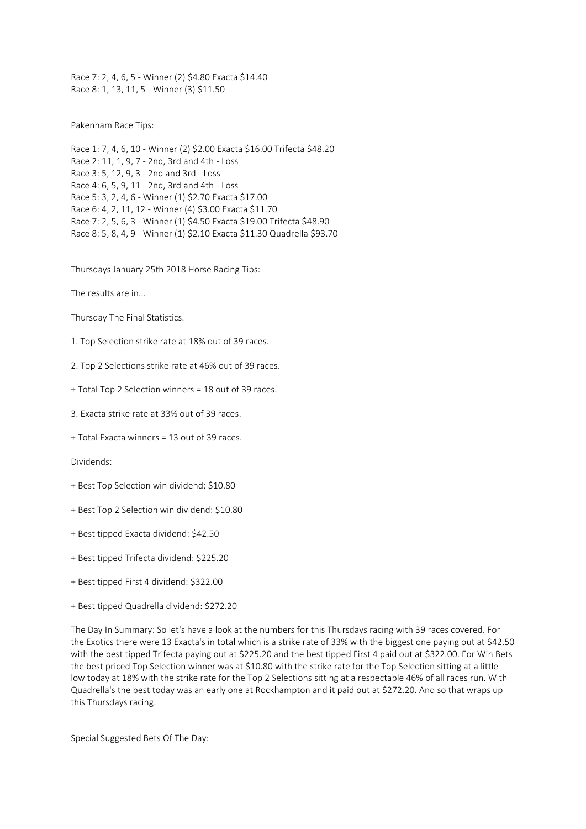Race 7: 2, 4, 6, 5 - Winner (2) \$4.80 Exacta \$14.40 Race 8: 1, 13, 11, 5 - Winner (3) \$11.50

Pakenham Race Tips:

Race 1: 7, 4, 6, 10 - Winner (2) \$2.00 Exacta \$16.00 Trifecta \$48.20 Race 2: 11, 1, 9, 7 - 2nd, 3rd and 4th - Loss Race 3: 5, 12, 9, 3 - 2nd and 3rd - Loss Race 4: 6, 5, 9, 11 - 2nd, 3rd and 4th - Loss Race 5: 3, 2, 4, 6 - Winner (1) \$2.70 Exacta \$17.00 Race 6: 4, 2, 11, 12 - Winner (4) \$3.00 Exacta \$11.70 Race 7: 2, 5, 6, 3 - Winner (1) \$4.50 Exacta \$19.00 Trifecta \$48.90 Race 8: 5, 8, 4, 9 - Winner (1) \$2.10 Exacta \$11.30 Quadrella \$93.70

Thursdays January 25th 2018 Horse Racing Tips:

The results are in...

Thursday The Final Statistics.

1. Top Selection strike rate at 18% out of 39 races.

2. Top 2 Selections strike rate at 46% out of 39 races.

+ Total Top 2 Selection winners = 18 out of 39 races.

3. Exacta strike rate at 33% out of 39 races.

+ Total Exacta winners = 13 out of 39 races.

Dividends:

+ Best Top Selection win dividend: \$10.80

+ Best Top 2 Selection win dividend: \$10.80

+ Best tipped Exacta dividend: \$42.50

+ Best tipped Trifecta dividend: \$225.20

+ Best tipped First 4 dividend: \$322.00

+ Best tipped Quadrella dividend: \$272.20

The Day In Summary: So let's have a look at the numbers for this Thursdays racing with 39 races covered. For the Exotics there were 13 Exacta's in total which is a strike rate of 33% with the biggest one paying out at \$42.50 with the best tipped Trifecta paying out at \$225.20 and the best tipped First 4 paid out at \$322.00. For Win Bets the best priced Top Selection winner was at \$10.80 with the strike rate for the Top Selection sitting at a little low today at 18% with the strike rate for the Top 2 Selections sitting at a respectable 46% of all races run. With Quadrella's the best today was an early one at Rockhampton and it paid out at \$272.20. And so that wraps up this Thursdays racing.

Special Suggested Bets Of The Day: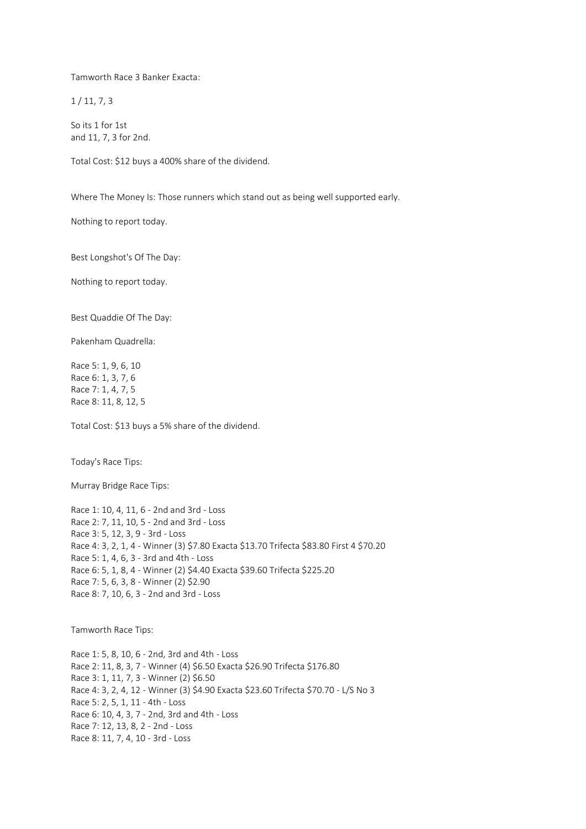Tamworth Race 3 Banker Exacta:

 $1/11, 7, 3$ 

So its 1 for 1st and 11, 7, 3 for 2nd.

Total Cost: \$12 buys a 400% share of the dividend.

Where The Money Is: Those runners which stand out as being well supported early.

Nothing to report today.

Best Longshot's Of The Day:

Nothing to report today.

Best Quaddie Of The Day:

Pakenham Quadrella:

Race 5: 1, 9, 6, 10 Race 6: 1, 3, 7, 6 Race 7: 1, 4, 7, 5 Race 8: 11, 8, 12, 5

Total Cost: \$13 buys a 5% share of the dividend.

Today's Race Tips:

Murray Bridge Race Tips:

Race 1: 10, 4, 11, 6 - 2nd and 3rd - Loss Race 2: 7, 11, 10, 5 - 2nd and 3rd - Loss Race 3: 5, 12, 3, 9 - 3rd - Loss Race 4: 3, 2, 1, 4 - Winner (3) \$7.80 Exacta \$13.70 Trifecta \$83.80 First 4 \$70.20 Race 5: 1, 4, 6, 3 - 3rd and 4th - Loss Race 6: 5, 1, 8, 4 - Winner (2) \$4.40 Exacta \$39.60 Trifecta \$225.20 Race 7: 5, 6, 3, 8 - Winner (2) \$2.90 Race 8: 7, 10, 6, 3 - 2nd and 3rd - Loss

Tamworth Race Tips:

Race 1: 5, 8, 10, 6 - 2nd, 3rd and 4th - Loss Race 2: 11, 8, 3, 7 - Winner (4) \$6.50 Exacta \$26.90 Trifecta \$176.80 Race 3: 1, 11, 7, 3 - Winner (2) \$6.50 Race 4: 3, 2, 4, 12 - Winner (3) \$4.90 Exacta \$23.60 Trifecta \$70.70 - L/S No 3 Race 5: 2, 5, 1, 11 - 4th - Loss Race 6: 10, 4, 3, 7 - 2nd, 3rd and 4th - Loss Race 7: 12, 13, 8, 2 - 2nd - Loss Race 8: 11, 7, 4, 10 - 3rd - Loss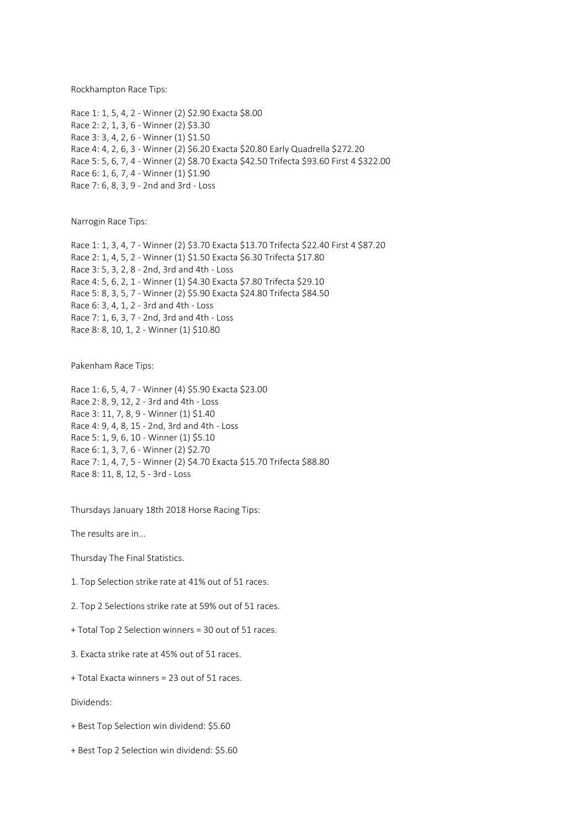Rockhampton Race Tips:

Race 1: 1, 5, 4, 2 - Winner (2) \$2.90 Exacta \$8.00 Race 2: 2, 1, 3, 6 - Winner (2) \$3.30 Race 3: 3, 4, 2, 6 - Winner (1) \$1.50 Race 4: 4, 2, 6, 3 - Winner (2) \$6.20 Exacta \$20.80 Early Quadrella \$272.20 Race 5: 5, 6, 7, 4 - Winner (2) \$8.70 Exacta \$42.50 Trifecta \$93.60 First 4 \$322.00 Race 6: 1, 6, 7, 4 - Winner (1) \$1.90 Race 7: 6, 8, 3, 9 - 2nd and 3rd - Loss

Narrogin Race Tips:

Race 1: 1, 3, 4, 7 - Winner (2) \$3.70 Exacta \$13.70 Trifecta \$22.40 First 4 \$87.20 Race 2: 1, 4, 5, 2 - Winner (1) \$1.50 Exacta \$6.30 Trifecta \$17.80 Race 3: 5, 3, 2, 8 - 2nd, 3rd and 4th - Loss Race 4: 5, 6, 2, 1 - Winner (1) \$4.30 Exacta \$7.80 Trifecta \$29.10 Race 5: 8, 3, 5, 7 - Winner (2) \$5.90 Exacta \$24.80 Trifecta \$84.50 Race 6: 3, 4, 1, 2 - 3rd and 4th - Loss Race 7: 1, 6, 3, 7 - 2nd, 3rd and 4th - Loss Race 8: 8, 10, 1, 2 - Winner (1) \$10.80

Pakenham Race Tips:

Race 1: 6, 5, 4, 7 - Winner (4) \$5.90 Exacta \$23.00 Race 2: 8, 9, 12, 2 - 3rd and 4th - Loss Race 3: 11, 7, 8, 9 - Winner (1) \$1.40 Race 4: 9, 4, 8, 15 - 2nd, 3rd and 4th - Loss Race 5: 1, 9, 6, 10 - Winner (1) \$5.10 Race 6: 1, 3, 7, 6 - Winner (2) \$2.70 Race 7: 1, 4, 7, 5 - Winner (2) \$4.70 Exacta \$15.70 Trifecta \$88.80 Race 8: 11, 8, 12, 5 - 3rd - Loss

Thursdays January 18th 2018 Horse Racing Tips:

The results are in...

Thursday The Final Statistics.

1. Top Selection strike rate at 41% out of 51 races.

2. Top 2 Selections strike rate at 59% out of 51 races.

+ Total Top 2 Selection winners = 30 out of 51 races.

3. Exacta strike rate at 45% out of 51 races.

+ Total Exacta winners = 23 out of 51 races.

Dividends:

+ Best Top Selection win dividend: \$5.60

+ Best Top 2 Selection win dividend: \$5.60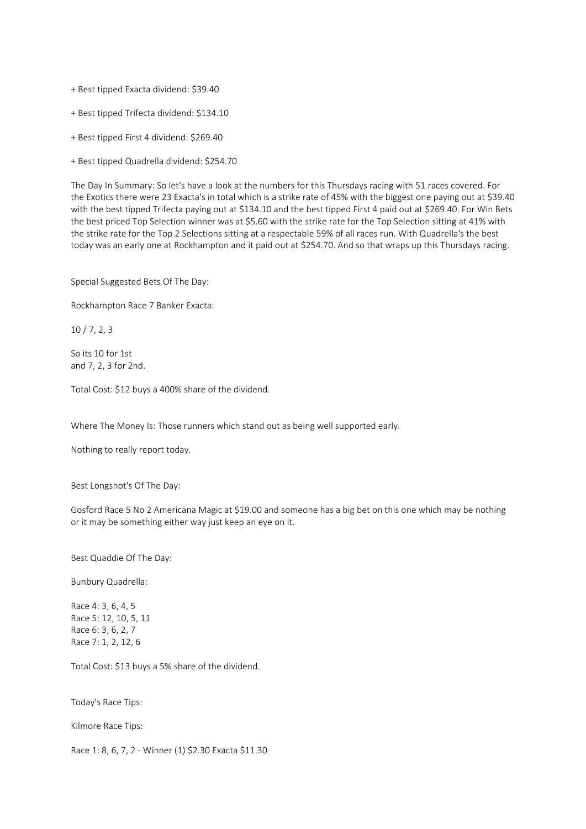- + Best tipped Exacta dividend: \$39.40
- + Best tipped Trifecta dividend: \$134.10
- + Best tipped First 4 dividend: \$269.40
- + Best tipped Quadrella dividend: \$254.70

The Day In Summary: So let's have a look at the numbers for this Thursdays racing with 51 races covered. For the Exotics there were 23 Exacta's in total which is a strike rate of 45% with the biggest one paying out at \$39.40 with the best tipped Trifecta paying out at \$134.10 and the best tipped First 4 paid out at \$269.40. For Win Bets the best priced Top Selection winner was at \$5.60 with the strike rate for the Top Selection sitting at 41% with the strike rate for the Top 2 Selections sitting at a respectable 59% of all races run. With Quadrella's the best today was an early one at Rockhampton and it paid out at \$254.70. And so that wraps up this Thursdays racing.

Special Suggested Bets Of The Day:

Rockhampton Race 7 Banker Exacta:

10 / 7, 2, 3

So its 10 for 1st and 7, 2, 3 for 2nd.

Total Cost: \$12 buys a 400% share of the dividend.

Where The Money Is: Those runners which stand out as being well supported early.

Nothing to really report today.

Best Longshot's Of The Day:

Gosford Race 5 No 2 Americana Magic at \$19.00 and someone has a big bet on this one which may be nothing or it may be something either way just keep an eye on it.

Best Quaddie Of The Day:

Bunbury Quadrella:

Race 4: 3, 6, 4, 5 Race 5: 12, 10, 5, 11 Race 6: 3, 6, 2, 7 Race 7: 1, 2, 12, 6

Total Cost: \$13 buys a 5% share of the dividend.

Today's Race Tips:

Kilmore Race Tips:

Race 1: 8, 6, 7, 2 - Winner (1) \$2.30 Exacta \$11.30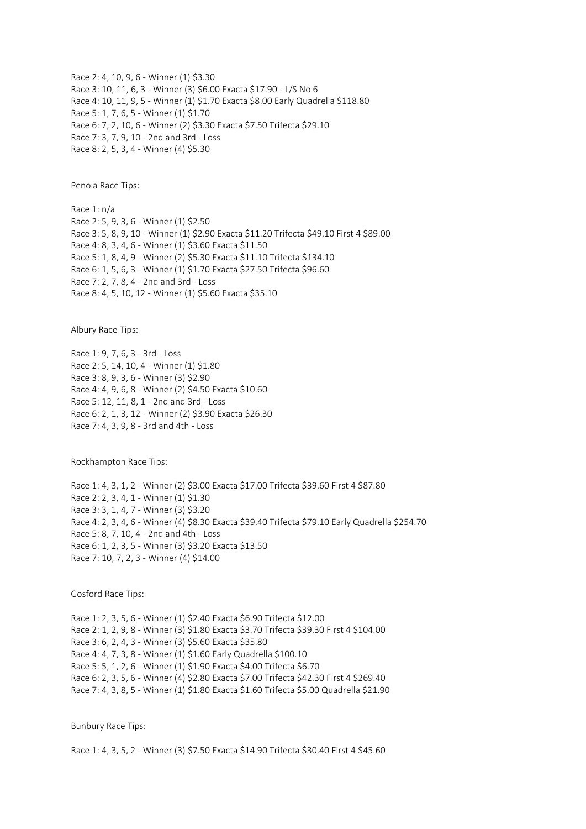Race 2: 4, 10, 9, 6 - Winner (1) \$3.30 Race 3: 10, 11, 6, 3 - Winner (3) \$6.00 Exacta \$17.90 - L/S No 6 Race 4: 10, 11, 9, 5 - Winner (1) \$1.70 Exacta \$8.00 Early Quadrella \$118.80 Race 5: 1, 7, 6, 5 - Winner (1) \$1.70 Race 6: 7, 2, 10, 6 - Winner (2) \$3.30 Exacta \$7.50 Trifecta \$29.10 Race 7: 3, 7, 9, 10 - 2nd and 3rd - Loss Race 8: 2, 5, 3, 4 - Winner (4) \$5.30

Penola Race Tips:

Race 1: n/a Race 2: 5, 9, 3, 6 - Winner (1) \$2.50 Race 3: 5, 8, 9, 10 - Winner (1) \$2.90 Exacta \$11.20 Trifecta \$49.10 First 4 \$89.00 Race 4: 8, 3, 4, 6 - Winner (1) \$3.60 Exacta \$11.50 Race 5: 1, 8, 4, 9 - Winner (2) \$5.30 Exacta \$11.10 Trifecta \$134.10 Race 6: 1, 5, 6, 3 - Winner (1) \$1.70 Exacta \$27.50 Trifecta \$96.60 Race 7: 2, 7, 8, 4 - 2nd and 3rd - Loss Race 8: 4, 5, 10, 12 - Winner (1) \$5.60 Exacta \$35.10

Albury Race Tips:

Race 1: 9, 7, 6, 3 - 3rd - Loss Race 2: 5, 14, 10, 4 - Winner (1) \$1.80 Race 3: 8, 9, 3, 6 - Winner (3) \$2.90 Race 4: 4, 9, 6, 8 - Winner (2) \$4.50 Exacta \$10.60 Race 5: 12, 11, 8, 1 - 2nd and 3rd - Loss Race 6: 2, 1, 3, 12 - Winner (2) \$3.90 Exacta \$26.30 Race 7: 4, 3, 9, 8 - 3rd and 4th - Loss

Rockhampton Race Tips:

Race 1: 4, 3, 1, 2 - Winner (2) \$3.00 Exacta \$17.00 Trifecta \$39.60 First 4 \$87.80 Race 2: 2, 3, 4, 1 - Winner (1) \$1.30 Race 3: 3, 1, 4, 7 - Winner (3) \$3.20 Race 4: 2, 3, 4, 6 - Winner (4) \$8.30 Exacta \$39.40 Trifecta \$79.10 Early Quadrella \$254.70 Race 5: 8, 7, 10, 4 - 2nd and 4th - Loss Race 6: 1, 2, 3, 5 - Winner (3) \$3.20 Exacta \$13.50 Race 7: 10, 7, 2, 3 - Winner (4) \$14.00

Gosford Race Tips:

Race 1: 2, 3, 5, 6 - Winner (1) \$2.40 Exacta \$6.90 Trifecta \$12.00 Race 2: 1, 2, 9, 8 - Winner (3) \$1.80 Exacta \$3.70 Trifecta \$39.30 First 4 \$104.00 Race 3: 6, 2, 4, 3 - Winner (3) \$5.60 Exacta \$35.80 Race 4: 4, 7, 3, 8 - Winner (1) \$1.60 Early Quadrella \$100.10 Race 5: 5, 1, 2, 6 - Winner (1) \$1.90 Exacta \$4.00 Trifecta \$6.70 Race 6: 2, 3, 5, 6 - Winner (4) \$2.80 Exacta \$7.00 Trifecta \$42.30 First 4 \$269.40 Race 7: 4, 3, 8, 5 - Winner (1) \$1.80 Exacta \$1.60 Trifecta \$5.00 Quadrella \$21.90

Bunbury Race Tips:

Race 1: 4, 3, 5, 2 - Winner (3) \$7.50 Exacta \$14.90 Trifecta \$30.40 First 4 \$45.60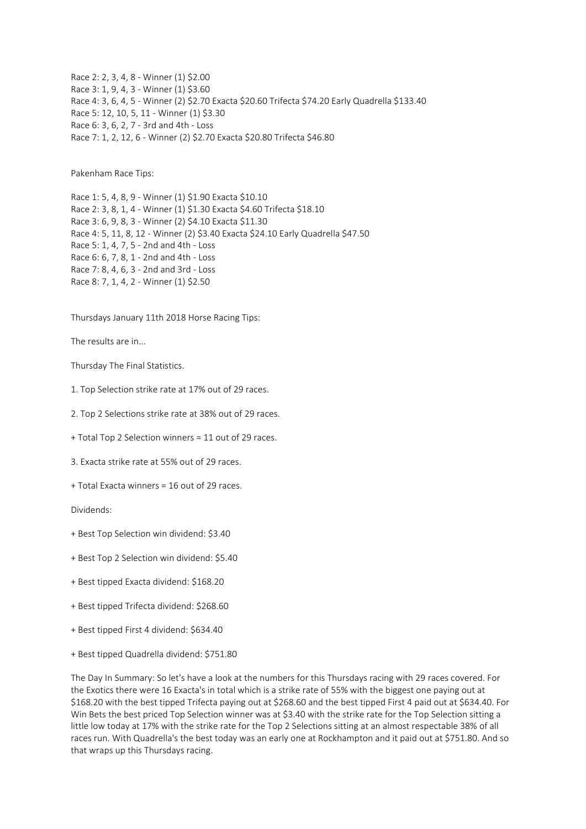Race 2: 2, 3, 4, 8 - Winner (1) \$2.00 Race 3: 1, 9, 4, 3 - Winner (1) \$3.60 Race 4: 3, 6, 4, 5 - Winner (2) \$2.70 Exacta \$20.60 Trifecta \$74.20 Early Quadrella \$133.40 Race 5: 12, 10, 5, 11 - Winner (1) \$3.30 Race 6: 3, 6, 2, 7 - 3rd and 4th - Loss Race 7: 1, 2, 12, 6 - Winner (2) \$2.70 Exacta \$20.80 Trifecta \$46.80

Pakenham Race Tips:

Race 1: 5, 4, 8, 9 - Winner (1) \$1.90 Exacta \$10.10 Race 2: 3, 8, 1, 4 - Winner (1) \$1.30 Exacta \$4.60 Trifecta \$18.10 Race 3: 6, 9, 8, 3 - Winner (2) \$4.10 Exacta \$11.30 Race 4: 5, 11, 8, 12 - Winner (2) \$3.40 Exacta \$24.10 Early Quadrella \$47.50 Race 5: 1, 4, 7, 5 - 2nd and 4th - Loss Race 6: 6, 7, 8, 1 - 2nd and 4th - Loss Race 7: 8, 4, 6, 3 - 2nd and 3rd - Loss Race 8: 7, 1, 4, 2 - Winner (1) \$2.50

Thursdays January 11th 2018 Horse Racing Tips:

The results are in...

Thursday The Final Statistics.

1. Top Selection strike rate at 17% out of 29 races.

2. Top 2 Selections strike rate at 38% out of 29 races.

+ Total Top 2 Selection winners = 11 out of 29 races.

3. Exacta strike rate at 55% out of 29 races.

+ Total Exacta winners = 16 out of 29 races.

Dividends:

- + Best Top Selection win dividend: \$3.40
- + Best Top 2 Selection win dividend: \$5.40
- + Best tipped Exacta dividend: \$168.20
- + Best tipped Trifecta dividend: \$268.60
- + Best tipped First 4 dividend: \$634.40
- + Best tipped Quadrella dividend: \$751.80

The Day In Summary: So let's have a look at the numbers for this Thursdays racing with 29 races covered. For the Exotics there were 16 Exacta's in total which is a strike rate of 55% with the biggest one paying out at \$168.20 with the best tipped Trifecta paying out at \$268.60 and the best tipped First 4 paid out at \$634.40. For Win Bets the best priced Top Selection winner was at \$3.40 with the strike rate for the Top Selection sitting a little low today at 17% with the strike rate for the Top 2 Selections sitting at an almost respectable 38% of all races run. With Quadrella's the best today was an early one at Rockhampton and it paid out at \$751.80. And so that wraps up this Thursdays racing.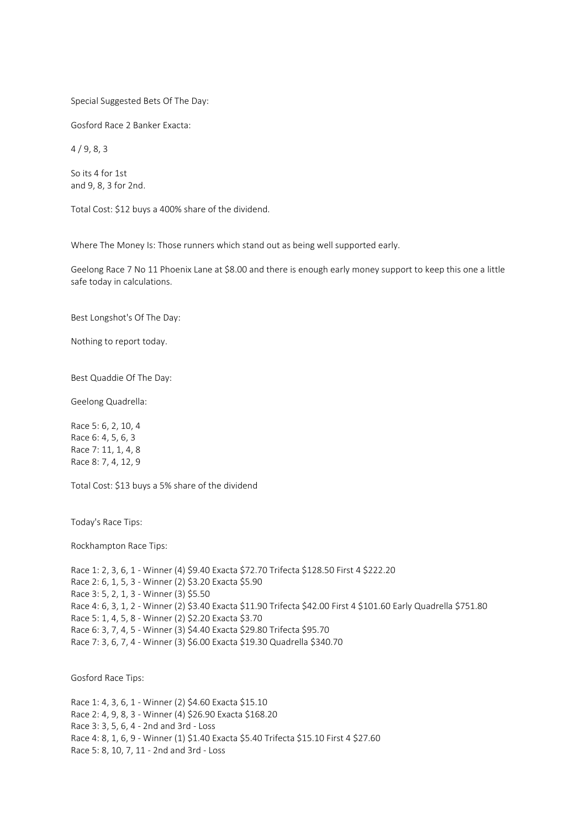Special Suggested Bets Of The Day:

Gosford Race 2 Banker Exacta:

4 / 9, 8, 3

So its 4 for 1st and 9, 8, 3 for 2nd.

Total Cost: \$12 buys a 400% share of the dividend.

Where The Money Is: Those runners which stand out as being well supported early.

Geelong Race 7 No 11 Phoenix Lane at \$8.00 and there is enough early money support to keep this one a little safe today in calculations.

Best Longshot's Of The Day:

Nothing to report today.

Best Quaddie Of The Day:

Geelong Quadrella:

Race 5: 6, 2, 10, 4 Race 6: 4, 5, 6, 3 Race 7: 11, 1, 4, 8 Race 8: 7, 4, 12, 9

Total Cost: \$13 buys a 5% share of the dividend

Today's Race Tips:

Rockhampton Race Tips:

Race 1: 2, 3, 6, 1 - Winner (4) \$9.40 Exacta \$72.70 Trifecta \$128.50 First 4 \$222.20 Race 2: 6, 1, 5, 3 - Winner (2) \$3.20 Exacta \$5.90 Race 3: 5, 2, 1, 3 - Winner (3) \$5.50 Race 4: 6, 3, 1, 2 - Winner (2) \$3.40 Exacta \$11.90 Trifecta \$42.00 First 4 \$101.60 Early Quadrella \$751.80 Race 5: 1, 4, 5, 8 - Winner (2) \$2.20 Exacta \$3.70 Race 6: 3, 7, 4, 5 - Winner (3) \$4.40 Exacta \$29.80 Trifecta \$95.70 Race 7: 3, 6, 7, 4 - Winner (3) \$6.00 Exacta \$19.30 Quadrella \$340.70

Gosford Race Tips:

Race 1: 4, 3, 6, 1 - Winner (2) \$4.60 Exacta \$15.10 Race 2: 4, 9, 8, 3 - Winner (4) \$26.90 Exacta \$168.20 Race 3: 3, 5, 6, 4 - 2nd and 3rd - Loss Race 4: 8, 1, 6, 9 - Winner (1) \$1.40 Exacta \$5.40 Trifecta \$15.10 First 4 \$27.60 Race 5: 8, 10, 7, 11 - 2nd and 3rd - Loss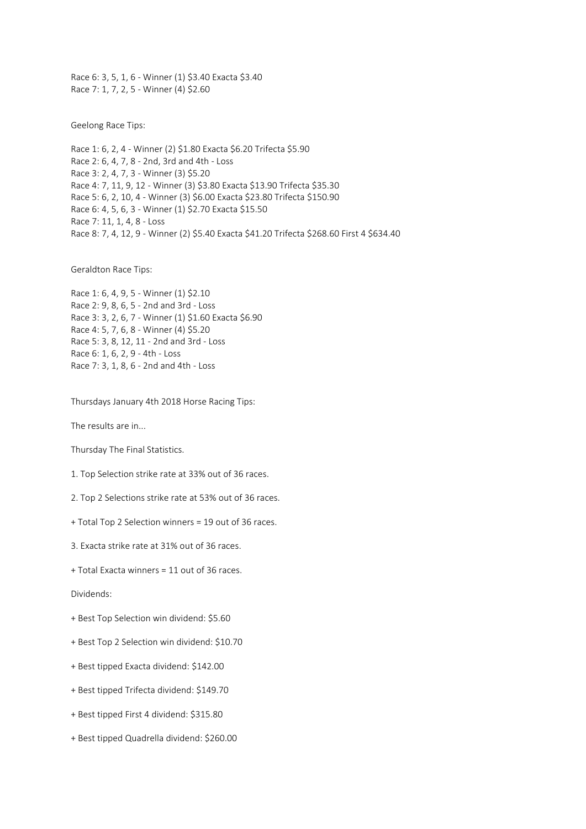Race 6: 3, 5, 1, 6 - Winner (1) \$3.40 Exacta \$3.40 Race 7: 1, 7, 2, 5 - Winner (4) \$2.60

Geelong Race Tips:

Race 1: 6, 2, 4 - Winner (2) \$1.80 Exacta \$6.20 Trifecta \$5.90 Race 2: 6, 4, 7, 8 - 2nd, 3rd and 4th - Loss Race 3: 2, 4, 7, 3 - Winner (3) \$5.20 Race 4: 7, 11, 9, 12 - Winner (3) \$3.80 Exacta \$13.90 Trifecta \$35.30 Race 5: 6, 2, 10, 4 - Winner (3) \$6.00 Exacta \$23.80 Trifecta \$150.90 Race 6: 4, 5, 6, 3 - Winner (1) \$2.70 Exacta \$15.50 Race 7: 11, 1, 4, 8 - Loss Race 8: 7, 4, 12, 9 - Winner (2) \$5.40 Exacta \$41.20 Trifecta \$268.60 First 4 \$634.40

Geraldton Race Tips:

Race 1: 6, 4, 9, 5 - Winner (1) \$2.10 Race 2: 9, 8, 6, 5 - 2nd and 3rd - Loss Race 3: 3, 2, 6, 7 - Winner (1) \$1.60 Exacta \$6.90 Race 4: 5, 7, 6, 8 - Winner (4) \$5.20 Race 5: 3, 8, 12, 11 - 2nd and 3rd - Loss Race 6: 1, 6, 2, 9 - 4th - Loss Race 7: 3, 1, 8, 6 - 2nd and 4th - Loss

Thursdays January 4th 2018 Horse Racing Tips:

The results are in...

Thursday The Final Statistics.

1. Top Selection strike rate at 33% out of 36 races.

2. Top 2 Selections strike rate at 53% out of 36 races.

+ Total Top 2 Selection winners = 19 out of 36 races.

3. Exacta strike rate at 31% out of 36 races.

+ Total Exacta winners = 11 out of 36 races.

Dividends:

+ Best Top Selection win dividend: \$5.60

+ Best Top 2 Selection win dividend: \$10.70

+ Best tipped Exacta dividend: \$142.00

+ Best tipped Trifecta dividend: \$149.70

+ Best tipped First 4 dividend: \$315.80

+ Best tipped Quadrella dividend: \$260.00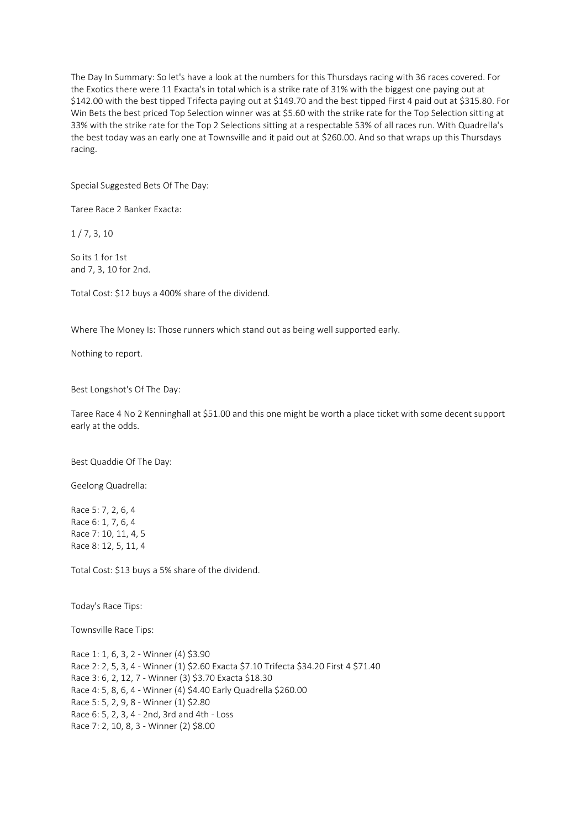The Day In Summary: So let's have a look at the numbers for this Thursdays racing with 36 races covered. For the Exotics there were 11 Exacta's in total which is a strike rate of 31% with the biggest one paying out at \$142.00 with the best tipped Trifecta paying out at \$149.70 and the best tipped First 4 paid out at \$315.80. For Win Bets the best priced Top Selection winner was at \$5.60 with the strike rate for the Top Selection sitting at 33% with the strike rate for the Top 2 Selections sitting at a respectable 53% of all races run. With Quadrella's the best today was an early one at Townsville and it paid out at \$260.00. And so that wraps up this Thursdays racing.

Special Suggested Bets Of The Day:

Taree Race 2 Banker Exacta:

1 / 7, 3, 10

So its 1 for 1st and 7, 3, 10 for 2nd.

Total Cost: \$12 buys a 400% share of the dividend.

Where The Money Is: Those runners which stand out as being well supported early.

Nothing to report.

Best Longshot's Of The Day:

Taree Race 4 No 2 Kenninghall at \$51.00 and this one might be worth a place ticket with some decent support early at the odds.

Best Quaddie Of The Day:

Geelong Quadrella:

Race 5: 7, 2, 6, 4 Race 6: 1, 7, 6, 4 Race 7: 10, 11, 4, 5 Race 8: 12, 5, 11, 4

Total Cost: \$13 buys a 5% share of the dividend.

Today's Race Tips:

Townsville Race Tips:

Race 1: 1, 6, 3, 2 - Winner (4) \$3.90 Race 2: 2, 5, 3, 4 - Winner (1) \$2.60 Exacta \$7.10 Trifecta \$34.20 First 4 \$71.40 Race 3: 6, 2, 12, 7 - Winner (3) \$3.70 Exacta \$18.30 Race 4: 5, 8, 6, 4 - Winner (4) \$4.40 Early Quadrella \$260.00 Race 5: 5, 2, 9, 8 - Winner (1) \$2.80 Race 6: 5, 2, 3, 4 - 2nd, 3rd and 4th - Loss Race 7: 2, 10, 8, 3 - Winner (2) \$8.00